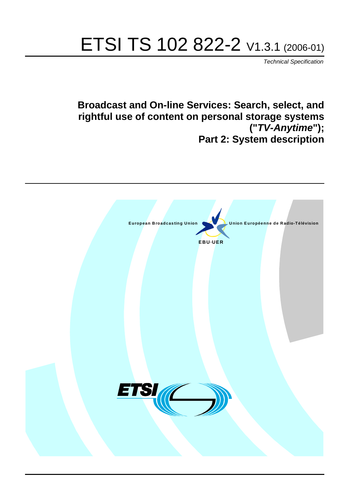# ETSI TS 102 822-2 V1.3.1 (2006-01)

Technical Specification

**Broadcast and On-line Services: Search, select, and rightful use of content on personal storage systems ("TV-Anytime"); Part 2: System description**

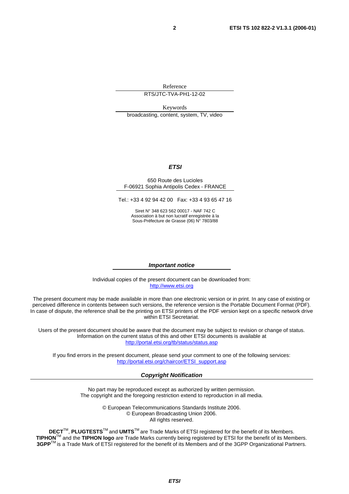Reference

RTS/JTC-TVA-PH1-12-02

Keywords broadcasting, content, system, TV, video

#### **ETSI**

#### 650 Route des Lucioles F-06921 Sophia Antipolis Cedex - FRANCE

Tel.: +33 4 92 94 42 00 Fax: +33 4 93 65 47 16

Siret N° 348 623 562 00017 - NAF 742 C Association à but non lucratif enregistrée à la Sous-Préfecture de Grasse (06) N° 7803/88

#### **Important notice**

Individual copies of the present document can be downloaded from: [http://www.etsi.org](http://www.etsi.org/)

The present document may be made available in more than one electronic version or in print. In any case of existing or perceived difference in contents between such versions, the reference version is the Portable Document Format (PDF). In case of dispute, the reference shall be the printing on ETSI printers of the PDF version kept on a specific network drive within ETSI Secretariat.

Users of the present document should be aware that the document may be subject to revision or change of status. Information on the current status of this and other ETSI documents is available at <http://portal.etsi.org/tb/status/status.asp>

If you find errors in the present document, please send your comment to one of the following services: [http://portal.etsi.org/chaircor/ETSI\\_support.asp](http://portal.etsi.org/chaircor/ETSI_support.asp)

#### **Copyright Notification**

No part may be reproduced except as authorized by written permission. The copyright and the foregoing restriction extend to reproduction in all media.

> © European Telecommunications Standards Institute 2006. © European Broadcasting Union 2006. All rights reserved.

**DECT**TM, **PLUGTESTS**TM and **UMTS**TM are Trade Marks of ETSI registered for the benefit of its Members. **TIPHON**TM and the **TIPHON logo** are Trade Marks currently being registered by ETSI for the benefit of its Members. **3GPP**TM is a Trade Mark of ETSI registered for the benefit of its Members and of the 3GPP Organizational Partners.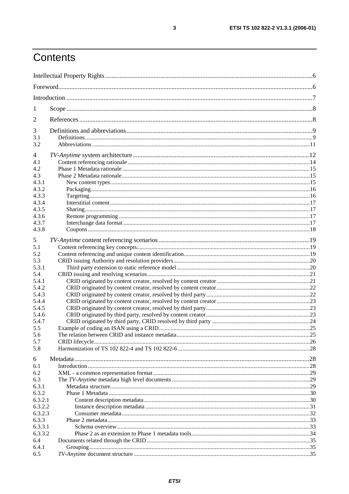# Contents

| 1              |  |  |  |
|----------------|--|--|--|
| 2              |  |  |  |
| 3              |  |  |  |
| 3.1<br>3.2     |  |  |  |
|                |  |  |  |
| 4              |  |  |  |
| 4.1            |  |  |  |
| 4.2            |  |  |  |
| 4.3            |  |  |  |
| 4.3.1          |  |  |  |
| 4.3.2          |  |  |  |
| 4.3.3          |  |  |  |
| 4.3.4          |  |  |  |
| 4.3.5          |  |  |  |
| 4.3.6<br>4.3.7 |  |  |  |
| 4.3.8          |  |  |  |
|                |  |  |  |
| 5              |  |  |  |
| 5.1            |  |  |  |
| 5.2            |  |  |  |
| 5.3            |  |  |  |
| 5.3.1          |  |  |  |
| 5.4            |  |  |  |
| 5.4.1          |  |  |  |
| 5.4.2          |  |  |  |
| 5.4.3<br>5.4.4 |  |  |  |
| 5.4.5          |  |  |  |
| 5.4.6          |  |  |  |
| 5.4.7          |  |  |  |
| 5.5            |  |  |  |
| 5.6            |  |  |  |
| 5.7            |  |  |  |
| 5.8            |  |  |  |
|                |  |  |  |
| 6<br>6.1       |  |  |  |
| 6.2            |  |  |  |
| 6.3            |  |  |  |
| 6.3.1          |  |  |  |
| 6.3.2          |  |  |  |
| 6.3.2.1        |  |  |  |
| 6.3.2.2        |  |  |  |
| 6.3.2.3        |  |  |  |
| 6.3.3          |  |  |  |
| 6.3.3.1        |  |  |  |
| 6.3.3.2        |  |  |  |
| 6.4            |  |  |  |
| 6.4.1          |  |  |  |
| 6.5            |  |  |  |
|                |  |  |  |

 $\mathbf{3}$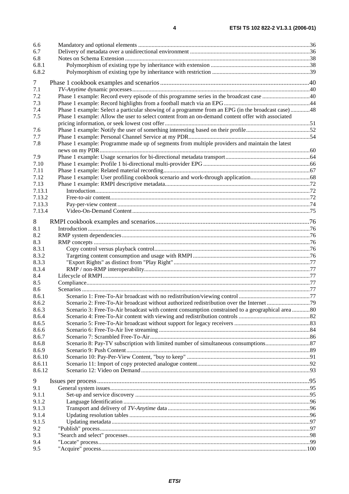| 6.6            |                                                                                                   |  |
|----------------|---------------------------------------------------------------------------------------------------|--|
| 6.7            |                                                                                                   |  |
| 6.8            |                                                                                                   |  |
| 6.8.1          |                                                                                                   |  |
| 6.8.2          |                                                                                                   |  |
| 7              |                                                                                                   |  |
| 7.1            |                                                                                                   |  |
| 7.2            |                                                                                                   |  |
| 7.3            |                                                                                                   |  |
| 7.4            | Phase 1 example: Select a particular showing of a programme from an EPG (in the broadcast case)48 |  |
| 7.5            | Phase 1 example: Allow the user to select content from an on-demand content offer with associated |  |
|                |                                                                                                   |  |
| 7.6            |                                                                                                   |  |
| 7.7            |                                                                                                   |  |
| 7.8            | Phase 1 example: Programme made up of segments from multiple providers and maintain the latest    |  |
|                |                                                                                                   |  |
| 7.9            |                                                                                                   |  |
| 7.10<br>7.11   |                                                                                                   |  |
|                |                                                                                                   |  |
| 7.12<br>7.13   |                                                                                                   |  |
| 7.13.1         |                                                                                                   |  |
| 7.13.2         |                                                                                                   |  |
| 7.13.3         |                                                                                                   |  |
| 7.13.4         |                                                                                                   |  |
|                |                                                                                                   |  |
| 8              |                                                                                                   |  |
| 8.1            |                                                                                                   |  |
| 8.2            |                                                                                                   |  |
| 8.3            |                                                                                                   |  |
| 8.3.1<br>8.3.2 |                                                                                                   |  |
| 8.3.3          |                                                                                                   |  |
| 8.3.4          |                                                                                                   |  |
| 8.4            |                                                                                                   |  |
| 8.5            |                                                                                                   |  |
| 8.6            |                                                                                                   |  |
| 8.6.1          |                                                                                                   |  |
| 8.6.2          |                                                                                                   |  |
| 8.6.3          | Scenario 3: Free-To-Air broadcast with content consumption constrained to a geographical area 80  |  |
| 8.6.4          |                                                                                                   |  |
| 8.6.5          |                                                                                                   |  |
| 8.6.6          |                                                                                                   |  |
| 8.6.7          |                                                                                                   |  |
| 8.6.8          |                                                                                                   |  |
| 8.6.9          |                                                                                                   |  |
| 8.6.10         |                                                                                                   |  |
| 8.6.11         |                                                                                                   |  |
| 8.6.12         |                                                                                                   |  |
| 9              |                                                                                                   |  |
| 9.1            |                                                                                                   |  |
| 9.1.1          |                                                                                                   |  |
| 9.1.2          |                                                                                                   |  |
| 9.1.3          |                                                                                                   |  |
| 9.1.4          |                                                                                                   |  |
| 9.1.5          |                                                                                                   |  |
| 9.2            |                                                                                                   |  |
| 9.3            |                                                                                                   |  |
| 9.4            |                                                                                                   |  |
| 9.5            |                                                                                                   |  |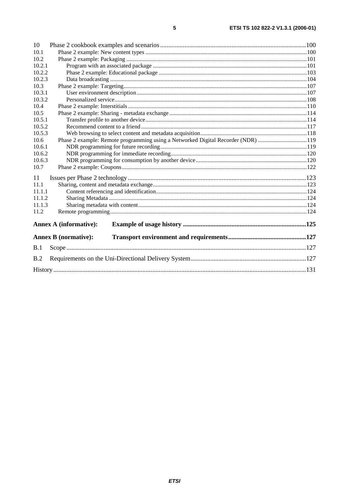| 10     |                               |                                                                                  |  |
|--------|-------------------------------|----------------------------------------------------------------------------------|--|
| 10.1   |                               |                                                                                  |  |
| 10.2   |                               |                                                                                  |  |
| 10.2.1 |                               |                                                                                  |  |
| 10.2.2 |                               |                                                                                  |  |
| 10.2.3 |                               |                                                                                  |  |
| 10.3   |                               |                                                                                  |  |
| 10.3.1 |                               |                                                                                  |  |
| 10.3.2 |                               |                                                                                  |  |
| 10.4   |                               |                                                                                  |  |
| 10.5   |                               |                                                                                  |  |
| 10.5.1 |                               |                                                                                  |  |
| 10.5.2 |                               |                                                                                  |  |
| 10.5.3 |                               |                                                                                  |  |
| 10.6   |                               | Phase 2 example: Remote programming using a Networked Digital Recorder (NDR) 119 |  |
| 10.6.1 |                               |                                                                                  |  |
| 10.6.2 |                               |                                                                                  |  |
| 10.6.3 |                               |                                                                                  |  |
| 10.7   |                               |                                                                                  |  |
| 11     |                               |                                                                                  |  |
| 11.1   |                               |                                                                                  |  |
| 11.1.1 |                               |                                                                                  |  |
| 11.1.2 |                               |                                                                                  |  |
| 11.1.3 |                               |                                                                                  |  |
| 11.2   |                               |                                                                                  |  |
|        | <b>Annex A (informative):</b> |                                                                                  |  |
|        | <b>Annex B</b> (normative):   |                                                                                  |  |
| B.1    |                               |                                                                                  |  |
| B.2    |                               |                                                                                  |  |
|        |                               |                                                                                  |  |
|        |                               |                                                                                  |  |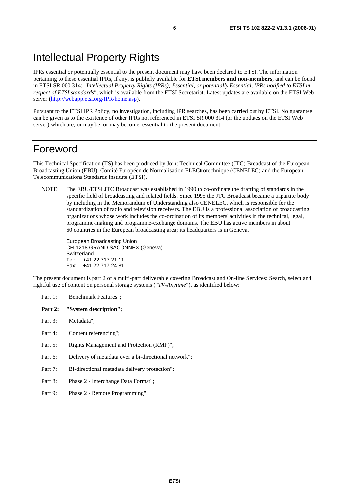# Intellectual Property Rights

IPRs essential or potentially essential to the present document may have been declared to ETSI. The information pertaining to these essential IPRs, if any, is publicly available for **ETSI members and non-members**, and can be found in ETSI SR 000 314: *"Intellectual Property Rights (IPRs); Essential, or potentially Essential, IPRs notified to ETSI in respect of ETSI standards"*, which is available from the ETSI Secretariat. Latest updates are available on the ETSI Web server [\(http://webapp.etsi.org/IPR/home.asp\)](http://webapp.etsi.org/IPR/home.asp).

Pursuant to the ETSI IPR Policy, no investigation, including IPR searches, has been carried out by ETSI. No guarantee can be given as to the existence of other IPRs not referenced in ETSI SR 000 314 (or the updates on the ETSI Web server) which are, or may be, or may become, essential to the present document.

# Foreword

This Technical Specification (TS) has been produced by Joint Technical Committee (JTC) Broadcast of the European Broadcasting Union (EBU), Comité Européen de Normalisation ELECtrotechnique (CENELEC) and the European Telecommunications Standards Institute (ETSI).

NOTE: The EBU/ETSI JTC Broadcast was established in 1990 to co-ordinate the drafting of standards in the specific field of broadcasting and related fields. Since 1995 the JTC Broadcast became a tripartite body by including in the Memorandum of Understanding also CENELEC, which is responsible for the standardization of radio and television receivers. The EBU is a professional association of broadcasting organizations whose work includes the co-ordination of its members' activities in the technical, legal, programme-making and programme-exchange domains. The EBU has active members in about 60 countries in the European broadcasting area; its headquarters is in Geneva.

European Broadcasting Union CH-1218 GRAND SACONNEX (Geneva) Switzerland Tel: +41 22 717 21 11 Fax: +41 22 717 24 81

The present document is part 2 of a multi-part deliverable covering Broadcast and On-line Services: Search, select and rightful use of content on personal storage systems ("*TV-Anytime*"), as identified below:

- Part 1: "Benchmark Features";
- Part 2: "System description";
- Part 3: "Metadata";
- Part 4: "Content referencing":
- Part 5: "Rights Management and Protection (RMP)";
- Part 6: "Delivery of metadata over a bi-directional network";
- Part 7: "Bi-directional metadata delivery protection";
- Part 8: "Phase 2 Interchange Data Format";
- Part 9: "Phase 2 Remote Programming".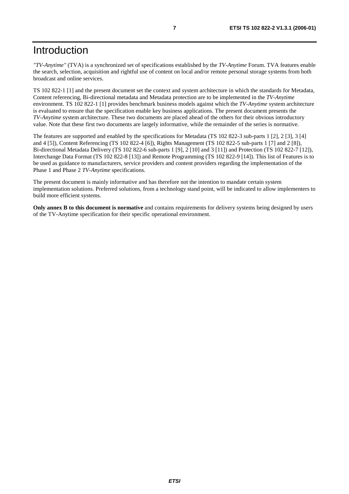# Introduction

*"TV-Anytime"* (TVA) is a synchronized set of specifications established by the *TV-Anytime* Forum. TVA features enable the search, selection, acquisition and rightful use of content on local and/or remote personal storage systems from both broadcast and online services.

TS 102 822-1 [1] and the present document set the context and system architecture in which the standards for Metadata, Content referencing, Bi-directional metadata and Metadata protection are to be implemented in the *TV-Anytime* environment. TS 102 822-1 [1] provides benchmark business models against which the *TV-Anytime* system architecture is evaluated to ensure that the specification enable key business applications. The present document presents the *TV-Anytime* system architecture. These two documents are placed ahead of the others for their obvious introductory value. Note that these first two documents are largely informative, while the remainder of the series is normative.

The features are supported and enabled by the specifications for Metadata (TS 102 822-3 sub-parts 1 [2], 2 [3], 3 [4] and 4 [5]), Content Referencing (TS 102 822-4 [6]), Rights Management (TS 102 822-5 sub-parts 1 [7] and 2 [8]), Bi-directional Metadata Delivery (TS 102 822-6 sub-parts 1 [9], 2 [10] and 3 [11]) and Protection (TS 102 822-7 [12]), Interchange Data Format (TS 102 822-8 [13]) and Remote Programming (TS 102 822-9 [14]). This list of Features is to be used as guidance to manufacturers, service providers and content providers regarding the implementation of the Phase 1 and Phase 2 *TV-Anytime* specifications.

The present document is mainly informative and has therefore not the intention to mandate certain system implementation solutions. Preferred solutions, from a technology stand point, will be indicated to allow implementers to build more efficient systems.

**Only annex B to this document is normative** and contains requirements for delivery systems being designed by users of the TV-Anytime specification for their specific operational environment.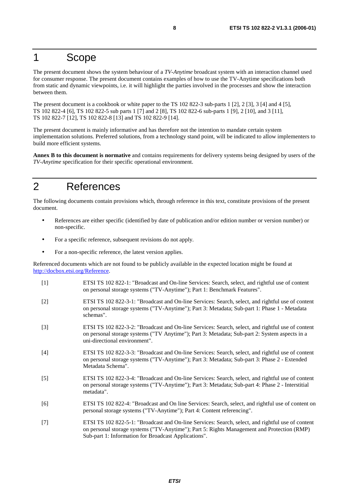# 1 Scope

The present document shows the system behaviour of a *TV-Anytime* broadcast system with an interaction channel used for consumer response. The present document contains examples of how to use the TV-Anytime specifications both from static and dynamic viewpoints, i.e. it will highlight the parties involved in the processes and show the interaction between them.

The present document is a cookbook or white paper to the TS 102 822-3 sub-parts 1 [2], 2 [3], 3 [4] and 4 [5], TS 102 822-4 [6], TS 102 822-5 sub parts 1 [7] and 2 [8], TS 102 822-6 sub-parts 1 [9], 2 [10], and 3 [11], TS 102 822-7 [12], TS 102 822-8 [13] and TS 102 822-9 [14].

The present document is mainly informative and has therefore not the intention to mandate certain system implementation solutions. Preferred solutions, from a technology stand point, will be indicated to allow implementers to build more efficient systems.

**Annex B to this document is normative** and contains requirements for delivery systems being designed by users of the *TV-Anytime* specification for their specific operational environment.

# 2 References

The following documents contain provisions which, through reference in this text, constitute provisions of the present document.

- References are either specific (identified by date of publication and/or edition number or version number) or non-specific.
- For a specific reference, subsequent revisions do not apply.
- For a non-specific reference, the latest version applies.

Referenced documents which are not found to be publicly available in the expected location might be found at <http://docbox.etsi.org/Reference>.

- [1] ETSI TS 102 822-1: "Broadcast and On-line Services: Search, select, and rightful use of content on personal storage systems ("TV-Anytime"); Part 1: Benchmark Features".
- [2] ETSI TS 102 822-3-1: "Broadcast and On-line Services: Search, select, and rightful use of content on personal storage systems ("TV-Anytime"); Part 3: Metadata; Sub-part 1: Phase 1 - Metadata schemas".
- [3] ETSI TS 102 822-3-2: "Broadcast and On-line Services: Search, select, and rightful use of content on personal storage systems ("TV Anytime"); Part 3: Metadata; Sub-part 2: System aspects in a uni-directional environment".
- [4] ETSI TS 102 822-3-3: "Broadcast and On-line Services: Search, select, and rightful use of content on personal storage systems ("TV-Anytime"); Part 3: Metadata; Sub-part 3: Phase 2 - Extended Metadata Schema".
- [5] ETSI TS 102 822-3-4: "Broadcast and On-line Services: Search, select, and rightful use of content on personal storage systems ("TV-Anytime"); Part 3: Metadata; Sub-part 4: Phase 2 - Interstitial metadata".
- [6] ETSI TS 102 822-4: "Broadcast and On line Services: Search, select, and rightful use of content on personal storage systems ("TV-Anytime"); Part 4: Content referencing".
- [7] ETSI TS 102 822-5-1: "Broadcast and On-line Services: Search, select, and rightful use of content on personal storage systems ("TV-Anytime"); Part 5: Rights Management and Protection (RMP) Sub-part 1: Information for Broadcast Applications".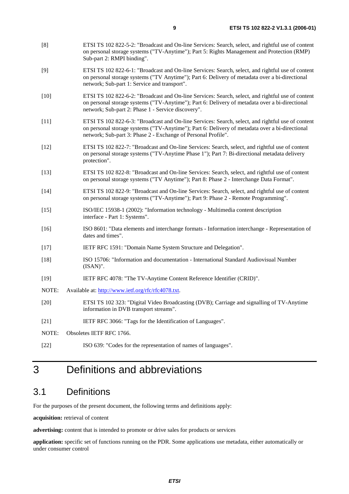- [8] ETSI TS 102 822-5-2: "Broadcast and On-line Services: Search, select, and rightful use of content on personal storage systems ("TV-Anytime"); Part 5: Rights Management and Protection (RMP) Sub-part 2: RMPI binding".
- [9] ETSI TS 102 822-6-1: "Broadcast and On-line Services: Search, select, and rightful use of content on personal storage systems ("TV Anytime"); Part 6: Delivery of metadata over a bi-directional network; Sub-part 1: Service and transport".
- [10] ETSI TS 102 822-6-2: "Broadcast and On-line Services: Search, select, and rightful use of content on personal storage systems ("TV-Anytime"); Part 6: Delivery of metadata over a bi-directional network; Sub-part 2: Phase 1 - Service discovery".
- [11] ETSI TS 102 822-6-3: "Broadcast and On-line Services: Search, select, and rightful use of content on personal storage systems ("TV-Anytime"); Part 6: Delivery of metadata over a bi-directional network; Sub-part 3: Phase 2 - Exchange of Personal Profile".
- [12] ETSI TS 102 822-7: "Broadcast and On-line Services: Search, select, and rightful use of content on personal storage systems ("TV-Anytime Phase 1"); Part 7: Bi-directional metadata delivery protection".
- [13] ETSI TS 102 822-8: "Broadcast and On-line Services: Search, select, and rightful use of content on personal storage systems ("TV Anytime"); Part 8: Phase 2 - Interchange Data Format".
- [14] ETSI TS 102 822-9: "Broadcast and On-line Services: Search, select, and rightful use of content on personal storage systems ("TV-Anytime"); Part 9: Phase 2 - Remote Programming".
- [15] ISO/IEC 15938-1 (2002): "Information technology Multimedia content description interface - Part 1: Systems".
- [16] ISO 8601: "Data elements and interchange formats Information interchange Representation of dates and times".
- [17] IETF RFC 1591: "Domain Name System Structure and Delegation".
- [18] ISO 15706: "Information and documentation International Standard Audiovisual Number (ISAN)".
- [19] IETF RFC 4078: "The TV-Anytime Content Reference Identifier (CRID)".
- NOTE: Available at: [http://www.ietf.org/rfc/rfc4078.txt.](http://www.ietf.org/rfc/rfc4078.txt)
- [20] ETSI TS 102 323: "Digital Video Broadcasting (DVB); Carriage and signalling of TV-Anytime information in DVB transport streams".
- [21] IETF RFC 3066: "Tags for the Identification of Languages".
- NOTE: Obsoletes IETF RFC 1766.
- [22] ISO 639: "Codes for the representation of names of languages".

# 3 Definitions and abbreviations

# 3.1 Definitions

For the purposes of the present document, the following terms and definitions apply:

**acquisition:** retrieval of content

**advertising:** content that is intended to promote or drive sales for products or services

**application:** specific set of functions running on the PDR. Some applications use metadata, either automatically or under consumer control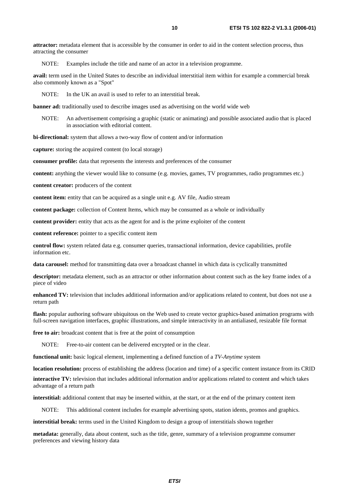**attractor:** metadata element that is accessible by the consumer in order to aid in the content selection process, thus attracting the consumer

NOTE: Examples include the title and name of an actor in a television programme.

**avail:** term used in the United States to describe an individual interstitial item within for example a commercial break also commonly known as a "Spot"

NOTE: In the UK an avail is used to refer to an interstitial break.

**banner ad:** traditionally used to describe images used as advertising on the world wide web

NOTE: An advertisement comprising a graphic (static or animating) and possible associated audio that is placed in association with editorial content.

**bi-directional:** system that allows a two-way flow of content and/or information

**capture:** storing the acquired content (to local storage)

**consumer profile:** data that represents the interests and preferences of the consumer

**content:** anything the viewer would like to consume (e.g. movies, games, TV programmes, radio programmes etc.)

**content creator:** producers of the content

**content item:** entity that can be acquired as a single unit e.g. AV file. Audio stream

**content package:** collection of Content Items, which may be consumed as a whole or individually

**content provider:** entity that acts as the agent for and is the prime exploiter of the content

**content reference:** pointer to a specific content item

**control flow:** system related data e.g. consumer queries, transactional information, device capabilities, profile information etc.

**data carousel:** method for transmitting data over a broadcast channel in which data is cyclically transmitted

**descriptor:** metadata element, such as an attractor or other information about content such as the key frame index of a piece of video

**enhanced TV:** television that includes additional information and/or applications related to content, but does not use a return path

**flash:** popular authoring software ubiquitous on the Web used to create vector graphics-based animation programs with full-screen navigation interfaces, graphic illustrations, and simple interactivity in an antialiased, resizable file format

**free to air:** broadcast content that is free at the point of consumption

NOTE: Free-to-air content can be delivered encrypted or in the clear.

**functional unit:** basic logical element, implementing a defined function of a *TV-Anytime* system

**location resolution:** process of establishing the address (location and time) of a specific content instance from its CRID

**interactive TV:** television that includes additional information and/or applications related to content and which takes advantage of a return path

**interstitial:** additional content that may be inserted within, at the start, or at the end of the primary content item

NOTE: This additional content includes for example advertising spots, station idents, promos and graphics.

**interstitial break:** terms used in the United Kingdom to design a group of interstitials shown together

**metadata:** generally, data about content, such as the title, genre, summary of a television programme consumer preferences and viewing history data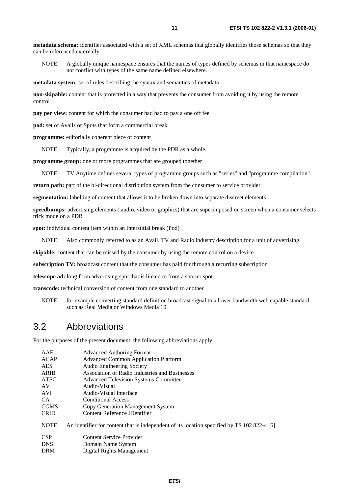**metadata schema:** identifier associated with a set of XML schemas that globally identifies those schemas so that they can be referenced externally

NOTE: A globally unique namespace ensures that the names of types defined by schemas in that namespace do not conflict with types of the same name defined elsewhere.

**metadata system:** set of rules describing the syntax and semantics of metadata

**non-skipable:** content that is protected in a way that prevents the consumer from avoiding it by using the remote control

**pay per view:** content for which the consumer had had to pay a one off fee

**pod:** set of Avails or Spots that form a commercial break

**programme:** editorially coherent piece of content

NOTE: Typically, a programme is acquired by the PDR as a whole.

**programme group:** one or more programmes that are grouped together

NOTE: TV Anytime defines several types of programme groups such as "series" and "programme compilation".

**return path:** part of the bi-directional distribution system from the consumer to service provider

**segmentation:** labelling of content that allows it to be broken down into separate discreet elements

**speedbumps:** advertising elements ( audio, video or graphics) that are superimposed on screen when a consumer selects trick mode on a PDR

**spot:** individual content item within an Interstitial break (Pod)

NOTE: Also commonly referred to as an Avail. TV and Radio industry description for a unit of advertising.

**skipable:** content that can be missed by the consumer by using the remote control on a device

**subscription TV:** broadcast content that the consumer has paid for through a recurring subscription

**telescope ad:** long form advertising spot that is linked to from a shorter spot

**transcode:** technical conversion of content from one standard to another

NOTE: for example converting standard definition broadcast signal to a lower bandwidth web capable standard such as Real Media or Windows Media 10.

### 3.2 Abbreviations

For the purposes of the present document, the following abbreviations apply:

| AAF         | <b>Advanced Authoring Format</b>                                                             |
|-------------|----------------------------------------------------------------------------------------------|
| ACAP        | <b>Advanced Common Application Platform</b>                                                  |
| <b>AES</b>  | Audio Engineering Society                                                                    |
| <b>ARIB</b> | Association of Radio Industries and Businesses                                               |
| ATSC        | <b>Advanced Television Systems Committee</b>                                                 |
| AV          | Audio-Visual                                                                                 |
| AVI         | Audio-Visual Interface                                                                       |
| CA.         | <b>Conditional Access</b>                                                                    |
| <b>CGMS</b> | Copy Generation Management System                                                            |
| <b>CRID</b> | Content Reference IDentifier                                                                 |
| NOTE:       | An identifier for content that is independent of its location specified by TS 102 822-4 [6]. |
| <b>CSP</b>  | Content Service Provider                                                                     |
| <b>DNS</b>  | Domain Name System                                                                           |
| <b>DRM</b>  | Digital Rights Management                                                                    |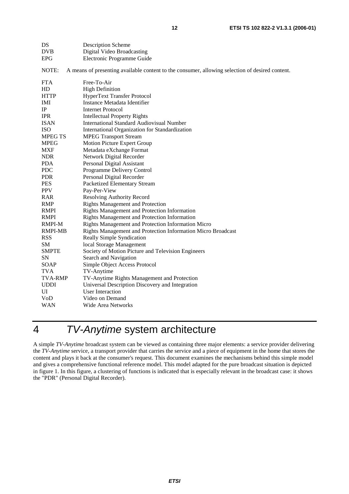| DS             | <b>Description Scheme</b>                                                                       |
|----------------|-------------------------------------------------------------------------------------------------|
| <b>DVB</b>     | Digital Video Broadcasting                                                                      |
| <b>EPG</b>     | Electronic Programme Guide                                                                      |
| NOTE:          | A means of presenting available content to the consumer, allowing selection of desired content. |
| <b>FTA</b>     | Free-To-Air                                                                                     |
| HD             | <b>High Definition</b>                                                                          |
| <b>HTTP</b>    | HyperText Transfer Protocol                                                                     |
| IMI            | Instance Metadata Identifier                                                                    |
| IP             | <b>Internet Protocol</b>                                                                        |
| <b>IPR</b>     | <b>Intellectual Property Rights</b>                                                             |
| <b>ISAN</b>    | International Standard Audiovisual Number                                                       |
| <b>ISO</b>     | International Organization for Standardization                                                  |
| <b>MPEG TS</b> | <b>MPEG Transport Stream</b>                                                                    |
| <b>MPEG</b>    | Motion Picture Expert Group                                                                     |
| <b>MXF</b>     | Metadata eXchange Format                                                                        |
| <b>NDR</b>     | Network Digital Recorder                                                                        |
| <b>PDA</b>     | Personal Digital Assistant                                                                      |
| <b>PDC</b>     | Programme Delivery Control                                                                      |
| <b>PDR</b>     | Personal Digital Recorder                                                                       |
| <b>PES</b>     | Packetized Elementary Stream                                                                    |
| <b>PPV</b>     | Pay-Per-View                                                                                    |
| <b>RAR</b>     | <b>Resolving Authority Record</b>                                                               |
| RMP            | <b>Rights Management and Protection</b>                                                         |
| <b>RMPI</b>    | Rights Management and Protection Information                                                    |
| <b>RMPI</b>    | Rights Management and Protection Information                                                    |
| <b>RMPI-M</b>  | Rights Management and Protection Information Micro                                              |
| <b>RMPI-MB</b> | Rights Management and Protection Information Micro Broadcast                                    |
| <b>RSS</b>     | Really Simple Syndication                                                                       |
| SM             | local Storage Management                                                                        |
| <b>SMPTE</b>   | Society of Motion Picture and Television Engineers                                              |
| SN             | Search and Navigation                                                                           |
| SOAP           | Simple Object Access Protocol                                                                   |
| <b>TVA</b>     | TV-Anytime                                                                                      |
| <b>TVA-RMP</b> | TV-Anytime Rights Management and Protection                                                     |
| <b>UDDI</b>    | Universal Description Discovery and Integration                                                 |
| UI             | <b>User Interaction</b>                                                                         |
| VoD            | Video on Demand                                                                                 |
| <b>WAN</b>     | Wide Area Networks                                                                              |

# 4 TV-Anytime system architecture

A simple *TV-Anytime* broadcast system can be viewed as containing three major elements: a service provider delivering the *TV-Anytime* service, a transport provider that carries the service and a piece of equipment in the home that stores the content and plays it back at the consumer's request. This document examines the mechanisms behind this simple model and gives a comprehensive functional reference model. This model adapted for the pure broadcast situation is depicted in figure 1. In this figure, a clustering of functions is indicated that is especially relevant in the broadcast case: it shows the "PDR" (Personal Digital Recorder).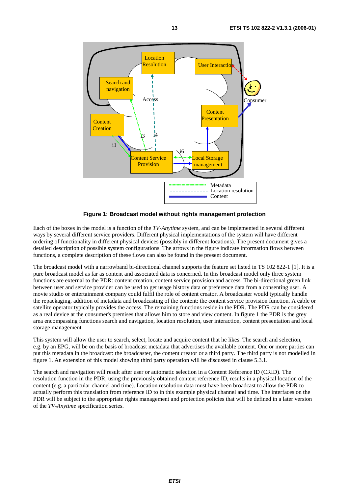

**Figure 1: Broadcast model without rights management protection** 

Each of the boxes in the model is a function of the *TV-Anytime* system, and can be implemented in several different ways by several different service providers. Different physical implementations of the system will have different ordering of functionality in different physical devices (possibly in different locations). The present document gives a detailed description of possible system configurations. The arrows in the figure indicate information flows between functions, a complete description of these flows can also be found in the present document.

The broadcast model with a narrowband bi-directional channel supports the feature set listed in TS 102 822-1 [1]. It is a pure broadcast model as far as content and associated data is concerned. In this broadcast model only three system functions are external to the PDR: content creation, content service provision and access. The bi-directional green link between user and service provider can be used to get usage history data or preference data from a consenting user. A movie studio or entertainment company could fulfil the role of content creator. A broadcaster would typically handle the repackaging, addition of metadata and broadcasting of the content: the content service provision function. A cable or satellite operator typically provides the access. The remaining functions reside in the PDR. The PDR can be considered as a real device at the consumer's premises that allows him to store and view content. In figure 1 the PDR is the grey area encompassing functions search and navigation, location resolution, user interaction, content presentation and local storage management.

This system will allow the user to search, select, locate and acquire content that he likes. The search and selection, e.g. by an EPG, will be on the basis of broadcast metadata that advertises the available content. One or more parties can put this metadata in the broadcast: the broadcaster, the content creator or a third party. The third party is not modelled in figure 1. An extension of this model showing third party operation will be discussed in clause 5.3.1.

The search and navigation will result after user or automatic selection in a Content Reference ID (CRID). The resolution function in the PDR, using the previously obtained content reference ID, results in a physical location of the content (e.g. a particular channel and time). Location resolution data must have been broadcast to allow the PDR to actually perform this translation from reference ID to in this example physical channel and time. The interfaces on the PDR will be subject to the appropriate rights management and protection policies that will be defined in a later version of the *TV-Anytime* specification series.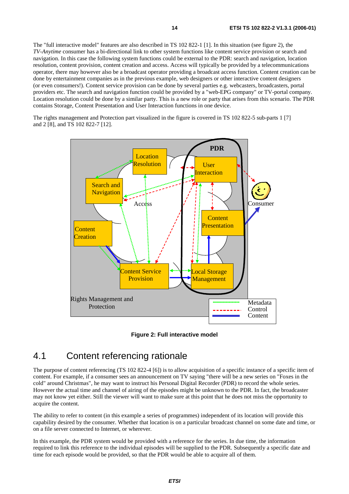The "full interactive model" features are also described in TS 102 822-1 [1]. In this situation (see figure 2), the *TV-Anytime* consumer has a bi-directional link to other system functions like content service provision or search and navigation. In this case the following system functions could be external to the PDR: search and navigation, location resolution, content provision, content creation and access. Access will typically be provided by a telecommunications operator, there may however also be a broadcast operator providing a broadcast access function. Content creation can be done by entertainment companies as in the previous example, web designers or other interactive content designers (or even consumers!). Content service provision can be done by several parties e.g. webcasters, broadcasters, portal providers etc. The search and navigation function could be provided by a "web-EPG company" or TV-portal company. Location resolution could be done by a similar party. This is a new role or party that arises from this scenario. The PDR contains Storage, Content Presentation and User Interaction functions in one device.

The rights management and Protection part visualized in the figure is covered in TS 102 822-5 sub-parts 1 [7] and 2 [8], and TS 102 822-7 [12].



**Figure 2: Full interactive model** 

# 4.1 Content referencing rationale

The purpose of content referencing (TS 102 822-4 [6]) is to allow acquisition of a specific instance of a specific item of content. For example, if a consumer sees an announcement on TV saying "there will be a new series on "Foxes in the cold" around Christmas", he may want to instruct his Personal Digital Recorder (PDR) to record the whole series. However the actual time and channel of airing of the episodes might be unknown to the PDR. In fact, the broadcaster may not know yet either. Still the viewer will want to make sure at this point that he does not miss the opportunity to acquire the content.

The ability to refer to content (in this example a series of programmes) independent of its location will provide this capability desired by the consumer. Whether that location is on a particular broadcast channel on some date and time, or on a file server connected to Internet, or wherever.

In this example, the PDR system would be provided with a reference for the series. In due time, the information required to link this reference to the individual episodes will be supplied to the PDR. Subsequently a specific date and time for each episode would be provided, so that the PDR would be able to acquire all of them.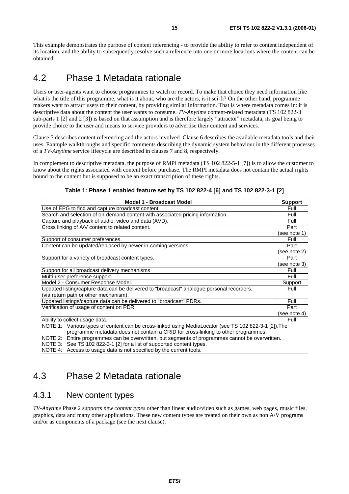This example demonstrates the purpose of content referencing - to provide the ability to refer to content independent of its location, and the ability to subsequently resolve such a reference into one or more locations where the content can be obtained.

# 4.2 Phase 1 Metadata rationale

Users or user-agents want to choose programmes to watch or record. To make that choice they need information like what is the title of this programme, what is it about, who are the actors, is it sci-fi? On the other hand, programme makers want to attract users to their content, by providing similar information. That is where metadata comes in: it is descriptive data about the content the user wants to consume. *TV-Anytime* content-related metadata (TS 102 822-3 sub-parts 1 [2] and 2 [3]) is based on that assumption and is therefore largely "attractor" metadata, its goal being to provide choice to the user and means to service providers to advertise their content and services.

Clause 5 describes content referencing and the actors involved. Clause 6 describes the available metadata tools and their uses. Example walkthroughs and specific comments describing the dynamic system behaviour in the different processes of a *TV-Anytime* service lifecycle are described in clauses 7 and 8, respectively.

In complement to descriptive metadata, the purpose of RMPI metadata (TS 102 822-5-1 [7]) is to allow the customer to know about the rights associated with content before purchase. The RMPI metadata does not contain the actual rights bound to the content but is supposed to be an exact transcription of these rights.

| <b>Model 1 - Broadcast Model</b>                                                                      | <b>Support</b> |
|-------------------------------------------------------------------------------------------------------|----------------|
| Use of EPG to find and capture broadcast content.                                                     | Full           |
| Search and selection of on-demand content with associated pricing information.                        | Full           |
| Capture and playback of audio, video and data (AVD).                                                  | Full           |
| Cross linking of A/V content to related content.                                                      | Part           |
|                                                                                                       | (see note 1)   |
| Support of consumer preferences.                                                                      | Full           |
| Content can be updated/replaced by newer in-coming versions.                                          | Part           |
|                                                                                                       | (see note 2)   |
| Support for a variety of broadcast content types.                                                     | Part           |
|                                                                                                       | (see note 3)   |
| Support for all broadcast delivery mechanisms                                                         | Full           |
| Multi-user preference support.                                                                        | Full           |
| Model 2 - Consumer Response Model.                                                                    | Support        |
| Updated listing/capture data can be delivered to "broadcast" analogue personal recorders.             | Full           |
| (via return path or other mechanism).                                                                 |                |
| Updated listings/capture data can be delivered to "broadcast" PDRs.                                   | Full           |
| Verification of usage of content on PDR.                                                              | Part           |
|                                                                                                       | (see note 4)   |
| Ability to collect usage data.                                                                        | Full           |
| NOTE 1: Various types of content can be cross-linked using MediaLocator (see TS 102 822-3-1 [2]). The |                |
| programme metadata does not contain a CRID for cross-linking to other programmes.                     |                |
| NOTE 2: Entire programmes can be overwritten, but segments of programmes cannot be overwritten.       |                |
| NOTE 3: See TS 102 822-3-1 [2] for a list of supported content types.                                 |                |
| NOTE 4: Access to usage data is not specified by the current tools.                                   |                |

**Table 1: Phase 1 enabled feature set by TS 102 822-4 [6] and TS 102 822-3-1 [2]** 

# 4.3 Phase 2 Metadata rationale

### 4.3.1 New content types

*TV-Anytime* Phase 2 supports *new content types* other than linear audio/video such as games, web pages, music files, graphics, data and many other applications. These new content types are treated on their own as non A/V programs and/or as components of a package (see the next clause).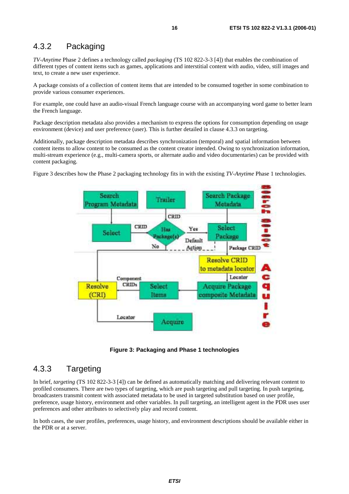### 4.3.2 Packaging

*TV-Anytime* Phase 2 defines a technology called *packaging* (TS 102 822-3-3 [4]) that enables the combination of different types of content items such as games, applications and interstitial content with audio, video, still images and text, to create a new user experience.

A package consists of a collection of content items that are intended to be consumed together in some combination to provide various consumer experiences.

For example, one could have an audio-visual French language course with an accompanying word game to better learn the French language.

Package description metadata also provides a mechanism to express the options for consumption depending on usage environment (device) and user preference (user). This is further detailed in clause 4.3.3 on targeting.

Additionally, package description metadata describes synchronization (temporal) and spatial information between content items to allow content to be consumed as the content creator intended. Owing to synchronization information, multi-stream experience (e.g., multi-camera sports, or alternate audio and video documentaries) can be provided with content packaging.

Figure 3 describes how the Phase 2 packaging technology fits in with the existing *TV-Anytime* Phase 1 technologies.





### 4.3.3 Targeting

In brief, *targeting* (TS 102 822-3-3 [4]) can be defined as automatically matching and delivering relevant content to profiled consumers. There are two types of targeting, which are push targeting and pull targeting. In push targeting, broadcasters transmit content with associated metadata to be used in targeted substitution based on user profile, preference, usage history, environment and other variables. In pull targeting, an intelligent agent in the PDR uses user preferences and other attributes to selectively play and record content.

In both cases, the user profiles, preferences, usage history, and environment descriptions should be available either in the PDR or at a server.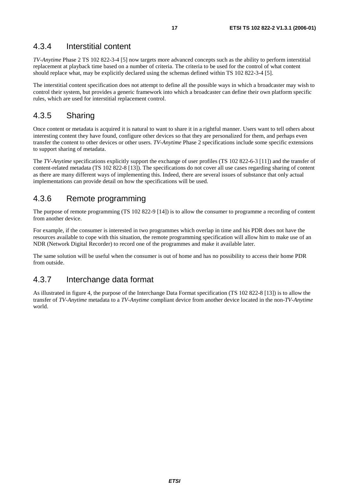### 4.3.4 Interstitial content

*TV-Anytime* Phase 2 TS 102 822-3-4 [5] now targets more advanced concepts such as the ability to perform interstitial replacement at playback time based on a number of criteria. The criteria to be used for the control of what content should replace what, may be explicitly declared using the schemas defined within TS 102 822-3-4 [5].

The interstitial content specification does not attempt to define all the possible ways in which a broadcaster may wish to control their system, but provides a generic framework into which a broadcaster can define their own platform specific rules, which are used for interstitial replacement control.

### 4.3.5 Sharing

Once content or metadata is acquired it is natural to want to share it in a rightful manner. Users want to tell others about interesting content they have found, configure other devices so that they are personalized for them, and perhaps even transfer the content to other devices or other users. *TV-Anytime* Phase 2 specifications include some specific extensions to support sharing of metadata.

The *TV-Anytime* specifications explicitly support the exchange of user profiles (TS 102 822-6-3 [11]) and the transfer of content-related metadata (TS 102 822-8 [13]). The specifications do not cover all use cases regarding sharing of content as there are many different ways of implementing this. Indeed, there are several issues of substance that only actual implementations can provide detail on how the specifications will be used.

### 4.3.6 Remote programming

The purpose of remote programming (TS 102 822-9 [14]) is to allow the consumer to programme a recording of content from another device.

For example, if the consumer is interested in two programmes which overlap in time and his PDR does not have the resources available to cope with this situation, the remote programming specification will allow him to make use of an NDR (Network Digital Recorder) to record one of the programmes and make it available later.

The same solution will be useful when the consumer is out of home and has no possibility to access their home PDR from outside.

### 4.3.7 Interchange data format

As illustrated in figure 4, the purpose of the Interchange Data Format specification (TS 102 822-8 [13]) is to allow the transfer of *TV-Anytime* metadata to a *TV-Anytime* compliant device from another device located in the non-*TV-Anytime* world.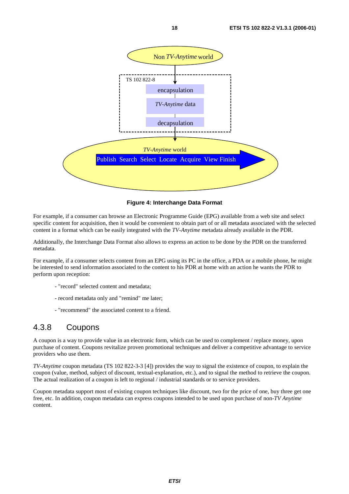

**Figure 4: Interchange Data Format** 

For example, if a consumer can browse an Electronic Programme Guide (EPG) available from a web site and select specific content for acquisition, then it would be convenient to obtain part of or all metadata associated with the selected content in a format which can be easily integrated with the *TV-Anytime* metadata already available in the PDR.

Additionally, the Interchange Data Format also allows to express an action to be done by the PDR on the transferred metadata.

For example, if a consumer selects content from an EPG using its PC in the office, a PDA or a mobile phone, he might be interested to send information associated to the content to his PDR at home with an action he wants the PDR to perform upon reception:

- "record" selected content and metadata;
- record metadata only and "remind" me later;
- "recommend" the associated content to a friend.

### 4.3.8 Coupons

A coupon is a way to provide value in an electronic form, which can be used to complement / replace money, upon purchase of content. Coupons revitalize proven promotional techniques and deliver a competitive advantage to service providers who use them.

*TV-Anytime* coupon metadata (TS 102 822-3-3 [4]) provides the way to signal the existence of coupon, to explain the coupon (value, method, subject of discount, textual-explanation, etc.), and to signal the method to retrieve the coupon. The actual realization of a coupon is left to regional / industrial standards or to service providers.

Coupon metadata support most of existing coupon techniques like discount, two for the price of one, buy three get one free, etc. In addition, coupon metadata can express coupons intended to be used upon purchase of non-*TV Anytime* content.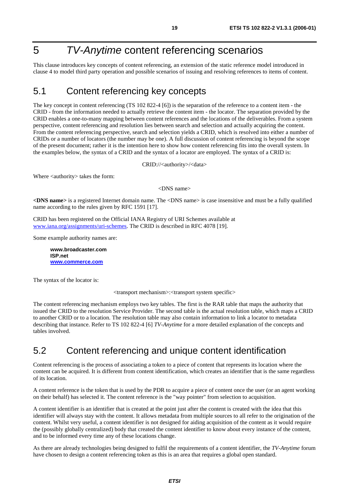# 5 TV-Anytime content referencing scenarios

This clause introduces key concepts of content referencing, an extension of the static reference model introduced in clause 4 to model third party operation and possible scenarios of issuing and resolving references to items of content.

# 5.1 Content referencing key concepts

The key concept in content referencing (TS 102 822-4 [6]) is the separation of the reference to a content item - the CRID - from the information needed to actually retrieve the content item - the locator. The separation provided by the CRID enables a one-to-many mapping between content references and the locations of the deliverables. From a system perspective, content referencing and resolution lies between search and selection and actually acquiring the content. From the content referencing perspective, search and selection yields a CRID, which is resolved into either a number of CRIDs or a number of locators (the number may be one). A full discussion of content referencing is beyond the scope of the present document; rather it is the intention here to show how content referencing fits into the overall system. In the examples below, the syntax of a CRID and the syntax of a locator are employed. The syntax of a CRID is:

CRID://<authority>/<data>

Where <authority> takes the form:

<DNS name>

**<DNS name>** is a registered Internet domain name. The <DNS name> is case insensitive and must be a fully qualified name according to the rules given by RFC 1591 [17].

CRID has been registered on the Official IANA Registry of URI Schemes available at [www.iana.org/assignments/uri-schemes.](http://www.iana.org/assignments/uri-schemes) The CRID is described in RFC 4078 [19].

Some example authority names are:

**www.broadcaster.com ISP.net [www.commerce.com](http://www.commerce.com/)**

The syntax of the locator is:

<transport mechanism>:<transport system specific>

The content referencing mechanism employs two key tables. The first is the RAR table that maps the authority that issued the CRID to the resolution Service Provider. The second table is the actual resolution table, which maps a CRID to another CRID or to a location. The resolution table may also contain information to link a locator to metadata describing that instance. Refer to TS 102 822-4 [6] *TV-Anytime* for a more detailed explanation of the concepts and tables involved.

## 5.2 Content referencing and unique content identification

Content referencing is the process of associating a token to a piece of content that represents its location where the content can be acquired. It is different from content identification, which creates an identifier that is the same regardless of its location.

A content reference is the token that is used by the PDR to acquire a piece of content once the user (or an agent working on their behalf) has selected it. The content reference is the "way pointer" from selection to acquisition.

A content identifier is an identifier that is created at the point just after the content is created with the idea that this identifier will always stay with the content. It allows metadata from multiple sources to all refer to the origination of the content. Whilst very useful, a content identifier is not designed for aiding acquisition of the content as it would require the (possibly globally centralized) body that created the content identifier to know about every instance of the content, and to be informed every time any of these locations change.

As there are already technologies being designed to fulfil the requirements of a content identifier, the *TV-Anytime* forum have chosen to design a content referencing token as this is an area that requires a global open standard.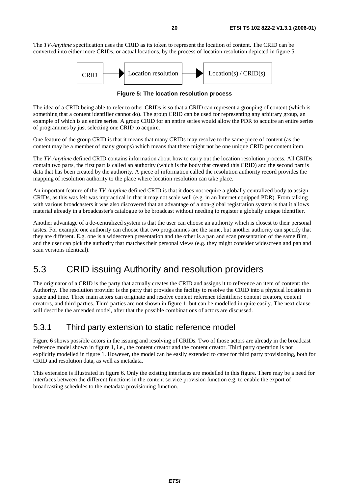The *TV-Anytime* specification uses the CRID as its token to represent the location of content. The CRID can be converted into either more CRIDs, or actual locations, by the process of location resolution depicted in figure 5.



**Figure 5: The location resolution process** 

The idea of a CRID being able to refer to other CRIDs is so that a CRID can represent a grouping of content (which is something that a content identifier cannot do). The group CRID can be used for representing any arbitrary group, an example of which is an entire series. A group CRID for an entire series would allow the PDR to acquire an entire series of programmes by just selecting one CRID to acquire.

One feature of the group CRID is that it means that many CRIDs may resolve to the same piece of content (as the content may be a member of many groups) which means that there might not be one unique CRID per content item.

The *TV-Anytime* defined CRID contains information about how to carry out the location resolution process. All CRIDs contain two parts, the first part is called an authority (which is the body that created this CRID) and the second part is data that has been created by the authority. A piece of information called the resolution authority record provides the mapping of resolution authority to the place where location resolution can take place.

An important feature of the *TV-Anytime* defined CRID is that it does not require a globally centralized body to assign CRIDs, as this was felt was impractical in that it may not scale well (e.g. in an Internet equipped PDR). From talking with various broadcasters it was also discovered that an advantage of a non-global registration system is that it allows material already in a broadcaster's catalogue to be broadcast without needing to register a globally unique identifier.

Another advantage of a de-centralized system is that the user can choose an authority which is closest to their personal tastes. For example one authority can choose that two programmes are the same, but another authority can specify that they are different. E.g. one is a widescreen presentation and the other is a pan and scan presentation of the same film, and the user can pick the authority that matches their personal views (e.g. they might consider widescreen and pan and scan versions identical).

# 5.3 CRID issuing Authority and resolution providers

The originator of a CRID is the party that actually creates the CRID and assigns it to reference an item of content: the Authority. The resolution provider is the party that provides the facility to resolve the CRID into a physical location in space and time. Three main actors can originate and resolve content reference identifiers: content creators, content creators, and third parties. Third parties are not shown in figure 1, but can be modelled in quite easily. The next clause will describe the amended model, after that the possible combinations of actors are discussed.

### 5.3.1 Third party extension to static reference model

Figure 6 shows possible actors in the issuing and resolving of CRIDs. Two of those actors are already in the broadcast reference model shown in figure 1, i.e., the content creator and the content creator. Third party operation is not explicitly modelled in figure 1. However, the model can be easily extended to cater for third party provisioning, both for CRID and resolution data, as well as metadata.

This extension is illustrated in figure 6. Only the existing interfaces are modelled in this figure. There may be a need for interfaces between the different functions in the content service provision function e.g. to enable the export of broadcasting schedules to the metadata provisioning function.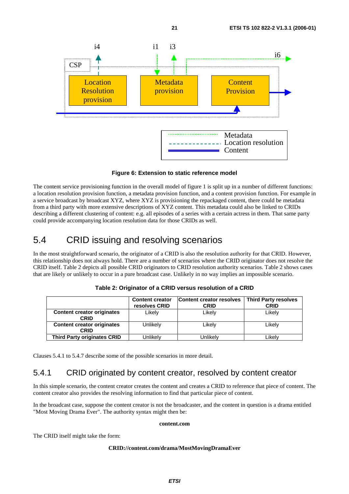

**Figure 6: Extension to static reference model** 

The content service provisioning function in the overall model of figure 1 is split up in a number of different functions: a location resolution provision function, a metadata provision function, and a content provision function. For example in a service broadcast by broadcast XYZ, where XYZ is provisioning the repackaged content, there could be metadata from a third party with more extensive descriptions of XYZ content. This metadata could also be linked to CRIDs describing a different clustering of content: e.g. all episodes of a series with a certain actress in them. That same party could provide accompanying location resolution data for those CRIDs as well.

# 5.4 CRID issuing and resolving scenarios

In the most straightforward scenario, the originator of a CRID is also the resolution authority for that CRID. However, this relationship does not always hold. There are a number of scenarios where the CRID originator does not resolve the CRID itself. Table 2 depicts all possible CRID originators to CRID resolution authority scenarios. Table 2 shows cases that are likely or unlikely to occur in a pure broadcast case. Unlikely in no way implies an impossible scenario.

|                                           | <b>Content creator</b><br>resolves CRID | <b>Content creator resolves</b><br><b>CRID</b> | <b>Third Party resolves</b><br><b>CRID</b> |
|-------------------------------------------|-----------------------------------------|------------------------------------------------|--------------------------------------------|
| <b>Content creator originates</b><br>CRID | Likely                                  | Likely                                         | Likely                                     |
| <b>Content creator originates</b><br>CRID | Unlikely                                | Likelv                                         | Likely                                     |
| <b>Third Party originates CRID</b>        | Jnlikelv                                | Unlikelv                                       | Likelv                                     |

**Table 2: Originator of a CRID versus resolution of a CRID** 

Clauses 5.4.1 to 5.4.7 describe some of the possible scenarios in more detail.

# 5.4.1 CRID originated by content creator, resolved by content creator

In this simple scenario, the content creator creates the content and creates a CRID to reference that piece of content. The content creator also provides the resolving information to find that particular piece of content.

In the broadcast case, suppose the content creator is not the broadcaster, and the content in question is a drama entitled "Most Moving Drama Ever". The authority syntax might then be:

#### **content.com**

The CRID itself might take the form:

#### **CRID://content.com/drama/MostMovingDramaEver**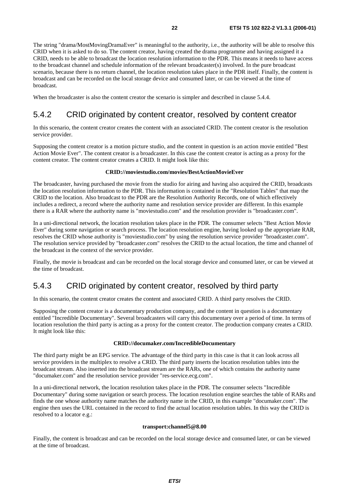The string "drama/MostMovingDramaEver" is meaningful to the authority, i.e., the authority will be able to resolve this CRID when it is asked to do so. The content creator, having created the drama programme and having assigned it a CRID, needs to be able to broadcast the location resolution information to the PDR. This means it needs to have access to the broadcast channel and schedule information of the relevant broadcaster(s) involved. In the pure broadcast scenario, because there is no return channel, the location resolution takes place in the PDR itself. Finally, the content is broadcast and can be recorded on the local storage device and consumed later, or can be viewed at the time of broadcast.

When the broadcaster is also the content creator the scenario is simpler and described in clause 5.4.4.

### 5.4.2 CRID originated by content creator, resolved by content creator

In this scenario, the content creator creates the content with an associated CRID. The content creator is the resolution service provider.

Supposing the content creator is a motion picture studio, and the content in question is an action movie entitled "Best Action Movie Ever". The content creator is a broadcaster. In this case the content creator is acting as a proxy for the content creator. The content creator creates a CRID. It might look like this:

#### **CRID://moviestudio.com/movies/BestActionMovieEver**

The broadcaster, having purchased the movie from the studio for airing and having also acquired the CRID, broadcasts the location resolution information to the PDR. This information is contained in the "Resolution Tables" that map the CRID to the location. Also broadcast to the PDR are the Resolution Authority Records, one of which effectively includes a redirect, a record where the authority name and resolution service provider are different. In this example there is a RAR where the authority name is "moviestudio.com" and the resolution provider is "broadcaster.com".

In a uni-directional network, the location resolution takes place in the PDR. The consumer selects "Best Action Movie Ever" during some navigation or search process. The location resolution engine, having looked up the appropriate RAR, resolves the CRID whose authority is "moviestudio.com" by using the resolution service provider "broadcaster.com". The resolution service provided by "broadcaster.com" resolves the CRID to the actual location, the time and channel of the broadcast in the context of the service provider.

Finally, the movie is broadcast and can be recorded on the local storage device and consumed later, or can be viewed at the time of broadcast.

### 5.4.3 CRID originated by content creator, resolved by third party

In this scenario, the content creator creates the content and associated CRID. A third party resolves the CRID.

Supposing the content creator is a documentary production company, and the content in question is a documentary entitled "Incredible Documentary". Several broadcasters will carry this documentary over a period of time. In terms of location resolution the third party is acting as a proxy for the content creator. The production company creates a CRID. It might look like this:

#### **CRID://documaker.com/IncredibleDocumentary**

The third party might be an EPG service. The advantage of the third party in this case is that it can look across all service providers in the multiplex to resolve a CRID. The third party inserts the location resolution tables into the broadcast stream. Also inserted into the broadcast stream are the RARs, one of which contains the authority name "documaker.com" and the resolution service provider "res-service.ecg.com".

In a uni-directional network, the location resolution takes place in the PDR. The consumer selects "Incredible Documentary" during some navigation or search process. The location resolution engine searches the table of RARs and finds the one whose authority name matches the authority name in the CRID, in this example "documaker.com". The engine then uses the URL contained in the record to find the actual location resolution tables. In this way the CRID is resolved to a locator e.g.:

#### **transport:channel5@8.00**

Finally, the content is broadcast and can be recorded on the local storage device and consumed later, or can be viewed at the time of broadcast.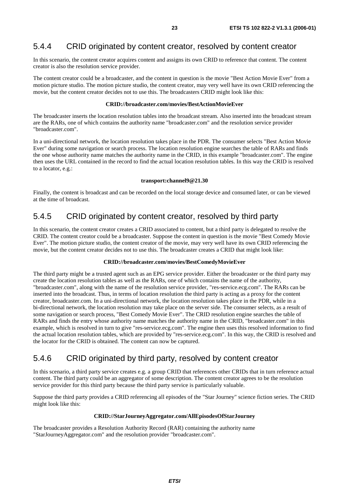### 5.4.4 CRID originated by content creator, resolved by content creator

In this scenario, the content creator acquires content and assigns its own CRID to reference that content. The content creator is also the resolution service provider.

The content creator could be a broadcaster, and the content in question is the movie "Best Action Movie Ever" from a motion picture studio. The motion picture studio, the content creator, may very well have its own CRID referencing the movie, but the content creator decides not to use this. The broadcasters CRID might look like this:

#### **CRID://broadcaster.com/movies/BestActionMovieEver**

The broadcaster inserts the location resolution tables into the broadcast stream. Also inserted into the broadcast stream are the RARs, one of which contains the authority name "broadcaster.com" and the resolution service provider "broadcaster.com".

In a uni-directional network, the location resolution takes place in the PDR. The consumer selects "Best Action Movie Ever" during some navigation or search process. The location resolution engine searches the table of RARs and finds the one whose authority name matches the authority name in the CRID, in this example "broadcaster.com". The engine then uses the URL contained in the record to find the actual location resolution tables. In this way the CRID is resolved to a locator, e.g.:

#### **transport:channel9@21.30**

Finally, the content is broadcast and can be recorded on the local storage device and consumed later, or can be viewed at the time of broadcast.

### 5.4.5 CRID originated by content creator, resolved by third party

In this scenario, the content creator creates a CRID associated to content, but a third party is delegated to resolve the CRID. The content creator could be a broadcaster. Suppose the content in question is the movie "Best Comedy Movie Ever". The motion picture studio, the content creator of the movie, may very well have its own CRID referencing the movie, but the content creator decides not to use this. The broadcaster creates a CRID that might look like:

#### **CRID://broadcaster.com/movies/BestComedyMovieEver**

The third party might be a trusted agent such as an EPG service provider. Either the broadcaster or the third party may create the location resolution tables as well as the RARs, one of which contains the name of the authority, "broadcaster.com", along with the name of the resolution service provider, "res-service.ecg.com". The RARs can be inserted into the broadcast. Thus, in terms of location resolution the third party is acting as a proxy for the content creator, broadcaster.com. In a uni-directional network, the location resolution takes place in the PDR, while in a bi-directional network, the location resolution may take place on the server side. The consumer selects, as a result of some navigation or search process, "Best Comedy Movie Ever". The CRID resolution engine searches the table of RARs and finds the entry whose authority name matches the authority name in the CRID, "broadcaster.com" in this example, which is resolved in turn to give "res-service.ecg.com". The engine then uses this resolved information to find the actual location resolution tables, which are provided by "res-service.ecg.com". In this way, the CRID is resolved and the locator for the CRID is obtained. The content can now be captured.

### 5.4.6 CRID originated by third party, resolved by content creator

In this scenario, a third party service creates e.g. a group CRID that references other CRIDs that in turn reference actual content. The third party could be an aggregator of some description. The content creator agrees to be the resolution service provider for this third party because the third party service is particularly valuable.

Suppose the third party provides a CRID referencing all episodes of the "Star Journey" science fiction series. The CRID might look like this:

#### **CRID://StarJourneyAggregator.com/AllEpisodesOfStarJourney**

The broadcaster provides a Resolution Authority Record (RAR) containing the authority name "StarJourneyAggregator.com" and the resolution provider "broadcaster.com".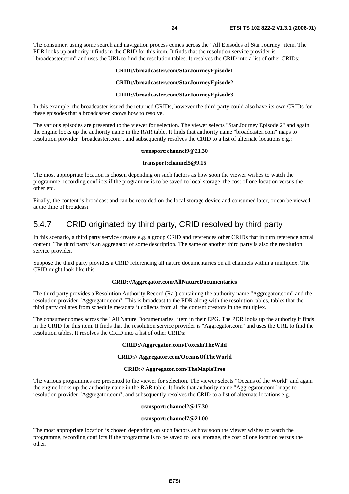The consumer, using some search and navigation process comes across the "All Episodes of Star Journey" item. The PDR looks up authority it finds in the CRID for this item. It finds that the resolution service provider is "broadcaster.com" and uses the URL to find the resolution tables. It resolves the CRID into a list of other CRIDs:

#### **CRID://broadcaster.com/StarJourneyEpisode1**

#### **CRID://broadcaster.com/StarJourneyEpisode2**

#### **CRID://broadcaster.com/StarJourneyEpisode3**

In this example, the broadcaster issued the returned CRIDs, however the third party could also have its own CRIDs for these episodes that a broadcaster knows how to resolve.

The various episodes are presented to the viewer for selection. The viewer selects "Star Journey Episode 2" and again the engine looks up the authority name in the RAR table. It finds that authority name "broadcaster.com" maps to resolution provider "broadcaster.com", and subsequently resolves the CRID to a list of alternate locations e.g.:

#### **transport:channel9@21.30**

#### **transport:channel5@9.15**

The most appropriate location is chosen depending on such factors as how soon the viewer wishes to watch the programme, recording conflicts if the programme is to be saved to local storage, the cost of one location versus the other etc.

Finally, the content is broadcast and can be recorded on the local storage device and consumed later, or can be viewed at the time of broadcast.

### 5.4.7 CRID originated by third party, CRID resolved by third party

In this scenario, a third party service creates e.g. a group CRID and references other CRIDs that in turn reference actual content. The third party is an aggregator of some description. The same or another third party is also the resolution service provider.

Suppose the third party provides a CRID referencing all nature documentaries on all channels within a multiplex. The CRID might look like this:

#### **CRID://Aggregator.com/AllNatureDocumentaries**

The third party provides a Resolution Authority Record (Rar) containing the authority name "Aggregator.com" and the resolution provider "Aggregator.com". This is broadcast to the PDR along with the resolution tables, tables that the third party collates from schedule metadata it collects from all the content creators in the multiplex.

The consumer comes across the "All Nature Documentaries" item in their EPG. The PDR looks up the authority it finds in the CRID for this item. It finds that the resolution service provider is "Aggregator.com" and uses the URL to find the resolution tables. It resolves the CRID into a list of other CRIDs:

#### **CRID://Aggregator.com/FoxesInTheWild**

#### **CRID:// Aggregator.com/OceansOfTheWorld**

#### **CRID:// Aggregator.com/TheMapleTree**

The various programmes are presented to the viewer for selection. The viewer selects "Oceans of the World" and again the engine looks up the authority name in the RAR table. It finds that authority name "Aggregator.com" maps to resolution provider "Aggregator.com", and subsequently resolves the CRID to a list of alternate locations e.g.:

#### **transport:channel2@17.30**

#### **transport:channel7@21.00**

The most appropriate location is chosen depending on such factors as how soon the viewer wishes to watch the programme, recording conflicts if the programme is to be saved to local storage, the cost of one location versus the other.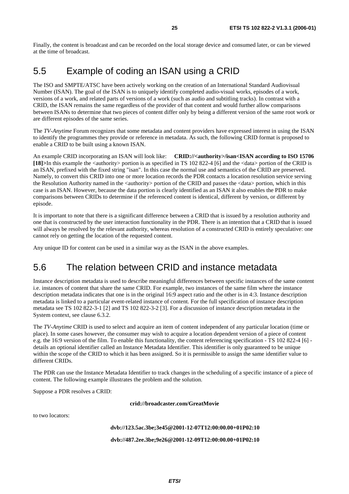Finally, the content is broadcast and can be recorded on the local storage device and consumed later, or can be viewed at the time of broadcast.

# 5.5 Example of coding an ISAN using a CRID

The ISO and SMPTE/ATSC have been actively working on the creation of an International Standard Audiovisual Number (ISAN). The goal of the ISAN is to uniquely identify completed audio-visual works, episodes of a work, versions of a work, and related parts of versions of a work (such as audio and subtitling tracks). In contrast with a CRID, the ISAN remains the same regardless of the provider of that content and would further allow comparisons between ISANs to determine that two pieces of content differ only by being a different version of the same root work or are different episodes of the same series.

The *TV-Anytime* Forum recognizes that some metadata and content providers have expressed interest in using the ISAN to identify the programmes they provide or reference in metadata. As such, the following CRID format is proposed to enable a CRID to be built using a known ISAN.

An example CRID incorporating an ISAN will look like: **CRID://<authority>/isan<ISAN according to ISO 15706 [18]>**In this example the <authority> portion is as specified in TS 102 822-4 [6] and the <data> portion of the CRID is an ISAN, prefixed with the fixed string "isan". In this case the normal use and semantics of the CRID are preserved. Namely, to convert this CRID into one or more location records the PDR contacts a location resolution service serving the Resolution Authority named in the <authority> portion of the CRID and passes the <data> portion, which in this case is an ISAN. However, because the data portion is clearly identified as an ISAN it also enables the PDR to make comparisons between CRIDs to determine if the referenced content is identical, different by version, or different by episode.

It is important to note that there is a significant difference between a CRID that is issued by a resolution authority and one that is constructed by the user interaction functionality in the PDR. There is an intention that a CRID that is issued will always be resolved by the relevant authority, whereas resolution of a constructed CRID is entirely speculative: one cannot rely on getting the location of the requested content.

Any unique ID for content can be used in a similar way as the ISAN in the above examples.

# 5.6 The relation between CRID and instance metadata

Instance description metadata is used to describe meaningful differences between specific instances of the same content i.e. instances of content that share the same CRID. For example, two instances of the same film where the instance description metadata indicates that one is in the original 16:9 aspect ratio and the other is in 4:3. Instance description metadata is linked to a particular event-related instance of content. For the full specification of instance description metadata see TS 102 822-3-1 [2] and TS 102 822-3-2 [3]. For a discussion of instance description metadata in the System context, see clause 6.3.2.

The *TV-Anytime* CRID is used to select and acquire an item of content independent of any particular location (time or place). In some cases however, the consumer may wish to acquire a location dependent version of a piece of content e.g. the 16:9 version of the film. To enable this functionality, the content referencing specification - TS 102 822-4 [6] details an optional identifier called an Instance Metadata Identifier. This identifier is only guaranteed to be unique within the scope of the CRID to which it has been assigned. So it is permissible to assign the same identifier value to different CRIDs.

The PDR can use the Instance Metadata Identifier to track changes in the scheduling of a specific instance of a piece of content. The following example illustrates the problem and the solution.

Suppose a PDR resolves a CRID:

**crid://broadcaster.com/GreatMovie** 

to two locators:

#### **dvb://123.5ac.3be;3e45@2001-12-07T12:00:00.00+01P02:10**

**dvb://487.2ee.3be;9e26@2001-12-09T12:00:00.00+01P02:10**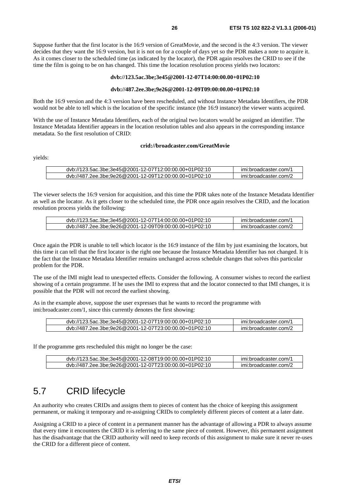Suppose further that the first locator is the 16:9 version of GreatMovie, and the second is the 4:3 version. The viewer decides that they want the 16:9 version, but it is not on for a couple of days yet so the PDR makes a note to acquire it. As it comes closer to the scheduled time (as indicated by the locator), the PDR again resolves the CRID to see if the time the film is going to be on has changed. This time the location resolution process yields two locators:

#### **dvb://123.5ac.3be;3e45@2001-12-07T14:00:00.00+01P02:10**

#### **dvb://487.2ee.3be;9e26@2001-12-09T09:00:00.00+01P02:10**

Both the 16:9 version and the 4:3 version have been rescheduled, and without Instance Metadata Identifiers, the PDR would not be able to tell which is the location of the specific instance (the 16:9 instance) the viewer wants acquired.

With the use of Instance Metadata Identifiers, each of the original two locators would be assigned an identifier. The Instance Metadata Identifier appears in the location resolution tables and also appears in the corresponding instance metadata. So the first resolution of CRID:

#### **crid://broadcaster.com/GreatMovie**

yields:

| dvb://123.5ac.3be:3e45@2001-12-07T12:00:00.00+01P02:10 | imi:broadcaster.com/1 |
|--------------------------------------------------------|-----------------------|
| dyb://487.2ee.3be:9e26@2001-12-09T12:00:00.00+01P02:10 | imi:broadcaster.com/2 |
|                                                        |                       |

The viewer selects the 16:9 version for acquisition, and this time the PDR takes note of the Instance Metadata Identifier as well as the locator. As it gets closer to the scheduled time, the PDR once again resolves the CRID, and the location resolution process yields the following:

| dvb://123.5ac.3be;3e45@2001-12-07T14:00:00.00+01P02:10 | imi:broadcaster.com/1 |
|--------------------------------------------------------|-----------------------|
| dvb://487.2ee.3be;9e26@2001-12-09T09:00:00.00+01P02:10 | imi:broadcaster.com/2 |

Once again the PDR is unable to tell which locator is the 16:9 instance of the film by just examining the locators, but this time it can tell that the first locator is the right one because the Instance Metadata Identifier has not changed. It is the fact that the Instance Metadata Identifier remains unchanged across schedule changes that solves this particular problem for the PDR.

The use of the IMI might lead to unexpected effects. Consider the following. A consumer wishes to record the earliest showing of a certain programme. If he uses the IMI to express that and the locator connected to that IMI changes, it is possible that the PDR will not record the earliest showing.

As in the example above, suppose the user expresses that he wants to record the programme with imi:broadcaster.com/1, since this currently denotes the first showing:

| dyb://123.5ac.3be:3e45@2001-12-07T19:00:00.00+01P02:10 | imi:broadcaster.com/1 |
|--------------------------------------------------------|-----------------------|
| dvb://487.2ee.3be:9e26@2001-12-07T23:00:00.00+01P02:10 | imi:broadcaster.com/2 |

If the programme gets rescheduled this might no longer be the case:

| dvb://123.5ac.3be;3e45@2001-12-08T19:00:00.00+01P02:10 | imi:broadcaster.com/1 |
|--------------------------------------------------------|-----------------------|
| dvb://487.2ee.3be;9e26@2001-12-07T23:00:00.00+01P02:10 | imi:broadcaster.com/2 |

# 5.7 CRID lifecycle

An authority who creates CRIDs and assigns them to pieces of content has the choice of keeping this assignment permanent, or making it temporary and re-assigning CRIDs to completely different pieces of content at a later date.

Assigning a CRID to a piece of content in a permanent manner has the advantage of allowing a PDR to always assume that every time it encounters the CRID it is referring to the same piece of content. However, this permanent assignment has the disadvantage that the CRID authority will need to keep records of this assignment to make sure it never re-uses the CRID for a different piece of content.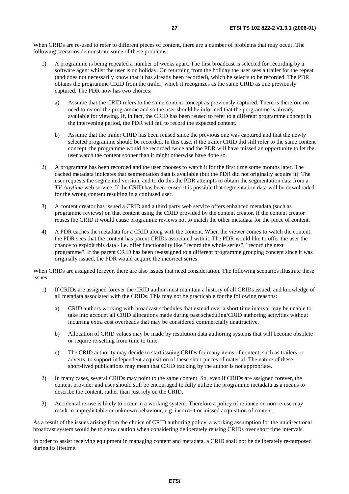When CRIDs are re-used to refer to different pieces of content, there are a number of problems that may occur. The following scenarios demonstrate some of these problems:

- 1) A programme is being repeated a number of weeks apart. The first broadcast is selected for recording by a software agent whilst the user is on holiday. On returning from the holiday the user sees a trailer for the repeat (and does not necessarily know that it has already been recorded), which he selects to be recorded. The PDR obtains the programme CRID from the trailer, which it recognizes as the same CRID as one previously captured. The PDR now has two choices:
	- a) Assume that the CRID refers to the same content concept as previously captured. There is therefore no need to record the programme and so the user should be informed that the programme is already available for viewing. If, in fact, the CRID has been reused to refer to a different programme concept in the intervening period, the PDR will fail to record the expected content.
	- b) Assume that the trailer CRID has been reused since the previous one was captured and that the newly selected programme should be recorded. In this case, if the trailer CRID did still refer to the same content concept, the programme would be recorded twice and the PDR will have missed an opportunity to let the user watch the content sooner than it might otherwise have done so.
- 2) A programme has been recorded and the user chooses to watch it for the first time some months later. The cached metadata indicates that segmentation data is available (but the PDR did not originally acquire it). The user requests the segmented version, and to do this the PDR attempts to obtain the segmentation data from a *TV-Anytime* web service. If the CRID has been reused it is possible that segmentation data will be downloaded for the wrong content resulting in a confused user.
- 3) A content creator has issued a CRID and a third party web service offers enhanced metadata (such as programme reviews) on that content using the CRID provided by the content creator. If the content creator reuses the CRID it would cause programme reviews not to match the other metadata for the piece of content.
- 4) A PDR caches the metadata for a CRID along with the content. When the viewer comes to watch the content, the PDR sees that the content has parent CRIDs associated with it. The PDR would like to offer the user the chance to exploit this data - i.e. offer functionality like "record the whole series", "record the next programme". If the parent CRID has been re-assigned to a different programme grouping concept since it was originally issued, the PDR would acquire the incorrect series.

When CRIDs are assigned forever, there are also issues that need consideration. The following scenarios illustrate these issues:

- 1) If CRIDs are assigned forever the CRID author must maintain a history of all CRIDs issued, and knowledge of all metadata associated with the CRIDs. This may not be practicable for the following reasons:
	- a) CRID authors working with broadcast schedules that extend over a short time interval may be unable to take into account all CRID allocations made during past scheduling/CRID authoring activities without incurring extra cost overheads that may be considered commercially unattractive.
	- b) Allocation of CRID values may be made by resolution data authoring systems that will become obsolete or require re-setting from time to time.
	- c) The CRID authority may decide to start issuing CRIDs for many items of content, such as trailers or adverts, to support independent acquisition of these short pieces of material. The nature of these short-lived publications may mean that CRID tracking by the author is not appropriate.
- 2) In many cases, several CRIDs may point to the same content. So, even if CRIDs are assigned forever, the content provider and user should still be encouraged to fully utilize the programme metadata as a means to describe the content, rather than just rely on the CRID.
- 3) Accidental re-use is likely to occur in a working system. Therefore a policy of reliance on non re-use may result in unpredictable or unknown behaviour, e.g. incorrect or missed acquisition of content.

As a result of the issues arising from the choice of CRID authoring policy, a working assumption for the unidirectional broadcast system would be to show caution when considering deliberately reusing CRIDs over short time intervals.

In order to assist receiving equipment in managing content and metadata, a CRID shall not be deliberately re-purposed during its lifetime.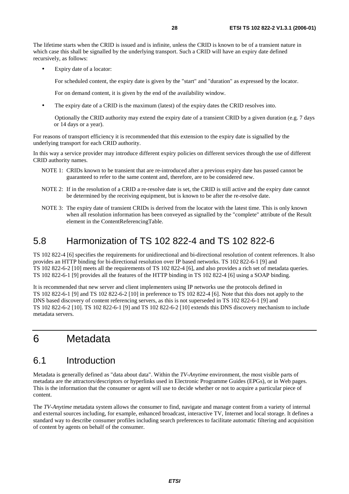The lifetime starts when the CRID is issued and is infinite, unless the CRID is known to be of a transient nature in which case this shall be signalled by the underlying transport. Such a CRID will have an expiry date defined recursively, as follows:

Expiry date of a locator:

For scheduled content, the expiry date is given by the "start" and "duration" as expressed by the locator.

For on demand content, it is given by the end of the availability window.

• The expiry date of a CRID is the maximum (latest) of the expiry dates the CRID resolves into.

Optionally the CRID authority may extend the expiry date of a transient CRID by a given duration (e.g. 7 days or 14 days or a year).

For reasons of transport efficiency it is recommended that this extension to the expiry date is signalled by the underlying transport for each CRID authority.

In this way a service provider may introduce different expiry policies on different services through the use of different CRID authority names.

- NOTE 1: CRIDs known to be transient that are re-introduced after a previous expiry date has passed cannot be guaranteed to refer to the same content and, therefore, are to be considered new.
- NOTE 2: If in the resolution of a CRID a re-resolve date is set, the CRID is still active and the expiry date cannot be determined by the receiving equipment, but is known to be after the re-resolve date.
- NOTE 3: The expiry date of transient CRIDs is derived from the locator with the latest time. This is only known when all resolution information has been conveyed as signalled by the "complete" attribute of the Result element in the ContentReferencingTable.

# 5.8 Harmonization of TS 102 822-4 and TS 102 822-6

TS 102 822-4 [6] specifies the requirements for unidirectional and bi-directional resolution of content references. It also provides an HTTP binding for bi-directional resolution over IP based networks. TS 102 822-6-1 [9] and TS 102 822-6-2 [10] meets all the requirements of TS 102 822-4 [6], and also provides a rich set of metadata queries. TS 102 822-6-1 [9] provides all the features of the HTTP binding in TS 102 822-4 [6] using a SOAP binding.

It is recommended that new server and client implementers using IP networks use the protocols defined in TS 102 822-6-1 [9] and TS 102 822-6-2 [10] in preference to TS 102 822-4 [6]. Note that this does not apply to the DNS based discovery of content referencing servers, as this is not superseded in TS 102 822-6-1 [9] and TS 102 822-6-2 [10]. TS 102 822-6-1 [9] and TS 102 822-6-2 [10] extends this DNS discovery mechanism to include metadata servers.

# 6 Metadata

# 6.1 Introduction

Metadata is generally defined as "data about data". Within the *TV-Anytime* environment, the most visible parts of metadata are the attractors/descriptors or hyperlinks used in Electronic Programme Guides (EPGs), or in Web pages. This is the information that the consumer or agent will use to decide whether or not to acquire a particular piece of content.

The *TV-Anytime* metadata system allows the consumer to find, navigate and manage content from a variety of internal and external sources including, for example, enhanced broadcast, interactive TV, Internet and local storage. It defines a standard way to describe consumer profiles including search preferences to facilitate automatic filtering and acquisition of content by agents on behalf of the consumer.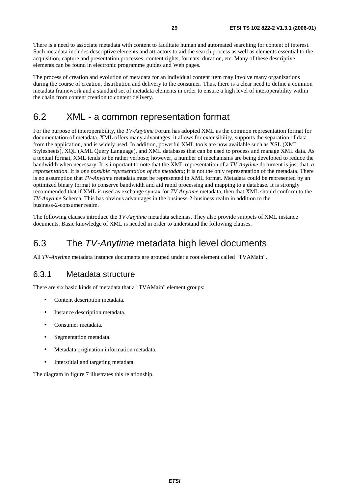There is a need to associate metadata with content to facilitate human and automated searching for content of interest. Such metadata includes descriptive elements and attractors to aid the search process as well as elements essential to the acquisition, capture and presentation processes; content rights, formats, duration, etc. Many of these descriptive elements can be found in electronic programme guides and Web pages.

The process of creation and evolution of metadata for an individual content item may involve many organizations during the course of creation, distribution and delivery to the consumer. Thus, there is a clear need to define a common metadata framework and a standard set of metadata elements in order to ensure a high level of interoperability within the chain from content creation to content delivery.

# 6.2 XML - a common representation format

For the purpose of interoperability, the *TV-Anytime* Forum has adopted XML as the common representation format for documentation of metadata. XML offers many advantages: it allows for extensibility, supports the separation of data from the application, and is widely used. In addition, powerful XML tools are now available such as XSL (XML Stylesheets), XQL (XML Query Language), and XML databases that can be used to process and manage XML data. As a textual format, XML tends to be rather verbose; however, a number of mechanisms are being developed to reduce the bandwidth when necessary. It is important to note that the XML representation of a *TV-Anytime* document is just that, *a representation*. It is *one possible representation of the metadata*; it is not the only representation of the metadata. There is no assumption that *TV-Anytime* metadata must be represented in XML format. Metadata could be represented by an optimized binary format to conserve bandwidth and aid rapid processing and mapping to a database. It is strongly recommended that if XML is used as exchange syntax for *TV-Anytime* metadata, then that XML should conform to the *TV-Anytime* Schema. This has obvious advantages in the business-2-business realm in addition to the business-2-consumer realm.

The following clauses introduce the *TV-Anytime* metadata schemas. They also provide snippets of XML instance documents. Basic knowledge of XML is needed in order to understand the following clauses.

# 6.3 The TV-Anytime metadata high level documents

All *TV-Anytime* metadata instance documents are grouped under a root element called "TVAMain".

### 6.3.1 Metadata structure

There are six basic kinds of metadata that a "TVAMain" element groups:

- Content description metadata.
- Instance description metadata.
- Consumer metadata.
- Segmentation metadata.
- Metadata origination information metadata.
- Interstitial and targeting metadata.

The diagram in figure 7 illustrates this relationship.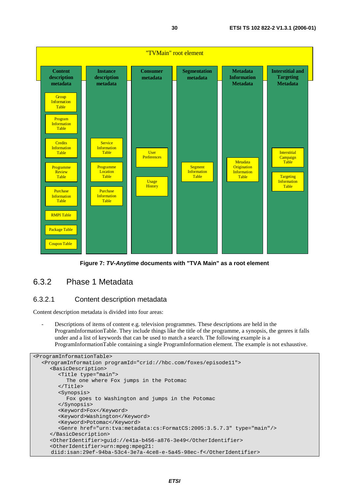

**Figure 7: TV-Anytime documents with "TVA Main" as a root element** 

## 6.3.2 Phase 1 Metadata

#### 6.3.2.1 Content description metadata

Content description metadata is divided into four areas:

Descriptions of items of content e.g. television programmes. These descriptions are held in the ProgramInformationTable. They include things like the title of the programme, a synopsis, the genres it falls under and a list of keywords that can be used to match a search. The following example is a ProgramInformationTable containing a single ProgramInformation element. The example is not exhaustive.

```
<ProgramInformationTable> 
   <ProgramInformation programId="crid://hbc.com/foxes/episode11"> 
      <BasicDescription> 
         <Title type="main"> 
           The one where Fox jumps in the Potomac 
         </Title> 
         <Synopsis> 
            Fox goes to Washington and jumps in the Potomac 
         </Synopsis> 
         <Keyword>Fox</Keyword> 
         <Keyword>Washington</Keyword> 
         <Keyword>Potomac</Keyword> 
         <Genre href="urn:tva:metadata:cs:FormatCS:2005:3.5.7.3" type="main"/> 
      </BasicDescription> 
      <OtherIdentifier>guid://e41a-b456-a876-3e49</OtherIdentifier> 
      <OtherIdentifier>urn:mpeg:mpeg21: 
      diid:isan:29ef-94ba-53c4-3e7a-4ce8-e-5a45-98ec-f</OtherIdentifier>
```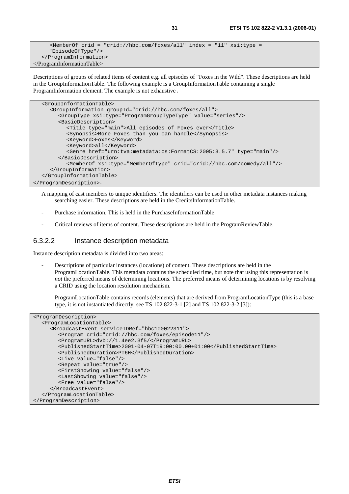```
\varepsilonMemberOf crid = "crid://hbc.com/foxes/all" index = "11" xsi:type =
      "EpisodeOfType"/> 
    </ProgramInformation> 
</ProgramInformationTable>
```
Descriptions of groups of related items of content e.g. all episodes of "Foxes in the Wild". These descriptions are held in the GroupInformationTable. The following example is a GroupInformationTable containing a single ProgramInformation element. The example is not exhaustive.

```
 <GroupInformationTable> 
      <GroupInformation groupId="crid://hbc.com/foxes/all"> 
         <GroupType xsi:type="ProgramGroupTypeType" value="series"/> 
         <BasicDescription> 
            <Title type="main">All episodes of Foxes ever</Title> 
            <Synopsis>More Foxes than you can handle</Synopsis> 
            <Keyword>Foxes</Keyword> 
           <Keyword>all</Keyword> 
           <Genre href="urn:tva:metadata:cs:FormatCS:2005:3.5.7" type="main"/> 
         </BasicDescription> 
           <MemberOf xsi:type="MemberOfType" crid="crid://hbc.com/comedy/all"/> 
      </GroupInformation> 
   </GroupInformationTable> 
</ProgramDescription>-
```
A mapping of cast members to unique identifiers. The identifiers can be used in other metadata instances making searching easier. These descriptions are held in the CreditsInformationTable.

- Purchase information. This is held in the PurchaseInformationTable.
- Critical reviews of items of content. These descriptions are held in the ProgramReviewTable.

#### 6.3.2.2 Instance description metadata

Instance description metadata is divided into two areas:

Descriptions of particular instances (locations) of content. These descriptions are held in the ProgramLocationTable. This metadata contains the scheduled time, but note that using this representation is *not* the preferred means of determining locations. The preferred means of determining locations is by resolving a CRID using the location resolution mechanism.

 ProgramLocationTable contains records (elements) that are derived from ProgramLocationType (this is a base type, it is not instantiated directly, see TS 102 822-3-1 [2] and TS 102 822-3-2 [3]):

```
<ProgramDescription> 
   <ProgramLocationTable> 
      <BroadcastEvent serviceIDRef="hbc100022311"> 
         <Program crid="crid://hbc.com/foxes/episode11"/> 
         <ProgramURL>dvb://1.4ee2.3f5/</ProgramURL> 
         <PublishedStartTime>2001-04-07T19:00:00.00+01:00</PublishedStartTime> 
         <PublishedDuration>PT6H</PublishedDuration> 
         <Live value="false"/> 
         <Repeat value="true"/> 
         <FirstShowing value="false"/> 
         <LastShowing value="false"/> 
         <Free value="false"/> 
      </BroadcastEvent> 
   </ProgramLocationTable> 
</ProgramDescription>
```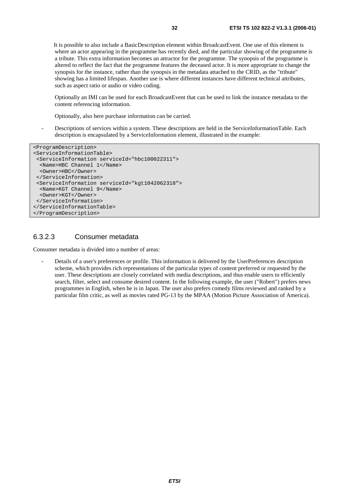It is possible to also include a BasicDescription element within BroadcastEvent. One use of this element is where an actor appearing in the programme has recently died, and the particular showing of the programme is a tribute. This extra information becomes an attractor for the programme. The synopsis of the programme is altered to reflect the fact that the programme features the deceased actor. It is more appropriate to change the synopsis for the instance, rather than the synopsis in the metadata attached to the CRID, as the "tribute" showing has a limited lifespan. Another use is where different instances have different technical attributes, such as aspect ratio or audio or video coding.

 Optionally an IMI can be used for each BroadcastEvent that can be used to link the instance metadata to the content referencing information.

Optionally, also here purchase information can be carried.

Descriptions of services within a system. These descriptions are held in the ServiceInformationTable. Each description is encapsulated by a ServiceInformation element, illustrated in the example:

```
<ProgramDescription> 
<ServiceInformationTable> 
  <ServiceInformation serviceId="hbc100022311"> 
   <Name>HBC Channel 1</Name> 
   <Owner>HBC</Owner> 
  </ServiceInformation> 
  <ServiceInformation serviceId="kgt1042062318"> 
  <Name>KGT Channel 9</Name> 
  <Owner>KGT</Owner> 
 </ServiceInformation> 
</ServiceInformationTable> 
</ProgramDescription>
```
### 6.3.2.3 Consumer metadata

Consumer metadata is divided into a number of areas:

- Details of a user's preferences or profile. This information is delivered by the UserPreferences description scheme, which provides rich representations of the particular types of content preferred or requested by the user. These descriptions are closely correlated with media descriptions, and thus enable users to efficiently search, filter, select and consume desired content. In the following example, the user ("Robert") prefers news programmes in English, when he is in Japan. The user also prefers comedy films reviewed and ranked by a particular film critic, as well as movies rated PG-13 by the MPAA (Motion Picture Association of America).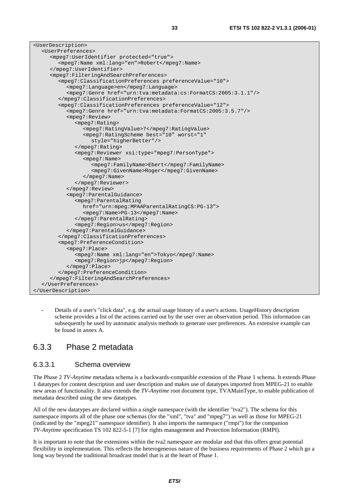| <userdescription></userdescription>                                                      |
|------------------------------------------------------------------------------------------|
| <userpreferences></userpreferences>                                                      |
| <mpeq7:useridentifier protected="true"></mpeq7:useridentifier>                           |
| <mpeq7:name xml:lang="en">Robert</mpeq7:name>                                            |
|                                                                                          |
| <mpeg7:filteringandsearchpreferences></mpeg7:filteringandsearchpreferences>              |
| <mpeq7:classificationpreferences preferencevalue="10"></mpeq7:classificationpreferences> |
| <mpeq7:language>en</mpeq7:language>                                                      |
| <mpeq7:genre href="urn:tva:metadata:cs:FormatCS:2005:3.1.1"></mpeq7:genre>               |
|                                                                                          |
| <mpeq7:classificationpreferences preferencevalue="12"></mpeq7:classificationpreferences> |
| <mpeq7:genre href="urn:tva:metadata:FormatCS:2005:3.5.7"></mpeq7:genre>                  |
| <mpeg7:review></mpeg7:review>                                                            |
| <mpeg7:rating></mpeg7:rating>                                                            |
| <mpeq7:ratingvalue>7</mpeq7:ratingvalue>                                                 |
| <mpeg7:ratingscheme <="" best="10" td="" worst="1"></mpeg7:ratingscheme>                 |
| style="higherBetter"/>                                                                   |
|                                                                                          |
| <mpeq7:reviewer xsi:type="mpeq7:PersonType"></mpeq7:reviewer>                            |
| $mpeq7:Name>$                                                                            |
| <mpeg7:familyname>Ebert</mpeg7:familyname>                                               |
| <mpeq7:givenname>Roger</mpeq7:givenname>                                                 |
| $\langle$ /mpeq $7:$ Name>                                                               |
|                                                                                          |
|                                                                                          |
| <mpeq7:parentalguidance></mpeq7:parentalguidance>                                        |
| <mpeg7:parentalrating< td=""></mpeg7:parentalrating<>                                    |
| href="urn:mpeq:MPAAParentalRatingCS:PG-13">                                              |
| <mpeg7:name>PG-13</mpeg7:name>                                                           |
|                                                                                          |
| <mpeg7:region>us</mpeg7:region>                                                          |
|                                                                                          |
|                                                                                          |
| <mpeq7:preferencecondition></mpeq7:preferencecondition>                                  |
| $mpeq7:Place>$                                                                           |
| <mpeg7:name xml:lang="en">Tokyo</mpeg7:name>                                             |
| <mpeq7:region>jp</mpeq7:region>                                                          |
|                                                                                          |
|                                                                                          |
|                                                                                          |
|                                                                                          |
|                                                                                          |

- Details of a user's "click data", e.g. the actual usage history of a user's actions. UsageHistory description scheme provides a list of the actions carried out by the user over an observation period. This information can subsequently be used by automatic analysis methods to generate user preferences. An extensive example can be found in annex A.

### 6.3.3 Phase 2 metadata

#### 6.3.3.1 Schema overview

The Phase 2 *TV-Anytime* metadata schema is a backwards-compatible extension of the Phase 1 schema. It extends Phase 1 datatypes for content description and user description and makes use of datatypes imported from MPEG-21 to enable new areas of functionality. It also extends the *TV-Anytime* root document type, TVAMainType, to enable publication of metadata described using the new datatypes.

All of the new datatypes are declared within a single namespace (with the identifier "tva2"). The schema for this namespace imports all of the phase one schemas (for the "xml", "tva" and "mpeg7") as well as those for MPEG-21 (indicated by the "mpeg21" namespace identifier). It also imports the namespace ("rmpi") for the companion *TV-Anytime* specification TS 102 822-5-1 [7] for rights management and Protection Information (RMPI).

It is important to note that the extensions within the tva2 namespace are modular and that this offers great potential flexibility in implementation. This reflects the heterogeneous nature of the business requirements of Phase 2 which go a long way beyond the traditional broadcast model that is at the heart of Phase 1.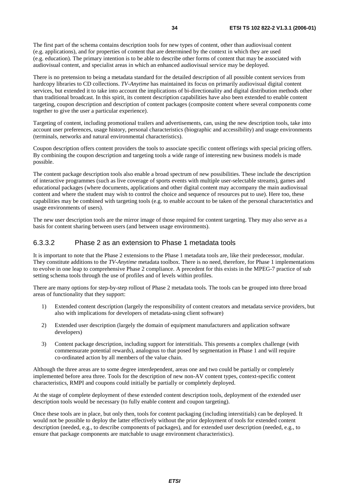The first part of the schema contains description tools for new types of content, other than audiovisual content (e.g. applications), and for properties of content that are determined by the context in which they are used (e.g. education). The primary intention is to be able to describe other forms of content that may be associated with audiovisual content, and specialist areas in which an enhanced audiovisual service may be deployed.

There is no pretension to being a metadata standard for the detailed description of all possible content services from hardcopy libraries to CD collections. *TV-Anytime* has maintained its focus on primarily audiovisual digital content services, but extended it to take into account the implications of bi-directionality and digital distribution methods other than traditional broadcast. In this spirit, its content description capabilities have also been extended to enable content targeting, coupon description and description of content packages (composite content where several components come together to give the user a particular experience).

Targeting of content, including promotional trailers and advertisements, can, using the new description tools, take into account user preferences, usage history, personal characteristics (biographic and accessibility) and usage environments (terminals, networks and natural environmental characteristics).

Coupon description offers content providers the tools to associate specific content offerings with special pricing offers. By combining the coupon description and targeting tools a wide range of interesting new business models is made possible.

The content package description tools also enable a broad spectrum of new possibilities. These include the description of interactive programmes (such as live coverage of sports events with multiple user-selectable streams), games and educational packages (where documents, applications and other digital content may accompany the main audiovisual content and where the student may wish to control the choice and sequence of resources put to use). Here too, these capabilities may be combined with targeting tools (e.g. to enable account to be taken of the personal characteristics and usage environments of users).

The new user description tools are the mirror image of those required for content targeting. They may also serve as a basis for content sharing between users (and between usage environments).

#### 6.3.3.2 Phase 2 as an extension to Phase 1 metadata tools

It is important to note that the Phase 2 extensions to the Phase 1 metadata tools are, like their predecessor, modular. They constitute additions to the *TV-Anytime* metadata toolbox. There is no need, therefore, for Phase 1 implementations to evolve in one leap to comprehensive Phase 2 compliance. A precedent for this exists in the MPEG-7 practice of sub setting schema tools through the use of profiles and of levels within profiles.

There are many options for step-by-step rollout of Phase 2 metadata tools. The tools can be grouped into three broad areas of functionality that they support:

- 1) Extended content description (largely the responsibility of content creators and metadata service providers, but also with implications for developers of metadata-using client software)
- 2) Extended user description (largely the domain of equipment manufacturers and application software developers)
- 3) Content package description, including support for interstitials. This presents a complex challenge (with commensurate potential rewards), analogous to that posed by segmentation in Phase 1 and will require co-ordinated action by all members of the value chain.

Although the three areas are to some degree interdependent, areas one and two could be partially or completely implemented before area three. Tools for the description of new non-AV content types, context-specific content characteristics, RMPI and coupons could initially be partially or completely deployed.

At the stage of complete deployment of these extended content description tools, deployment of the extended user description tools would be necessary (to fully enable content and coupon targeting).

Once these tools are in place, but only then, tools for content packaging (including interstitials) can be deployed. It would not be possible to deploy the latter effectively without the prior deployment of tools for extended content description (needed, e.g., to describe components of packages), and for extended user description (needed, e.g., to ensure that package components are matchable to usage environment characteristics).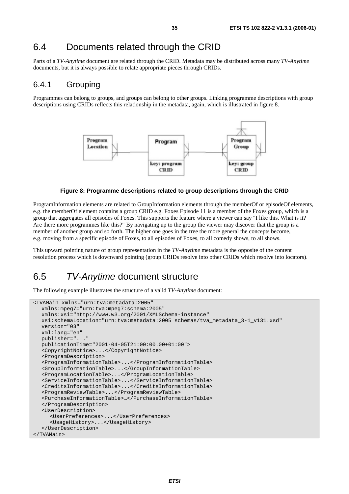# 6.4 Documents related through the CRID

Parts of a *TV-Anytime* document are related through the CRID. Metadata may be distributed across many *TV-Anytime* documents, but it is always possible to relate appropriate pieces through CRIDs.

### 6.4.1 Grouping

Programmes can belong to groups, and groups can belong to other groups. Linking programme descriptions with group descriptions using CRIDs reflects this relationship in the metadata, again, which is illustrated in figure 8.



#### **Figure 8: Programme descriptions related to group descriptions through the CRID**

ProgramInformation elements are related to GroupInformation elements through the memberOf or episodeOf elements, e.g. the memberOf element contains a group CRID e.g. Foxes Episode 11 is a member of the Foxes group, which is a group that aggregates all episodes of Foxes. This supports the feature where a viewer can say "I like this. What is it? Are there more programmes like this?" By navigating up to the group the viewer may discover that the group is a member of another group and so forth. The higher one goes in the tree the more general the concepts become, e.g. moving from a specific episode of Foxes, to all episodes of Foxes, to all comedy shows, to all shows.

This upward pointing nature of group representation in the *TV-Anytime* metadata is the opposite of the content resolution process which is downward pointing (group CRIDs resolve into other CRIDs which resolve into locators).

## 6.5 TV-Anytime document structure

The following example illustrates the structure of a valid *TV-Anytime* document:

```
<TVAMain xmlns="urn:tva:metadata:2005" 
   xmlns:mpeg7="urn:tva:mpeg7:schema:2005" 
   xmlns:xsi="http://www.w3.org/2001/XMLSchema-instance" 
   xsi:schemaLocation="urn:tva:metadata:2005 schemas/tva_metadata_3-1_v131.xsd" 
   version="03" 
   xml:lang="en" 
   publisher="..." 
   publicationTime="2001-04-05T21:00:00.00+01:00"> 
   <CopyrightNotice>...</CopyrightNotice> 
   <ProgramDescription> 
   <ProgramInformationTable>...</ProgramInformationTable> 
   <GroupInformationTable>...</GroupInformationTable> 
   <ProgramLocationTable>...</ProgramLocationTable> 
   <ServiceInformationTable>...</ServiceInformationTable> 
   <CreditsInformationTable>...</CreditsInformationTable> 
   <ProgramReviewTable>...</ProgramReviewTable> 
   <PurchaseInformationTable>…</PurchaseInformationTable> 
   </ProgramDescription> 
   <UserDescription> 
      <UserPreferences>...</UserPreferences> 
      <UsageHistory>...</UsageHistory> 
   </UserDescription> 
</TVAMain>
```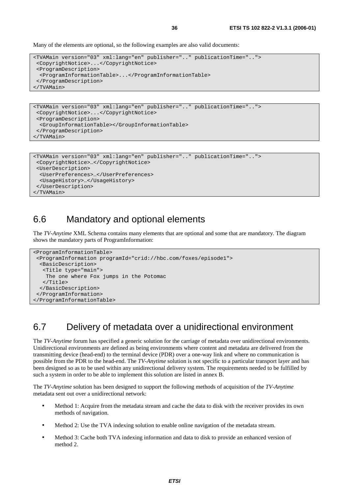Many of the elements are optional, so the following examples are also valid documents:

```
<TVAMain version="03" xml:lang="en" publisher=".." publicationTime=".."> 
  <CopyrightNotice>...</CopyrightNotice> 
  <ProgramDescription> 
   <ProgramInformationTable>...</ProgramInformationTable> 
  </ProgramDescription> 
</TVAMain>
```

```
<TVAMain version="03" xml:lang="en" publisher=".." publicationTime=".."> 
 <CopyrightNotice>...</CopyrightNotice> 
 <ProgramDescription> 
  <GroupInformationTable></GroupInformationTable> 
 </ProgramDescription> 
</TVAMain>
```

```
<TVAMain version="03" xml:lang="en" publisher=".." publicationTime=".."> 
 <CopyrightNotice>…</CopyrightNotice> 
 <UserDescription> 
  <UserPreferences>…</UserPreferences> 
  <UsageHistory>…</UsageHistory> 
 </UserDescription> 
</TVAMain>
```
# 6.6 Mandatory and optional elements

The *TV-Anytime* XML Schema contains many elements that are optional and some that are mandatory. The diagram shows the mandatory parts of ProgramInformation:

```
<ProgramInformationTable> 
 <ProgramInformation programId="crid://hbc.com/foxes/episode1"> 
  <BasicDescription> 
   <Title type="main"> 
    The one where Fox jumps in the Potomac 
    </Title> 
  </BasicDescription> 
 </ProgramInformation> 
</ProgramInformationTable>
```
# 6.7 Delivery of metadata over a unidirectional environment

The *TV-Anytime* forum has specified a generic solution for the carriage of metadata over unidirectional environments. Unidirectional environments are defined as being environments where content and metadata are delivered from the transmitting device (head-end) to the terminal device (PDR) over a one-way link and where no communication is possible from the PDR to the head-end. The *TV-Anytime* solution is not specific to a particular transport layer and has been designed so as to be used within any unidirectional delivery system. The requirements needed to be fulfilled by such a system in order to be able to implement this solution are listed in annex B.

The *TV-Anytime* solution has been designed to support the following methods of acquisition of the *TV-Anytime* metadata sent out over a unidirectional network:

- Method 1: Acquire from the metadata stream and cache the data to disk with the receiver provides its own methods of navigation.
- Method 2: Use the TVA indexing solution to enable online navigation of the metadata stream.
- Method 3: Cache both TVA indexing information and data to disk to provide an enhanced version of method 2.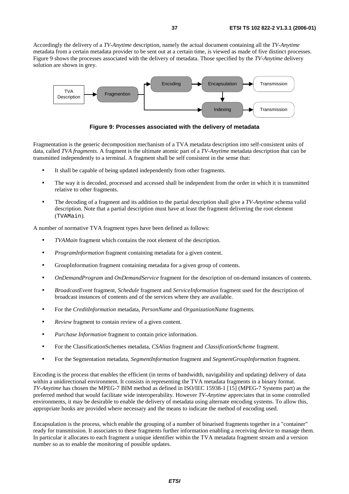Accordingly the delivery of a *TV-Anytime* description, namely the actual document containing all the *TV-Anytime* metadata from a certain metadata provider to be sent out at a certain time, is viewed as made of five distinct processes. Figure 9 shows the processes associated with the delivery of metadata. Those specified by the *TV-Anytime* delivery solution are shown in grey.



**Figure 9: Processes associated with the delivery of metadata** 

Fragmentation is the generic decomposition mechanism of a TVA metadata description into self-consistent units of data, called *TVA fragments.* A fragment is the ultimate atomic part of a *TV-Anytime* metadata description that can be transmitted independently to a terminal. A fragment shall be self consistent in the sense that:

- It shall be capable of being updated independently from other fragments.
- The way it is decoded, processed and accessed shall be independent from the order in which it is transmitted relative to other fragments.
- The decoding of a fragment and its addition to the partial description shall give a *TV-Anytime* schema valid description. Note that a partial description must have at least the fragment delivering the root element (TVAMain).

A number of normative TVA fragment types have been defined as follows:

- *TVAMain* fragment which contains the root element of the description.
- *ProgramInformation* fragment containing metadata for a given content.
- GroupInformation fragment containing metadata for a given group of contents.
- *OnDemandProgram* and *OnDemandService* fragment for the description of on-demand instances of contents.
- *BroadcastEvent* fragment, *Schedule* fragment and *ServiceInformation* fragment used for the description of broadcast instances of contents and of the services where they are available.
- For the *CreditInformation* metadata, *PersonName* and *OrganizationName* fragments.
- *Review* fragment to contain review of a given content.
- *Purchase Information* fragment to contain price information.
- For the ClassificationSchemes metadata, *CSAlias* fragment and *ClassificationScheme* fragment.
- For the Segmentation metadata, *SegmentInformation* fragment and *SegmentGroupInformation* fragment.

Encoding is the process that enables the efficient (in terms of bandwidth, navigability and updating) delivery of data within a unidirectional environment. It consists in representing the TVA metadata fragments in a binary format. *TV-Anytime* has chosen the MPEG-7 BIM method as defined in ISO/IEC 15938-1 [15] (MPEG-7 Systems part) as the preferred method that would facilitate wide interoperability. However *TV-Anytime* appreciates that in some controlled environments, it may be desirable to enable the delivery of metadata using alternate encoding systems. To allow this, appropriate hooks are provided where necessary and the means to indicate the method of encoding used.

Encapsulation is the process, which enable the grouping of a number of binarised fragments together in a "container" ready for transmission. It associates to these fragments further information enabling a receiving device to manage them. In particular it allocates to each fragment a unique identifier within the TVA metadata fragment stream and a version number so as to enable the monitoring of possible updates.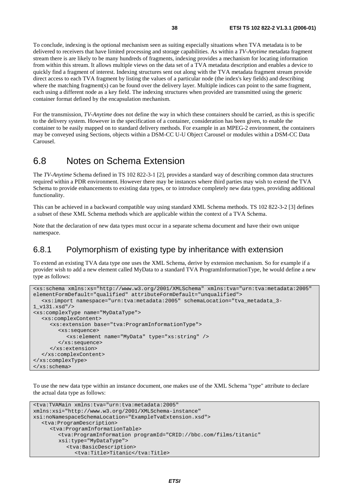To conclude, indexing is the optional mechanism seen as suiting especially situations when TVA metadata is to be delivered to receivers that have limited processing and storage capabilities. As within a *TV-Anytime* metadata fragment stream there is are likely to be many hundreds of fragments, indexing provides a mechanism for locating information from within this stream. It allows multiple views on the data set of a TVA metadata description and enables a device to quickly find a fragment of interest. Indexing structures sent out along with the TVA metadata fragment stream provide direct access to each TVA fragment by listing the values of a particular node (the index's key fields) and describing where the matching fragment(s) can be found over the delivery layer. Multiple indices can point to the same fragment, each using a different node as a key field. The indexing structures when provided are transmitted using the generic container format defined by the encapsulation mechanism.

For the transmission, *TV-Anytime* does not define the way in which these containers should be carried, as this is specific to the delivery system. However in the specification of a container, consideration has been given, to enable the container to be easily mapped on to standard delivery methods. For example in an MPEG-2 environment, the containers may be conveyed using Sections, objects within a DSM-CC U-U Object Carousel or modules within a DSM-CC Data Carousel.

## 6.8 Notes on Schema Extension

The *TV-Anytime* Schema defined in TS 102 822-3-1 [2], provides a standard way of describing common data structures required within a PDR environment. However there may be instances where third parties may wish to extend the TVA Schema to provide enhancements to existing data types, or to introduce completely new data types, providing additional functionality.

This can be achieved in a backward compatible way using standard XML Schema methods. TS 102 822-3-2 [3] defines a subset of these XML Schema methods which are applicable within the context of a TVA Schema.

Note that the declaration of new data types must occur in a separate schema document and have their own unique namespace.

## 6.8.1 Polymorphism of existing type by inheritance with extension

To extend an existing TVA data type one uses the XML Schema, derive by extension mechanism. So for example if a provider wish to add a new element called MyData to a standard TVA ProgramInformationType, he would define a new type as follows:

```
<xs:schema xmlns:xs="http://www.w3.org/2001/XMLSchema" xmlns:tva="urn:tva:metadata:2005" 
elementFormDefault="qualified" attributeFormDefault="unqualified"> 
   <xs:import namespace="urn:tva:metadata:2005" schemaLocation="tva_metadata_3-
1_v131.xsd"/> 
<xs:complexType name="MyDataType"> 
   <xs:complexContent> 
      <xs:extension base="tva:ProgramInformationType"> 
         <xs:sequence> 
           <xs:element name="MyData" type="xs:string" /> 
         </xs:sequence> 
      </xs:extension> 
   </xs:complexContent> 
</xs:complexType> 
</xs:schema>
```
To use the new data type within an instance document, one makes use of the XML Schema "type" attribute to declare the actual data type as follows:

```
<tva:TVAMain xmlns:tva="urn:tva:metadata:2005" 
xmlns:xsi="http://www.w3.org/2001/XMLSchema-instance" 
xsi:noNamespaceSchemaLocation="ExampleTvaExtension.xsd"> 
   <tva:ProgramDescription> 
      <tva:ProgramInformationTable> 
         <tva:ProgramInformation programId="CRID://bbc.com/films/titanic" 
         xsi:type="MyDataType"> 
            <tva:BasicDescription> 
              <tva:Title>Titanic</tva:Title>
```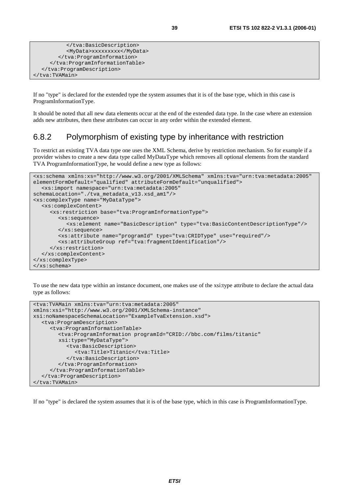```
 </tva:BasicDescription> 
            <MyData>xxxxxxxxx</MyData> 
         </tva:ProgramInformation> 
      </tva:ProgramInformationTable> 
   </tva:ProgramDescription> 
</tva:TVAMain>
```
If no "type" is declared for the extended type the system assumes that it is of the base type, which in this case is ProgramInformationType.

It should be noted that all new data elements occur at the end of the extended data type. In the case where an extension adds new attributes, then these attributes can occur in any order within the extended element.

## 6.8.2 Polymorphism of existing type by inheritance with restriction

To restrict an existing TVA data type one uses the XML Schema, derive by restriction mechanism. So for example if a provider wishes to create a new data type called MyDataType which removes all optional elements from the standard TVA ProgramInformationType, he would define a new type as follows:

```
<xs:schema xmlns:xs="http://www.w3.org/2001/XMLSchema" xmlns:tva="urn:tva:metadata:2005" 
elementFormDefault="qualified" attributeFormDefault="unqualified"> 
   <xs:import namespace="urn:tva:metadata:2005" 
schemaLocation="./tva_metadata_v13.xsd_am1"/> 
<xs:complexType name="MyDataType"> 
   <xs:complexContent> 
      <xs:restriction base="tva:ProgramInformationType"> 
         <xs:sequence> 
            <xs:element name="BasicDescription" type="tva:BasicContentDescriptionType"/> 
         </xs:sequence> 
         <xs:attribute name="programId" type="tva:CRIDType" use="required"/> 
         <xs:attributeGroup ref="tva:fragmentIdentification"/> 
      </xs:restriction> 
   </xs:complexContent> 
</xs:complexType> 
</xs:schema>
```
To use the new data type within an instance document, one makes use of the xsi:type attribute to declare the actual data type as follows:

```
<tva:TVAMain xmlns:tva="urn:tva:metadata:2005" 
xmlns:xsi="http://www.w3.org/2001/XMLSchema-instance" 
xsi:noNamespaceSchemaLocation="ExampleTvaExtension.xsd"> 
   <tva:ProgramDescription> 
      <tva:ProgramInformationTable> 
         <tva:ProgramInformation programId="CRID://bbc.com/films/titanic" 
         xsi:type="MyDataType"> 
            <tva:BasicDescription> 
               <tva:Title>Titanic</tva:Title> 
            </tva:BasicDescription> 
         </tva:ProgramInformation> 
      </tva:ProgramInformationTable> 
   </tva:ProgramDescription> 
</tva:TVAMain>
```
If no "type" is declared the system assumes that it is of the base type, which in this case is ProgramInformationType.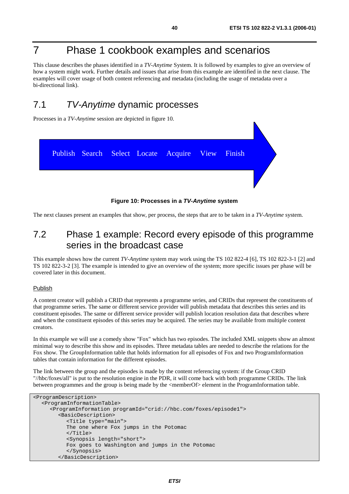# 7 Phase 1 cookbook examples and scenarios

This clause describes the phases identified in a *TV-Anytime* System. It is followed by examples to give an overview of how a system might work. Further details and issues that arise from this example are identified in the next clause. The examples will cover usage of both content referencing and metadata (including the usage of metadata over a bi-directional link).

# 7.1 TV-Anytime dynamic processes

Processes in a *TV-Anytime* session are depicted in figure 10.



**Figure 10: Processes in a TV-Anytime system** 

The next clauses present an examples that show, per process, the steps that are to be taken in a *TV-Anytime* system.

## 7.2 Phase 1 example: Record every episode of this programme series in the broadcast case

This example shows how the current *TV-Anytime* system may work using the TS 102 822-4 [6], TS 102 822-3-1 [2] and TS 102 822-3-2 [3]. The example is intended to give an overview of the system; more specific issues per phase will be covered later in this document.

#### Publish

A content creator will publish a CRID that represents a programme series, and CRIDs that represent the constituents of that programme series. The same or different service provider will publish metadata that describes this series and its constituent episodes. The same or different service provider will publish location resolution data that describes where and when the constituent episodes of this series may be acquired. The series may be available from multiple content creators.

In this example we will use a comedy show "Fox" which has two episodes. The included XML snippets show an almost minimal way to describe this show and its episodes. Three metadata tables are needed to describe the relations for the Fox show. The GroupInformation table that holds information for all episodes of Fox and two ProgramInformation tables that contain information for the different episodes.

The link between the group and the episodes is made by the content referencing system: if the Group CRID "//hbc/foxes/all" is put to the resolution engine in the PDR, it will come back with both programme CRIDs. The link between programmes and the group is being made by the <memberOf> element in the ProgramInformation table.

```
<ProgramDescription> 
   <ProgramInformationTable> 
      <ProgramInformation programId="crid://hbc.com/foxes/episode1"> 
         <BasicDescription> 
            <Title type="main"> 
            The one where Fox jumps in the Potomac 
            </Title> 
            <Synopsis length="short"> 
            Fox goes to Washington and jumps in the Potomac 
            </Synopsis> 
         </BasicDescription>
```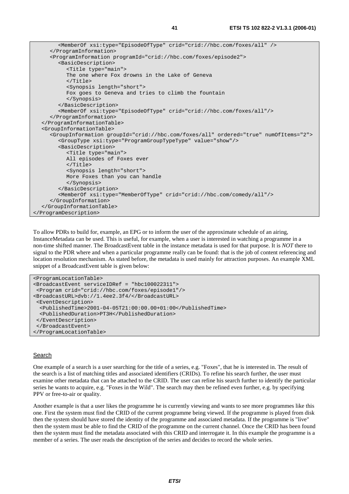```
 <MemberOf xsi:type="EpisodeOfType" crid="crid://hbc.com/foxes/all" /> 
      </ProgramInformation> 
      <ProgramInformation programId="crid://hbc.com/foxes/episode2"> 
         <BasicDescription> 
            <Title type="main"> 
            The one where Fox drowns in the Lake of Geneva 
           \langleTitle>
            <Synopsis length="short"> 
           Fox goes to Geneva and tries to climb the fountain 
            </Synopsis> 
         </BasicDescription> 
         <MemberOf xsi:type="EpisodeOfType" crid="crid://hbc.com/foxes/all"/> 
      </ProgramInformation> 
   </ProgramInformationTable> 
   <GroupInformationTable> 
      <GroupInformation groupId="crid://hbc.com/foxes/all" ordered="true" numOfItems="2"> 
         <GroupType xsi:type="ProgramGroupTypeType" value="show"/> 
         <BasicDescription> 
            <Title type="main"> 
           All episodes of Foxes ever 
            </Title> 
            <Synopsis length="short"> 
           More Foxes than you can handle 
            </Synopsis> 
         </BasicDescription> 
         <MemberOf xsi:type="MemberOfType" crid="crid://hbc.com/comedy/all"/> 
      </GroupInformation> 
   </GroupInformationTable> 
</ProgramDescription>
```
To allow PDRs to build for, example, an EPG or to inform the user of the approximate schedule of an airing, InstanceMetadata can be used. This is useful, for example, when a user is interested in watching a programme in a non-time shifted manner. The BroadcastEvent table in the instance metadata is used for that purpose. It is *NOT* there to signal to the PDR where and when a particular programme really can be found: that is the job of content referencing and location resolution mechanism. As stated before, the metadata is used mainly for attraction purposes. An example XML snippet of a BroadcastEvent table is given below:

```
<ProgramLocationTable> 
<BroadcastEvent serviceIDRef = "hbc100022311"> 
 <Program crid="crid://hbc.com/foxes/episode1"/> 
<BroadcastURL>dvb://1.4ee2.3f4/</BroadcastURL> 
  <EventDescription> 
  <PublishedTime>2001-04-05T21:00:00.00+01:00</PublishedTime> 
  <PublishedDuration>PT3H</PublishedDuration> 
 </EventDescription> 
  </BroadcastEvent> 
</ProgramLocationTable>
```
#### **Search**

One example of a search is a user searching for the title of a series, e.g. "Foxes", that he is interested in. The result of the search is a list of matching titles and associated identifiers (CRIDs). To refine his search further, the user must examine other metadata that can be attached to the CRID. The user can refine his search further to identify the particular series he wants to acquire, e.g. "Foxes in the Wild". The search may then be refined even further, e.g. by specifying PPV or free-to-air or quality.

Another example is that a user likes the programme he is currently viewing and wants to see more programmes like this one. First the system must find the CRID of the current programme being viewed. If the programme is played from disk then the system should have stored the identity of the programme and associated metadata. If the programme is "live" then the system must be able to find the CRID of the programme on the current channel. Once the CRID has been found then the system must find the metadata associated with this CRID and interrogate it. In this example the programme is a member of a series. The user reads the description of the series and decides to record the whole series.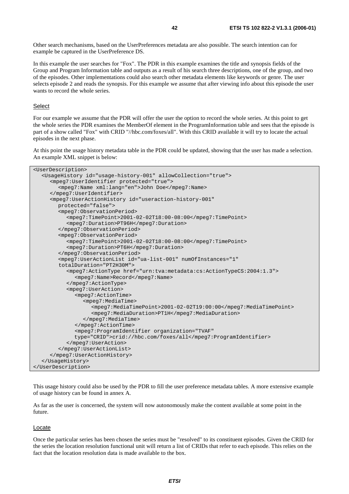Other search mechanisms, based on the UserPreferences metadata are also possible. The search intention can for example be captured in the UserPreference DS.

In this example the user searches for "Fox". The PDR in this example examines the title and synopsis fields of the Group and Program Information table and outputs as a result of his search three descriptions, one of the group, and two of the episodes. Other implementations could also search other metadata elements like keywords or genre. The user selects episode 2 and reads the synopsis. For this example we assume that after viewing info about this episode the user wants to record the whole series.

### Select

For our example we assume that the PDR will offer the user the option to record the whole series. At this point to get the whole series the PDR examines the MemberOf element in the ProgramInformation table and sees that the episode is part of a show called "Fox" with CRID "//hbc.com/foxes/all". With this CRID available it will try to locate the actual episodes in the next phase.

At this point the usage history metadata table in the PDR could be updated, showing that the user has made a selection. An example XML snippet is below:

```
<UserDescription> 
   <UsageHistory id="usage-history-001" allowCollection="true"> 
      <mpeg7:UserIdentifier protected="true"> 
         <mpeg7:Name xml:lang="en">John Doe</mpeg7:Name> 
      </mpeg7:UserIdentifier> 
      <mpeg7:UserActionHistory id="useraction-history-001" 
        protected="false"> 
         <mpeg7:ObservationPeriod> 
           <mpeg7:TimePoint>2001-02-02T18:00-08:00</mpeg7:TimePoint> 
            <mpeg7:Duration>PT96H</mpeg7:Duration> 
         </mpeg7:ObservationPeriod> 
         <mpeg7:ObservationPeriod> 
            <mpeg7:TimePoint>2001-02-02T18:00-08:00</mpeg7:TimePoint> 
            <mpeg7:Duration>PT6H</mpeg7:Duration> 
         </mpeg7:ObservationPeriod> 
         <mpeg7:UserActionList id="ua-list-001" numOfInstances="1" 
         totalDuration="PT2H30M"> 
            <mpeg7:ActionType href="urn:tva:metadata:cs:ActionTypeCS:2004:1.3"> 
              <mpeg7:Name>Record</mpeg7:Name> 
            </mpeg7:ActionType> 
            <mpeg7:UserAction> 
              <mpeg7:ActionTime> 
                 <mpeg7:MediaTime> 
                    <mpeg7:MediaTimePoint>2001-02-02T19:00:00</mpeg7:MediaTimePoint> 
                    <mpeg7:MediaDuration>PT1H</mpeg7:MediaDuration> 
                 </mpeg7:MediaTime> 
              </mpeg7:ActionTime> 
              <mpeg7:ProgramIdentifier organization="TVAF" 
              type="CRID">crid://hbc.com/foxes/all</mpeg7:ProgramIdentifier> 
            </mpeg7:UserAction> 
         </mpeg7:UserActionList> 
      </mpeg7:UserActionHistory> 
   </UsageHistory> 
</UserDescription>
```
This usage history could also be used by the PDR to fill the user preference metadata tables. A more extensive example of usage history can be found in annex A.

As far as the user is concerned, the system will now autonomously make the content available at some point in the future.

#### Locate

Once the particular series has been chosen the series must be "resolved" to its constituent episodes. Given the CRID for the series the location resolution functional unit will return a list of CRIDs that refer to each episode. This relies on the fact that the location resolution data is made available to the box.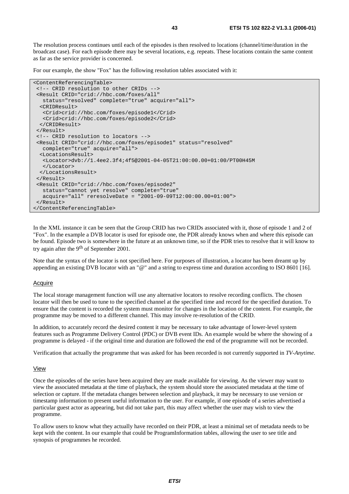The resolution process continues until each of the episodes is then resolved to locations (channel/time/duration in the broadcast case). For each episode there may be several locations, e.g. repeats. These locations contain the same content as far as the service provider is concerned.

For our example, the show "Fox" has the following resolution tables associated with it:

```
<ContentReferencingTable> 
  <!-- CRID resolution to other CRIDs --> 
  <Result CRID="crid://hbc.com/foxes/all" 
   status="resolved" complete="true" acquire="all"> 
   <CRIDResult> 
    <Crid>crid://hbc.com/foxes/episode1</Crid> 
    <Crid>crid://hbc.com/foxes/episode2</Crid> 
   </CRIDResult> 
  </Result> 
  <!-- CRID resolution to locators --> 
  <Result CRID="crid://hbc.com/foxes/episode1" status="resolved" 
   complete="true" acquire="all"> 
   <LocationsResult> 
    <Locator>dvb://1.4ee2.3f4;4f5@2001-04-05T21:00:00.00+01:00/PT00H45M 
    </Locator> 
  </LocationsResult> 
  </Result> 
  <Result CRID="crid://hbc.com/foxes/episode2" 
    status="cannot yet resolve" complete="true" 
    acquire="all" reresolveDate = "2001-09-09T12:00:00.00+01:00"> 
  </Result> 
</ContentReferencingTable>
```
In the XML instance it can be seen that the Group CRID has two CRIDs associated with it, those of episode 1 and 2 of "Fox". In the example a DVB locator is used for episode one, the PDR already knows when and where this episode can be found. Episode two is somewhere in the future at an unknown time, so if the PDR tries to resolve that it will know to try again after the 9th of September 2001.

Note that the syntax of the locator is not specified here. For purposes of illustration, a locator has been dreamt up by appending an existing DVB locator with an "@" and a string to express time and duration according to ISO 8601 [16].

## Acquire

The local storage management function will use any alternative locators to resolve recording conflicts. The chosen locator will then be used to tune to the specified channel at the specified time and record for the specified duration. To ensure that the content is recorded the system must monitor for changes in the location of the content. For example, the programme may be moved to a different channel. This may involve re-resolution of the CRID.

In addition, to accurately record the desired content it may be necessary to take advantage of lower-level system features such as Programme Delivery Control (PDC) or DVB event IDs. An example would be where the showing of a programme is delayed - if the original time and duration are followed the end of the programme will not be recorded.

Verification that actually the programme that was asked for has been recorded is not currently supported in *TV-Anytime*.

#### View

Once the episodes of the series have been acquired they are made available for viewing. As the viewer may want to view the associated metadata at the time of playback, the system should store the associated metadata at the time of selection or capture. If the metadata changes between selection and playback, it may be necessary to use version or timestamp information to present useful information to the user. For example, if one episode of a series advertised a particular guest actor as appearing, but did not take part, this may affect whether the user may wish to view the programme.

To allow users to know what they actually have recorded on their PDR, at least a minimal set of metadata needs to be kept with the content. In our example that could be ProgramInformation tables, allowing the user to see title and synopsis of programmes he recorded.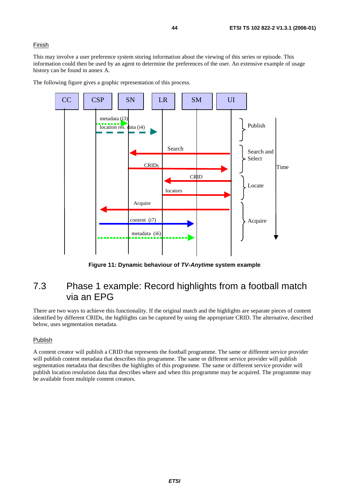## **Finish**

This may involve a user preference system storing information about the viewing of this series or episode. This information could then be used by an agent to determine the preferences of the user. An extensive example of usage history can be found in annex A.

The following figure gives a graphic representation of this process.



**Figure 11: Dynamic behaviour of TV-Anytime system example** 

## 7.3 Phase 1 example: Record highlights from a football match via an EPG

There are two ways to achieve this functionality. If the original match and the highlights are separate pieces of content identified by different CRIDs, the highlights can be captured by using the appropriate CRID. The alternative, described below, uses segmentation metadata.

## Publish

A content creator will publish a CRID that represents the football programme. The same or different service provider will publish content metadata that describes this programme. The same or different service provider will publish segmentation metadata that describes the highlights of this programme. The same or different service provider will publish location resolution data that describes where and when this programme may be acquired. The programme may be available from multiple content creators.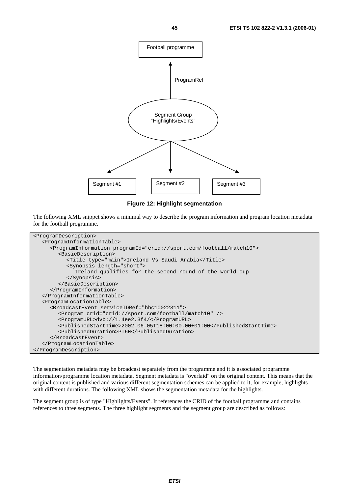

## **Figure 12: Highlight segmentation**

The following XML snippet shows a minimal way to describe the program information and program location metadata for the football programme.

```
<ProgramDescription> 
   <ProgramInformationTable> 
      <ProgramInformation programId="crid://sport.com/football/match10"> 
         <BasicDescription> 
            <Title type="main">Ireland Vs Saudi Arabia</Title> 
            <Synopsis length="short"> 
              Ireland qualifies for the second round of the world cup 
            </Synopsis> 
         </BasicDescription> 
      </ProgramInformation> 
   </ProgramInformationTable> 
   <ProgramLocationTable> 
      <BroadcastEvent serviceIDRef="hbc10022311"> 
         <Program crid="crid://sport.com/football/match10" /> 
         <ProgramURL>dvb://1.4ee2.3f4/</ProgramURL> 
         <PublishedStartTime>2002-06-05T18:00:00.00+01:00</PublishedStartTime> 
         <PublishedDuration>PT6H</PublishedDuration> 
      </BroadcastEvent> 
   </ProgramLocationTable> 
</ProgramDescription>
```
The segmentation metadata may be broadcast separately from the programme and it is associated programme information/programme location metadata. Segment metadata is "overlaid" on the original content. This means that the original content is published and various different segmentation schemes can be applied to it, for example, highlights with different durations. The following XML shows the segmentation metadata for the highlights.

The segment group is of type "Highlights/Events". It references the CRID of the football programme and contains references to three segments. The three highlight segments and the segment group are described as follows: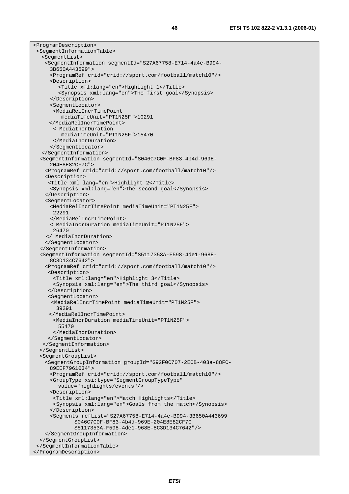<ProgramDescription> <SegmentInformationTable> <SegmentList> <SegmentInformation segmentId="S27A67758-E714-4a4e-B994- 3B650A443699"> <ProgramRef crid="crid://sport.com/football/match10"/> <Description> <Title xml:lang="en">Highlight 1</Title> <Synopsis xml:lang="en">The first goal</Synopsis> </Description> <SegmentLocator> <MediaRelIncrTimePoint mediaTimeUnit="PT1N25F">10291 </MediaRelIncrTimePoint> < MediaIncrDuration mediaTimeUnit="PT1N25F">15470 </MediaIncrDuration> </SegmentLocator> </SegmentInformation> <SegmentInformation segmentId="S046C7C0F-BF83-4b4d-969E- 204E8E82CF7C"> <ProgramRef crid="crid://sport.com/football/match10"/> <Description> <Title xml:lang="en">Highlight 2</Title> <Synopsis xml:lang="en">The second goal</Synopsis> </Description> <SegmentLocator> <MediaRelIncrTimePoint mediaTimeUnit="PT1N25F"> 22291 </MediaRelIncrTimePoint> < MediaIncrDuration mediaTimeUnit="PT1N25F"> 26470 </ MediaIncrDuration> </SegmentLocator> </SegmentInformation> <SegmentInformation segmentId="S5117353A-F598-4de1-968E- 8C3D134C7642"> <ProgramRef crid="crid://sport.com/football/match10"/> <Description> <Title xml:lang="en">Highlight 3</Title> <Synopsis xml:lang="en">The third goal</Synopsis> </Description> <SegmentLocator> <MediaRelIncrTimePoint mediaTimeUnit="PT1N25F"> 39291 </MediaRelIncrTimePoint> <MediaIncrDuration mediaTimeUnit="PT1N25F"> 55470 </MediaIncrDuration> </SegmentLocator> </SegmentInformation> </SegmentList> <SegmentGroupList> <SegmentGroupInformation groupId="G92F0C707-2ECB-403a-88FC- 89EEF7961034"> <ProgramRef crid="crid://sport.com/football/match10"/> <GroupType xsi:type="SegmentGroupTypeType" value="highlights/events"/> <Description> <Title xml:lang="en">Match Highlights</Title> <Synopsis xml:lang="en">Goals from the match</Synopsis> </Description> <Segments refList="S27A67758-E714-4a4e-B994-3B650A443699 S046C7C0F-BF83-4b4d-969E-204E8E82CF7C S5117353A-F598-4de1-968E-8C3D134C7642"/> </SegmentGroupInformation> </SegmentGroupList> </SegmentInformationTable> </ProgramDescription>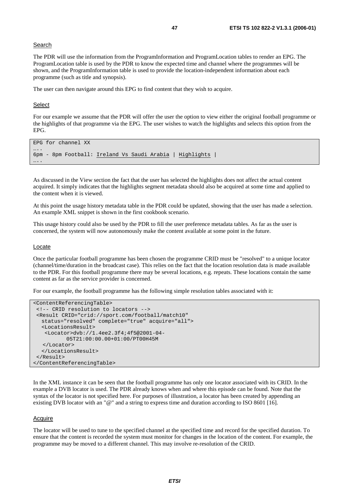## **Search**

The PDR will use the information from the ProgramInformation and ProgramLocation tables to render an EPG. The ProgramLocation table is used by the PDR to know the expected time and channel where the programmes will be shown, and the ProgramInformation table is used to provide the location-independent information about each programme (such as title and synopsis).

The user can then navigate around this EPG to find content that they wish to acquire.

#### Select

For our example we assume that the PDR will offer the user the option to view either the original football programme or the highlights of that programme via the EPG. The user wishes to watch the highlights and selects this option from the EPG.

```
EPG for channel XX 
….
6pm - 8pm Football: Ireland Vs Saudi Arabia | Highlights | 
….
```
As discussed in the View section the fact that the user has selected the highlights does not affect the actual content acquired. It simply indicates that the highlights segment metadata should also be acquired at some time and applied to the content when it is viewed.

At this point the usage history metadata table in the PDR could be updated, showing that the user has made a selection. An example XML snippet is shown in the first cookbook scenario.

This usage history could also be used by the PDR to fill the user preference metadata tables. As far as the user is concerned, the system will now autonomously make the content available at some point in the future.

#### Locate

Once the particular football programme has been chosen the programme CRID must be "resolved" to a unique locator (channel/time/duration in the broadcast case). This relies on the fact that the location resolution data is made available to the PDR. For this football programme there may be several locations, e.g. repeats. These locations contain the same content as far as the service provider is concerned.

For our example, the football programme has the following simple resolution tables associated with it:

```
<ContentReferencingTable> 
  <!-- CRID resolution to locators --> 
  <Result CRID="crid://sport.com/football/match10" 
   status="resolved" complete="true" acquire="all"> 
   <LocationsResult> 
    <Locator>dvb://1.4ee2.3f4;4f5@2001-04- 
            05T21:00:00.00+01:00/PT00H45M 
    </Locator> 
   </LocationsResult> 
  </Result> 
</ContentReferencingTable>
```
In the XML instance it can be seen that the football programme has only one locator associated with its CRID. In the example a DVB locator is used. The PDR already knows when and where this episode can be found. Note that the syntax of the locator is not specified here. For purposes of illustration, a locator has been created by appending an existing DVB locator with an "@" and a string to express time and duration according to ISO 8601 [16].

#### **Acquire**

The locator will be used to tune to the specified channel at the specified time and record for the specified duration. To ensure that the content is recorded the system must monitor for changes in the location of the content. For example, the programme may be moved to a different channel. This may involve re-resolution of the CRID.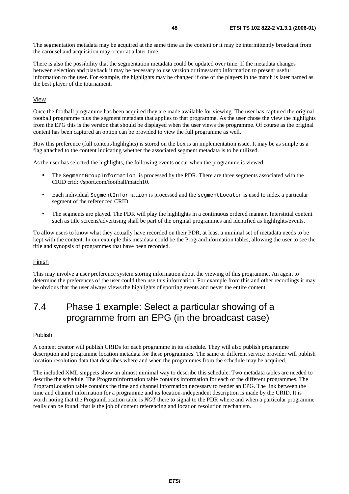The segmentation metadata may be acquired at the same time as the content or it may be intermittently broadcast from the carousel and acquisition may occur at a later time.

There is also the possibility that the segmentation metadata could be updated over time. If the metadata changes between selection and playback it may be necessary to use version or timestamp information to present useful information to the user. For example, the highlights may be changed if one of the players in the match is later named as the best player of the tournament.

## View

Once the football programme has been acquired they are made available for viewing. The user has captured the original football programme plus the segment metadata that applies to that programme. As the user chose the view the highlights from the EPG this is the version that should be displayed when the user views the programme. Of course as the original content has been captured an option can be provided to view the full programme as well.

How this preference (full content/highlights) is stored on the box is an implementation issue. It may be as simple as a flag attached to the content indicating whether the associated segment metadata is to be utilized.

As the user has selected the highlights, the following events occur when the programme is viewed:

- The SegmentGroupInformation is processed by the PDR. There are three segments associated with the CRID crid: //sport.com/football/match10.
- Each individual SegmentInformation is processed and the segmentLocator is used to index a particular segment of the referenced CRID.
- The segments are played. The PDR will play the highlights in a continuous ordered manner. Interstitial content such as title screens/advertising shall be part of the original programmes and identified as highlights/events.

To allow users to know what they actually have recorded on their PDR, at least a minimal set of metadata needs to be kept with the content. In our example this metadata could be the ProgramInformation tables, allowing the user to see the title and synopsis of programmes that have been recorded.

#### Finish

This may involve a user preference system storing information about the viewing of this programme. An agent to determine the preferences of the user could then use this information. For example from this and other recordings it may be obvious that the user always views the highlights of sporting events and never the entire content.

# 7.4 Phase 1 example: Select a particular showing of a programme from an EPG (in the broadcast case)

#### Publish

A content creator will publish CRIDs for each programme in its schedule. They will also publish programme description and programme location metadata for these programmes. The same or different service provider will publish location resolution data that describes where and when the programmes from the schedule may be acquired.

The included XML snippets show an almost minimal way to describe this schedule. Two metadata tables are needed to describe the schedule. The ProgramInformation table contains information for each of the different programmes. The ProgramLocation table contains the time and channel information necessary to render an EPG. The link between the time and channel information for a programme and its location-independent description is made by the CRID. It is worth noting that the ProgramLocation table is *NOT* there to signal to the PDR where and when a particular programme really can be found: that is the job of content referencing and location resolution mechanism.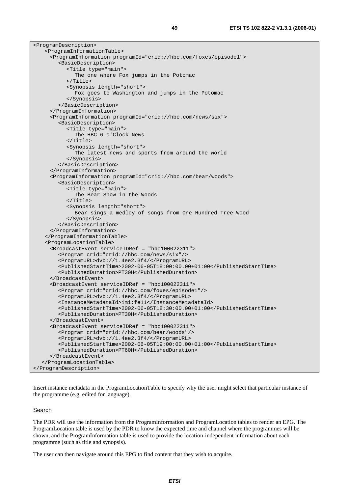| <programdescription></programdescription>                                           |
|-------------------------------------------------------------------------------------|
| <programinformationtable></programinformationtable>                                 |
| <programinformation programid="crid://hbc.com/foxes/episode1"></programinformation> |
| <basicdescription></basicdescription>                                               |
| <title type="main"></title>                                                         |
| The one where Fox jumps in the Potomac                                              |
| $\langle$ Title>                                                                    |
| <synopsis length="short"></synopsis>                                                |
| Fox goes to Washington and jumps in the Potomac                                     |
|                                                                                     |
|                                                                                     |
|                                                                                     |
| <programinformation programid="crid://hbc.com/news/six"></programinformation>       |
| <basicdescription></basicdescription>                                               |
| <title type="main"></title>                                                         |
| The HBC 6 o'Clock News                                                              |
| $\langle$ Title>                                                                    |
| <synopsis length="short"></synopsis>                                                |
| The latest news and sports from around the world                                    |
|                                                                                     |
|                                                                                     |
|                                                                                     |
| <programinformation programid="crid://hbc.com/bear/woods"></programinformation>     |
| <basicdescription></basicdescription>                                               |
| <title type="main"></title>                                                         |
| The Bear Show in the Woods                                                          |
| $\langle$ Title>                                                                    |
| <synopsis length="short"></synopsis>                                                |
| Bear sings a medley of songs from One Hundred Tree Wood                             |
|                                                                                     |
|                                                                                     |
|                                                                                     |
|                                                                                     |
| <programlocationtable></programlocationtable>                                       |
| <broadcastevent serviceidref="hbc100022311"></broadcastevent>                       |
| <program crid="crid://hbc.com/news/six"></program>                                  |
| <programurl>dvb://1.4ee2.3f4/</programurl>                                          |
| <publishedstarttime>2002-06-05T18:00:00.00+01:00</publishedstarttime>               |
| <publishedduration>PT30H</publishedduration>                                        |
|                                                                                     |
| <broadcastevent serviceidref="hbc100022311"></broadcastevent>                       |
| <program crid="crid://hbc.com/foxes/episode1"></program>                            |
| <programurl>dvb://1.4ee2.3f4/</programurl>                                          |
| <instancemetadataid>imi:fell</instancemetadataid>                                   |
| <publishedstarttime>2002-06-05T18:30:00.00+01:00</publishedstarttime>               |
| <publishedduration>PT30H</publishedduration>                                        |
|                                                                                     |
| <broadcastevent serviceidref="hbc100022311"></broadcastevent>                       |
| <program crid="crid://hbc.com/bear/woods"></program>                                |
| <programurl>dvb://1.4ee2.3f4/</programurl>                                          |
| <publishedstarttime>2002-06-05T19:00:00.00+01:00</publishedstarttime>               |
| <publishedduration>PT60H</publishedduration>                                        |
|                                                                                     |
|                                                                                     |
|                                                                                     |

Insert instance metadata in the ProgramLocationTable to specify why the user might select that particular instance of the programme (e.g. edited for language).

## **Search**

The PDR will use the information from the ProgramInformation and ProgramLocation tables to render an EPG. The ProgramLocation table is used by the PDR to know the expected time and channel where the programmes will be shown, and the ProgramInformation table is used to provide the location-independent information about each programme (such as title and synopsis).

The user can then navigate around this EPG to find content that they wish to acquire.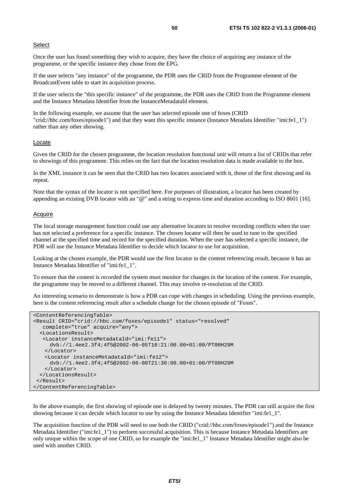## **Select**

Once the user has found something they wish to acquire, they have the choice of acquiring any instance of the programme, or the specific instance they chose from the EPG.

If the user selects "any instance" of the programme, the PDR uses the CRID from the Programme element of the BroadcastEvent table to start its acquisition process.

If the user selects the "this specific instance" of the programme, the PDR uses the CRID from the Programme element and the Instance Metadata Identifier from the InstanceMetadataId element.

In the following example, we assume that the user has selected episode one of foxes (CRID "crid://hbc.com/foxes/episode1") and that they want this specific instance (Instance Metadata Identifier "imi:fe1\_1") rather than any other showing.

#### Locate

Given the CRID for the chosen programme, the location resolution functional unit will return a list of CRIDs that refer to showings of this programme. This relies on the fact that the location resolution data is made available to the box.

In the XML instance it can be seen that the CRID has two locators associated with it, those of the first showing and its repeat.

Note that the syntax of the locator is not specified here. For purposes of illustration, a locator has been created by appending an existing DVB locator with an "@" and a string to express time and duration according to ISO 8601 [16].

## **Acquire**

The local storage management function could use any alternative locators to resolve recording conflicts when the user has not selected a preference for a specific instance. The chosen locator will then be used to tune to the specified channel at the specified time and record for the specified duration. When the user has selected a specific instance, the PDR will use the Instance Metadata Identifier to decide which locator to use for acquisition.

Looking at the chosen example, the PDR would use the first locator in the content referencing result, because it has an Instance Metadata Identifier of "imi:fe1\_1".

To ensure that the content is recorded the system must monitor for changes in the location of the content. For example, the programme may be moved to a different channel. This may involve re-resolution of the CRID.

An interesting scenario to demonstrate is how a PDR can cope with changes in scheduling. Using the previous example, here is the content referencing result after a schedule change for the chosen episode of "Foxes".

```
<ContentReferencingTable> 
<Result CRID="crid://hbc.com/foxes/episode1" status="resolved" 
    complete="true" acquire="any"> 
   <LocationsResult> 
    <Locator instanceMetadataId="imi:fe11"> 
      dvb://1.4ee2.3f4;4f5@2002-06-05T18:21:00.00+01:00/PT00H29M 
    </Locator> 
    <Locator instanceMetadataId="imi:fe12"> 
      dvb://1.4ee2.3f4;4f5@2002-06-08T21:30:00.00+01:00/PT00H29M 
    </Locator> 
   </LocationsResult> 
 \langleResult>
</ContentReferencingTable>
```
In the above example, the first showing of episode one is delayed by twenty minutes. The PDR can still acquire the first showing because it can decide which locator to use by using the Instance Metadata Identifier "imi:fe1\_1".

The acquisition function of the PDR will need to use both the CRID ("crid://hbc.com/foxes/episode1") and the Instance Metadata Identifier ("imi:fe1\_1") to perform successful acquisition. This is because Instance Metadata Identifiers are only unique within the scope of one CRID, so for example the "imi:fe1\_1" Instance Metadata Identifier might also be used with another CRID.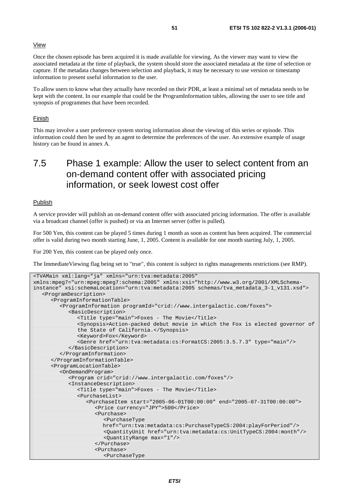### View

Once the chosen episode has been acquired it is made available for viewing. As the viewer may want to view the associated metadata at the time of playback, the system should store the associated metadata at the time of selection or capture. If the metadata changes between selection and playback, it may be necessary to use version or timestamp information to present useful information to the user.

To allow users to know what they actually have recorded on their PDR, at least a minimal set of metadata needs to be kept with the content. In our example that could be the ProgramInformation tables, allowing the user to see title and synopsis of programmes that have been recorded.

#### Finish

This may involve a user preference system storing information about the viewing of this series or episode. This information could then be used by an agent to determine the preferences of the user. An extensive example of usage history can be found in annex A.

# 7.5 Phase 1 example: Allow the user to select content from an on-demand content offer with associated pricing information, or seek lowest cost offer

### Publish

A service provider will publish an on-demand content offer with associated pricing information. The offer is available via a broadcast channel (offer is pushed) or via an Internet server (offer is pulled).

For 500 Yen, this content can be played 5 times during 1 month as soon as content has been acquired. The commercial offer is valid during two month starting June, 1, 2005. Content is available for one month starting July, 1, 2005.

For 200 Yen, this content can be played only once.

The ImmediateViewing flag being set to "true", this content is subject to rights managements restrictions (see RMP).

```
<TVAMain xml:lang="ja" xmlns="urn:tva:metadata:2005" 
xmlns:mpeg7="urn:mpeg:mpeg7:schema:2005" xmlns:xsi="http://www.w3.org/2001/XMLSchema-
instance" xsi:schemaLocation="urn:tva:metadata:2005 schemas/tva_metadata_3-1_v131.xsd"> 
   <ProgramDescription> 
       <ProgramInformationTable> 
         <ProgramInformation programId="crid://www.intergalactic.com/foxes"> 
             <BasicDescription> 
               <Title type="main">Foxes - The Movie</Title> 
               <Synopsis>Action-packed debut movie in which the Fox is elected governor of 
               the State of California.</Synopsis> 
               <Keyword>Fox</Keyword> 
               <Genre href="urn:tva:metadata:cs:FormatCS:2005:3.5.7.3" type="main"/> 
            </BasicDescription> 
         </ProgramInformation> 
      </ProgramInformationTable> 
       <ProgramLocationTable> 
         <OnDemandProgram> 
            <Program crid="crid://www.intergalactic.com/foxes"/> 
            <InstanceDescription> 
               <Title type="main">Foxes - The Movie</Title> 
               <PurchaseList> 
                  <PurchaseItem start="2005-06-01T00:00:00" end="2005-07-31T00:00:00"> 
                     <Price currency="JPY">500</Price> 
                     <Purchase> 
                        <PurchaseType 
                        href="urn:tva:metadata:cs:PurchaseTypeCS:2004:playForPeriod"/> 
                        <QuantityUnit href="urn:tva:metadata:cs:UnitTypeCS:2004:month"/> 
                        <QuantityRange max="1"/> 
                     </Purchase> 
                     <Purchase> 
                        <PurchaseType
```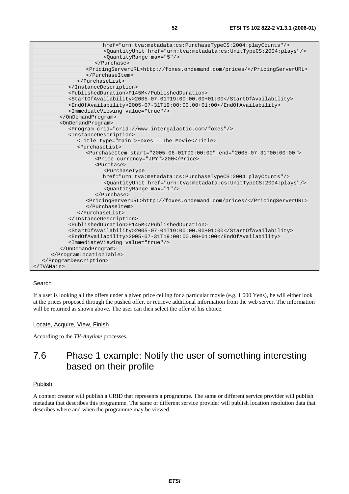| href="urn:tva:metadata:cs:PurchaseTypeCS:2004:playCounts"/>                         |
|-------------------------------------------------------------------------------------|
| <quantityunit href="urn:tva:metadata:cs:UnitTypeCS:2004:plays"></quantityunit>      |
| <quantityrange max="5"></quantityrange>                                             |
|                                                                                     |
| <pricingserverurl>http://foxes.ondemand.com/prices/</pricingserverurl>              |
|                                                                                     |
|                                                                                     |
|                                                                                     |
| <publishedduration>P145M</publishedduration>                                        |
| <startofavailability>2005-07-01T19:00:00.00+01:00</startofavailability>             |
| <endofavailability>2005-07-31T19:00:00.00+01:00</endofavailability>                 |
| <immediateviewing value="true"></immediateviewing>                                  |
|                                                                                     |
| <ondemandprogram></ondemandprogram>                                                 |
| <program crid="crid://www.intergalactic.com/foxes"></program>                       |
| <instancedescription></instancedescription>                                         |
| <title type="main">Foxes - The Movie</title>                                        |
| <purchaselist></purchaselist>                                                       |
| <purchaseitem end="2005-07-31T00:00:00" start="2005-06-01T00:00:00"></purchaseitem> |
| <price currency="JPY">200</price>                                                   |
| <purchase></purchase>                                                               |
| <purchasetype< td=""></purchasetype<>                                               |
| href="urn:tva:metadata:cs:PurchaseTypeCS:2004:playCounts"/>                         |
| <quantityunit href="urn:tva:metadata:cs:UnitTypeCS:2004:plays"></quantityunit>      |
| <quantityrange max="1"></quantityrange>                                             |
|                                                                                     |
| <pricingserverurl>http://foxes.ondemand.com/prices/</pricingserverurl>              |
|                                                                                     |
|                                                                                     |
|                                                                                     |
| <publishedduration>P145M</publishedduration>                                        |
| <startofavailability>2005-07-01T19:00:00.00+01:00</startofavailability>             |
| <endofavailability>2005-07-31T19:00:00.00+01:00</endofavailability>                 |
| <immediateviewing value="true"></immediateviewing>                                  |
|                                                                                     |
|                                                                                     |
|                                                                                     |
|                                                                                     |

## **Search**

If a user is looking all the offers under a given price ceiling for a particular movie (e.g. 1 000 Yens), he will either look at the prices proposed through the pushed offer, or retrieve additional information from the web server. The information will be returned as shown above. The user can then select the offer of his choice.

## Locate, Acquire, View, Finish

According to the *TV-Anytime* processes.

# 7.6 Phase 1 example: Notify the user of something interesting based on their profile

## **Publish**

A content creator will publish a CRID that represents a programme. The same or different service provider will publish metadata that describes this programme. The same or different service provider will publish location resolution data that describes where and when the programme may be viewed.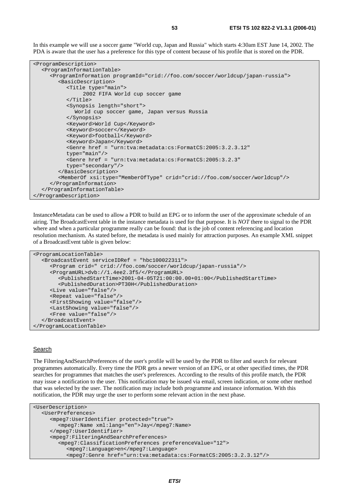In this example we will use a soccer game "World cup, Japan and Russia" which starts 4:30am EST June 14, 2002. The PDA is aware that the user has a preference for this type of content because of his profile that is stored on the PDR.

```
<ProgramDescription> 
   <ProgramInformationTable> 
      <ProgramInformation programId="crid://foo.com/soccer/worldcup/japan-russia"> 
         <BasicDescription> 
            <Title type="main"> 
                 2002 FIFA World cup soccer game 
            </Title> 
            <Synopsis length="short"> 
               World cup soccer game, Japan versus Russia 
            </Synopsis> 
            <Keyword>World Cup</Keyword> 
            <Keyword>soccer</Keyword> 
            <Keyword>football</Keyword> 
            <Keyword>Japan</Keyword> 
            <Genre href = "urn:tva:metadata:cs:FormatCS:2005:3.2.3.12" 
            type="main"/> 
            <Genre href = "urn:tva:metadata:cs:FormatCS:2005:3.2.3" 
            type="secondary"/> 
         </BasicDescription> 
         <MemberOf xsi:type="MemberOfType" crid="crid://foo.com/soccer/worldcup"/> 
      </ProgramInformation> 
   </ProgramInformationTable> 
</ProgramDescription>
```
InstanceMetadata can be used to allow a PDR to build an EPG or to inform the user of the approximate schedule of an airing. The BroadcastEvent table in the instance metadata is used for that purpose. It is *NOT* there to signal to the PDR where and when a particular programme really can be found: that is the job of content referencing and location resolution mechanism. As stated before, the metadata is used mainly for attraction purposes. An example XML snippet of a BroadcastEvent table is given below:

```
<ProgramLocationTable> 
   <BroadcastEvent serviceIDRef = "hbc100022311"> 
      <Program crid=" crid://foo.com/soccer/worldcup/japan-russia"/> 
      <ProgramURL>dvb://1.4ee2.3f5/</ProgramURL> 
         <PublishedStartTime>2001-04-05T21:00:00.00+01:00</PublishedStartTime> 
         <PublishedDuration>PT30H</PublishedDuration> 
      <Live value="false"/> 
      <Repeat value="false"/> 
      <FirstShowing value="false"/> 
      <LastShowing value="false"/> 
      <Free value="false"/> 
   </BroadcastEvent> 
</ProgramLocationTable>
```
#### Search

The FilteringAndSearchPreferences of the user's profile will be used by the PDR to filter and search for relevant programmes automatically. Every time the PDR gets a newer version of an EPG, or at other specified times, the PDR searches for programmes that matches the user's preferences. According to the results of this profile match, the PDR may issue a notification to the user. This notification may be issued via email, screen indication, or some other method that was selected by the user. The notification may include both programme and instance information. With this notification, the PDR may urge the user to perform some relevant action in the next phase.

```
<UserDescription> 
   <UserPreferences> 
      <mpeg7:UserIdentifier protected="true"> 
         <mpeg7:Name xml:lang="en">Jay</mpeg7:Name> 
      </mpeg7:UserIdentifier> 
      <mpeg7:FilteringAndSearchPreferences> 
         <mpeg7:ClassificationPreferences preferenceValue="12"> 
            <mpeg7:Language>en</mpeg7:Language> 
            <mpeg7:Genre href="urn:tva:metadata:cs:FormatCS:2005:3.2.3.12"/>
```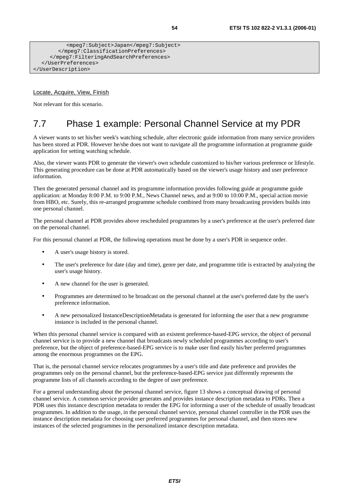```
 <mpeg7:Subject>Japan</mpeg7:Subject> 
         </mpeg7:ClassificationPreferences> 
      </mpeg7:FilteringAndSearchPreferences> 
   </UserPreferences> 
</UserDescription>
```
## Locate, Acquire, View, Finish

Not relevant for this scenario.

# 7.7 Phase 1 example: Personal Channel Service at my PDR

A viewer wants to set his/her week's watching schedule, after electronic guide information from many service providers has been stored at PDR. However he/she does not want to navigate all the programme information at programme guide application for setting watching schedule.

Also, the viewer wants PDR to generate the viewer's own schedule customized to his/her various preference or lifestyle. This generating procedure can be done at PDR automatically based on the viewer's usage history and user preference information.

Then the generated personal channel and its programme information provides following guide at programme guide application: at Monday 8:00 P.M. to 9:00 P.M., News Channel news, and at 9:00 to 10:00 P.M., special action movie from HBO, etc. Surely, this re-arranged programme schedule combined from many broadcasting providers builds into one personal channel.

The personal channel at PDR provides above rescheduled programmes by a user's preference at the user's preferred date on the personal channel.

For this personal channel at PDR, the following operations must be done by a user's PDR in sequence order.

- A user's usage history is stored.
- The user's preference for date (day and time), genre per date, and programme title is extracted by analyzing the user's usage history.
- A new channel for the user is generated.
- Programmes are determined to be broadcast on the personal channel at the user's preferred date by the user's preference information.
- A new personalized InstanceDescriptionMetadata is generated for informing the user that a new programme instance is included in the personal channel.

When this personal channel service is compared with an existent preference-based-EPG service, the object of personal channel service is to provide a new channel that broadcasts newly scheduled programmes according to user's preference, but the object of preference-based-EPG service is to make user find easily his/her preferred programmes among the enormous programmes on the EPG.

That is, the personal channel service relocates programmes by a user's title and date preference and provides the programmes only on the personal channel, but the preference-based-EPG service just differently represents the programme lists of all channels according to the degree of user preference.

For a general understanding about the personal channel service, figure 13 shows a conceptual drawing of personal channel service. A common service provider generates and provides instance description metadata to PDRs. Then a PDR uses this instance description metadata to render the EPG for informing a user of the schedule of usually broadcast programmes. In addition to the usage, in the personal channel service, personal channel controller in the PDR uses the instance description metadata for choosing user preferred programmes for personal channel, and then stores new instances of the selected programmes in the personalized instance description metadata.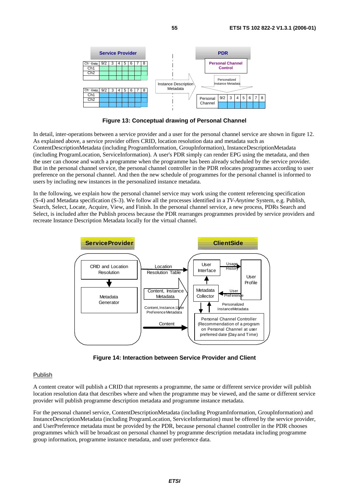

**Figure 13: Conceptual drawing of Personal Channel** 

In detail, inter-operations between a service provider and a user for the personal channel service are shown in figure 12. As explained above, a service provider offers CRID, location resolution data and metadata such as ContentDescriptionMetadata (including ProgramInformation, GroupInformation), InstanceDescriptionMetadata (including ProgramLocation, ServiceInformation). A user's PDR simply can render EPG using the metadata, and then the user can choose and watch a programme when the programme has been already scheduled by the service provider. But in the personal channel service, the personal channel controller in the PDR relocates programmes according to user preference on the personal channel. And then the new schedule of programmes for the personal channel is informed to users by including new instances in the personalized instance metadata.

In the following, we explain how the personal channel service may work using the content referencing specification (S-4) and Metadata specification (S-3). We follow all the processes identified in a *TV-Anytime* System, e.g. Publish, Search, Select, Locate, Acquire, View, and Finish. In the personal channel service, a new process, PDRs Search and Select, is included after the Publish process because the PDR rearranges programmes provided by service providers and recreate Instance Description Metadata locally for the virtual channel.



**Figure 14: Interaction between Service Provider and Client** 

## Publish

A content creator will publish a CRID that represents a programme, the same or different service provider will publish location resolution data that describes where and when the programme may be viewed, and the same or different service provider will publish programme description metadata and programme instance metadata.

For the personal channel service, ContentDescriptionMetadata (including ProgramInformation, GroupInformation) and InstanceDescriptionMetadata (including ProgramLocation, ServiceInformation) must be offered by the service provider, and UserPreference metadata must be provided by the PDR, because personal channel controller in the PDR chooses programmes which will be broadcast on personal channel by programme description metadata including programme group information, programme instance metadata, and user preference data.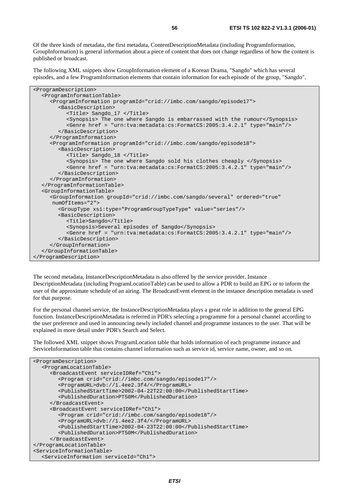Of the three kinds of metadata, the first metadata, ContentDescriptionMetadata (including ProgramInformation, GroupInformation) is general information about a piece of content that does not change regardless of how the content is published or broadcast.

The following XML snippets show GroupInformation element of a Korean Drama, "Sangdo" which has several episodes, and a few ProgramInformation elements that contain information for each episode of the group, "Sangdo".

| <programdescription></programdescription>                                                                |
|----------------------------------------------------------------------------------------------------------|
| <programinformationtable></programinformationtable>                                                      |
| <programinformation programid="crid://imbc.com/sangdo/episode17"></programinformation>                   |
| <basicdescription></basicdescription>                                                                    |
| <title> Sangdo_17 </title>                                                                               |
| <synopsis> The one where Sangdo is embarrassed with the rumour</synopsis>                                |
| <genre href="urn:tva:metadata:cs:FormatCS:2005:3.4.2.1" type="main"></genre>                             |
|                                                                                                          |
|                                                                                                          |
| <programinformation programid="crid://imbc.com/sangdo/episode18"></programinformation>                   |
| <basicdescription></basicdescription>                                                                    |
| <title> Sangdo_18 </title>                                                                               |
| <synopsis> The one where Sangdo sold his clothes cheaply </synopsis>                                     |
| <genre href="urn:tva:metadata:cs:FormatCS:2005:3.4.2.1" type="main"></genre>                             |
|                                                                                                          |
|                                                                                                          |
|                                                                                                          |
| <groupinformationtable></groupinformationtable>                                                          |
| <groupinformation <="" ordered="true" qroupid="crid://imbc.com/sangdo/several" td=""></groupinformation> |
| numOfItems="2">                                                                                          |
| <grouptype value="series" xsi:type="ProgramGroupTypeType"></grouptype>                                   |
| <basicdescription></basicdescription>                                                                    |
| <title>Sangdo</title>                                                                                    |
| <synopsis>Several episodes of Sangdo</synopsis>                                                          |
| <genre href="urn:tva:metadata:cs:FormatCS:2005:3.4.2.1" type="main"></genre>                             |
|                                                                                                          |
|                                                                                                          |
|                                                                                                          |
|                                                                                                          |

The second metadata, InstanceDescriptionMetadata is also offered by the service provider. Instance DescriptionMetadata (including ProgramLocationTable) can be used to allow a PDR to build an EPG or to inform the user of the approximate schedule of an airing. The BroadcastEvent element in the instance description metadata is used for that purpose.

For the personal channel service, the InstanceDescriptionMetadata plays a great role in addition to the general EPG function. InstanceDescriptionMetadata is referred in PDR's selecting a programme for a personal channel according to the user preference and used in announcing newly included channel and programme instances to the user. That will be explained in more detail under PDR's Search and Select.

The followed XML snippet shows ProgramLocation table that holds information of each programme instance and ServiceInformation table that contains channel information such as service id, service name, owner, and so on.

```
<ProgramDescription> 
   <ProgramLocationTable> 
      <BroadcastEvent serviceIDRef="Ch1"> 
         <Program crid="crid://imbc.com/sangdo/episode17"/> 
         <ProgramURL>dvb://1.4ee2.3f4/</ProgramURL> 
         <PublishedStartTime>2002-04-22T22:00:00</PublishedStartTime> 
         <PublishedDuration>PT50M</PublishedDuration> 
      </BroadcastEvent> 
      <BroadcastEvent serviceIDRef="Ch1"> 
         <Program crid="crid://imbc.com/sangdo/episode18"/> 
         <ProgramURL>dvb://1.4ee2.3f4/</ProgramURL> 
         <PublishedStartTime>2002-04-23T22:00:00</PublishedStartTime> 
         <PublishedDuration>PT50M</PublishedDuration> 
      </BroadcastEvent> 
</ProgramLocationTable> 
<ServiceInformationTable> 
   <ServiceInformation serviceId="Ch1">
```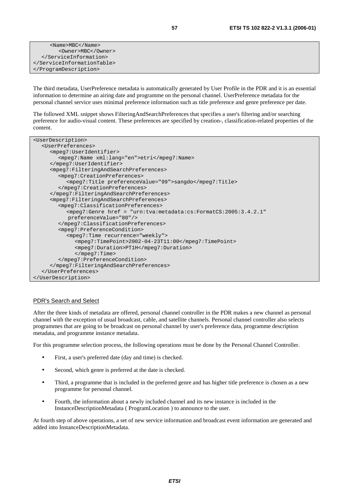| $<$ Name>MBC $<$ /Name> |  |
|-------------------------|--|
| <owner>MBC</owner>      |  |
|                         |  |
|                         |  |
|                         |  |

The third metadata, UserPreference metadata is automatically generated by User Profile in the PDR and it is an essential information to determine an airing date and programme on the personal channel. UserPreference metadata for the personal channel service uses minimal preference information such as title preference and genre preference per date.

The followed XML snippet shows FilteringAndSearchPreferences that specifies a user's filtering and/or searching preference for audio-visual content. These preferences are specified by creation-, classification-related properties of the content.

| <userdescription></userdescription>                                                     |
|-----------------------------------------------------------------------------------------|
| <userpreferences></userpreferences>                                                     |
| <mpeq7:useridentifier></mpeq7:useridentifier>                                           |
| <mpeg7:name xml:lang="en">etri</mpeg7:name>                                             |
|                                                                                         |
| <mpeq7:filteringandsearchpreferences></mpeq7:filteringandsearchpreferences>             |
| <mpeq7:creationpreferences></mpeq7:creationpreferences>                                 |
| <mpeg7:title preferencevalue="99">sangdo</mpeg7:title>                                  |
|                                                                                         |
|                                                                                         |
| <mpeq7:filteringandsearchpreferences></mpeq7:filteringandsearchpreferences>             |
| <mpeq7:classificationpreferences></mpeq7:classificationpreferences>                     |
| <mpeq7:genre <="" href="urn:tva:metadata:cs:FormatCS:2005:3.4.2.1" td=""></mpeq7:genre> |
| preferenceValue="80"/>                                                                  |
|                                                                                         |
| <mpeq7:preferencecondition></mpeq7:preferencecondition>                                 |
| <mpeq7:time recurrence="weekly"></mpeq7:time>                                           |
| <mpeq7:timepoint>2002-04-23T11:00</mpeq7:timepoint>                                     |
| <mpeq7:duration>PT1H</mpeq7:duration>                                                   |
| $\langle$ /mpeq $7:$ Time>                                                              |
|                                                                                         |
|                                                                                         |
|                                                                                         |
|                                                                                         |

## PDR's Search and Select

After the three kinds of metadata are offered, personal channel controller in the PDR makes a new channel as personal channel with the exception of usual broadcast, cable, and satellite channels. Personal channel controller also selects programmes that are going to be broadcast on personal channel by user's preference data, programme description metadata, and programme instance metadata.

For this programme selection process, the following operations must be done by the Personal Channel Controller.

- First, a user's preferred date (day and time) is checked.
- Second, which genre is preferred at the date is checked.
- Third, a programme that is included in the preferred genre and has higher title preference is chosen as a new programme for personal channel.
- Fourth, the information about a newly included channel and its new instance is included in the InstanceDescriptionMetadata ( ProgramLocation ) to announce to the user.

At fourth step of above operations, a set of new service information and broadcast event information are generated and added into InstanceDescriptionMetadata.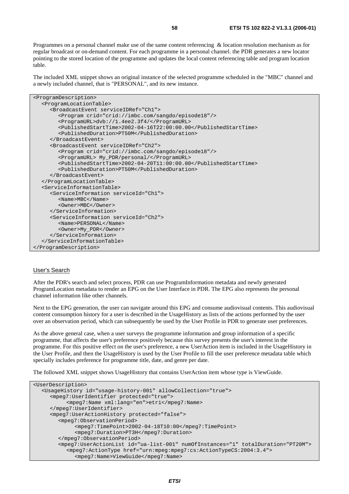Programmes on a personal channel make use of the same content referencing & location resolution mechanism as for regular broadcast or on-demand content. For each programme in a personal channel. the PDR generates a new locator pointing to the stored location of the programme and updates the local content referencing table and program location table.

The included XML snippet shows an original instance of the selected programme scheduled in the "MBC" channel and a newly included channel, that is "PERSONAL", and its new instance.

```
<ProgramDescription> 
   <ProgramLocationTable> 
      <BroadcastEvent serviceIDRef="Ch1"> 
         <Program crid="crid://imbc.com/sangdo/episode18"/> 
         <ProgramURL>dvb://1.4ee2.3f4/</ProgramURL> 
         <PublishedStartTime>2002-04-16T22:00:00.00</PublishedStartTime> 
         <PublishedDuration>PT50M</PublishedDuration> 
      </BroadcastEvent> 
      <BroadcastEvent serviceIDRef="Ch2"> 
         <Program crid="crid://imbc.com/sangdo/episode18"/> 
         <ProgramURL> My_PDR/personal/</ProgramURL> 
         <PublishedStartTime>2002-04-20T11:00:00.00</PublishedStartTime> 
         <PublishedDuration>PT50M</PublishedDuration> 
      </BroadcastEvent> 
   </ProgramLocationTable> 
   <ServiceInformationTable> 
      <ServiceInformation serviceId="Ch1"> 
         <Name>MBC</Name> 
         <Owner>MBC</Owner> 
      </ServiceInformation> 
      <ServiceInformation serviceId="Ch2"> 
         <Name>PERSONAL</Name> 
         <Owner>My_PDR</Owner> 
      </ServiceInformation> 
   </ServiceInformationTable> 
</ProgramDescription>
```
#### User's Search

After the PDR's search and select process, PDR can use ProgramInformation metadata and newly generated ProgramLocation metadata to render an EPG on the User Interface in PDR. The EPG also represents the personal channel information like other channels.

Next to the EPG generation, the user can navigate around this EPG and consume audiovisual contents. This audiovisual content consumption history for a user is described in the UsageHistory as lists of the actions performed by the user over an observation period, which can subsequently be used by the User Profile in PDR to generate user preferences.

As the above general case, when a user surveys the programme information and group information of a specific programme, that affects the user's preference positively because this survey presents the user's interest in the programme. For this positive effect on the user's preference, a new UserAction item is included in the UsageHistory in the User Profile, and then the UsageHistory is used by the User Profile to fill the user preference metadata table which specially includes preference for programme title, date, and genre per date.

The followed XML snippet shows UsageHistory that contains UserAction item whose type is ViewGuide.

```
<UserDescription> 
   <UsageHistory id="usage-history-001" allowCollection="true"> 
      <mpeg7:UserIdentifier protected="true"> 
           <mpeg7:Name xml:lang="en">etri</mpeg7:Name> 
      </mpeg7:UserIdentifier> 
      <mpeg7:UserActionHistory protected="false"> 
         <mpeg7:ObservationPeriod> 
              <mpeg7:TimePoint>2002-04-18T10:00</mpeg7:TimePoint> 
              <mpeg7:Duration>PT3H</mpeg7:Duration> 
         </mpeg7:ObservationPeriod> 
         <mpeg7:UserActionList id="ua-list-001" numOfInstances="1" totalDuration="PT20M"> 
            <mpeg7:ActionType href="urn:mpeg:mpeg7:cs:ActionTypeCS:2004:3.4"> 
              <mpeg7:Name>ViewGuide</mpeg7:Name>
```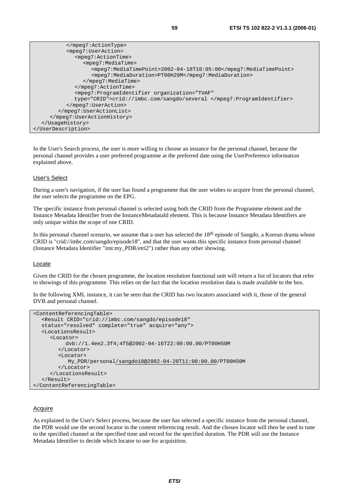```
 </mpeg7:ActionType> 
            <mpeg7:UserAction> 
               <mpeg7:ActionTime> 
                  <mpeg7:MediaTime> 
                     <mpeg7:MediaTimePoint>2002-04-18T10:05:00</mpeg7:MediaTimePoint> 
                     <mpeg7:MediaDuration>PT00H20M</mpeg7:MediaDuration> 
                  </mpeg7:MediaTime> 
               </mpeg7:ActionTime> 
               <mpeg7:ProgramIdentifier organization="TVAF" 
               type="CRID">crid://imbc.com/sangdo/several </mpeg7:ProgramIdentifier> 
            </mpeg7:UserAction> 
         </mpeg7:UserActionList> 
      </mpeg7:UserActionHistory> 
   </UsageHistory> 
</UserDescription>
```
In the User's Search process, the user is more willing to choose an instance for the personal channel, because the personal channel provides a user preferred programme at the preferred date using the UserPreference information explained above.

### User's Select

During a user's navigation, if the user has found a programme that the user wishes to acquire from the personal channel, the user selects the programme on the EPG.

The specific instance from personal channel is selected using both the CRID from the Programme element and the Instance Metadata Identifier from the InstanceMetadataId element. This is because Instance Metadata Identifiers are only unique within the scope of one CRID.

In this personal channel scenario, we assume that a user has selected the  $18<sup>th</sup>$  episode of Sangdo, a Korean drama whose CRID is "crid://imbc.com/sangdo/episode18", and that the user wants this specific instance from personal channel (Instance Metadata Identifier "imi:my\_PDR/etri2") rather than any other showing.

#### Locate

Given the CRID for the chosen programme, the location resolution functional unit will return a list of locators that refer to showings of this programme. This relies on the fact that the location resolution data is made available to the box.

In the following XML instance, it can be seen that the CRID has two locators associated with it, those of the general DVB and personal channel.

```
<ContentReferencingTable> 
   <Result CRID="crid://imbc.com/sangdo/episode18" 
  status="resolved" complete="true" acquire="any"> 
   <LocationsResult> 
      <Locator> 
           dvb://1.4ee2.3f4;4f5@2002-04-16T22:00:00.00/PT00H50M 
         </Locator> 
         <Locator> 
            My_PDR/personal/sangdo18@2002-04-20T11:00:00.00/PT00H50M 
         </Locator> 
      </LocationsResult> 
  \epsilon/Result>
</ContentReferencingTable>
```
### **Acquire**

As explained in the User's Select process, because the user has selected a specific instance from the personal channel, the PDR would use the second locator in the content referencing result. And the chosen locator will then be used to tune to the specified channel at the specified time and record for the specified duration. The PDR will use the Instance Metadata Identifier to decide which locator to use for acquisition.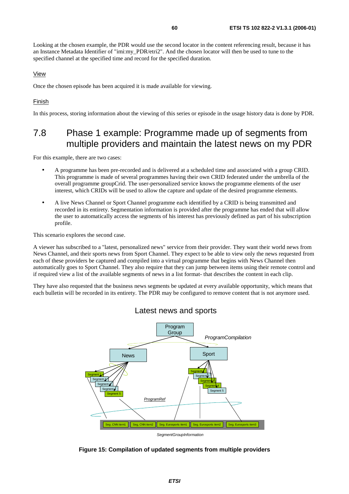Looking at the chosen example, the PDR would use the second locator in the content referencing result, because it has an Instance Metadata Identifier of "imi:my\_PDR/etri2". And the chosen locator will then be used to tune to the specified channel at the specified time and record for the specified duration.

## View

Once the chosen episode has been acquired it is made available for viewing.

### Finish

In this process, storing information about the viewing of this series or episode in the usage history data is done by PDR.

## 7.8 Phase 1 example: Programme made up of segments from multiple providers and maintain the latest news on my PDR

For this example, there are two cases:

- A programme has been pre-recorded and is delivered at a scheduled time and associated with a group CRID. This programme is made of several programmes having their own CRID federated under the umbrella of the overall programme groupCrid. The user-personalized service knows the programme elements of the user interest, which CRIDs will be used to allow the capture and update of the desired programme elements.
- A live News Channel or Sport Channel programme each identified by a CRID is being transmitted and recorded in its entirety. Segmentation information is provided after the programme has ended that will allow the user to automatically access the segments of his interest has previously defined as part of his subscription profile.

This scenario explores the second case.

A viewer has subscribed to a "latest, personalized news" service from their provider. They want their world news from News Channel, and their sports news from Sport Channel. They expect to be able to view only the news requested from each of these providers be captured and compiled into a virtual programme that begins with News Channel then automatically goes to Sport Channel. They also require that they can jump between items using their remote control and if required view a list of the available segments of news in a list format- that describes the content in each clip.

They have also requested that the business news segments be updated at every available opportunity, which means that each bulletin will be recorded in its entirety. The PDR may be configured to remove content that is not anymore used.



Latest news and sports

**Figure 15: Compilation of updated segments from multiple providers**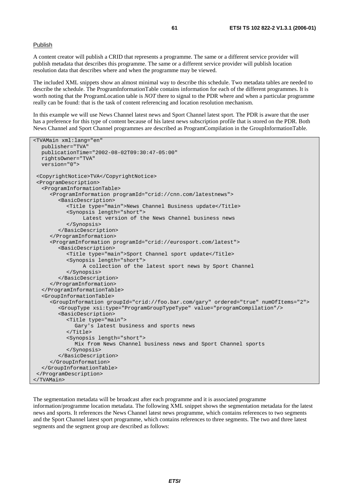### Publish

A content creator will publish a CRID that represents a programme. The same or a different service provider will publish metadata that describes this programme. The same or a different service provider will publish location resolution data that describes where and when the programme may be viewed.

The included XML snippets show an almost minimal way to describe this schedule. Two metadata tables are needed to describe the schedule. The ProgramInformationTable contains information for each of the different programmes. It is worth noting that the ProgramLocation table is *NOT* there to signal to the PDR where and when a particular programme really can be found: that is the task of content referencing and location resolution mechanism.

In this example we will use News Channel latest news and Sport Channel latest sport. The PDR is aware that the user has a preference for this type of content because of his latest news subscription profile that is stored on the PDR. Both News Channel and Sport Channel programmes are described as ProgramCompilation in the GroupInformationTable.

```
<TVAMain xml:lang="en" 
   publisher="TVA" 
   publicationTime="2002-08-02T09:30:47-05:00" 
   rightsOwner="TVA" 
   version="0"> 
  <CopyrightNotice>TVA</CopyrightNotice> 
  <ProgramDescription> 
   <ProgramInformationTable> 
      <ProgramInformation programId="crid://cnn.com/latestnews"> 
         <BasicDescription> 
            <Title type="main">News Channel Business update</Title> 
            <Synopsis length="short"> 
                 Latest version of the News Channel business news 
            </Synopsis> 
         </BasicDescription> 
      </ProgramInformation> 
      <ProgramInformation programId="crid://eurosport.com/latest"> 
         <BasicDescription> 
            <Title type="main">Sport Channel sport update</Title> 
            <Synopsis length="short"> 
                 A collection of the latest sport news by Sport Channel 
            </Synopsis> 
         </BasicDescription> 
      </ProgramInformation> 
   </ProgramInformationTable> 
   <GroupInformationTable> 
      <GroupInformation groupId="crid://foo.bar.com/gary" ordered="true" numOfItems="2"> 
         <GroupType xsi:type="ProgramGroupTypeType" value="programCompilation"/> 
         <BasicDescription> 
            <Title type="main"> 
               Gary's latest business and sports news 
            </Title> 
            <Synopsis length="short"> 
              Mix from News Channel business news and Sport Channel sports 
            </Synopsis> 
         </BasicDescription> 
      </GroupInformation> 
   </GroupInformationTable> 
  </ProgramDescription> 
</TVAMain>
```
The segmentation metadata will be broadcast after each programme and it is associated programme information/programme location metadata. The following XML snippet shows the segmentation metadata for the latest news and sports. It references the News Channel latest news programme, which contains references to two segments and the Sport Channel latest sport programme, which contains references to three segments. The two and three latest segments and the segment group are described as follows: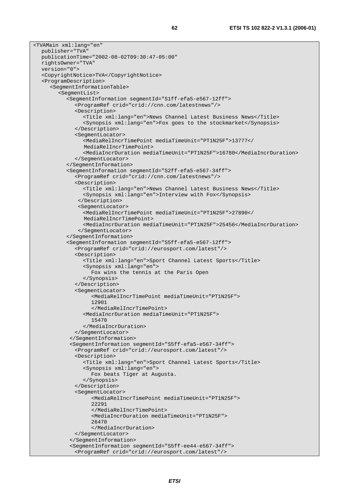```
<TVAMain xml:lang="en" 
   publisher="TVA" 
   publicationTime="2002-08-02T09:30:47-05:00" 
   rightsOwner="TVA" 
   version="0"> 
   <CopyrightNotice>TVA</CopyrightNotice> 
   <ProgramDescription> 
      <SegmentInformationTable> 
         <SegmentList> 
            <SegmentInformation segmentId="S1ff-efa5-e567-12ff"> 
               <ProgramRef crid="crid://cnn.com/latestnews"/> 
               <Description> 
                 <Title xml:lang="en">News Channel Latest Business News</Title> 
                 <Synopsis xml:lang="en">Fox goes to the stockmarket</Synopsis> 
              </Description> 
               <SegmentLocator> 
                  <MediaRelIncrTimePoint mediaTimeUnit="PT1N25F">13777</ 
                 MediaRelIncrTimePoint>
                 <MediaIncrDuration mediaTimeUnit="PT1N25F">16780</MediaIncrDuration> 
               </SegmentLocator> 
            </SegmentInformation> 
            <SegmentInformation segmentId="S2ff-efa5-e567-34ff"> 
               <ProgramRef crid="crid://cnn.com/latestnews"/> 
               <Description> 
                 <Title xml:lang="en">News Channel Latest Business News</Title> 
                 <Synopsis xml:lang="en">Interview with Fox</Synopsis> 
                </Description> 
                <SegmentLocator> 
                 <MediaRelIncrTimePoint mediaTimeUnit="PT1N25F">27890</ 
                  MediaRelIncrTimePoint> 
                 <MediaIncrDuration mediaTimeUnit="PT1N25F">25456</MediaIncrDuration> 
                </SegmentLocator> 
            </SegmentInformation> 
            <SegmentInformation segmentId="S5ff-efa5-e567-12ff"> 
               <ProgramRef crid="crid://eurosport.com/latest"/> 
              <Description> 
                 <Title xml:lang="en">Sport Channel Latest Sports</Title> 
                 <Synopsis xml:lang="en"> 
                    Fox wins the tennis at the Paris Open 
                 </Synopsis> 
              </Description> 
               <SegmentLocator> 
                    <MediaRelIncrTimePoint mediaTimeUnit="PT1N25F"> 
                    12901 
                    </MediaRelIncrTimePoint> 
                 <MediaIncrDuration mediaTimeUnit="PT1N25F"> 
                    15470 
                 </MediaIncrDuration> 
               </SegmentLocator> 
             </SegmentInformation> 
             <SegmentInformation segmentId="S5ff-efa5-e567-34ff"> 
               <ProgramRef crid="crid://eurosport.com/latest"/> 
               <Description> 
                 <Title xml:lang="en">Sport Channel Latest Sports</Title> 
                 <Synopsis xml:lang="en"> 
                    Fox beats Tiger at Augusta. 
                 </Synopsis> 
              </Description> 
               <SegmentLocator> 
                    <MediaRelIncrTimePoint mediaTimeUnit="PT1N25F"> 
                    22291 
                    </MediaRelIncrTimePoint> 
                    <MediaIncrDuration mediaTimeUnit="PT1N25F"> 
                    26470 
                    </MediaIncrDuration> 
               </SegmentLocator> 
             </SegmentInformation> 
             <SegmentInformation segmentId="S5ff-ee44-e567-34ff"> 
              <ProgramRef crid="crid://eurosport.com/latest"/>
```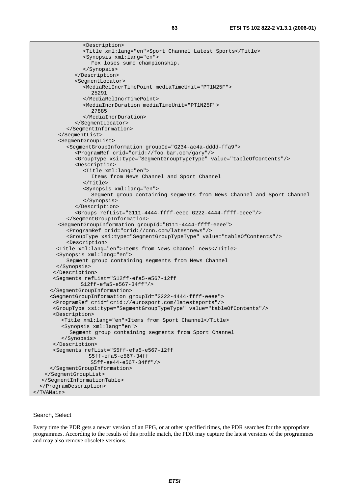```
 <Description> 
                 <Title xml:lang="en">Sport Channel Latest Sports</Title> 
                  <Synopsis xml:lang="en"> 
                    Fox loses sumo championship. 
                 </Synopsis> 
               </Description> 
               <SegmentLocator> 
                 <MediaRelIncrTimePoint mediaTimeUnit="PT1N25F"> 
                    25291 
                 </MediaRelIncrTimePoint> 
                  <MediaIncrDuration mediaTimeUnit="PT1N25F"> 
                    27885 
                 </MediaIncrDuration> 
               </SegmentLocator> 
            </SegmentInformation> 
         </SegmentList> 
         <SegmentGroupList> 
            <SegmentGroupInformation groupId="G234-ac4a-dddd-ffa9"> 
               <ProgramRef crid="crid://foo.bar.com/gary"/> 
               <GroupType xsi:type="SegmentGroupTypeType" value="tableOfContents"/> 
               <Description> 
                 <Title xml:lang="en"> 
                    Items from News Channel and Sport Channel 
                \langleTitle>
                 <Synopsis xml:lang="en"> 
                    Segment group containing segments from News Channel and Sport Channel 
                 </Synopsis> 
               </Description> 
               <Groups refList="G111-4444-ffff-eeee G222-4444-ffff-eeee"/> 
            </SegmentGroupInformation> 
         <SegmentGroupInformation groupId="G111-4444-ffff-eeee"> 
            <ProgramRef crid="crid://cnn.com/latestnews"/> 
            <GroupType xsi:type="SegmentGroupTypeType" value="tableOfContents"/> 
            <Description> 
        <Title xml:lang="en">Items from News Channel news</Title> 
        <Synopsis xml:lang="en"> 
            Segment group containing segments from News Channel 
        </Synopsis> 
       </Description> 
       <Segments refList="S12ff-efa5-e567-12ff 
                 S12ff-efa5-e567-34ff"/> 
      </SegmentGroupInformation> 
      <SegmentGroupInformation groupId="G222-4444-ffff-eeee"> 
       <ProgramRef crid="crid://eurosport.com/latestsports"/> 
       <GroupType xsi:type="SegmentGroupTypeType" value="tableOfContents"/> 
       <Description> 
          <Title xml:lang="en">Items from Sport Channel</Title> 
          <Synopsis xml:lang="en"> 
             Segment group containing segments from Sport Channel 
          </Synopsis> 
       </Description> 
       <Segments refList="S5ff-efa5-e567-12ff 
                   S5ff-efa5-e567-34ff 
                    S5ff-ee44-e567-34ff"/> 
      </SegmentGroupInformation> 
    </SegmentGroupList> 
   </SegmentInformationTable> 
   </ProgramDescription> 
</TVAMain>
```
#### Search, Select

Every time the PDR gets a newer version of an EPG, or at other specified times, the PDR searches for the appropriate programmes. According to the results of this profile match, the PDR may capture the latest versions of the programmes and may also remove obsolete versions.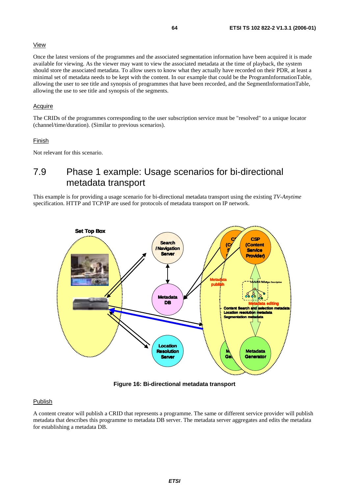## View

Once the latest versions of the programmes and the associated segmentation information have been acquired it is made available for viewing. As the viewer may want to view the associated metadata at the time of playback, the system should store the associated metadata. To allow users to know what they actually have recorded on their PDR, at least a minimal set of metadata needs to be kept with the content. In our example that could be the ProgramInformationTable, allowing the user to see title and synopsis of programmes that have been recorded, and the SegmentInformationTable, allowing the use to see title and synopsis of the segments.

## Acquire

The CRIDs of the programmes corresponding to the user subscription service must be "resolved" to a unique locator (channel/time/duration). (Similar to previous scenarios).

## Finish

Not relevant for this scenario.

# 7.9 Phase 1 example: Usage scenarios for bi-directional metadata transport

This example is for providing a usage scenario for bi-directional metadata transport using the existing *TV-Anytime* specification. HTTP and TCP/IP are used for protocols of metadata transport on IP network.



**Figure 16: Bi-directional metadata transport** 

## Publish

A content creator will publish a CRID that represents a programme. The same or different service provider will publish metadata that describes this programme to metadata DB server. The metadata server aggregates and edits the metadata for establishing a metadata DB.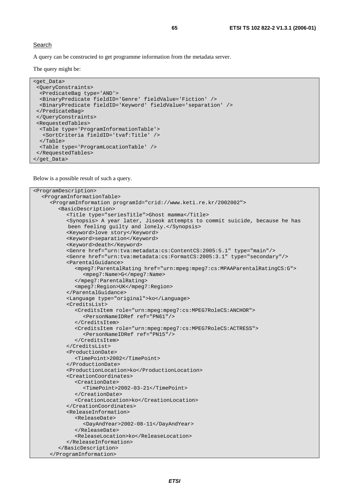A query can be constructed to get programme information from the metadata server.

The query might be:

```
<get_Data> 
  <QueryConstraints> 
  <PredicateBag type='AND'> 
   <BinaryPredicate fieldID='Genre' fieldValue='Fiction' /> 
   <BinaryPredicate fieldID='Keyword' fieldValue='separation' /> 
  </PredicateBag> 
  </QueryConstraints> 
  <RequestedTables> 
  <Table type='ProgramInformationTable'> 
    <SortCriteria fieldID='tvaf:Title' /> 
   </Table> 
  <Table type='ProgramLocationTable' /> 
  </RequestedTables> 
</get_Data>
```
Below is a possible result of such a query.

```
<ProgramDescription> 
   <ProgramInformationTable> 
      <ProgramInformation programId="crid://www.keti.re.kr/2002002"> 
         <BasicDescription> 
            <Title type="seriesTitle">Ghost mamma</Title> 
 <Synopsis> A year later, Jiseok attempts to commit suicide, because he has 
 been feeling guilty and lonely.</Synopsis> 
            <Keyword>love story</Keyword> 
            <Keyword>separation</Keyword> 
            <Keyword>death</Keyword> 
            <Genre href="urn:tva:metadata:cs:ContentCS:2005:5.1" type="main"/> 
            <Genre href="urn:tva:metadata:cs:FormatCS:2005:3.1" type="secondary"/> 
            <ParentalGuidance> 
               <mpeg7:ParentalRating href="urn:mpeg:mpeg7:cs:MPAAParentalRatingCS:G"> 
                 <mpeg7:Name>G</mpeg7:Name> 
               </mpeg7:ParentalRating> 
               <mpeg7:Region>UK</mpeg7:Region> 
            </ParentalGuidance> 
            <Language type="original">ko</Language> 
            <CreditsList> 
               <CreditsItem role="urn:mpeg:mpeg7:cs:MPEG7RoleCS:ANCHOR"> 
                 <PersonNameIDRef ref="PN61"/> 
               </CreditsItem> 
               <CreditsItem role="urn:mpeg:mpeg7:cs:MPEG7RoleCS:ACTRESS"> 
                 <PersonNameIDRef ref="PN15"/> 
               </CreditsItem> 
            </CreditsList> 
            <ProductionDate> 
               <TimePoint>2002</TimePoint> 
            </ProductionDate> 
            <ProductionLocation>ko</ProductionLocation> 
            <CreationCoordinates> 
               <CreationDate> 
                  <TimePoint>2002-03-21</TimePoint> 
               </CreationDate> 
               <CreationLocation>ko</CreationLocation> 
            </CreationCoordinates> 
            <ReleaseInformation> 
               <ReleaseDate> 
                 <DayAndYear>2002-08-11</DayAndYear> 
               </ReleaseDate> 
               <ReleaseLocation>ko</ReleaseLocation> 
            </ReleaseInformation> 
         </BasicDescription> 
      </ProgramInformation>
```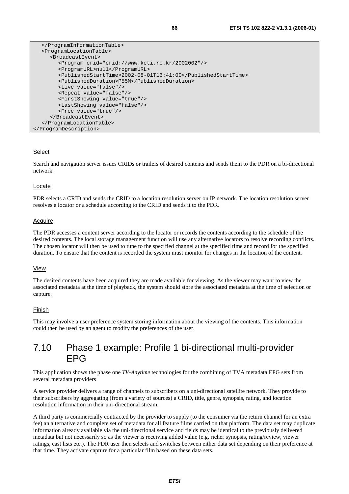```
 </ProgramInformationTable> 
   <ProgramLocationTable> 
      <BroadcastEvent> 
         <Program crid="crid://www.keti.re.kr/2002002"/> 
         <ProgramURL>null</ProgramURL> 
         <PublishedStartTime>2002-08-01T16:41:00</PublishedStartTime> 
         <PublishedDuration>P55M</PublishedDuration> 
         <Live value="false"/> 
         <Repeat value="false"/> 
         <FirstShowing value="true"/> 
         <LastShowing value="false"/> 
         <Free value="true"/> 
      </BroadcastEvent> 
   </ProgramLocationTable> 
</ProgramDescription>
```
## Select

Search and navigation server issues CRIDs or trailers of desired contents and sends them to the PDR on a bi-directional network.

## Locate

PDR selects a CRID and sends the CRID to a location resolution server on IP network. The location resolution server resolves a locator or a schedule according to the CRID and sends it to the PDR.

## Acquire

The PDR accesses a content server according to the locator or records the contents according to the schedule of the desired contents. The local storage management function will use any alternative locators to resolve recording conflicts. The chosen locator will then be used to tune to the specified channel at the specified time and record for the specified duration. To ensure that the content is recorded the system must monitor for changes in the location of the content.

## View

The desired contents have been acquired they are made available for viewing. As the viewer may want to view the associated metadata at the time of playback, the system should store the associated metadata at the time of selection or capture.

## Finish

This may involve a user preference system storing information about the viewing of the contents. This information could then be used by an agent to modify the preferences of the user.

## 7.10 Phase 1 example: Profile 1 bi-directional multi-provider EPG

This application shows the phase one *TV-Anytime* technologies for the combining of TVA metadata EPG sets from several metadata providers

A service provider delivers a range of channels to subscribers on a uni-directional satellite network. They provide to their subscribers by aggregating (from a variety of sources) a CRID, title, genre, synopsis, rating, and location resolution information in their uni-directional stream.

A third party is commercially contracted by the provider to supply (to the consumer via the return channel for an extra fee) an alternative and complete set of metadata for all feature films carried on that platform. The data set may duplicate information already available via the uni-directional service and fields may be identical to the previously delivered metadata but not necessarily so as the viewer is receiving added value (e.g. richer synopsis, rating/review, viewer ratings, cast lists etc.). The PDR user then selects and switches between either data set depending on their preference at that time. They activate capture for a particular film based on these data sets.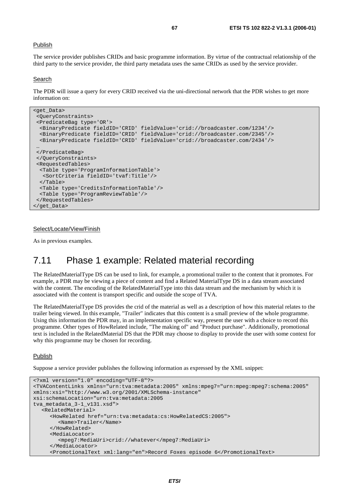## Publish

The service provider publishes CRIDs and basic programme information. By virtue of the contractual relationship of the third party to the service provider, the third party metadata uses the same CRIDs as used by the service provider.

#### Search

The PDR will issue a query for every CRID received via the uni-directional network that the PDR wishes to get more information on:

```
<get_Data> 
  <QueryConstraints> 
  <PredicateBag type='OR'> 
   <BinaryPredicate fieldID='CRID' fieldValue='crid://broadcaster.com/1234'/> 
   <BinaryPredicate fieldID='CRID' fieldValue='crid://broadcaster.com/2345'/> 
  <BinaryPredicate fieldID='CRID' fieldValue='crid://broadcaster.com/2434'/> 
 … 
 </PredicateBag> 
  </QueryConstraints> 
  <RequestedTables> 
  <Table type='ProgramInformationTable'> 
    <SortCriteria fieldID='tvaf:Title'/> 
   </Table> 
   <Table type='CreditsInformationTable'/> 
   <Table type='ProgramReviewTable'/> 
  </RequestedTables> 
</get_Data>
```
#### Select/Locate/View/Finish

As in previous examples.

## 7.11 Phase 1 example: Related material recording

The RelatedMaterialType DS can be used to link, for example, a promotional trailer to the content that it promotes. For example, a PDR may be viewing a piece of content and find a Related MaterialType DS in a data stream associated with the content. The encoding of the RelatedMaterialType into this data stream and the mechanism by which it is associated with the content is transport specific and outside the scope of TVA.

The RelatedMaterialType DS provides the crid of the material as well as a description of how this material relates to the trailer being viewed. In this example, "Trailer" indicates that this content is a small preview of the whole programme. Using this information the PDR may, in an implementation specific way, present the user with a choice to record this programme. Other types of HowRelated include, "The making of" and "Product purchase". Additionally, promotional text is included in the RelatedMaterial DS that the PDR may choose to display to provide the user with some context for why this programme may be chosen for recording.

#### Publish

Suppose a service provider publishes the following information as expressed by the XML snippet:

```
<?xml version="1.0" encoding="UTF-8"?> 
<TVAContentLinks xmlns="urn:tva:metadata:2005" xmlns:mpeg7="urn:mpeg:mpeg7:schema:2005" 
xmlns:xsi="http://www.w3.org/2001/XMLSchema-instance" 
xsi:schemaLocation="urn:tva:metadata:2005 
tva_metadata_3-1_v131.xsd"> 
   <RelatedMaterial> 
      <HowRelated href="urn:tva:metadata:cs:HowRelatedCS:2005"> 
         <Name>Trailer</Name> 
      </HowRelated> 
      <MediaLocator> 
         <mpeg7:MediaUri>crid://whatever</mpeg7:MediaUri> 
      </MediaLocator> 
      <PromotionalText xml:lang="en">Record Foxes episode 6</PromotionalText>
```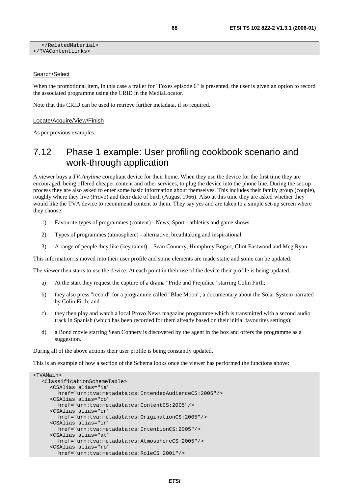## Search/Select

When the promotional item, in this case a trailer for "Foxes episode 6" is presented, the user is given an option to record the associated programme using the CRID in the MediaLocator.

Note that this CRID can be used to retrieve further metadata, if so required.

#### Locate/Acquire/View/Finish

As per previous examples.

## 7.12 Phase 1 example: User profiling cookbook scenario and work-through application

A viewer buys a *TV-Anytime* compliant device for their home. When they use the device for the first time they are encouraged, being offered cheaper content and other services, to plug the device into the phone line. During the set-up process they are also asked to enter some basic information about themselves. This includes their family group (couple), roughly where they live (Provo) and their date of birth (August 1966). Also at this time they are asked whether they would like the TVA device to recommend content to them. They say yes and are taken to a simple set-up screen where they choose:

- 1) Favourite types of programmes (content) News, Sport athletics and game shows.
- 2) Types of programmes (atmosphere) alternative, breathtaking and inspirational.
- 3) A range of people they like (key talent). Sean Connery, Humphrey Bogart, Clint Eastwood and Meg Ryan.

This information is moved into their user profile and some elements are made static and some can be updated.

The viewer then starts to use the device. At each point in their use of the device their profile is being updated.

- a) At the start they request the capture of a drama "Pride and Prejudice" starring Colin Firth;
- b) they also press "record" for a programme called "Blue Moon", a documentary about the Solar System narrated by Colin Firth; and
- c) they then play and watch a local Provo News magazine programme which is transmitted with a second audio track in Spanish (which has been recorded for them already based on their initial favourites settings);
- d) a Bond movie starring Sean Connery is discovered by the agent in the box and offers the programme as a suggestion.

During all of the above actions their user profile is being constantly updated.

This is an example of how a section of the Schema looks once the viewer has performed the functions above:

| <tvamain></tvamain>                                     |
|---------------------------------------------------------|
| <classificationschemetable></classificationschemetable> |
| <csalias <="" alias="ia" td=""></csalias>               |
| href="urn:tva:metadata:cs:IntendedAudienceCS:2005"/>    |
| <csalias <="" alias="co" td=""></csalias>               |
| href="urn:tva:metadata:cs:ContentCS:2005"/>             |
| <csalias <="" alias="or" td=""></csalias>               |
| $href="urn:tva:metadata:cs:OriginalnonCs:2005*/>$       |
| <csalias <="" alias="in" td=""></csalias>               |
| href="urn:tva:metadata:cs:IntentionCS:2005"/>           |
| <csalias <="" alias="at" td=""></csalias>               |
| href="urn:tva:metadata:cs:AtmosphereCS:2005"/>          |
| <csalias <="" alias="ro" td=""></csalias>               |
| href="urn:tva:metadata:cs:RoleCS:2001"/>                |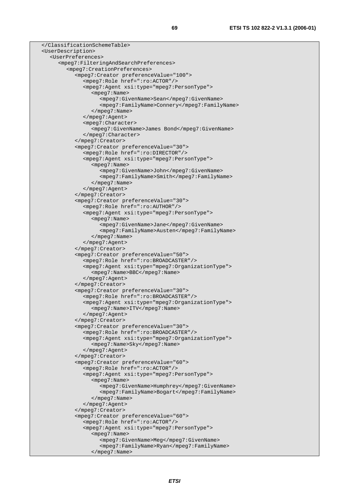```
 </ClassificationSchemeTable> 
 <UserDescription> 
   <UserPreferences> 
      <mpeg7:FilteringAndSearchPreferences> 
         <mpeg7:CreationPreferences> 
            <mpeg7:Creator preferenceValue="100"> 
               <mpeg7:Role href=":ro:ACTOR"/> 
               <mpeg7:Agent xsi:type="mpeg7:PersonType"> 
                  <mpeg7:Name> 
                     <mpeg7:GivenName>Sean</mpeg7:GivenName> 
                     <mpeg7:FamilyName>Connery</mpeg7:FamilyName> 
                  </mpeg7:Name> 
               </mpeg7:Agent> 
               <mpeg7:Character> 
                  <mpeg7:GivenName>James Bond</mpeg7:GivenName> 
               </mpeg7:Character> 
            </mpeg7:Creator> 
            <mpeg7:Creator preferenceValue="30"> 
               <mpeg7:Role href=":ro:DIRECTOR"/> 
               <mpeg7:Agent xsi:type="mpeg7:PersonType"> 
                  <mpeg7:Name> 
                     <mpeg7:GivenName>John</mpeg7:GivenName> 
                     <mpeg7:FamilyName>Smith</mpeg7:FamilyName> 
                  </mpeg7:Name> 
               </mpeg7:Agent> 
            </mpeg7:Creator> 
            <mpeg7:Creator preferenceValue="30"> 
               <mpeg7:Role href=":ro:AUTHOR"/> 
               <mpeg7:Agent xsi:type="mpeg7:PersonType"> 
                  <mpeg7:Name> 
                     <mpeg7:GivenName>Jane</mpeg7:GivenName> 
                     <mpeg7:FamilyName>Austen</mpeg7:FamilyName> 
                  </mpeg7:Name> 
               </mpeg7:Agent> 
            </mpeg7:Creator> 
            <mpeg7:Creator preferenceValue="50"> 
               <mpeg7:Role href=":ro:BROADCASTER"/> 
               <mpeg7:Agent xsi:type="mpeg7:OrganizationType"> 
                  <mpeg7:Name>BBC</mpeg7:Name> 
               </mpeg7:Agent> 
            </mpeg7:Creator> 
            <mpeg7:Creator preferenceValue="30"> 
               <mpeg7:Role href=":ro:BROADCASTER"/> 
               <mpeg7:Agent xsi:type="mpeg7:OrganizationType"> 
                  <mpeg7:Name>ITV</mpeg7:Name> 
               </mpeg7:Agent> 
            </mpeg7:Creator> 
            <mpeg7:Creator preferenceValue="30"> 
               <mpeg7:Role href=":ro:BROADCASTER"/> 
               <mpeg7:Agent xsi:type="mpeg7:OrganizationType"> 
                  <mpeg7:Name>Sky</mpeg7:Name> 
               </mpeg7:Agent> 
            </mpeg7:Creator> 
            <mpeg7:Creator preferenceValue="60"> 
               <mpeg7:Role href=":ro:ACTOR"/> 
               <mpeg7:Agent xsi:type="mpeg7:PersonType"> 
                  <mpeg7:Name> 
                     <mpeg7:GivenName>Humphrey</mpeg7:GivenName> 
                     <mpeg7:FamilyName>Bogart</mpeg7:FamilyName> 
                  </mpeg7:Name> 
               </mpeg7:Agent> 
            </mpeg7:Creator> 
            <mpeg7:Creator preferenceValue="60"> 
               <mpeg7:Role href=":ro:ACTOR"/> 
               <mpeg7:Agent xsi:type="mpeg7:PersonType"> 
                  <mpeg7:Name> 
                     <mpeg7:GivenName>Meg</mpeg7:GivenName> 
                     <mpeg7:FamilyName>Ryan</mpeg7:FamilyName> 
                 </mpeg7:Name>
```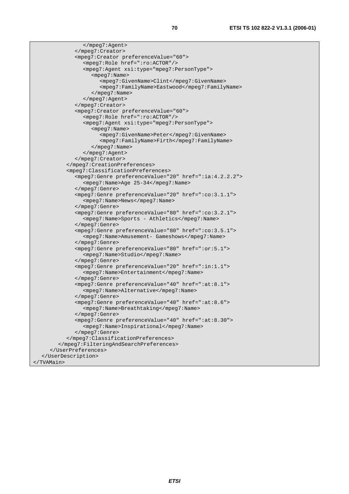```
 </mpeg7:Agent> 
               </mpeg7:Creator> 
               <mpeg7:Creator preferenceValue="60"> 
                 <mpeg7:Role href=":ro:ACTOR"/> 
                 <mpeg7:Agent xsi:type="mpeg7:PersonType"> 
                    <mpeg7:Name> 
                       <mpeg7:GivenName>Clint</mpeg7:GivenName> 
                       <mpeg7:FamilyName>Eastwood</mpeg7:FamilyName> 
                    </mpeg7:Name> 
                 </mpeg7:Agent> 
               </mpeg7:Creator> 
               <mpeg7:Creator preferenceValue="60"> 
                 <mpeg7:Role href=":ro:ACTOR"/> 
                 <mpeg7:Agent xsi:type="mpeg7:PersonType"> 
                    <mpeg7:Name> 
                       <mpeg7:GivenName>Peter</mpeg7:GivenName> 
                       <mpeg7:FamilyName>Firth</mpeg7:FamilyName> 
                    </mpeg7:Name> 
                 </mpeg7:Agent> 
              </mpeg7:Creator> 
            </mpeg7:CreationPreferences> 
            <mpeg7:ClassificationPreferences> 
               <mpeg7:Genre preferenceValue="20" href=":ia:4.2.2.2"> 
                 <mpeg7:Name>Age 25-34</mpeg7:Name> 
               </mpeg7:Genre> 
               <mpeg7:Genre preferenceValue="20" href=":co:3.1.1"> 
                 <mpeg7:Name>News</mpeg7:Name> 
               </mpeg7:Genre> 
               <mpeg7:Genre preferenceValue="80" href=":co:3.2.1"> 
                 <mpeg7:Name>Sports - Athletics</mpeg7:Name> 
              </mpeg7:Genre> 
               <mpeg7:Genre preferenceValue="80" href=":co:3.5.1"> 
                 <mpeg7:Name>Amusement- Gameshows</mpeg7:Name> 
               </mpeg7:Genre> 
               <mpeg7:Genre preferenceValue="80" href=":or:5.1"> 
                 <mpeg7:Name>Studio</mpeg7:Name> 
               </mpeg7:Genre> 
               <mpeg7:Genre preferenceValue="20" href=":in:1.1"> 
                 <mpeg7:Name>Entertainment</mpeg7:Name> 
               </mpeg7:Genre> 
               <mpeg7:Genre preferenceValue="40" href=":at:8.1"> 
                 <mpeg7:Name>Alternative</mpeg7:Name> 
              </mpeg7:Genre> 
               <mpeg7:Genre preferenceValue="40" href=":at:8.6"> 
                 <mpeg7:Name>Breathtaking</mpeg7:Name> 
               </mpeg7:Genre> 
               <mpeg7:Genre preferenceValue="40" href=":at:8.30"> 
                 <mpeg7:Name>Inspirational</mpeg7:Name> 
               </mpeg7:Genre> 
            </mpeg7:ClassificationPreferences> 
         </mpeg7:FilteringAndSearchPreferences> 
      </UserPreferences> 
   </UserDescription> 
</TVAMain>
```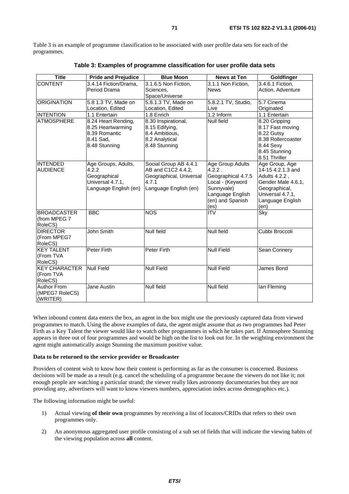Table 3 is an example of programme classification to be associated with user profile data sets for each of the programmes.

| <b>Title</b>         | <b>Pride and Prejudice</b> | <b>Blue Moon</b>        |                     | Goldfinger         |  |  |
|----------------------|----------------------------|-------------------------|---------------------|--------------------|--|--|
| <b>CONTENT</b>       | 3.4.14 Fiction/Drama,      | $3.1.6.5$ Non Fiction,  | 3.1.1 Non Fiction,  |                    |  |  |
|                      | Period Drama               | Sciences.               | <b>News</b>         | Action, Adventure  |  |  |
|                      |                            | Space/Universe          |                     |                    |  |  |
| <b>ORIGINATION</b>   | 5.8 1.3 TV, Made on        | 5.8.1.3 TV, Made on     | 5.8.2.1 TV, Studio, | 5.7 Cinema         |  |  |
|                      | Location, Edited           | Location, Edited        | Live                | Originated         |  |  |
| <b>INTENTION</b>     | 1.1 Entertain              | 1.8 Enrich              | 1.2 Inform          | 1.1 Entertain      |  |  |
| <b>ATMOSPHERE</b>    | 8.24 Heart Rending,        | 8.30 Inspirational,     | Null field          | 8.20 Gripping      |  |  |
|                      | 8.25 Heartwarming          | 8.15 Edifying,          |                     | 8.17 Fast moving   |  |  |
|                      | 8.39 Romantic              | 8.4 Ambitious,          |                     | 8.22 Gutsy         |  |  |
|                      | 8.41 Sad,                  | 8.2 Analytical          |                     | 8.38 Rollercoaster |  |  |
|                      | 8.48 Stunning              | 8.48 Stunning           |                     | 8.44 Sexy          |  |  |
|                      |                            |                         |                     | 8.45 Stunning      |  |  |
|                      |                            |                         |                     | 8.51 Thriller      |  |  |
| <b>INTENDED</b>      | Age Groups, Adults,        | Social Group AB 4.4.1   | Age Group Adults    | Age Group, Age     |  |  |
| <b>AUDIENCE</b>      | 4.2.2                      | AB and C1C2 4.4.2,      | 4.2.2.              | 14-15 4.2.1.3 and  |  |  |
|                      | Geographical               | Geographical, Universal | Geographical 4.7.5  | Adults 4.2.2,      |  |  |
|                      | Universal 4.7.1,           | 4.7.1                   | Local - (Keyword    | Gender Male 4.6.1, |  |  |
|                      | Language English (en)      | Language English (en)   | Sunnyvale)          | Geographical,      |  |  |
|                      |                            |                         | Language English    | Universal 4.7.1,   |  |  |
|                      |                            |                         | (en) and Spanish    | Language English   |  |  |
|                      |                            |                         | (es)                | (en)               |  |  |
| <b>BROADCASTER</b>   | <b>BBC</b>                 | <b>NOS</b>              | <b>ITV</b>          | <b>Sky</b>         |  |  |
| (from MPEG 7         |                            |                         |                     |                    |  |  |
| RoleCS)              |                            |                         |                     |                    |  |  |
| <b>DIRECTOR</b>      | John Smith                 | <b>Null field</b>       | <b>Null field</b>   | Cubbi Broccoli     |  |  |
| (From MPEG7          |                            |                         |                     |                    |  |  |
| RoleCS)              |                            |                         |                     |                    |  |  |
| <b>KEY TALENT</b>    | <b>Peter Firth</b>         | Peter Firth             | <b>Null Field</b>   | Sean Connery       |  |  |
| (From TVA            |                            |                         |                     |                    |  |  |
| RoleCS)              |                            |                         |                     |                    |  |  |
| <b>KEY CHARACTER</b> | <b>Null Field</b>          | <b>Null Field</b>       | <b>Null Field</b>   | James Bond         |  |  |
| (From TVA            |                            |                         |                     |                    |  |  |
| RoleCS)              |                            |                         |                     |                    |  |  |
| <b>Author From</b>   | Jane Austin                | <b>Null field</b>       | <b>Null field</b>   | lan Fleming        |  |  |
| (MPEG7 RoleCS)       |                            |                         |                     |                    |  |  |
| (WRITER)             |                            |                         |                     |                    |  |  |

**Table 3: Examples of programme classification for user profile data sets** 

When inbound content data enters the box, an agent in the box might use the previously captured data from viewed programmes to match. Using the above examples of data, the agent might assume that as two programmes had Peter Firth as a Key Talent the viewer would like to watch other programmes in which he takes part. If Atmosphere Stunning appears in three out of four programmes and would be high on the list to look out for. In the weighting environment the agent might automatically assign Stunning the maximum positive value.

### **Data to be returned to the service provider or Broadcaster**

Providers of content wish to know how their content is performing as far as the consumer is concerned. Business decisions will be made as a result (e.g. cancel the scheduling of a programme because the viewers do not like it; not enough people are watching a particular strand; the viewer really likes astronomy documentaries but they are not providing any, advertisers will want to know viewers numbers, appreciation index across demographics etc.).

The following information might be useful:

- 1) Actual viewing **of their own** programmes by receiving a list of locators/CRIDs that refers to their own programmes only.
- 2) An anonymous aggregated user profile consisting of a sub set of fields that will indicate the viewing habits of the viewing population across **all** content.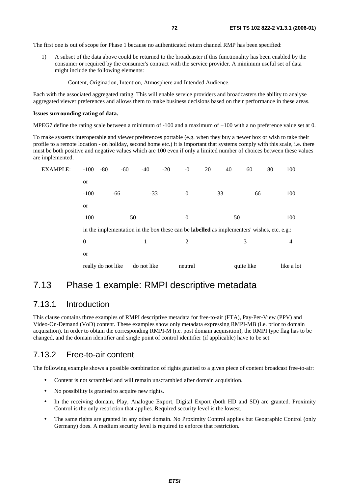The first one is out of scope for Phase 1 because no authenticated return channel RMP has been specified:

1) A subset of the data above could be returned to the broadcaster if this functionality has been enabled by the consumer or required by the consumer's contract with the service provider. A minimum useful set of data might include the following elements:

Content, Origination, Intention, Atmosphere and Intended Audience.

Each with the associated aggregated rating. This will enable service providers and broadcasters the ability to analyse aggregated viewer preferences and allows them to make business decisions based on their performance in these areas.

#### **Issues surrounding rating of data.**

MPEG7 define the rating scale between a minimum of -100 and a maximum of +100 with a no preference value set at 0.

To make systems interoperable and viewer preferences portable (e.g. when they buy a newer box or wish to take their profile to a remote location - on holiday, second home etc.) it is important that systems comply with this scale, i.e. there must be both positive and negative values which are 100 even if only a limited number of choices between these values are implemented.

| EXAMPLE: | $-100 - 80$        | $-60$                                                                                             | $-40$       | $-20$    | $-0$           | 20 | 40 | 60         | 80  | 100            |
|----------|--------------------|---------------------------------------------------------------------------------------------------|-------------|----------|----------------|----|----|------------|-----|----------------|
|          | or                 |                                                                                                   |             |          |                |    |    |            |     |                |
|          | $-100$             | -66                                                                                               | $-33$       |          | $\mathbf{0}$   | 33 |    | 66         |     | 100            |
|          | <b>or</b>          |                                                                                                   |             |          |                |    |    |            |     |                |
|          | $-100$<br>50       |                                                                                                   |             | $\theta$ | 50             |    |    |            | 100 |                |
|          |                    | in the implementation in the box these can be <b>labelled</b> as implementers' wishes, etc. e.g.: |             |          |                |    |    |            |     |                |
|          | $\boldsymbol{0}$   |                                                                                                   |             |          | $\overline{2}$ |    |    | 3          |     | $\overline{4}$ |
|          | <b>or</b>          |                                                                                                   |             |          |                |    |    |            |     |                |
|          | really do not like |                                                                                                   | do not like |          | neutral        |    |    | quite like |     | like a lot     |

## 7.13 Phase 1 example: RMPI descriptive metadata

## 7.13.1 Introduction

This clause contains three examples of RMPI descriptive metadata for free-to-air (FTA), Pay-Per-View (PPV) and Video-On-Demand (VoD) content. These examples show only metadata expressing RMPI-MB (i.e. prior to domain acquisition). In order to obtain the corresponding RMPI-M (i.e. post domain acquisition), the RMPI type flag has to be changed, and the domain identifier and single point of control identifier (if applicable) have to be set.

## 7.13.2 Free-to-air content

The following example shows a possible combination of rights granted to a given piece of content broadcast free-to-air:

- Content is not scrambled and will remain unscrambled after domain acquisition.
- No possibility is granted to acquire new rights.
- In the receiving domain, Play, Analogue Export, Digital Export (both HD and SD) are granted. Proximity Control is the only restriction that applies. Required security level is the lowest.
- The same rights are granted in any other domain. No Proximity Control applies but Geographic Control (only Germany) does. A medium security level is required to enforce that restriction.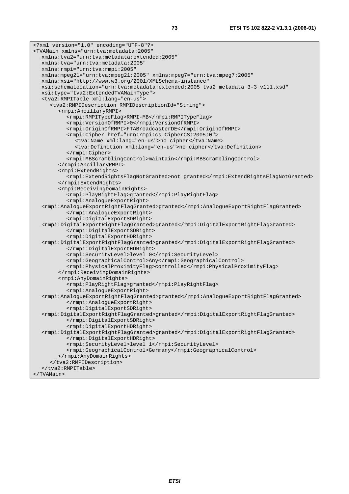<?xml version="1.0" encoding="UTF-8"?> <TVAMain xmlns="urn:tva:metadata:2005" xmlns:tva2="urn:tva:metadata:extended:2005" xmlns:tva="urn:tva:metadata:2005" xmlns:rmpi="urn:tva:rmpi:2005" xmlns:mpeg21="urn:tva:mpeg21:2005" xmlns:mpeg7="urn:tva:mpeg7:2005" xmlns:xsi="http://www.w3.org/2001/XMLSchema-instance" xsi:schemaLocation="urn:tva:metadata:extended:2005 tva2\_metadata\_3-3\_v111.xsd" xsi:type="tva2:ExtendedTVAMainType"> <tva2:RMPITable xml:lang="en-us"> <tva2:RMPIDescription RMPIDescriptionId="String"> <rmpi:AncillaryRMPI> <rmpi:RMPITypeFlag>RMPI-MB</rmpi:RMPITypeFlag> <rmpi:VersionOfRMPI>0</rmpi:VersionOfRMPI> <rmpi:OriginOfRMPI>FTABroadcasterDE</rmpi:OriginOfRMPI> <rmpi:Cipher href="urn:rmpi:cs:CipherCS:2005:0"> <tva:Name xml:lang="en-us">no cipher</tva:Name> <tva:Definition xml:lang="en-us">no cipher</tva:Definition> </rmpi:Cipher> <rmpi:MBScramblingControl>maintain</rmpi:MBScramblingControl> </rmpi:AncillaryRMPI> <rmpi:ExtendRights> <rmpi:ExtendRightsFlagNotGranted>not granted</rmpi:ExtendRightsFlagNotGranted> </rmpi:ExtendRights> <rmpi:ReceivingDomainRights> <rmpi:PlayRightFlag>granted</rmpi:PlayRightFlag> <rmpi:AnalogueExportRight> <rmpi:AnalogueExportRightFlagGranted>granted</rmpi:AnalogueExportRightFlagGranted> </rmpi:AnalogueExportRight> <rmpi:DigitalExportSDRight> <rmpi:DigitalExportRightFlagGranted>granted</rmpi:DigitalExportRightFlagGranted> </rmpi:DigitalExportSDRight> <rmpi:DigitalExportHDRight> <rmpi:DigitalExportRightFlagGranted>granted</rmpi:DigitalExportRightFlagGranted> </rmpi:DigitalExportHDRight> <rmpi:SecurityLevel>level 0</rmpi:SecurityLevel> <rmpi:GeographicalControl>Any</rmpi:GeographicalControl> <rmpi:PhysicalProximityFlag>controlled</rmpi:PhysicalProximityFlag> </rmpi:ReceivingDomainRights> <rmpi:AnyDomainRights> <rmpi:PlayRightFlag>granted</rmpi:PlayRightFlag> <rmpi:AnalogueExportRight> <rmpi:AnalogueExportRightFlagGranted>granted</rmpi:AnalogueExportRightFlagGranted> </rmpi:AnalogueExportRight> <rmpi:DigitalExportSDRight> <rmpi:DigitalExportRightFlagGranted>granted</rmpi:DigitalExportRightFlagGranted> </rmpi:DigitalExportSDRight> <rmpi:DigitalExportHDRight> <rmpi:DigitalExportRightFlagGranted>granted</rmpi:DigitalExportRightFlagGranted> </rmpi:DigitalExportHDRight> <rmpi:SecurityLevel>level 1</rmpi:SecurityLevel> <rmpi:GeographicalControl>Germany</rmpi:GeographicalControl> </rmpi:AnyDomainRights> </tva2:RMPIDescription> </tva2:RMPITable> </TVAMain>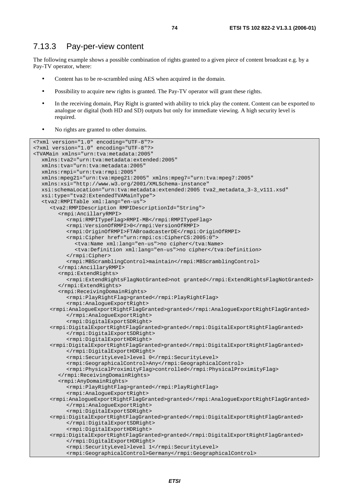### 7.13.3 Pay-per-view content

The following example shows a possible combination of rights granted to a given piece of content broadcast e.g. by a Pay-TV operator, where:

- Content has to be re-scrambled using AES when acquired in the domain.
- Possibility to acquire new rights is granted. The Pay-TV operator will grant these rights.
- In the receiving domain, Play Right is granted with ability to trick play the content. Content can be exported to analogue or digital (both HD and SD) outputs but only for immediate viewing. A high security level is required.
- No rights are granted to other domains.

```
<?xml version="1.0" encoding="UTF-8"?> 
<?xml version="1.0" encoding="UTF-8"?> 
<TVAMain xmlns="urn:tva:metadata:2005" 
   xmlns:tva2="urn:tva:metadata:extended:2005" 
   xmlns:tva="urn:tva:metadata:2005" 
   xmlns:rmpi="urn:tva:rmpi:2005" 
   xmlns:mpeg21="urn:tva:mpeg21:2005" xmlns:mpeg7="urn:tva:mpeg7:2005" 
   xmlns:xsi="http://www.w3.org/2001/XMLSchema-instance" 
   xsi:schemaLocation="urn:tva:metadata:extended:2005 tva2_metadata_3-3_v111.xsd" 
   xsi:type="tva2:ExtendedTVAMainType"> 
   <tva2:RMPITable xml:lang="en-us"> 
      <tva2:RMPIDescription RMPIDescriptionId="String"> 
         <rmpi:AncillaryRMPI> 
            <rmpi:RMPITypeFlag>RMPI-MB</rmpi:RMPITypeFlag> 
            <rmpi:VersionOfRMPI>0</rmpi:VersionOfRMPI> 
            <rmpi:OriginOfRMPI>FTABroadcasterDE</rmpi:OriginOfRMPI> 
            <rmpi:Cipher href="urn:rmpi:cs:CipherCS:2005:0"> 
              <tva:Name xml:lang="en-us">no cipher</tva:Name> 
              <tva:Definition xml:lang="en-us">no cipher</tva:Definition> 
            </rmpi:Cipher> 
            <rmpi:MBScramblingControl>maintain</rmpi:MBScramblingControl> 
         </rmpi:AncillaryRMPI> 
         <rmpi:ExtendRights> 
            <rmpi:ExtendRightsFlagNotGranted>not granted</rmpi:ExtendRightsFlagNotGranted> 
         </rmpi:ExtendRights> 
         <rmpi:ReceivingDomainRights> 
            <rmpi:PlayRightFlag>granted</rmpi:PlayRightFlag> 
            <rmpi:AnalogueExportRight> 
      <rmpi:AnalogueExportRightFlagGranted>granted</rmpi:AnalogueExportRightFlagGranted> 
            </rmpi:AnalogueExportRight> 
            <rmpi:DigitalExportSDRight> 
      <rmpi:DigitalExportRightFlagGranted>granted</rmpi:DigitalExportRightFlagGranted> 
            </rmpi:DigitalExportSDRight> 
            <rmpi:DigitalExportHDRight> 
      <rmpi:DigitalExportRightFlagGranted>granted</rmpi:DigitalExportRightFlagGranted> 
            </rmpi:DigitalExportHDRight> 
            <rmpi:SecurityLevel>level 0</rmpi:SecurityLevel> 
            <rmpi:GeographicalControl>Any</rmpi:GeographicalControl> 
            <rmpi:PhysicalProximityFlag>controlled</rmpi:PhysicalProximityFlag> 
         </rmpi:ReceivingDomainRights> 
         <rmpi:AnyDomainRights> 
           <rmpi:PlayRightFlag>granted</rmpi:PlayRightFlag> 
            <rmpi:AnalogueExportRight> 
      <rmpi:AnalogueExportRightFlagGranted>granted</rmpi:AnalogueExportRightFlagGranted> 
            </rmpi:AnalogueExportRight> 
            <rmpi:DigitalExportSDRight> 
      <rmpi:DigitalExportRightFlagGranted>granted</rmpi:DigitalExportRightFlagGranted> 
            </rmpi:DigitalExportSDRight> 
            <rmpi:DigitalExportHDRight> 
      <rmpi:DigitalExportRightFlagGranted>granted</rmpi:DigitalExportRightFlagGranted> 
           </rmpi:DigitalExportHDRight> 
            <rmpi:SecurityLevel>level 1</rmpi:SecurityLevel> 
            <rmpi:GeographicalControl>Germany</rmpi:GeographicalControl>
```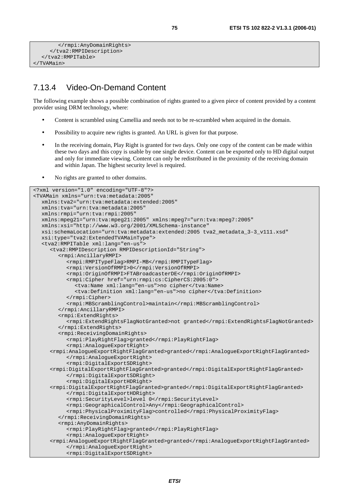```
 </rmpi:AnyDomainRights> 
      </tva2:RMPIDescription> 
   </tva2:RMPITable> 
</TVAMain>
```
## 7.13.4 Video-On-Demand Content

The following example shows a possible combination of rights granted to a given piece of content provided by a content provider using DRM technology, where:

- Content is scrambled using Camellia and needs not to be re-scrambled when acquired in the domain.
- Possibility to acquire new rights is granted. An URL is given for that purpose.
- In the receiving domain, Play Right is granted for two days. Only one copy of the content can be made within these two days and this copy is usable by one single device. Content can be exported only to HD digital output and only for immediate viewing. Content can only be redistributed in the proximity of the receiving domain and within Japan. The highest security level is required.
- No rights are granted to other domains.

```
<?xml version="1.0" encoding="UTF-8"?> 
<TVAMain xmlns="urn:tva:metadata:2005" 
   xmlns:tva2="urn:tva:metadata:extended:2005" 
   xmlns:tva="urn:tva:metadata:2005" 
   xmlns:rmpi="urn:tva:rmpi:2005" 
   xmlns:mpeg21="urn:tva:mpeg21:2005" xmlns:mpeg7="urn:tva:mpeg7:2005" 
   xmlns:xsi="http://www.w3.org/2001/XMLSchema-instance" 
   xsi:schemaLocation="urn:tva:metadata:extended:2005 tva2_metadata_3-3_v111.xsd" 
   xsi:type="tva2:ExtendedTVAMainType"> 
   <tva2:RMPITable xml:lang="en-us"> 
      <tva2:RMPIDescription RMPIDescriptionId="String"> 
         <rmpi:AncillaryRMPI> 
           <rmpi:RMPITypeFlag>RMPI-MB</rmpi:RMPITypeFlag> 
            <rmpi:VersionOfRMPI>0</rmpi:VersionOfRMPI> 
           <rmpi:OriginOfRMPI>FTABroadcasterDE</rmpi:OriginOfRMPI> 
            <rmpi:Cipher href="urn:rmpi:cs:CipherCS:2005:0"> 
              <tva:Name xml:lang="en-us">no cipher</tva:Name> 
              <tva:Definition xml:lang="en-us">no cipher</tva:Definition> 
            </rmpi:Cipher> 
           <rmpi:MBScramblingControl>maintain</rmpi:MBScramblingControl>
         </rmpi:AncillaryRMPI> 
         <rmpi:ExtendRights> 
            <rmpi:ExtendRightsFlagNotGranted>not granted</rmpi:ExtendRightsFlagNotGranted> 
         </rmpi:ExtendRights> 
         <rmpi:ReceivingDomainRights> 
            <rmpi:PlayRightFlag>granted</rmpi:PlayRightFlag> 
            <rmpi:AnalogueExportRight> 
      <rmpi:AnalogueExportRightFlagGranted>granted</rmpi:AnalogueExportRightFlagGranted> 
            </rmpi:AnalogueExportRight> 
            <rmpi:DigitalExportSDRight> 
      <rmpi:DigitalExportRightFlagGranted>granted</rmpi:DigitalExportRightFlagGranted> 
           </rmpi:DigitalExportSDRight> 
            <rmpi:DigitalExportHDRight> 
      <rmpi:DigitalExportRightFlagGranted>granted</rmpi:DigitalExportRightFlagGranted> 
           </rmpi:DigitalExportHDRight> 
            <rmpi:SecurityLevel>level 0</rmpi:SecurityLevel> 
           <rmpi:GeographicalControl>Any</rmpi:GeographicalControl> 
            <rmpi:PhysicalProximityFlag>controlled</rmpi:PhysicalProximityFlag> 
         </rmpi:ReceivingDomainRights> 
         <rmpi:AnyDomainRights> 
            <rmpi:PlayRightFlag>granted</rmpi:PlayRightFlag> 
            <rmpi:AnalogueExportRight> 
      <rmpi:AnalogueExportRightFlagGranted>granted</rmpi:AnalogueExportRightFlagGranted> 
            </rmpi:AnalogueExportRight> 
            <rmpi:DigitalExportSDRight>
```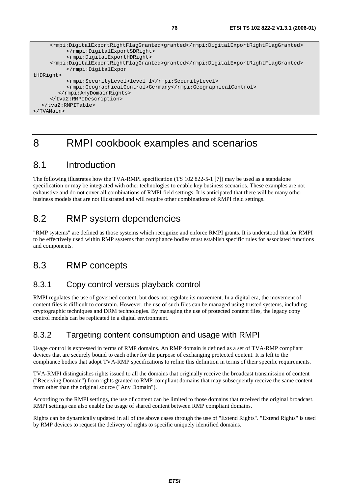```
 <rmpi:DigitalExportRightFlagGranted>granted</rmpi:DigitalExportRightFlagGranted> 
            </rmpi:DigitalExportSDRight> 
            <rmpi:DigitalExportHDRight> 
      <rmpi:DigitalExportRightFlagGranted>granted</rmpi:DigitalExportRightFlagGranted> 
            </rmpi:DigitalExpor 
tHDRight> 
            <rmpi:SecurityLevel>level 1</rmpi:SecurityLevel> 
            <rmpi:GeographicalControl>Germany</rmpi:GeographicalControl> 
         </rmpi:AnyDomainRights> 
      </tva2:RMPIDescription> 
   </tva2:RMPITable> 
</TVAMain>
```
# 8 RMPI cookbook examples and scenarios

## 8.1 Introduction

The following illustrates how the TVA-RMPI specification (TS 102 822-5-1 [7]) may be used as a standalone specification or may be integrated with other technologies to enable key business scenarios. These examples are not exhaustive and do not cover all combinations of RMPI field settings. It is anticipated that there will be many other business models that are not illustrated and will require other combinations of RMPI field settings.

# 8.2 RMP system dependencies

"RMP systems" are defined as those systems which recognize and enforce RMPI grants. It is understood that for RMPI to be effectively used within RMP systems that compliance bodies must establish specific rules for associated functions and components.

## 8.3 RMP concepts

### 8.3.1 Copy control versus playback control

RMPI regulates the use of governed content, but does not regulate its movement. In a digital era, the movement of content files is difficult to constrain. However, the use of such files can be managed using trusted systems, including cryptographic techniques and DRM technologies. By managing the use of protected content files, the legacy copy control models can be replicated in a digital environment.

### 8.3.2 Targeting content consumption and usage with RMPI

Usage control is expressed in terms of RMP domains. An RMP domain is defined as a set of TVA-RMP compliant devices that are securely bound to each other for the purpose of exchanging protected content. It is left to the compliance bodies that adopt TVA-RMP specifications to refine this definition in terms of their specific requirements.

TVA-RMPI distinguishes rights issued to all the domains that originally receive the broadcast transmission of content ("Receiving Domain") from rights granted to RMP-compliant domains that may subsequently receive the same content from other than the original source ("Any Domain").

According to the RMPI settings, the use of content can be limited to those domains that received the original broadcast. RMPI settings can also enable the usage of shared content between RMP compliant domains.

Rights can be dynamically updated in all of the above cases through the use of "Extend Rights". "Extend Rights" is used by RMP devices to request the delivery of rights to specific uniquely identified domains.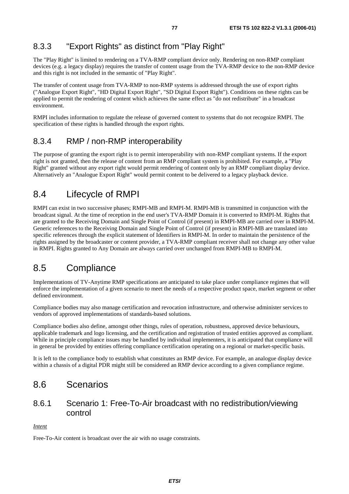## 8.3.3 "Export Rights" as distinct from "Play Right"

The "Play Right" is limited to rendering on a TVA-RMP compliant device only. Rendering on non-RMP compliant devices (e.g. a legacy display) requires the transfer of content usage from the TVA-RMP device to the non-RMP device and this right is not included in the semantic of "Play Right".

The transfer of content usage from TVA-RMP to non-RMP systems is addressed through the use of export rights ("Analogue Export Right", "HD Digital Export Right", "SD Digital Export Right"). Conditions on these rights can be applied to permit the rendering of content which achieves the same effect as "do not redistribute" in a broadcast environment.

RMPI includes information to regulate the release of governed content to systems that do not recognize RMPI. The specification of these rights is handled through the export rights.

### 8.3.4 RMP / non-RMP interoperability

The purpose of granting the export right is to permit interoperability with non-RMP compliant systems. If the export right is not granted, then the release of content from an RMP compliant system is prohibited. For example, a "Play Right" granted without any export right would permit rendering of content only by an RMP compliant display device. Alternatively an "Analogue Export Right" would permit content to be delivered to a legacy playback device.

## 8.4 Lifecycle of RMPI

RMPI can exist in two successive phases; RMPI-MB and RMPI-M. RMPI-MB is transmitted in conjunction with the broadcast signal. At the time of reception in the end user's TVA-RMP Domain it is converted to RMPI-M. Rights that are granted to the Receiving Domain and Single Point of Control (if present) in RMPI-MB are carried over in RMPI-M. Generic references to the Receiving Domain and Single Point of Control (if present) in RMPI-MB are translated into specific references through the explicit statement of Identifiers in RMPI-M. In order to maintain the persistence of the rights assigned by the broadcaster or content provider, a TVA-RMP compliant receiver shall not change any other value in RMPI. Rights granted to Any Domain are always carried over unchanged from RMPI-MB to RMPI-M.

## 8.5 Compliance

Implementations of TV-Anytime RMP specifications are anticipated to take place under compliance regimes that will enforce the implementation of a given scenario to meet the needs of a respective product space, market segment or other defined environment.

Compliance bodies may also manage certification and revocation infrastructure, and otherwise administer services to vendors of approved implementations of standards-based solutions.

Compliance bodies also define, amongst other things, rules of operation, robustness, approved device behaviours, applicable trademark and logo licensing, and the certification and registration of trusted entities approved as compliant. While in principle compliance issues may be handled by individual implementers, it is anticipated that compliance will in general be provided by entities offering compliance certification operating on a regional or market-specific basis.

It is left to the compliance body to establish what constitutes an RMP device. For example, an analogue display device within a chassis of a digital PDR might still be considered an RMP device according to a given compliance regime.

## 8.6 Scenarios

### 8.6.1 Scenario 1: Free-To-Air broadcast with no redistribution/viewing control

### *Intent*

Free-To-Air content is broadcast over the air with no usage constraints.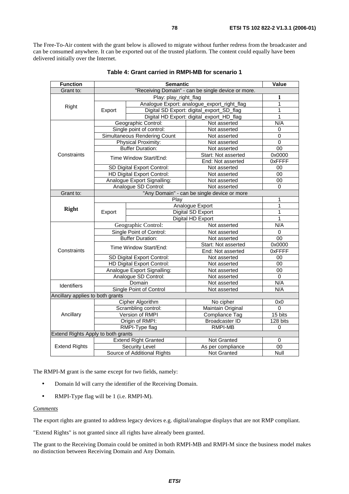The Free-To-Air content with the grant below is allowed to migrate without further redress from the broadcaster and can be consumed anywhere. It can be exported out of the trusted platform. The content could equally have been delivered initially over the Internet.

| <b>Function</b>                    |                                                    | <b>Value</b>                      |                                             |                 |
|------------------------------------|----------------------------------------------------|-----------------------------------|---------------------------------------------|-----------------|
| Grant to:                          | "Receiving Domain" - can be single device or more. |                                   |                                             |                 |
|                                    | Play: play_right_flag                              |                                   | 1                                           |                 |
|                                    |                                                    |                                   | Analogue Export: analogue_export_right_flag | 1               |
| Right                              | Export                                             |                                   | Digital SD Export: digital_export_SD_flag   | 1               |
|                                    |                                                    |                                   | Digital HD Export: digital_export_HD_flag   | 1               |
|                                    |                                                    | Geographic Control:               | Not asserted                                | N/A             |
|                                    |                                                    | Single point of control:          | Not asserted                                | $\mathbf 0$     |
|                                    |                                                    | Simultaneous Rendering Count      | Not asserted                                | $\mathbf 0$     |
|                                    |                                                    | Physical Proximity:               | Not asserted                                | 0               |
|                                    |                                                    | <b>Buffer Duration:</b>           | Not asserted                                | $\overline{00}$ |
| Constraints                        |                                                    |                                   | Start: Not asserted                         | 0x0000          |
|                                    |                                                    | Time Window Start/End:            | End: Not asserted                           | 0xFFFF          |
|                                    |                                                    | SD Digital Export Control:        | Not asserted                                | 00              |
|                                    |                                                    | <b>HD Digital Export Control:</b> | Not asserted                                | $\overline{00}$ |
|                                    |                                                    | Analogue Export Signalling:       | Not asserted                                | 00              |
|                                    |                                                    | Analogue SD Control:              | Not asserted                                | $\Omega$        |
| Grant to:                          |                                                    |                                   | "Any Domain" - can be single device or more |                 |
|                                    | Plav                                               |                                   |                                             | 1               |
|                                    |                                                    |                                   | Analogue Export                             | 1               |
| <b>Right</b>                       | Export                                             |                                   | Digital SD Export                           | 1               |
|                                    |                                                    |                                   | Digital HD Export                           | 1               |
|                                    | Geographic Control:                                |                                   | Not asserted                                | N/A             |
|                                    | Single Point of Control:                           |                                   | Not asserted                                | 0               |
|                                    | <b>Buffer Duration:</b>                            |                                   | Not asserted                                | 00              |
|                                    | Time Window Start/End:                             |                                   | Start: Not asserted                         | 0x0000          |
| Constraints                        |                                                    |                                   | End: Not asserted                           | 0xFFFF          |
|                                    | SD Digital Export Control:                         |                                   | Not asserted                                | 00              |
|                                    | HD Digital Export Control:                         |                                   | Not asserted                                | $00\,$          |
|                                    |                                                    | Analogue Export Signalling:       | Not asserted                                | 00              |
|                                    |                                                    | Analogue SD Control:              | Not asserted                                | 0               |
| <b>Identifiers</b>                 |                                                    | Domain                            | Not asserted                                | N/A             |
|                                    |                                                    | Single Point of Control           | Not asserted                                | N/A             |
| Ancillary applies to both grants   |                                                    |                                   |                                             |                 |
|                                    |                                                    | <b>Cipher Algorithm</b>           | No cipher                                   | 0x0             |
| Ancillary                          |                                                    | Scrambling control:               | Maintain Original                           | $\Omega$        |
|                                    | Version of RMPI                                    |                                   | Compliance Tag                              | 15 bits         |
|                                    | Origin of RMPI:                                    |                                   | <b>Broadcaster ID</b>                       | 128 bits        |
|                                    |                                                    | RMPI-Type flag                    | RMPI-MB                                     | 0               |
| Extend Rights Apply to both grants |                                                    |                                   |                                             |                 |
|                                    |                                                    | <b>Extend Right Granted</b>       | Not Granted                                 | 0               |
| <b>Extend Rights</b>               |                                                    | Security Level                    | As per compliance                           | 00              |
|                                    | Source of Additional Rights                        |                                   | Not Granted                                 | Null            |

| Table 4: Grant carried in RMPI-MB for scenario 1 |  |
|--------------------------------------------------|--|
|--------------------------------------------------|--|

The RMPI-M grant is the same except for two fields, namely:

- Domain Id will carry the identifier of the Receiving Domain.
- RMPI-Type flag will be 1 (i.e. RMPI-M).

### *Comments*

The export rights are granted to address legacy devices e.g. digital/analogue displays that are not RMP compliant.

"Extend Rights" is not granted since all rights have already been granted.

The grant to the Receiving Domain could be omitted in both RMPI-MB and RMPI-M since the business model makes no distinction between Receiving Domain and Any Domain.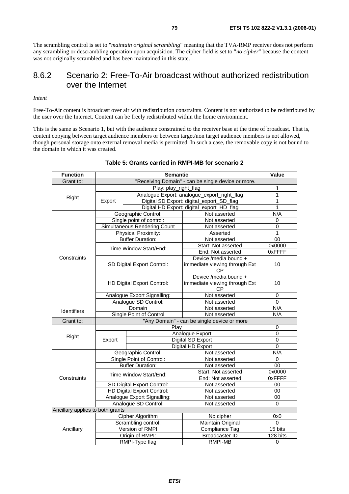The scrambling control is set to "*maintain original scrambling*" meaning that the TVA-RMP receiver does not perform any scrambling or descrambling operation upon acquisition. The cipher field is set to "*no cipher*" because the content was not originally scrambled and has been maintained in this state.

### 8.6.2 Scenario 2: Free-To-Air broadcast without authorized redistribution over the Internet

#### *Intent*

Free-To-Air content is broadcast over air with redistribution constraints. Content is not authorized to be redistributed by the user over the Internet. Content can be freely redistributed within the home environment.

This is the same as Scenario 1, but with the audience constrained to the receiver base at the time of broadcast. That is, content copying between target audience members or between target/non target audience members is not allowed, though personal storage onto external removal media is permitted. In such a case, the removable copy is not bound to the domain in which it was created.

| <b>Function</b>                  |                                   | <b>Semantic</b>                             |                                                                     | Value           |
|----------------------------------|-----------------------------------|---------------------------------------------|---------------------------------------------------------------------|-----------------|
| Grant to:                        |                                   |                                             |                                                                     |                 |
|                                  | Play: play_right_flag             |                                             |                                                                     | 1               |
|                                  |                                   |                                             | Analogue Export: analogue_export_right_flag                         | $\overline{1}$  |
| Right                            | Export                            |                                             | Digital SD Export: digital_export_SD_flag                           | 1               |
|                                  |                                   |                                             | Digital HD Export: digital_export_HD_flag                           | 1               |
|                                  |                                   | Geographic Control:                         | Not asserted                                                        | N/A             |
|                                  |                                   | Single point of control:                    | Not asserted                                                        | $\mathbf 0$     |
|                                  |                                   | Simultaneous Rendering Count                | Not asserted                                                        | 0               |
|                                  |                                   | Physical Proximity:                         | Asserted                                                            | 1               |
|                                  |                                   | <b>Buffer Duration:</b>                     | Not asserted                                                        | $\overline{00}$ |
|                                  |                                   | Time Window Start/End:                      | Start: Not asserted                                                 | 0x0000          |
|                                  |                                   |                                             | End: Not asserted                                                   | 0xFFFF          |
| Constraints                      |                                   |                                             | Device /media bound +                                               |                 |
|                                  |                                   | SD Digital Export Control:                  | immediate viewing through Ext<br>СP                                 | 10              |
|                                  | <b>HD Digital Export Control:</b> |                                             | Device /media bound +<br>immediate viewing through Ext<br><b>CP</b> | 10              |
|                                  |                                   | Analogue Export Signalling:                 | Not asserted                                                        | 0               |
|                                  | Analogue SD Control:              |                                             | Not asserted                                                        | $\mathbf 0$     |
| <b>Identifiers</b>               | Domain<br>Single Point of Control |                                             | Not asserted                                                        | N/A             |
|                                  |                                   |                                             | Not asserted                                                        | N/A             |
| Grant to:                        |                                   | "Any Domain" - can be single device or more |                                                                     |                 |
|                                  |                                   | Play                                        |                                                                     | 0               |
| Right                            |                                   |                                             | Analogue Export                                                     | $\mathbf 0$     |
|                                  | Export                            |                                             | Digital SD Export                                                   | $\overline{0}$  |
|                                  |                                   | Digital HD Export                           |                                                                     | $\mathbf 0$     |
|                                  | Geographic Control:               |                                             | Not asserted                                                        | N/A             |
|                                  | Single Point of Control:          |                                             | Not asserted                                                        | 0               |
|                                  |                                   | <b>Buffer Duration:</b>                     | Not asserted                                                        | $\overline{00}$ |
|                                  |                                   | Time Window Start/End:                      | Start: Not asserted                                                 | 0x0000          |
| Constraints                      |                                   |                                             | End: Not asserted                                                   | 0xFFFF          |
|                                  |                                   | SD Digital Export Control:                  | Not asserted                                                        | 00              |
|                                  |                                   | HD Digital Export Control:                  | Not asserted                                                        | 00              |
|                                  | Analogue Export Signalling:       |                                             | Not asserted                                                        | 00              |
|                                  | Analogue SD Control:              |                                             | Not asserted                                                        | $\Omega$        |
| Ancillary applies to both grants |                                   |                                             |                                                                     |                 |
|                                  |                                   | Cipher Algorithm                            | No cipher                                                           | 0x0             |
|                                  |                                   | Scrambling control:<br>Version of RMPI      | Maintain Original                                                   | 0<br>15 bits    |
| Ancillary                        |                                   |                                             | Compliance Tag                                                      |                 |
|                                  |                                   | Origin of RMPI:                             | <b>Broadcaster ID</b>                                               | 128 bits        |
|                                  | RMPI-Type flag                    |                                             | RMPI-MB                                                             | 0               |

#### **Table 5: Grants carried in RMPI-MB for scenario 2**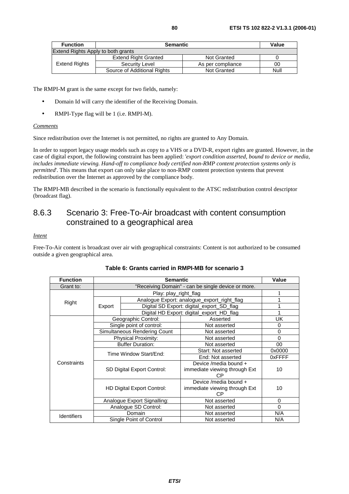| <b>Function</b> | <b>Semantic</b>                    | Value              |      |  |  |  |
|-----------------|------------------------------------|--------------------|------|--|--|--|
|                 | Extend Rights Apply to both grants |                    |      |  |  |  |
| Extend Rights   | <b>Extend Right Granted</b>        | <b>Not Granted</b> |      |  |  |  |
|                 | Security Level                     | As per compliance  | 00   |  |  |  |
|                 | Source of Additional Rights        | <b>Not Granted</b> | Null |  |  |  |

- Domain Id will carry the identifier of the Receiving Domain.
- RMPI-Type flag will be 1 (i.e. RMPI-M).

### *Comments*

Since redistribution over the Internet is not permitted, no rights are granted to Any Domain.

In order to support legacy usage models such as copy to a VHS or a DVD-R, export rights are granted. However, in the case of digital export, the following constraint has been applied: '*export condition asserted, bound to device or media, includes immediate viewing. Hand-off to compliance body certified non-RMP content protection systems only is permitted*'. This means that export can only take place to non-RMP content protection systems that prevent redistribution over the Internet as approved by the compliance body.

The RMPI-MB described in the scenario is functionally equivalent to the ATSC redistribution control descriptor (broadcast flag).

### 8.6.3 Scenario 3: Free-To-Air broadcast with content consumption constrained to a geographical area

### *Intent*

Free-To-Air content is broadcast over air with geographical constraints: Content is not authorized to be consumed outside a given geographical area.

| <b>Function</b>    |                                   | Value                                              |                                             |          |  |
|--------------------|-----------------------------------|----------------------------------------------------|---------------------------------------------|----------|--|
| Grant to:          |                                   | "Receiving Domain" - can be single device or more. |                                             |          |  |
|                    |                                   | Play: play_right_flag                              |                                             |          |  |
| Right              |                                   |                                                    | Analogue Export: analogue_export_right_flag |          |  |
|                    | Export                            |                                                    | Digital SD Export: digital_export_SD_flag   |          |  |
|                    |                                   |                                                    | Digital HD Export: digital_export_HD_flag   | 1        |  |
|                    |                                   | Geographic Control:                                | Asserted                                    | UK       |  |
|                    |                                   | Single point of control:                           | Not asserted                                | 0        |  |
|                    |                                   | Simultaneous Rendering Count                       | Not asserted                                | $\Omega$ |  |
|                    | <b>Physical Proximity:</b>        |                                                    | Not asserted                                | 0        |  |
|                    | <b>Buffer Duration:</b>           |                                                    | Not asserted                                | 00       |  |
|                    | Time Window Start/End:            |                                                    | Start: Not asserted                         | 0x0000   |  |
|                    |                                   |                                                    | End: Not asserted                           | 0xFFFF   |  |
| Constraints        | SD Digital Export Control:        |                                                    | Device /media bound +                       |          |  |
|                    |                                   |                                                    | immediate viewing through Ext               | 10       |  |
|                    |                                   |                                                    | СP                                          |          |  |
|                    | <b>HD Digital Export Control:</b> |                                                    | Device /media bound +                       |          |  |
|                    |                                   |                                                    | immediate viewing through Ext               | 10       |  |
|                    |                                   |                                                    | <b>CP</b>                                   |          |  |
|                    |                                   | Analogue Export Signalling:                        | Not asserted                                | $\Omega$ |  |
|                    |                                   | Analogue SD Control:                               | Not asserted                                | $\Omega$ |  |
| <b>Identifiers</b> |                                   | Domain                                             | Not asserted                                | N/A      |  |
|                    | Single Point of Control           |                                                    | Not asserted                                | N/A      |  |

### **Table 6: Grants carried in RMPI-MB for scenario 3**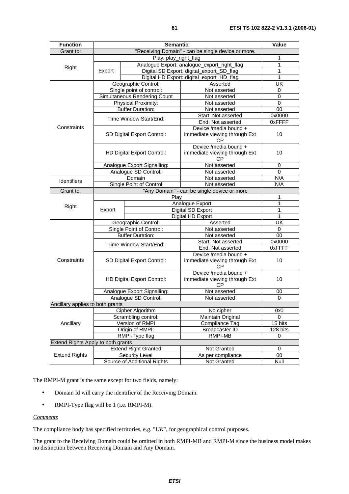| <b>Function</b>                    |                                             | <b>Value</b>                                |                                                                     |             |  |
|------------------------------------|---------------------------------------------|---------------------------------------------|---------------------------------------------------------------------|-------------|--|
| Grant to:                          |                                             |                                             | "Receiving Domain" - can be single device or more.                  |             |  |
|                                    | Play: play_right_flag                       |                                             |                                                                     |             |  |
|                                    |                                             | Analogue Export: analogue_export_right_flag |                                                                     | 1           |  |
| Right                              | Export                                      |                                             | Digital SD Export: digital_export_SD_flag                           | 1           |  |
|                                    |                                             |                                             | Digital HD Export: digital_export_HD_flag                           | 1           |  |
|                                    |                                             | Geographic Control:                         | Asserted                                                            | UK          |  |
|                                    |                                             | Single point of control:                    | Not asserted                                                        | 0           |  |
|                                    |                                             | Simultaneous Rendering Count                | Not asserted                                                        | 0           |  |
|                                    |                                             | Physical Proximity:                         | Not asserted                                                        | $\mathbf 0$ |  |
|                                    |                                             | <b>Buffer Duration:</b>                     | Not asserted                                                        | 00          |  |
|                                    |                                             | Time Window Start/End:                      | Start: Not asserted                                                 | 0x0000      |  |
|                                    |                                             |                                             | End: Not asserted                                                   | 0xFFFF      |  |
| Constraints                        |                                             |                                             | Device /media bound +                                               | 10          |  |
|                                    |                                             | SD Digital Export Control:                  | immediate viewing through Ext<br><b>CP</b>                          |             |  |
|                                    |                                             |                                             | Device /media bound +                                               |             |  |
|                                    |                                             | <b>HD Digital Export Control:</b>           | immediate viewing through Ext<br>СP                                 | 10          |  |
|                                    |                                             | Analogue Export Signalling:                 | Not asserted                                                        | 0           |  |
|                                    |                                             | Analogue SD Control:                        | Not asserted                                                        | 0           |  |
| <b>Identifiers</b>                 | Domain                                      |                                             | Not asserted                                                        | N/A         |  |
|                                    | Single Point of Control<br>Not asserted     |                                             | N/A                                                                 |             |  |
| Grant to:                          | "Any Domain" - can be single device or more |                                             |                                                                     |             |  |
|                                    | Play                                        |                                             |                                                                     | 1           |  |
| Right                              |                                             |                                             | Analogue Export                                                     | 1           |  |
|                                    | Export                                      |                                             | Digital SD Export                                                   | 1           |  |
|                                    |                                             |                                             | Digital HD Export                                                   | 1           |  |
|                                    |                                             | Geographic Control:                         | Asserted                                                            | UK          |  |
|                                    | Single Point of Control:                    |                                             | Not asserted                                                        | $\mathbf 0$ |  |
|                                    | <b>Buffer Duration:</b>                     |                                             | Not asserted                                                        | 00          |  |
|                                    | Time Window Start/End:                      |                                             | Start: Not asserted<br>End: Not asserted                            | 0x0000      |  |
|                                    |                                             |                                             |                                                                     | 0xFFFF      |  |
| Constraints                        | SD Digital Export Control:                  |                                             | Device /media bound +<br>immediate viewing through Ext<br>СP        | 10          |  |
|                                    | HD Digital Export Control:                  |                                             | Device /media bound +<br>immediate viewing through Ext<br><b>CP</b> | 10          |  |
|                                    |                                             | Analogue Export Signalling:                 | Not asserted                                                        | 00          |  |
|                                    | Analogue SD Control:<br>Not asserted        |                                             |                                                                     | 0           |  |
| Ancillary applies to both grants   |                                             |                                             |                                                                     |             |  |
|                                    |                                             | Cipher Algorithm                            | No cipher                                                           | 0x0         |  |
|                                    |                                             | Scrambling control:                         | Maintain Original                                                   | 0           |  |
| Ancillary                          | Version of RMPI                             |                                             | Compliance Tag                                                      | 15 bits     |  |
|                                    |                                             | Origin of RMPI:                             | <b>Broadcaster ID</b>                                               | 128 bits    |  |
|                                    |                                             | RMPI-Type flag                              | <b>RMPI-MB</b>                                                      | 0           |  |
| Extend Rights Apply to both grants |                                             |                                             |                                                                     |             |  |
|                                    |                                             | <b>Extend Right Granted</b>                 | Not Granted                                                         | $\pmb{0}$   |  |
| <b>Extend Rights</b>               |                                             | <b>Security Level</b>                       | As per compliance                                                   | 00          |  |
|                                    |                                             | Source of Additional Rights                 | Not Granted                                                         | Null        |  |

- Domain Id will carry the identifier of the Receiving Domain.
- RMPI-Type flag will be 1 (i.e. RMPI-M).

### *Comments*

The compliance body has specified territories, e.g. "*UK*", for geographical control purposes.

The grant to the Receiving Domain could be omitted in both RMPI-MB and RMPI-M since the business model makes no distinction between Receiving Domain and Any Domain.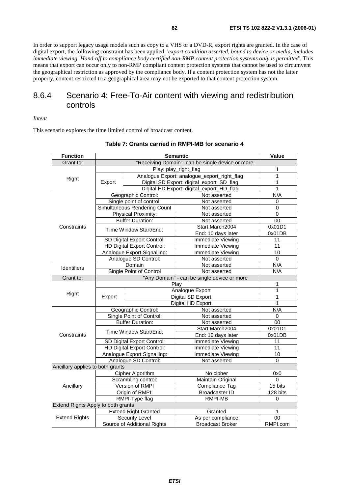In order to support legacy usage models such as copy to a VHS or a DVD-R, export rights are granted. In the case of digital export, the following constraint has been applied: '*export condition asserted, bound to device or media, includes immediate viewing. Hand-off to compliance body certified non-RMP content protection systems only is permitted*'. This means that export can occur only to non-RMP compliant content protection systems that cannot be used to circumvent the geographical restriction as approved by the compliance body. If a content protection system has not the latter property, content restricted to a geographical area may not be exported to that content protection system.

### 8.6.4 Scenario 4: Free-To-Air content with viewing and redistribution controls

*Intent*

This scenario explores the time limited control of broadcast content.

| <b>Function</b>                    |                                                     | Value                             |                                             |                 |  |
|------------------------------------|-----------------------------------------------------|-----------------------------------|---------------------------------------------|-----------------|--|
| Grant to:                          | "Receiving Domain"- can be single device or more.   |                                   |                                             |                 |  |
|                                    | Play: play_right_flag                               |                                   |                                             | 1               |  |
|                                    |                                                     |                                   | Analogue Export: analogue_export_right_flag | 1               |  |
| Right                              | Export                                              |                                   | Digital SD Export: digital_export_SD_flag   | 1               |  |
|                                    |                                                     |                                   | Digital HD Export: digital_export_HD_flag   | 1               |  |
|                                    |                                                     | Geographic Control:               | Not asserted                                | N/A             |  |
|                                    |                                                     | Single point of control:          | Not asserted                                | 0               |  |
|                                    |                                                     | Simultaneous Rendering Count      | Not asserted                                | 0               |  |
|                                    |                                                     | Physical Proximity:               | Not asserted                                | $\overline{0}$  |  |
|                                    |                                                     | <b>Buffer Duration:</b>           | Not asserted                                | 00              |  |
| Constraints                        |                                                     | Time Window Start/End:            | Start:March2004                             | 0x01D1          |  |
|                                    |                                                     |                                   | End: 10 days later                          | 0x01DB          |  |
|                                    |                                                     | SD Digital Export Control:        | Immediate Viewing                           | 11              |  |
|                                    |                                                     | <b>HD Digital Export Control:</b> | <b>Immediate Viewing</b>                    | 11              |  |
|                                    |                                                     | Analogue Export Signalling:       | Immediate Viewing                           | 10              |  |
|                                    |                                                     | Analogue SD Control:              | Not asserted                                | $\mathbf 0$     |  |
| <b>Identifiers</b>                 | Domain                                              |                                   | Not asserted                                | N/A             |  |
|                                    | Single Point of Control                             |                                   | Not asserted                                | N/A             |  |
| Grant to:                          | "Any Domain" - can be single device or more<br>Play |                                   |                                             |                 |  |
|                                    |                                                     | 1                                 |                                             |                 |  |
| Right                              | Export                                              |                                   | Analogue Export                             | 1               |  |
|                                    |                                                     |                                   | <b>Digital SD Export</b>                    | 1               |  |
|                                    |                                                     |                                   | Digital HD Export                           | 1               |  |
|                                    | Geographic Control:                                 |                                   | Not asserted                                | N/A             |  |
|                                    | Single Point of Control:                            |                                   | Not asserted                                | 0               |  |
|                                    | <b>Buffer Duration:</b>                             |                                   | Not asserted                                | 00              |  |
|                                    | Time Window Start/End:                              |                                   | Start:March2004                             | 0x01D1          |  |
| Constraints                        |                                                     |                                   | End: 10 days later                          | 0x01DB          |  |
|                                    | SD Digital Export Control:                          |                                   | Immediate Viewing                           | 11              |  |
|                                    |                                                     | HD Digital Export Control:        | Immediate Viewing                           | 11              |  |
|                                    | Analogue Export Signalling:                         |                                   | <b>Immediate Viewing</b>                    | $\overline{10}$ |  |
|                                    |                                                     | Analogue SD Control:              | Not asserted                                | $\Omega$        |  |
| Ancillary applies to both grants   |                                                     |                                   |                                             |                 |  |
| Ancillary                          |                                                     | Cipher Algorithm                  | No cipher                                   | 0x0             |  |
|                                    |                                                     | Scrambling control:               | Maintain Original                           | 0               |  |
|                                    |                                                     | Version of RMPI                   | Compliance Tag                              | 15 bits         |  |
|                                    | Origin of RMPI:                                     |                                   | <b>Broadcaster ID</b>                       | 128 bits        |  |
|                                    |                                                     | RMPI-Type flag                    | <b>RMPI-MB</b>                              | 0               |  |
| Extend Rights Apply to both grants |                                                     |                                   |                                             |                 |  |
|                                    |                                                     | <b>Extend Right Granted</b>       | Granted                                     | 1               |  |
| <b>Extend Rights</b>               |                                                     | <b>Security Level</b>             | As per compliance                           | 00              |  |
|                                    |                                                     | Source of Additional Rights       | <b>Broadcast Broker</b>                     | RMPI.com        |  |

### **Table 7: Grants carried in RMPI-MB for scenario 4**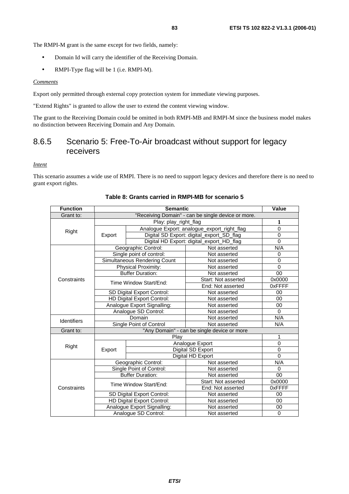- Domain Id will carry the identifier of the Receiving Domain.
- RMPI-Type flag will be 1 (i.e. RMPI-M).

#### *Comments*

Export only permitted through external copy protection system for immediate viewing purposes.

"Extend Rights" is granted to allow the user to extend the content viewing window.

The grant to the Receiving Domain could be omitted in both RMPI-MB and RMPI-M since the business model makes no distinction between Receiving Domain and Any Domain.

## 8.6.5 Scenario 5: Free-To-Air broadcast without support for legacy receivers

*Intent*

This scenario assumes a wide use of RMPI. There is no need to support legacy devices and therefore there is no need to grant export rights.

| <b>Function</b>    | <b>Semantic</b>             |                                             |                                             | <b>Value</b>   |
|--------------------|-----------------------------|---------------------------------------------|---------------------------------------------|----------------|
| Grant to:          |                             |                                             |                                             |                |
|                    |                             | Play: play_right_flag                       |                                             | 1              |
|                    |                             |                                             | Analogue Export: analogue_export_right_flag | $\mathbf 0$    |
| Right              | Export                      |                                             | Digital SD Export: digital_export_SD_flag   | $\overline{0}$ |
|                    |                             |                                             | Digital HD Export: digital_export_HD_flag   | $\overline{0}$ |
|                    |                             | Geographic Control:                         | Not asserted                                | N/A            |
|                    |                             | Single point of control:                    | Not asserted                                | 0              |
|                    |                             | Simultaneous Rendering Count                | Not asserted                                | $\overline{0}$ |
|                    |                             | Physical Proximity:                         | Not asserted                                | $\Omega$       |
|                    |                             | <b>Buffer Duration:</b>                     | Not asserted                                | 00             |
| Constraints        |                             | Time Window Start/End:                      | Start: Not asserted                         | 0x0000         |
|                    |                             |                                             | End: Not asserted                           | 0xFFFF         |
|                    | SD Digital Export Control:  |                                             | Not asserted                                | 00             |
|                    | HD Digital Export Control:  |                                             | Not asserted                                | 00             |
|                    | Analogue Export Signalling: |                                             | Not asserted                                | 00             |
|                    |                             | Analogue SD Control:                        | Not asserted                                | $\Omega$       |
| <b>Identifiers</b> |                             | Domain                                      | Not asserted                                | N/A            |
|                    |                             | Single Point of Control                     | Not asserted                                | N/A            |
| Grant to:          |                             | "Any Domain" - can be single device or more |                                             |                |
|                    | Play                        |                                             |                                             | 1              |
| Right              |                             |                                             | Analogue Export                             | 0              |
|                    | Export                      |                                             | Digital SD Export                           | $\overline{0}$ |
|                    |                             | Digital HD Export                           |                                             | $\Omega$       |
| Constraints        |                             | Geographic Control:                         | Not asserted                                | N/A            |
|                    | Single Point of Control:    |                                             | Not asserted                                | 0              |
|                    | <b>Buffer Duration:</b>     |                                             | Not asserted                                | 00             |
|                    | Time Window Start/End:      |                                             | Start: Not asserted                         | 0x0000         |
|                    |                             |                                             | End: Not asserted                           | 0xFFFF         |
|                    |                             | SD Digital Export Control:                  | Not asserted                                | 00             |
|                    |                             | HD Digital Export Control:                  | Not asserted                                | $00\,$         |
|                    |                             | Analogue Export Signalling:                 | Not asserted                                | 00             |
|                    | Analogue SD Control:        |                                             | Not asserted                                | $\Omega$       |

### **Table 8: Grants carried in RMPI-MB for scenario 5**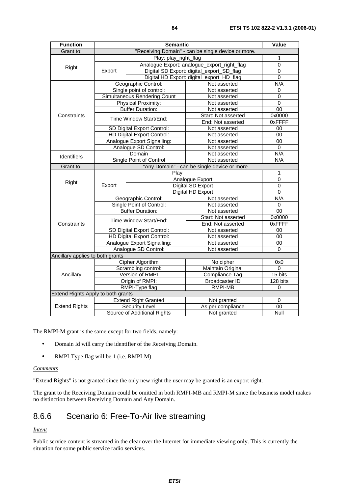| <b>Function</b>                    |                             | Value                             |                                                             |                 |
|------------------------------------|-----------------------------|-----------------------------------|-------------------------------------------------------------|-----------------|
| Grant to:                          |                             |                                   | "Receiving Domain" - can be single device or more.          |                 |
|                                    |                             | 1                                 |                                                             |                 |
| Right                              |                             |                                   | Analogue Export: analogue_export_right_flag                 | $\overline{0}$  |
|                                    | Export                      |                                   | Digital SD Export: digital_export_SD_flag                   | 0               |
|                                    |                             |                                   | Digital HD Export: digital_export_HD_flag                   | $\mathbf 0$     |
|                                    |                             | Geographic Control:               | Not asserted                                                | N/A             |
|                                    |                             | Single point of control:          | Not asserted                                                | 0               |
|                                    |                             | Simultaneous Rendering Count      | Not asserted                                                | $\mathbf 0$     |
|                                    |                             | Physical Proximity:               | Not asserted                                                | $\overline{0}$  |
|                                    |                             | <b>Buffer Duration:</b>           | Not asserted                                                | $\overline{00}$ |
| Constraints                        |                             | Time Window Start/End:            | Start: Not asserted                                         | 0x0000          |
|                                    |                             |                                   | End: Not asserted                                           | 0xFFFF          |
|                                    |                             | SD Digital Export Control:        | Not asserted                                                | 00              |
|                                    |                             | <b>HD Digital Export Control:</b> | Not asserted                                                | 00              |
|                                    |                             | Analogue Export Signalling:       | Not asserted                                                | 00              |
|                                    |                             | Analogue SD Control:              | Not asserted                                                | $\Omega$        |
| Identifiers                        | Domain                      |                                   | Not asserted                                                | N/A             |
|                                    | Single Point of Control     |                                   | Not asserted<br>"Any Domain" - can be single device or more | N/A             |
| Grant to:                          |                             |                                   |                                                             |                 |
|                                    | Play                        |                                   |                                                             | 1               |
| Right                              |                             |                                   | Analogue Export                                             | 0               |
|                                    | Export                      | Digital SD Export                 | 0                                                           |                 |
|                                    |                             |                                   | Digital HD Export                                           | 0               |
|                                    | Geographic Control:         |                                   | Not asserted                                                | N/A             |
|                                    | Single Point of Control:    |                                   | Not asserted                                                | 0               |
|                                    | <b>Buffer Duration:</b>     |                                   | Not asserted                                                | 00              |
|                                    | Time Window Start/End:      |                                   | Start: Not asserted                                         | 0x0000          |
| Constraints                        |                             |                                   | End: Not asserted                                           | 0xFFFF          |
|                                    | SD Digital Export Control:  |                                   | Not asserted                                                | 00              |
|                                    |                             | HD Digital Export Control:        | Not asserted                                                | 00              |
|                                    |                             | Analogue Export Signalling:       | Not asserted                                                | 00              |
|                                    | Analogue SD Control:        |                                   | Not asserted                                                | $\Omega$        |
| Ancillary applies to both grants   |                             |                                   |                                                             |                 |
|                                    |                             | Cipher Algorithm                  | No cipher                                                   | 0x0             |
|                                    |                             | Scrambling control:               | Maintain Original                                           | $\Omega$        |
| Ancillary                          |                             | Version of RMPI                   | Compliance Tag                                              | 15 bits         |
|                                    | Origin of RMPI:             |                                   | <b>Broadcaster ID</b>                                       | 128 bits        |
|                                    | RMPI-Type flag              |                                   | RMPI-MB                                                     | 0               |
| Extend Rights Apply to both grants |                             |                                   |                                                             |                 |
|                                    |                             | <b>Extend Right Granted</b>       | Not granted                                                 | 0               |
| <b>Extend Rights</b>               |                             | Security Level                    | As per compliance                                           | 00              |
|                                    | Source of Additional Rights |                                   | Not granted                                                 | Null            |

- Domain Id will carry the identifier of the Receiving Domain.
- RMPI-Type flag will be 1 (i.e. RMPI-M).

#### *Comments*

"Extend Rights" is not granted since the only new right the user may be granted is an export right.

The grant to the Receiving Domain could be omitted in both RMPI-MB and RMPI-M since the business model makes no distinction between Receiving Domain and Any Domain.

## 8.6.6 Scenario 6: Free-To-Air live streaming

### *Intent*

Public service content is streamed in the clear over the Internet for immediate viewing only. This is currently the situation for some public service radio services.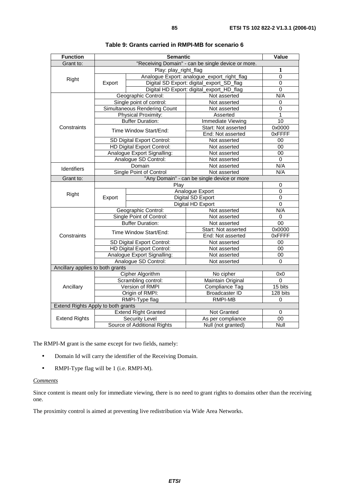| <b>Function</b>                    |                                             | Value                             |                                             |                |  |
|------------------------------------|---------------------------------------------|-----------------------------------|---------------------------------------------|----------------|--|
| Grant to:                          |                                             |                                   |                                             |                |  |
|                                    | Play: play_right_flag                       |                                   |                                             | 1              |  |
| Right                              |                                             |                                   | Analogue Export: analogue_export_right_flag | $\overline{0}$ |  |
|                                    | Export                                      |                                   | Digital SD Export: digital_export_SD_flag   | 0              |  |
|                                    |                                             |                                   | Digital HD Export: digital_export_HD_flag   | 0              |  |
|                                    |                                             | Geographic Control:               | Not asserted                                | N/A            |  |
|                                    |                                             | Single point of control:          | Not asserted                                | 0              |  |
|                                    |                                             | Simultaneous Rendering Count      | Not asserted                                | 0              |  |
|                                    |                                             | <b>Physical Proximity:</b>        | Asserted                                    | $\mathbf{1}$   |  |
|                                    |                                             | <b>Buffer Duration:</b>           | Immediate Viewing                           | 10             |  |
| Constraints                        |                                             | Time Window Start/End:            | Start: Not asserted                         | 0x0000         |  |
|                                    |                                             |                                   | End: Not asserted                           | 0xFFFF         |  |
|                                    |                                             | SD Digital Export Control:        | Not asserted                                | 00             |  |
|                                    |                                             | HD Digital Export Control:        | Not asserted                                | 00             |  |
|                                    |                                             | Analogue Export Signalling:       | Not asserted                                | $00\,$         |  |
|                                    |                                             | Analogue SD Control:              | Not asserted                                | 0              |  |
| <b>Identifiers</b>                 | Domain                                      |                                   | Not asserted                                | N/A            |  |
|                                    |                                             | Single Point of Control           | Not asserted                                | N/A            |  |
| Grant to:                          | "Any Domain" - can be single device or more |                                   |                                             |                |  |
|                                    |                                             | 0                                 |                                             |                |  |
| Right                              |                                             |                                   | Analogue Export                             | $\overline{0}$ |  |
|                                    | Export                                      |                                   | Digital SD Export                           | $\overline{0}$ |  |
|                                    |                                             |                                   | Digital HD Export                           | 0              |  |
|                                    | Geographic Control:                         |                                   | Not asserted                                | N/A            |  |
|                                    | Single Point of Control:                    |                                   | Not asserted                                | 0              |  |
|                                    | <b>Buffer Duration:</b>                     |                                   | Not asserted                                | 00             |  |
|                                    | Time Window Start/End:                      |                                   | Start: Not asserted                         | 0x0000         |  |
| Constraints                        |                                             |                                   | End: Not asserted                           | 0xFFFF         |  |
|                                    | SD Digital Export Control:                  |                                   | Not asserted                                | 00             |  |
|                                    |                                             | <b>HD Digital Export Control:</b> | Not asserted                                | 00             |  |
|                                    |                                             | Analogue Export Signalling:       | Not asserted                                | 00             |  |
|                                    | Analogue SD Control:                        |                                   | Not asserted                                | $\Omega$       |  |
| Ancillary applies to both grants   |                                             |                                   |                                             |                |  |
|                                    |                                             | Cipher Algorithm                  | No cipher                                   | 0x0            |  |
| Ancillary                          |                                             | Scrambling control:               | Maintain Original                           | 0              |  |
|                                    |                                             | Version of RMPI                   | Compliance Tag                              | 15 bits        |  |
|                                    | Origin of RMPI:                             |                                   | <b>Broadcaster ID</b>                       | 128 bits       |  |
|                                    |                                             | RMPI-Type flag                    | RMPI-MB                                     | 0              |  |
| Extend Rights Apply to both grants |                                             |                                   |                                             |                |  |
|                                    |                                             | <b>Extend Right Granted</b>       | Not Granted                                 | 0              |  |
| <b>Extend Rights</b>               |                                             | Security Level                    | As per compliance                           | 00             |  |
|                                    | Source of Additional Rights                 |                                   | Null (not granted)                          | Null           |  |

| Table 9: Grants carried in RMPI-MB for scenario 6 |
|---------------------------------------------------|
|---------------------------------------------------|

- Domain Id will carry the identifier of the Receiving Domain.
- RMPI-Type flag will be 1 (i.e. RMPI-M).

### *Comments*

Since content is meant only for immediate viewing, there is no need to grant rights to domains other than the receiving one.

The proximity control is aimed at preventing live redistribution via Wide Area Networks.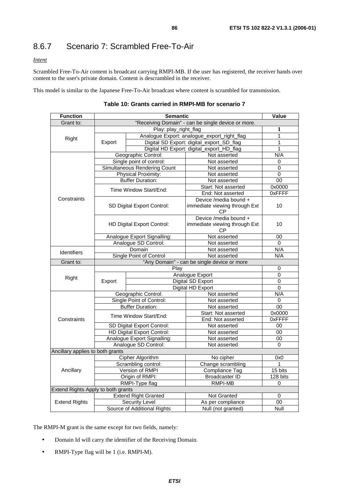# 8.6.7 Scenario 7: Scrambled Free-To-Air

*Intent*

Scrambled Free-To-Air content is broadcast carrying RMPI-MB. If the user has registered, the receiver hands over content to the user's private domain. Content is descrambled in the receiver.

This model is similar to the Japanese Free-To-Air broadcast where content is scrambled for transmission.

| <b>Function</b>                    |                                                     | Value                                                 |                                                                     |                   |
|------------------------------------|-----------------------------------------------------|-------------------------------------------------------|---------------------------------------------------------------------|-------------------|
| Grant to:                          |                                                     |                                                       |                                                                     |                   |
| Right                              | Play: play_right_flag                               |                                                       |                                                                     | $\mathbf{1}$      |
|                                    |                                                     |                                                       | Analogue Export: analogue_export_right_flag                         | $\mathbf{1}$      |
|                                    | Export                                              |                                                       | Digital SD Export: digital_export_SD_flag                           | 1                 |
|                                    |                                                     |                                                       | Digital HD Export: digital_export_HD_flag                           | 1                 |
|                                    |                                                     | Geographic Control:                                   | Not asserted                                                        | N/A               |
|                                    |                                                     | Single point of control:                              | Not asserted                                                        | 0                 |
|                                    |                                                     | Simultaneous Rendering Count                          | Not asserted                                                        | 0                 |
|                                    |                                                     | <b>Physical Proximity:</b><br><b>Buffer Duration:</b> | Not asserted                                                        | $\Omega$<br>00    |
|                                    |                                                     |                                                       | Not asserted<br>Start: Not asserted                                 | 0x0000            |
|                                    |                                                     | Time Window Start/End:                                | End: Not asserted                                                   | 0xFFFF            |
| Constraints                        |                                                     |                                                       | Device /media bound +                                               |                   |
|                                    |                                                     | SD Digital Export Control:                            | immediate viewing through Ext<br>СP                                 | 10                |
|                                    |                                                     | HD Digital Export Control:                            | Device /media bound +<br>immediate viewing through Ext<br><b>CP</b> | 10                |
|                                    | Analogue Export Signalling:                         |                                                       | Not asserted                                                        | 00                |
|                                    | Analogue SD Control:                                |                                                       | Not asserted                                                        | 0                 |
| Identifiers                        | Domain                                              |                                                       | Not asserted                                                        | N/A               |
|                                    | <b>Single Point of Control</b><br>Not asserted      |                                                       |                                                                     | N/A               |
| Grant to:                          |                                                     |                                                       | "Any Domain" - can be single device or more                         |                   |
|                                    | Play<br>Analogue Export                             |                                                       |                                                                     | 0                 |
| Right                              | Export                                              |                                                       |                                                                     | 0                 |
|                                    |                                                     |                                                       | <b>Digital SD Export</b><br>Digital HD Export                       | 0<br>$\Omega$     |
|                                    | Geographic Control:                                 |                                                       | Not asserted                                                        | N/A               |
|                                    |                                                     |                                                       | Not asserted                                                        | 0                 |
|                                    | Single Point of Control:<br><b>Buffer Duration:</b> |                                                       | Not asserted                                                        | 00                |
|                                    |                                                     |                                                       | Start: Not asserted                                                 | 0x0000            |
| Constraints                        | Time Window Start/End:                              |                                                       | End: Not asserted                                                   | 0xFFFF            |
|                                    | SD Digital Export Control:                          |                                                       | Not asserted                                                        | 00                |
|                                    |                                                     | <b>HD Digital Export Control:</b>                     | Not asserted                                                        | 00                |
|                                    |                                                     | Analogue Export Signalling:                           | Not asserted                                                        | 00                |
|                                    | Analogue SD Control:                                |                                                       | Not asserted                                                        | $\Omega$          |
| Ancillary applies to both grants   |                                                     |                                                       |                                                                     |                   |
|                                    | Cipher Algorithm                                    |                                                       | No cipher                                                           | 0x0               |
|                                    | Scrambling control:                                 |                                                       | Change scrambling                                                   | 1                 |
| Ancillary                          |                                                     | Version of RMPI                                       | <b>Compliance Tag</b>                                               | $15 \text{ bits}$ |
|                                    | Origin of RMPI:                                     |                                                       | <b>Broadcaster ID</b>                                               | 128 bits          |
|                                    |                                                     | RMPI-Type flag                                        | <b>RMPI-MB</b>                                                      | $\Omega$          |
| Extend Rights Apply to both grants |                                                     | <b>Extend Right Granted</b>                           | Not Granted                                                         | 0                 |
| <b>Extend Rights</b>               |                                                     | <b>Security Level</b>                                 | As per compliance                                                   | 00                |
|                                    |                                                     |                                                       | Null (not granted)                                                  | Null              |
|                                    | Source of Additional Rights                         |                                                       |                                                                     |                   |

|  |  | Table 10: Grants carried in RMPI-MB for scenario 7 |  |
|--|--|----------------------------------------------------|--|
|  |  |                                                    |  |

The RMPI-M grant is the same except for two fields, namely:

- Domain Id will carry the identifier of the Receiving Domain.
- RMPI-Type flag will be 1 (i.e. RMPI-M).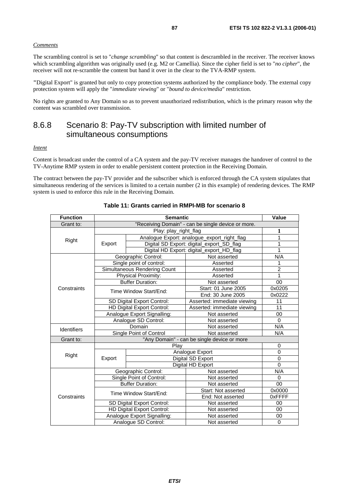#### *Comments*

The scrambling control is set to "*change scrambling*" so that content is descrambled in the receiver. The receiver knows which scrambling algorithm was originally used (e.g. M2 or Camellia). Since the cipher field is set to "*no cipher*", the receiver will not re-scramble the content but hand it over in the clear to the TVA-RMP system.

**"**Digital Export" is granted but only to copy protection systems authorized by the compliance body. The external copy protection system will apply the "*immediate viewing*" or "*bound to device/media*" restriction.

No rights are granted to Any Domain so as to prevent unauthorized redistribution, which is the primary reason why the content was scrambled over transmission.

### 8.6.8 Scenario 8: Pay-TV subscription with limited number of simultaneous consumptions

#### *Intent*

Content is broadcast under the control of a CA system and the pay-TV receiver manages the handover of control to the TV-Anytime RMP system in order to enable persistent content protection in the Receiving Domain.

The contract between the pay-TV provider and the subscriber which is enforced through the CA system stipulates that simultaneous rendering of the services is limited to a certain number (2 in this example) of rendering devices. The RMP system is used to enforce this rule in the Receiving Domain.

| <b>Function</b>    | <b>Semantic</b>             |                              |                                                    | Value       |
|--------------------|-----------------------------|------------------------------|----------------------------------------------------|-------------|
| Grant to:          |                             |                              | "Receiving Domain" - can be single device or more. |             |
|                    |                             | Play: play_right_flag        |                                                    | 1           |
| Right              |                             |                              | Analogue Export: analogue_export_right_flag        | 1           |
|                    | Export                      |                              | Digital SD Export: digital_export_SD_flag          | 1           |
|                    |                             |                              | Digital HD Export: digital_export_HD_flag          | 1           |
|                    |                             | Geographic Control:          | Not asserted                                       | N/A         |
|                    |                             | Single point of control:     | Asserted                                           | 1           |
|                    |                             | Simultaneous Rendering Count | Asserted                                           | 2           |
|                    |                             | Physical Proximity:          | Asserted                                           | 1           |
|                    |                             | <b>Buffer Duration:</b>      | Not asserted                                       | 00          |
| Constraints        |                             |                              | Start: 01 June 2005                                | 0x0205      |
|                    | Time Window Start/End:      |                              | End: 30 June 2005                                  | 0x0222      |
|                    | SD Digital Export Control:  |                              | Asserted: immediate viewing                        | 11          |
|                    | HD Digital Export Control:  |                              | Asserted: immediate viewing                        | 11          |
|                    | Analogue Export Signalling: |                              | Not asserted                                       | 00          |
|                    | Analogue SD Control:        |                              | Not asserted                                       | $\Omega$    |
| <b>Identifiers</b> | Domain                      |                              | Not asserted                                       | N/A         |
|                    |                             | Single Point of Control      | Not asserted                                       | N/A         |
| Grant to:          |                             |                              | "Any Domain" - can be single device or more        |             |
|                    |                             | Play                         |                                                    | 0           |
| Right              |                             |                              | Analogue Export                                    | $\Omega$    |
|                    | Export                      |                              | Digital SD Export                                  | $\Omega$    |
|                    |                             |                              | Digital HD Export                                  | $\Omega$    |
|                    |                             | Geographic Control:          | Not asserted                                       | N/A         |
|                    |                             | Single Point of Control:     | Not asserted                                       | $\Omega$    |
|                    |                             | <b>Buffer Duration:</b>      | Not asserted                                       | 00          |
|                    |                             | Time Window Start/End:       | Start: Not asserted                                | 0x0000      |
| Constraints        |                             |                              | End: Not asserted                                  | 0xFFFF      |
|                    |                             | SD Digital Export Control:   | Not asserted                                       | 00          |
|                    |                             | HD Digital Export Control:   | Not asserted                                       | 00          |
|                    |                             | Analogue Export Signalling:  | Not asserted                                       | 00          |
|                    | Analogue SD Control:        |                              | Not asserted                                       | $\mathbf 0$ |

### **Table 11: Grants carried in RMPI-MB for scenario 8**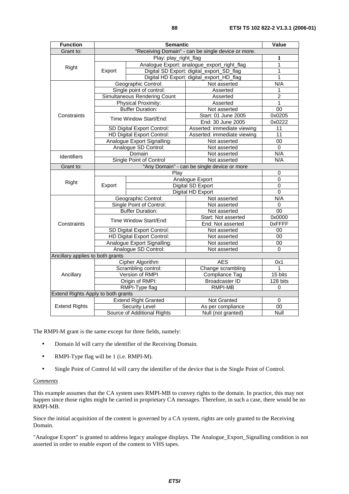| <b>Function</b>                    |                                             | Value                        |                                             |                 |
|------------------------------------|---------------------------------------------|------------------------------|---------------------------------------------|-----------------|
| Grant to:                          |                                             |                              |                                             |                 |
|                                    |                                             | 1                            |                                             |                 |
| Right                              | Analogue Export: analogue_export_right_flag |                              |                                             | 1               |
|                                    | Export                                      |                              | Digital SD Export: digital_export_SD_flag   | 1               |
|                                    |                                             |                              | Digital HD Export: digital_export_HD_flag   | 1               |
|                                    |                                             | Geographic Control:          | Not asserted                                | N/A             |
|                                    |                                             | Single point of control:     | Asserted                                    | 1               |
|                                    |                                             | Simultaneous Rendering Count | Asserted                                    | $\overline{2}$  |
|                                    |                                             | Physical Proximity:          | Asserted                                    | 1               |
|                                    |                                             | <b>Buffer Duration:</b>      | Not asserted                                | 00              |
| Constraints                        |                                             | Time Window Start/End:       | Start: 01 June 2005                         | 0x0205          |
|                                    |                                             |                              | End: 30 June 2005                           | 0x0222          |
|                                    |                                             | SD Digital Export Control:   | Asserted: immediate viewing                 | 11              |
|                                    |                                             | HD Digital Export Control:   | Asserted: immediate viewing                 | $\overline{11}$ |
|                                    |                                             | Analogue Export Signalling:  | Not asserted                                | 00              |
|                                    |                                             | Analogue SD Control:         | Not asserted                                | $\Omega$        |
| Identifiers                        | Domain                                      |                              | Not asserted                                | N/A             |
|                                    | Single Point of Control                     |                              | Not asserted                                | N/A             |
| Grant to:                          |                                             |                              | "Any Domain" - can be single device or more |                 |
|                                    | Play                                        |                              |                                             | 0               |
| Right                              | Export                                      |                              | Analogue Export                             | $\mathbf 0$     |
|                                    |                                             |                              | Digital SD Export                           | 0               |
|                                    |                                             |                              | Digital HD Export                           | $\mathbf 0$     |
|                                    | Geographic Control:                         |                              | Not asserted                                | N/A             |
|                                    | Single Point of Control:                    |                              | Not asserted                                | $\Omega$        |
|                                    | <b>Buffer Duration:</b>                     |                              | Not asserted                                | 00              |
|                                    | Time Window Start/End:                      |                              | Start: Not asserted                         | 0x0000          |
| Constraints                        |                                             |                              | End: Not asserted                           | 0xFFFF          |
|                                    | SD Digital Export Control:                  |                              | Not asserted                                | 00              |
|                                    | HD Digital Export Control:                  |                              | Not asserted                                | 00              |
|                                    | Analogue Export Signalling:                 |                              | Not asserted                                | 00              |
|                                    |                                             | Analogue SD Control:         | Not asserted                                | $\Omega$        |
| Ancillary applies to both grants   |                                             |                              |                                             |                 |
|                                    |                                             | <b>Cipher Algorithm</b>      | <b>AES</b>                                  | 0x1             |
|                                    |                                             | Scrambling control:          | Change scrambling                           | 1               |
| Ancillary                          |                                             | Version of RMPI              | <b>Compliance Tag</b>                       | 15 bits         |
|                                    |                                             | Origin of RMPI:              | <b>Broadcaster ID</b>                       | 128 bits        |
|                                    |                                             | RMPI-Type flag               | RMPI-MB                                     | 0               |
| Extend Rights Apply to both grants |                                             |                              |                                             |                 |
|                                    |                                             | <b>Extend Right Granted</b>  | Not Granted                                 | 0               |
| <b>Extend Rights</b>               |                                             | Security Level               | As per compliance                           | 00              |
|                                    | Source of Additional Rights                 |                              | Null (not granted)                          | Null            |

- Domain Id will carry the identifier of the Receiving Domain.
- RMPI-Type flag will be 1 (i.e. RMPI-M).
- Single Point of Control Id will carry the identifier of the device that is the Single Point of Control.

#### *Comments*

This example assumes that the CA system uses RMPI-MB to convey rights to the domain. In practice, this may not happen since those rights might be carried in proprietary CA messages. Therefore, in such a case, there would be no RMPI-MB.

Since the initial acquisition of the content is governed by a CA system, rights are only granted to the Receiving Domain.

"Analogue Export" is granted to address legacy analogue displays. The Analogue\_Export\_Signalling condition is not asserted in order to enable export of the content to VHS tapes.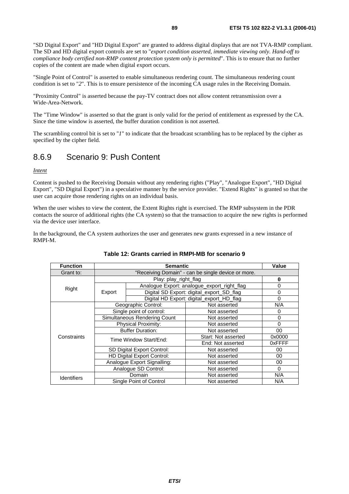"SD Digital Export" and "HD Digital Export" are granted to address digital displays that are not TVA-RMP compliant. The SD and HD digital export controls are set to "*export condition asserted, immediate viewing only. Hand-off to compliance body certified non-RMP content protection system only is permitted*". This is to ensure that no further copies of the content are made when digital export occurs.

"Single Point of Control" is asserted to enable simultaneous rendering count. The simultaneous rendering count condition is set to "2". This is to ensure persistence of the incoming CA usage rules in the Receiving Domain.

"Proximity Control" is asserted because the pay-TV contract does not allow content retransmission over a Wide-Area-Network.

The "Time Window" is asserted so that the grant is only valid for the period of entitlement as expressed by the CA. Since the time window is asserted, the buffer duration condition is not asserted.

The scrambling control bit is set to "*1*" to indicate that the broadcast scrambling has to be replaced by the cipher as specified by the cipher field.

### 8.6.9 Scenario 9: Push Content

*Intent*

Content is pushed to the Receiving Domain without any rendering rights ("Play", "Analogue Export", "HD Digital Export", "SD Digital Export") in a speculative manner by the service provider. "Extend Rights" is granted so that the user can acquire those rendering rights on an individual basis.

When the user wishes to view the content, the Extent Rights right is exercised. The RMP subsystem in the PDR contacts the source of additional rights (the CA system) so that the transaction to acquire the new rights is performed via the device user interface.

In the background, the CA system authorizes the user and generates new grants expressed in a new instance of RMPI-M.

| <b>Function</b> |                                                    | <b>Semantic</b>             |                                             |          |
|-----------------|----------------------------------------------------|-----------------------------|---------------------------------------------|----------|
| Grant to:       | "Receiving Domain" - can be single device or more. |                             |                                             |          |
|                 |                                                    | Play: play_right_flag       |                                             | $\bf{0}$ |
| Right           |                                                    |                             | Analogue Export: analogue_export_right_flag | 0        |
|                 | Export                                             |                             | Digital SD Export: digital_export_SD_flag   | $\Omega$ |
|                 |                                                    |                             | Digital HD Export: digital_export_HD_flag   | $\Omega$ |
|                 |                                                    | Geographic Control:         | Not asserted                                | N/A      |
|                 | Single point of control:                           |                             | Not asserted                                | 0        |
|                 | Simultaneous Rendering Count                       |                             | Not asserted                                | 0        |
|                 | <b>Physical Proximity:</b>                         |                             | Not asserted                                | 0        |
|                 | <b>Buffer Duration:</b>                            |                             | Not asserted                                | 00       |
| Constraints     | Time Window Start/End:                             |                             | Start: Not asserted                         | 0x0000   |
|                 |                                                    |                             | End: Not asserted                           | 0xFFFF   |
|                 | SD Digital Export Control:                         |                             | Not asserted                                | 00       |
|                 |                                                    | HD Digital Export Control:  | Not asserted                                | 00       |
|                 |                                                    | Analogue Export Signalling: | Not asserted                                | 00       |
|                 |                                                    | Analogue SD Control:        | Not asserted                                | $\Omega$ |
| Identifiers     |                                                    | Domain                      | Not asserted                                | N/A      |
|                 |                                                    | Single Point of Control     | Not asserted                                | N/A      |

### **Table 12: Grants carried in RMPI-MB for scenario 9**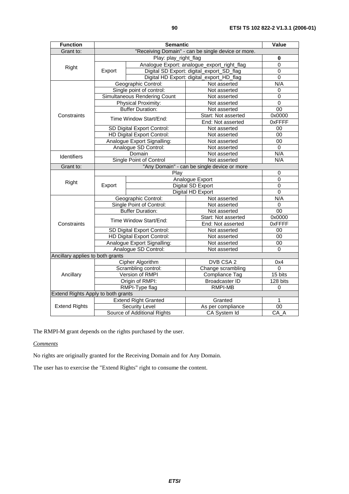| <b>Function</b>                    | <b>Semantic</b>                                                     |                              |                                                    | Value           |
|------------------------------------|---------------------------------------------------------------------|------------------------------|----------------------------------------------------|-----------------|
| Grant to:                          |                                                                     |                              | "Receiving Domain" - can be single device or more. |                 |
|                                    | Play: play_right_flag                                               |                              |                                                    | $\bf{0}$        |
|                                    | Analogue Export: analogue_export_right_flag                         |                              | 0                                                  |                 |
| Right                              | Export                                                              |                              | Digital SD Export: digital_export_SD_flag          | 0               |
|                                    |                                                                     |                              | Digital HD Export: digital_export_HD_flag          | $\mathbf 0$     |
|                                    |                                                                     | Geographic Control:          | Not asserted                                       | N/A             |
|                                    |                                                                     | Single point of control:     | Not asserted                                       | 0               |
|                                    |                                                                     | Simultaneous Rendering Count | Not asserted                                       | 0               |
|                                    |                                                                     | Physical Proximity:          | Not asserted                                       | $\overline{0}$  |
|                                    |                                                                     | <b>Buffer Duration:</b>      | Not asserted                                       | $\overline{00}$ |
| Constraints                        |                                                                     | Time Window Start/End:       | Start: Not asserted                                | 0x0000          |
|                                    |                                                                     |                              | End: Not asserted                                  | 0xFFFF          |
|                                    |                                                                     | SD Digital Export Control:   | Not asserted                                       | 00              |
|                                    |                                                                     | HD Digital Export Control:   | Not asserted                                       | $\overline{00}$ |
|                                    |                                                                     | Analogue Export Signalling:  | Not asserted                                       | 00              |
|                                    |                                                                     | Analogue SD Control:         | Not asserted                                       | 0               |
| <b>Identifiers</b>                 |                                                                     | Domain                       | Not asserted                                       | N/A             |
|                                    | Single Point of Control                                             |                              | Not asserted                                       | N/A             |
| Grant to:                          |                                                                     |                              | "Any Domain" - can be single device or more        |                 |
|                                    |                                                                     | 0                            |                                                    |                 |
| Right                              | Analogue Export<br>Export<br>Digital SD Export<br>Digital HD Export |                              |                                                    | $\overline{0}$  |
|                                    |                                                                     |                              |                                                    | 0               |
|                                    |                                                                     |                              |                                                    | 0               |
|                                    |                                                                     | Geographic Control:          | Not asserted                                       | N/A             |
|                                    | Single Point of Control:                                            |                              | Not asserted                                       | 0               |
|                                    | <b>Buffer Duration:</b>                                             |                              | Not asserted                                       | 00              |
|                                    | Time Window Start/End:                                              |                              | Start: Not asserted                                | 0x0000          |
| Constraints                        |                                                                     |                              | End: Not asserted                                  | 0xFFFF          |
|                                    | SD Digital Export Control:                                          |                              | Not asserted                                       | 00              |
|                                    |                                                                     | HD Digital Export Control:   | Not asserted                                       | 00              |
|                                    |                                                                     | Analogue Export Signalling:  | Not asserted                                       | 00              |
|                                    |                                                                     | Analogue SD Control:         | Not asserted                                       | 0               |
| Ancillary applies to both grants   |                                                                     |                              |                                                    |                 |
|                                    |                                                                     | Cipher Algorithm             | DVB CSA 2                                          | 0x4             |
|                                    |                                                                     | Scrambling control:          | Change scrambling                                  | $\overline{0}$  |
| Ancillary                          |                                                                     | Version of RMPI              | Compliance Tag                                     | 15 bits         |
|                                    |                                                                     | Origin of RMPI:              | <b>Broadcaster ID</b>                              | 128 bits        |
|                                    |                                                                     | RMPI-Type flag               | <b>RMPI-MB</b>                                     | 0               |
| Extend Rights Apply to both grants |                                                                     |                              |                                                    |                 |
|                                    |                                                                     | <b>Extend Right Granted</b>  | Granted                                            | 1               |
| <b>Extend Rights</b>               |                                                                     | Security Level               | As per compliance                                  | 00              |
|                                    | Source of Additional Rights                                         |                              | CA System Id                                       | CA A            |

The RMPI-M grant depends on the rights purchased by the user.

*Comments*

No rights are originally granted for the Receiving Domain and for Any Domain.

The user has to exercise the "Extend Rights" right to consume the content.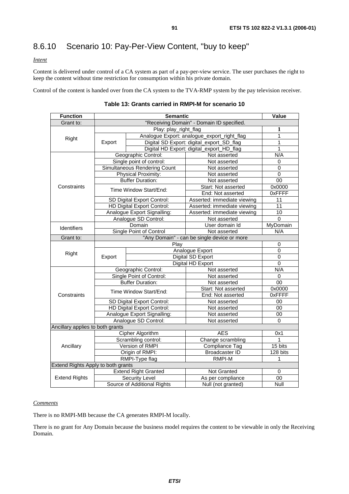# 8.6.10 Scenario 10: Pay-Per-View Content, "buy to keep"

### *Intent*

Content is delivered under control of a CA system as part of a pay-per-view service. The user purchases the right to keep the content without time restriction for consumption within his private domain.

Control of the content is handed over from the CA system to the TVA-RMP system by the pay television receiver.

| <b>Function</b>                    |                                             | Value                                     |                                             |                 |  |
|------------------------------------|---------------------------------------------|-------------------------------------------|---------------------------------------------|-----------------|--|
| Grant to:                          |                                             | "Receiving Domain" - Domain ID specified. |                                             |                 |  |
|                                    | Play: play_right_flag                       |                                           |                                             | 1               |  |
|                                    | Analogue Export: analogue_export_right_flag |                                           | 1                                           |                 |  |
| Right                              | Export                                      |                                           | Digital SD Export: digital_export_SD_flag   | 1               |  |
|                                    |                                             |                                           | Digital HD Export: digital_export_HD_flag   | 1               |  |
|                                    |                                             | Geographic Control:                       | Not asserted                                | N/A             |  |
|                                    |                                             | Single point of control:                  | Not asserted                                | 0               |  |
|                                    |                                             | Simultaneous Rendering Count              | Not asserted                                | 0               |  |
|                                    |                                             | Physical Proximity:                       | Not asserted                                | $\overline{0}$  |  |
|                                    |                                             | <b>Buffer Duration:</b>                   | Not asserted                                | 00              |  |
| Constraints                        |                                             | Time Window Start/End:                    | Start: Not asserted                         | 0x0000          |  |
|                                    |                                             |                                           | End: Not asserted                           | 0xFFFF          |  |
|                                    |                                             | SD Digital Export Control:                | Asserted: immediate viewing                 | 11              |  |
|                                    |                                             | HD Digital Export Control:                | Asserted: immediate viewing                 | $\overline{11}$ |  |
|                                    |                                             | Analogue Export Signalling:               | Asserted: immediate viewing                 | 10              |  |
|                                    |                                             | Analogue SD Control:                      | Not asserted                                | $\mathbf 0$     |  |
| Identifiers                        | Domain                                      |                                           | User domain Id                              | MyDomain        |  |
|                                    | Single Point of Control                     |                                           | Not asserted                                | N/A             |  |
| Grant to:                          |                                             |                                           | "Any Domain" - can be single device or more |                 |  |
|                                    |                                             | Play                                      |                                             | 0               |  |
| Right                              | Export                                      |                                           | Analogue Export                             | 0               |  |
|                                    |                                             |                                           | Digital SD Export                           | 0               |  |
|                                    |                                             |                                           | Digital HD Export                           | 0               |  |
|                                    |                                             | Geographic Control:                       | Not asserted                                | N/A             |  |
|                                    | Single Point of Control:                    |                                           | Not asserted                                | 0               |  |
|                                    | <b>Buffer Duration:</b>                     |                                           | Not asserted                                | 00              |  |
|                                    | Time Window Start/End:                      |                                           | Start: Not asserted                         | 0x0000          |  |
| Constraints                        |                                             |                                           | End: Not asserted                           | <b>OxFFFF</b>   |  |
|                                    | SD Digital Export Control:                  |                                           | Not asserted                                | 00              |  |
|                                    | HD Digital Export Control:                  |                                           | Not asserted                                | $00\,$          |  |
|                                    |                                             | Analogue Export Signalling:               | Not asserted                                | 00              |  |
|                                    |                                             | Analogue SD Control:                      | Not asserted                                | $\Omega$        |  |
| Ancillary applies to both grants   |                                             |                                           |                                             |                 |  |
|                                    |                                             | <b>Cipher Algorithm</b>                   | <b>AES</b>                                  | 0x1             |  |
|                                    |                                             | Scrambling control:                       | Change scrambling                           | 1               |  |
| Ancillary                          |                                             | Version of RMPI                           | Compliance Tag                              | 15 bits         |  |
|                                    |                                             | Origin of RMPI:                           | Broadcaster ID                              | 128 bits        |  |
|                                    | RMPI-Type flag                              |                                           | RMPI-M                                      | 1               |  |
| Extend Rights Apply to both grants |                                             |                                           |                                             |                 |  |
|                                    |                                             | <b>Extend Right Granted</b>               | Not Granted                                 | 0               |  |
| <b>Extend Rights</b>               |                                             | Security Level                            | As per compliance                           | 00              |  |
|                                    |                                             | Source of Additional Rights               | Null (not granted)                          | Null            |  |

|  |  | Table 13: Grants carried in RMPI-M for scenario 10 |  |
|--|--|----------------------------------------------------|--|
|  |  |                                                    |  |

### *Comments*

There is no RMPI-MB because the CA generates RMPI-M locally.

There is no grant for Any Domain because the business model requires the content to be viewable in only the Receiving Domain.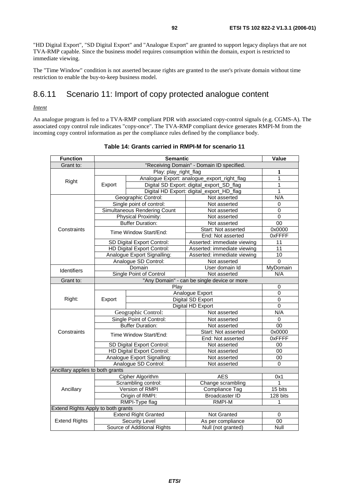"HD Digital Export", "SD Digital Export" and "Analogue Export" are granted to support legacy displays that are not TVA-RMP capable. Since the business model requires consumption within the domain, export is restricted to immediate viewing.

The "Time Window" condition is not asserted because rights are granted to the user's private domain without time restriction to enable the buy-to-keep business model.

## 8.6.11 Scenario 11: Import of copy protected analogue content

### *Intent*

An analogue program is fed to a TVA-RMP compliant PDR with associated copy-control signals (e.g. CGMS-A). The associated copy control rule indicates "copy-once". The TVA-RMP compliant device generates RMPI-M from the incoming copy control information as per the compliance rules defined by the compliance body.

| <b>Function</b>                    | <b>Semantic</b>                             |                              |                                             |                 |
|------------------------------------|---------------------------------------------|------------------------------|---------------------------------------------|-----------------|
| Grant to:                          | "Receiving Domain" - Domain ID specified.   |                              |                                             |                 |
|                                    |                                             | Play: play_right_flag        |                                             | 1               |
|                                    | Analogue Export: analogue_export_right_flag |                              |                                             | $\mathbf{1}$    |
| Right                              | Export                                      |                              | Digital SD Export: digital_export_SD_flag   | $\overline{1}$  |
|                                    |                                             |                              | Digital HD Export: digital_export_HD_flag   | $\mathbf{1}$    |
|                                    |                                             | Geographic Control:          | Not asserted                                | N/A             |
|                                    |                                             | Single point of control:     | Not asserted                                | 0               |
|                                    |                                             | Simultaneous Rendering Count | Not asserted                                | $\overline{0}$  |
|                                    |                                             | Physical Proximity:          | Not asserted                                | $\mathbf 0$     |
|                                    |                                             | <b>Buffer Duration:</b>      | Not asserted                                | 00              |
| Constraints                        |                                             | Time Window Start/End:       | Start: Not asserted                         | 0x0000          |
|                                    |                                             |                              | End: Not asserted                           | <b>OxFFFF</b>   |
|                                    |                                             | SD Digital Export Control:   | Asserted: immediate viewing                 | 11              |
|                                    |                                             | HD Digital Export Control:   | Asserted: immediate viewing                 | 11              |
|                                    |                                             | Analogue Export Signalling:  | Asserted: immediate viewing                 | $\overline{10}$ |
|                                    |                                             | Analogue SD Control:         | Not asserted                                | $\mathbf 0$     |
| Identifiers                        |                                             | Domain                       | User domain Id                              | MyDomain        |
|                                    | Single Point of Control                     |                              | Not asserted                                | N/A             |
| Grant to:                          |                                             |                              | "Any Domain" - can be single device or more |                 |
|                                    | Play                                        |                              |                                             | 0               |
|                                    |                                             |                              | Analogue Export                             | $\Omega$        |
| Right:                             | Export                                      |                              | Digital SD Export                           | $\overline{0}$  |
|                                    |                                             |                              | Digital HD Export                           | 0               |
|                                    |                                             | Geographic Control:          | Not asserted                                | N/A             |
|                                    | Single Point of Control:                    |                              | Not asserted                                | 0               |
|                                    | <b>Buffer Duration:</b>                     |                              | Not asserted                                | 00              |
| Constraints                        | Time Window Start/End:                      |                              | Start: Not asserted                         | 0x0000          |
|                                    |                                             |                              | End: Not asserted                           | 0xFFFF          |
|                                    | SD Digital Export Control:                  |                              | Not asserted                                | 00              |
|                                    | HD Digital Export Control:                  |                              | Not asserted                                | 00              |
|                                    |                                             | Analogue Export Signalling:  | Not asserted                                | 00              |
|                                    |                                             | Analogue SD Control:         | Not asserted                                | $\Omega$        |
| Ancillary applies to both grants   |                                             |                              |                                             |                 |
|                                    |                                             | Cipher Algorithm             | <b>AES</b>                                  | 0x1             |
|                                    |                                             | Scrambling control:          | Change scrambling                           | 1               |
| Ancillary                          |                                             | Version of RMPI              | <b>Compliance Tag</b>                       | 15 bits         |
|                                    |                                             | Origin of RMPI:              | <b>Broadcaster ID</b>                       | 128 bits        |
|                                    |                                             | RMPI-Type flag               | <b>RMPI-M</b>                               | 1               |
| Extend Rights Apply to both grants |                                             |                              |                                             |                 |
|                                    |                                             | <b>Extend Right Granted</b>  | Not Granted                                 | 0               |
| <b>Extend Rights</b>               |                                             | Security Level               | As per compliance                           | 00              |
|                                    | Source of Additional Rights                 |                              | Null (not granted)                          | Null            |

#### **Table 14: Grants carried in RMPI-M for scenario 11**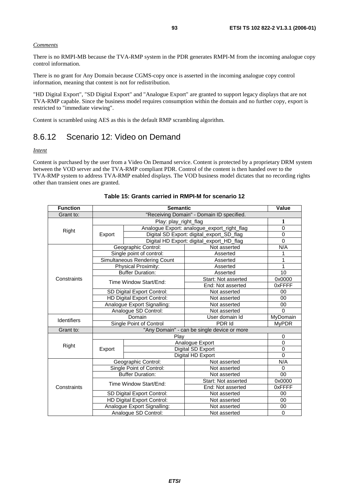#### *Comments*

There is no RMPI-MB because the TVA-RMP system in the PDR generates RMPI-M from the incoming analogue copy control information.

There is no grant for Any Domain because CGMS-copy once is asserted in the incoming analogue copy control information, meaning that content is not for redistribution.

"HD Digital Export", "SD Digital Export" and "Analogue Export" are granted to support legacy displays that are not TVA-RMP capable. Since the business model requires consumption within the domain and no further copy, export is restricted to "immediate viewing".

Content is scrambled using AES as this is the default RMP scrambling algorithm.

### 8.6.12 Scenario 12: Video on Demand

#### *Intent*

Content is purchased by the user from a Video On Demand service. Content is protected by a proprietary DRM system between the VOD server and the TVA-RMP compliant PDR. Control of the content is then handed over to the TVA-RMP system to address TVA-RMP enabled displays. The VOD business model dictates that no recording rights other than transient ones are granted.

| <b>Function</b> | <b>Semantic</b>             |                              |                                             | Value        |
|-----------------|-----------------------------|------------------------------|---------------------------------------------|--------------|
| Grant to:       |                             |                              | "Receiving Domain" - Domain ID specified.   |              |
|                 | Play: play_right_flag       |                              |                                             | 1            |
|                 |                             |                              | Analogue Export: analogue_export_right_flag | $\Omega$     |
| Right           | Export                      |                              | Digital SD Export: digital_export_SD_flag   | $\Omega$     |
|                 |                             |                              | Digital HD Export: digital_export_HD_flag   | $\Omega$     |
|                 |                             | Geographic Control:          | Not asserted                                | N/A          |
|                 |                             | Single point of control:     | Asserted                                    | 1            |
|                 |                             | Simultaneous Rendering Count | Asserted                                    | 1            |
|                 |                             | Physical Proximity:          | Asserted                                    | 1            |
|                 |                             | <b>Buffer Duration:</b>      | Asserted                                    | 10           |
| Constraints     |                             |                              | Start: Not asserted                         | 0x0000       |
|                 | Time Window Start/End:      |                              | End: Not asserted                           | 0xFFFF       |
|                 | SD Digital Export Control:  |                              | Not asserted                                | 00           |
|                 | HD Digital Export Control:  |                              | Not asserted                                | $00\,$       |
|                 | Analogue Export Signalling: |                              | Not asserted                                | 00           |
|                 | Analogue SD Control:        |                              | Not asserted                                | $\Omega$     |
| Identifiers     |                             | Domain                       | User domain Id                              | MyDomain     |
|                 |                             | Single Point of Control      | PDR Id                                      | <b>MyPDR</b> |
| Grant to:       |                             |                              | "Any Domain" - can be single device or more |              |
|                 |                             | Play                         |                                             | 0            |
| Right           |                             |                              | Analogue Export                             | $\Omega$     |
|                 | Export                      |                              | Digital SD Export                           | $\mathbf 0$  |
|                 |                             |                              | Digital HD Export                           | $\Omega$     |
|                 |                             | Geographic Control:          | Not asserted                                | N/A          |
|                 |                             | Single Point of Control:     | Not asserted                                | $\mathbf 0$  |
|                 |                             | <b>Buffer Duration:</b>      | Not asserted                                | 00           |
|                 |                             | Time Window Start/End:       | Start: Not asserted                         | 0x0000       |
| Constraints     |                             |                              | End: Not asserted                           | 0xFFFF       |
|                 |                             | SD Digital Export Control:   | Not asserted                                | 00           |
|                 |                             | HD Digital Export Control:   | Not asserted                                | 00           |
|                 |                             | Analogue Export Signalling:  | Not asserted                                | 00           |
|                 | Analogue SD Control:        |                              | Not asserted                                | $\Omega$     |

| Table 15: Grants carried in RMPI-M for scenario 12 |
|----------------------------------------------------|
|----------------------------------------------------|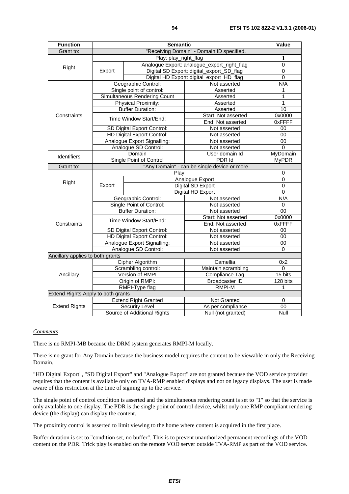| <b>Function</b>                    | <b>Semantic</b>                             |                              |                                             |              |
|------------------------------------|---------------------------------------------|------------------------------|---------------------------------------------|--------------|
| Grant to:                          |                                             |                              | "Receiving Domain" - Domain ID specified.   |              |
|                                    |                                             | Play: play_right_flag        |                                             | 1            |
| Right                              | Analogue Export: analogue_export_right_flag |                              | $\Omega$                                    |              |
|                                    | Export                                      |                              | Digital SD Export: digital_export_SD_flag   | 0            |
|                                    |                                             |                              | Digital HD Export: digital_export_HD_flag   | 0            |
|                                    |                                             | Geographic Control:          | Not asserted                                | N/A          |
|                                    |                                             | Single point of control:     | Asserted                                    | 1            |
|                                    |                                             | Simultaneous Rendering Count | Asserted                                    | 1            |
|                                    |                                             | Physical Proximity:          | Asserted                                    | 1            |
|                                    |                                             | <b>Buffer Duration:</b>      | Asserted                                    | 10           |
| Constraints                        |                                             | Time Window Start/End:       | Start: Not asserted                         | 0x0000       |
|                                    |                                             |                              | End: Not asserted                           | 0xFFFF       |
|                                    |                                             | SD Digital Export Control:   | Not asserted                                | 00           |
|                                    |                                             | HD Digital Export Control:   | Not asserted                                | 00           |
|                                    |                                             | Analogue Export Signalling:  | Not asserted                                | 00           |
|                                    |                                             | Analogue SD Control:         | Not asserted                                | $\Omega$     |
| <b>Identifiers</b>                 |                                             | Domain                       | User domain Id                              | MyDomain     |
|                                    | Single Point of Control                     |                              | PDR Id                                      | <b>MyPDR</b> |
| Grant to:                          |                                             |                              | "Any Domain" - can be single device or more |              |
|                                    |                                             | Play                         |                                             | 0            |
| Right                              | Export                                      |                              | Analogue Export                             | 0            |
|                                    |                                             |                              | Digital SD Export                           | 0            |
|                                    |                                             |                              | Digital HD Export                           | 0            |
|                                    | Geographic Control:                         |                              | Not asserted                                | N/A          |
|                                    | Single Point of Control:                    |                              | Not asserted                                | 0            |
|                                    | <b>Buffer Duration:</b>                     |                              | Not asserted                                | 00           |
|                                    | Time Window Start/End:                      |                              | Start: Not asserted                         | 0x0000       |
| Constraints                        |                                             |                              | End: Not asserted                           | 0xFFFF       |
|                                    | SD Digital Export Control:                  |                              | Not asserted                                | 00           |
|                                    | HD Digital Export Control:                  |                              | Not asserted                                | 00           |
|                                    |                                             | Analogue Export Signalling:  | Not asserted                                | 00           |
|                                    |                                             | Analogue SD Control:         | Not asserted                                | $\Omega$     |
| Ancillary applies to both grants   |                                             |                              |                                             |              |
|                                    |                                             | Cipher Algorithm             | Camellia                                    | 0x2          |
|                                    |                                             | Scrambling control:          | Maintain scrambling                         | 0            |
| Ancillary                          |                                             | Version of RMPI              | <b>Compliance Tag</b>                       | 15 bits      |
|                                    |                                             | Origin of RMPI:              | <b>Broadcaster ID</b>                       | 128 bits     |
|                                    |                                             | RMPI-Type flag               | <b>RMPI-M</b>                               | 1            |
| Extend Rights Apply to both grants |                                             |                              |                                             |              |
|                                    |                                             | <b>Extend Right Granted</b>  | <b>Not Granted</b>                          | 0            |
| <b>Extend Rights</b>               |                                             | Security Level               | As per compliance                           | 00           |
|                                    | Source of Additional Rights                 |                              | Null (not granted)                          | Null         |

#### *Comments*

There is no RMPI-MB because the DRM system generates RMPI-M locally.

There is no grant for Any Domain because the business model requires the content to be viewable in only the Receiving Domain.

"HD Digital Export", "SD Digital Export" and "Analogue Export" are not granted because the VOD service provider requires that the content is available only on TVA-RMP enabled displays and not on legacy displays. The user is made aware of this restriction at the time of signing up to the service.

The single point of control condition is asserted and the simultaneous rendering count is set to "1" so that the service is only available to one display. The PDR is the single point of control device, whilst only one RMP compliant rendering device (the display) can display the content.

The proximity control is asserted to limit viewing to the home where content is acquired in the first place.

Buffer duration is set to "condition set, no buffer". This is to prevent unauthorized permanent recordings of the VOD content on the PDR. Trick play is enabled on the remote VOD server outside TVA-RMP as part of the VOD service.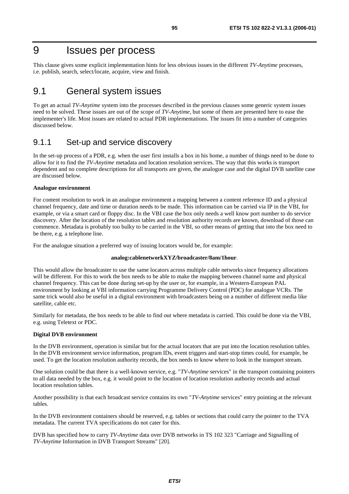# 9 Issues per process

This clause gives some explicit implementation hints for less obvious issues in the different *TV-Anytime* processes, i.e. publish, search, select/locate, acquire, view and finish.

## 9.1 General system issues

To get an actual *TV-Anytime* system into the processes described in the previous clauses some generic system issues need to be solved. These issues are out of the scope of *TV-Anytime*, but some of them are presented here to ease the implementer's life. Most issues are related to actual PDR implementations. The issues fit into a number of categories discussed below.

### 9.1.1 Set-up and service discovery

In the set-up process of a PDR, e.g. when the user first installs a box in his home, a number of things need to be done to allow for it to find the *TV-Anytime* metadata and location resolution services. The way that this works is transport dependent and no complete descriptions for all transports are given, the analogue case and the digital DVB satellite case are discussed below.

### **Analogue environment**

For content resolution to work in an analogue environment a mapping between a content reference ID and a physical channel frequency, date and time or duration needs to be made. This information can be carried via IP in the VBI, for example, or via a smart card or floppy disc. In the VBI case the box only needs a well know port number to do service discovery. After the location of the resolution tables and resolution authority records are known, download of those can commence. Metadata is probably too bulky to be carried in the VBI, so other means of getting that into the box need to be there, e.g. a telephone line.

For the analogue situation a preferred way of issuing locators would be, for example:

#### **analog:cablenetworkXYZ/broadcaster/8am/1hour**.

This would allow the broadcaster to use the same locators across multiple cable networks since frequency allocations will be different. For this to work the box needs to be able to make the mapping between channel name and physical channel frequency. This can be done during set-up by the user or, for example, in a Western-European PAL environment by looking at VBI information carrying Programme Delivery Control (PDC) for analogue VCRs. The same trick would also be useful in a digital environment with broadcasters being on a number of different media like satellite, cable etc.

Similarly for metadata, the box needs to be able to find out where metadata is carried. This could be done via the VBI, e.g. using Teletext or PDC.

#### **Digital DVB environment**

In the DVB environment, operation is similar but for the actual locators that are put into the location resolution tables. In the DVB environment service information, program IDs, event triggers and start-stop times could, for example, be used. To get the location resolution authority records, the box needs to know where to look in the transport stream.

One solution could be that there is a well-known service, e.g. "*TV-Anytime* services" in the transport containing pointers to all data needed by the box, e.g. it would point to the location of location resolution authority records and actual location resolution tables.

Another possibility is that each broadcast service contains its own "*TV-Anytime* services" entry pointing at the relevant tables.

In the DVB environment containers should be reserved, e.g. tables or sections that could carry the pointer to the TVA metadata. The current TVA specifications do not cater for this.

DVB has specified how to carry *TV-Anytime* data over DVB networks in TS 102 323 "Carriage and Signalling of *TV-Anytime* Information in DVB Transport Streams" [20].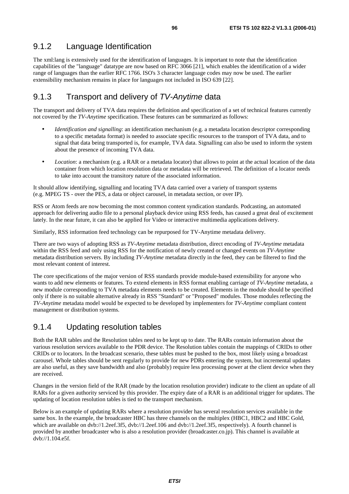### 9.1.2 Language Identification

The xml:lang is extensively used for the identification of languages. It is important to note that the identification capabilities of the "language" datatype are now based on RFC 3066 [21], which enables the identification of a wider range of languages than the earlier RFC 1766. ISO's 3 character language codes may now be used. The earlier extensibility mechanism remains in place for languages not included in ISO 639 [22].

### 9.1.3 Transport and delivery of TV-Anytime data

The transport and delivery of TVA data requires the definition and specification of a set of technical features currently not covered by the *TV-Anytime* specification. These features can be summarized as follows:

- *Identification and signalling*: an identification mechanism (e.g. a metadata location descriptor corresponding to a specific metadata format) is needed to associate specific resources to the transport of TVA data, and to signal that data being transported is, for example, TVA data. Signalling can also be used to inform the system about the presence of incoming TVA data.
- *Location*: a mechanism (e.g. a RAR or a metadata locator) that allows to point at the actual location of the data container from which location resolution data or metadata will be retrieved. The definition of a locator needs to take into account the transitory nature of the associated information.

It should allow identifying, signalling and locating TVA data carried over a variety of transport systems (e.g. MPEG TS - over the PES, a data or object carousel, in metadata section, or over IP).

RSS or Atom feeds are now becoming the most common content syndication standards. Podcasting, an automated approach for delivering audio file to a personal playback device using RSS feeds, has caused a great deal of excitement lately. In the near future, it can also be applied for Video or interactive multimedia applications delivery.

Similarly, RSS information feed technology can be repurposed for TV-Anytime metadata delivery.

There are two ways of adopting RSS as *TV-Anytime* metadata distribution, direct encoding of *TV-Anytime* metadata within the RSS feed and only using RSS for the notification of newly created or changed events on *TV-Anytime*  metadata distribution servers. By including *TV-Anytime* metadata directly in the feed, they can be filtered to find the most relevant content of interest.

The core specifications of the major version of RSS standards provide module-based extensibility for anyone who wants to add new elements or features. To extend elements in RSS format enabling carriage of *TV-Anytime* metadata, a new module corresponding to TVA metadata elements needs to be created. Elements in the module should be specified only if there is no suitable alternative already in RSS "Standard" or "Proposed" modules. Those modules reflecting the *TV-Anytime* metadata model would be expected to be developed by implementers for *TV-Anytime* compliant content management or distribution systems.

### 9.1.4 Updating resolution tables

Both the RAR tables and the Resolution tables need to be kept up to date. The RARs contain information about the various resolution services available to the PDR device. The Resolution tables contain the mappings of CRIDs to other CRIDs or to locators. In the broadcast scenario, these tables must be pushed to the box, most likely using a broadcast carousel. Whole tables should be sent regularly to provide for new PDRs entering the system, but incremental updates are also useful, as they save bandwidth and also (probably) require less processing power at the client device when they are received.

Changes in the version field of the RAR (made by the location resolution provider) indicate to the client an update of all RARs for a given authority serviced by this provider. The expiry date of a RAR is an additional trigger for updates. The updating of location resolution tables is tied to the transport mechanism.

Below is an example of updating RARs where a resolution provider has several resolution services available in the same box. In the example, the broadcaster HBC has three channels on the multiplex (HBC1, HBC2 and HBC Gold, which are available on dvb://1.2eef.3f5, dvb://1.2eef.106 and dvb://1.2eef.3f5, respectively). A fourth channel is provided by another broadcaster who is also a resolution provider (broadcaster.co.jp). This channel is available at dvb://1.104.e5f.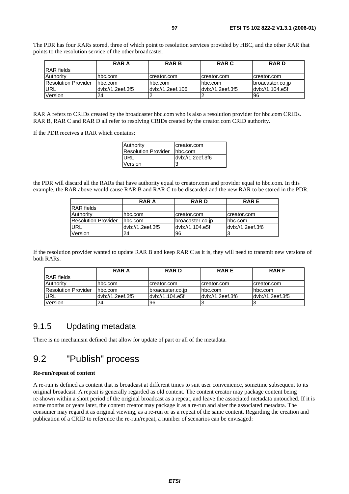The PDR has four RARs stored, three of which point to resolution services provided by HBC, and the other RAR that points to the resolution service of the other broadcaster.

|                            | <b>RAR A</b>      | <b>RARB</b>      | <b>RAR C</b>     | <b>RARD</b>      |
|----------------------------|-------------------|------------------|------------------|------------------|
| <b>RAR</b> fields          |                   |                  |                  |                  |
| Authority                  | hbc.com           | creator.com      | creator.com      | creator.com      |
| <b>Resolution Provider</b> | Ihbc.com          | lhbc.com         | lhbc.com         | broacaster.co.jp |
| URL                        | ldvb://1.2eef.3f5 | dyb://1.2eef.106 | dyb://1.2eef.3f5 | dyb://1.104.e5f  |
| Version                    | 24                |                  |                  | <b>96</b>        |

RAR A refers to CRIDs created by the broadcaster hbc.com who is also a resolution provider for hbc.com CRIDs. RAR B, RAR C and RAR D all refer to resolving CRIDs created by the creator.com CRID authority.

If the PDR receives a RAR which contains:

| Authority                  | creator.com      |
|----------------------------|------------------|
| <b>Resolution Provider</b> | hbc.com          |
| URL                        | dvb://1.2eef.3f6 |
| Version                    | 13               |

the PDR will discard all the RARs that have authority equal to creator.com and provider equal to hbc.com. In this example, the RAR above would cause RAR B and RAR C to be discarded and the new RAR to be stored in the PDR.

|                            | <b>RAR A</b>     | <b>RARD</b>      | <b>RARE</b>      |
|----------------------------|------------------|------------------|------------------|
| <b>IRAR</b> fields         |                  |                  |                  |
| <b>Authority</b>           | hbc.com          | creator.com      | creator.com      |
| <b>Resolution Provider</b> | hbc.com          | broacaster.co.jp | Ihbc.com         |
| URL                        | dyb://1.2eef.3f5 | dyb://1.104.e5f  | dyb://1.2eef.3f6 |
| Version                    | 24               | 96               |                  |

If the resolution provider wanted to update RAR B and keep RAR C as it is, they will need to transmit new versions of both RARs.

|                            | RAR A             | <b>RARD</b>       | <b>RARE</b>      | <b>RARF</b>       |
|----------------------------|-------------------|-------------------|------------------|-------------------|
| RAR fields                 |                   |                   |                  |                   |
| Authority                  | hbc.com           | creator.com       | creator.com      | creator.com       |
| <b>Resolution Provider</b> | Ihbc.com          | Ibroacaster.co.ip | lhbc.com         | hbc.com           |
| URL                        | ldvb://1.2eef.3f5 | ldyb://1.104.e5f  | dyb://1.2eef.3f6 | ldyb://1.2eef.3f5 |
| Version                    | 24                | 196               |                  |                   |

### 9.1.5 Updating metadata

There is no mechanism defined that allow for update of part or all of the metadata.

# 9.2 "Publish" process

#### **Re-run/repeat of content**

A re-run is defined as content that is broadcast at different times to suit user convenience, sometime subsequent to its original broadcast. A repeat is generally regarded as old content. The content creator may package content being re-shown within a short period of the original broadcast as a repeat, and leave the associated metadata untouched. If it is some months or years later, the content creator may package it as a re-run and alter the associated metadata. The consumer may regard it as original viewing, as a re-run or as a repeat of the same content. Regarding the creation and publication of a CRID to reference the re-run/repeat, a number of scenarios can be envisaged: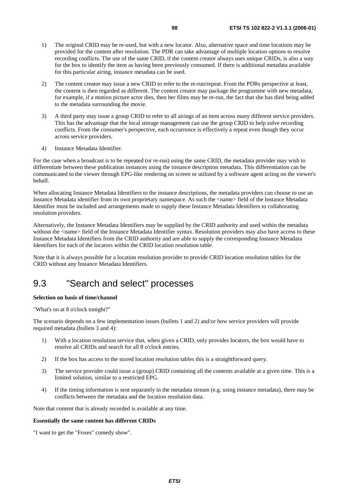- 1) The original CRID may be re-used, but with a new locator. Also, alternative space and time locations may be provided for the content after resolution. The PDR can take advantage of multiple location options to resolve recording conflicts. The use of the same CRID, if the content creator always uses unique CRIDs, is also a way for the box to identify the item as having been previously consumed. If there is additional metadata available for this particular airing, instance metadata can be used.
- 2) The content creator may issue a new CRID to refer to the re-run/repeat. From the PDRs perspective at least, the content is then regarded as different. The content creator may package the programme with new metadata, for example, if a motion picture actor dies, then her films may be re-run, the fact that she has died being added to the metadata surrounding the movie.
- 3) A third party may issue a group CRID to refer to all airings of an item across many different service providers. This has the advantage that the local storage management can use the group CRID to help solve recording conflicts. From the consumer's perspective, each occurrence is effectively a repeat even though they occur across service providers.
- 4) Instance Metadata Identifier.

For the case when a broadcast is to be repeated (or re-run) using the same CRID, the metadata provider may wish to differentiate between these publication instances using the instance description metadata. This differentiation can be communicated to the viewer through EPG-like rendering on screen or utilized by a software agent acting on the viewer's behalf.

When allocating Instance Metadata Identifiers to the instance descriptions, the metadata providers can choose to use an Instance Metadata identifier from its own proprietary namespace. As such the <name> field of the Instance Metadata Identifier must be included and arrangements made to supply these Instance Metadata Identifiers to collaborating resolution providers.

Alternatively, the Instance Metadata Identifiers may be supplied by the CRID authority and used within the metadata without the <name> field of the Instance Metadata Identifier syntax. Resolution providers may also have access to these Instance Metadata Identifiers from the CRID authority and are able to supply the corresponding Instance Metadata Identifiers for each of the locators within the CRID location resolution table.

Note that it is always possible for a location resolution provider to provide CRID location resolution tables for the CRID without any Instance Metadata Identifiers.

# 9.3 "Search and select" processes

### **Selection on basis of time/channel**

"What's on at 8 o'clock tonight?"

The scenario depends on a few implementation issues (bullets 1 and 2) and/or how service providers will provide required metadata (bullets 3 and 4):

- 1) With a location resolution service that, when given a CRID, only provides locators, the box would have to resolve all CRIDs and search for all 8 o'clock entries.
- 2) If the box has access to the stored location resolution tables this is a straightforward query.
- 3) The service provider could issue a (group) CRID containing all the contents available at a given time. This is a limited solution, similar to a restricted EPG.
- 4) If the timing information is sent separately in the metadata stream (e.g. using instance metadata), there may be conflicts between the metadata and the location resolution data.

Note that content that is already recorded is available at any time.

#### **Essentially the same content has different CRIDs**

"I want to get the "Foxes" comedy show".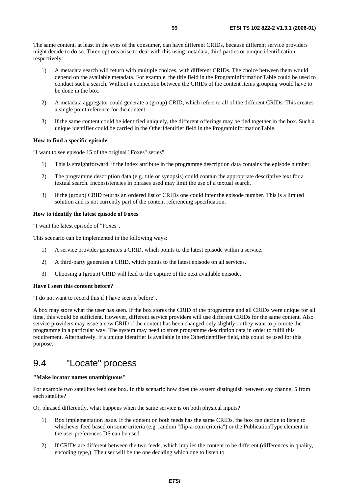The same content, at least in the eyes of the consumer, can have different CRIDs, because different service providers might decide to do so. Three options arise to deal with this using metadata, third parties or unique identification, respectively:

- 1) A metadata search will return with multiple choices, with different CRIDs. The choice between them would depend on the available metadata. For example, the title field in the ProgramInformationTable could be used to conduct such a search. Without a connection between the CRIDs of the content items grouping would have to be done in the box.
- 2) A metadata aggregator could generate a (group) CRID, which refers to all of the different CRIDs. This creates a single point reference for the content.
- 3) If the same content could be identified uniquely, the different offerings may be tied together in the box. Such a unique identifier could be carried in the OtherIdentifier field in the ProgramInformationTable.

#### **How to find a specific episode**

"I want to see episode 15 of the original "Foxes" series".

- 1) This is straightforward, if the index attribute in the programme description data contains the episode number.
- 2) The programme description data (e.g. title or synopsis) could contain the appropriate descriptive text for a textual search. Inconsistencies in phrases used may limit the use of a textual search.
- 3) If the (group) CRID returns an ordered list of CRIDs one could infer the episode number. This is a limited solution and is not currently part of the content referencing specification.

#### **How to identify the latest episode of Foxes**

"I want the latest episode of "Foxes".

This scenario can be implemented in the following ways:

- 1) A service provider generates a CRID, which points to the latest episode within a service.
- 2) A third-party generates a CRID, which points to the latest episode on all services.
- 3) Choosing a (group) CRID will lead to the capture of the next available episode.

#### **Have I seen this content before?**

"I do not want to record this if I have seen it before".

A box may store what the user has seen. If the box stores the CRID of the programme and all CRIDs were unique for all time, this would be sufficient. However, different service providers will use different CRIDs for the same content. Also service providers may issue a new CRID if the content has been changed only slightly or they want to promote the programme in a particular way. The system may need to store programme description data in order to fulfil this requirement. Alternatively, if a unique identifier is available in the OtherIdentifier field, this could be used for this purpose.

## 9.4 "Locate" process

#### **"Make locator names unambiguous"**

For example two satellites feed one box. In this scenario how does the system distinguish between say channel 5 from each satellite?

Or, phrased differently, what happens when the same service is on both physical inputs?

- 1) Box implementation issue. If the content on both feeds has the same CRIDs, the box can decide to listen to whichever feed based on some criteria (e.g. random "flip-a-coin criteria") or the PublicationType element in the user preferences DS can be used.
- 2) If CRIDs are different between the two feeds, which implies the content to be different (differences in quality, encoding type,). The user will be the one deciding which one to listen to.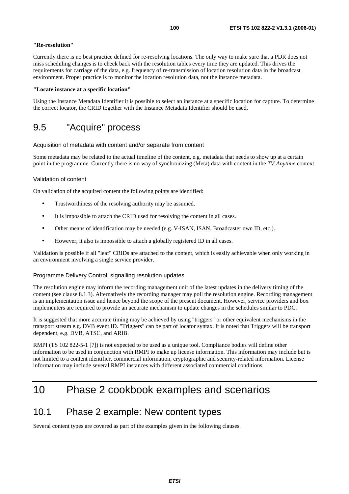#### **"Re-resolution"**

Currently there is no best practice defined for re-resolving locations. The only way to make sure that a PDR does not miss scheduling changes is to check back with the resolution tables every time they are updated. This drives the requirements for carriage of the data, e.g. frequency of re-transmission of location resolution data in the broadcast environment. Proper practice is to monitor the location resolution data, not the instance metadata.

#### **"Locate instance at a specific location"**

Using the Instance Metadata Identifier it is possible to select an instance at a specific location for capture. To determine the correct locator, the CRID together with the Instance Metadata Identifier should be used.

# 9.5 "Acquire" process

Acquisition of metadata with content and/or separate from content

Some metadata may be related to the actual timeline of the content, e.g. metadata that needs to show up at a certain point in the programme. Currently there is no way of synchronizing (Meta) data with content in the *TV-Anytime* context.

#### Validation of content

On validation of the acquired content the following points are identified:

- Trustworthiness of the resolving authority may be assumed.
- It is impossible to attach the CRID used for resolving the content in all cases.
- Other means of identification may be needed (e.g. V-ISAN, ISAN, Broadcaster own ID, etc.).
- However, it also is impossible to attach a globally registered ID in all cases.

Validation is possible if all "leaf" CRIDs are attached to the content, which is easily achievable when only working in an environment involving a single service provider.

#### Programme Delivery Control, signalling resolution updates

The resolution engine may inform the recording management unit of the latest updates in the delivery timing of the content (see clause 8.1.3). Alternatively the recording manager may poll the resolution engine. Recording management is an implementation issue and hence beyond the scope of the present document. However, service providers and box implementers are required to provide an accurate mechanism to update changes in the schedules similar to PDC.

It is suggested that more accurate timing may be achieved by using "triggers" or other equivalent mechanisms in the transport stream e.g. DVB event ID. "Triggers" can be part of locator syntax. It is noted that Triggers will be transport dependent, e.g. DVB, ATSC, and ARIB.

RMPI (TS 102 822-5-1 [7]) is not expected to be used as a unique tool. Compliance bodies will define other information to be used in conjunction with RMPI to make up license information. This information may include but is not limited to a content identifier, commercial information, cryptographic and security-related information. License information may include several RMPI instances with different associated commercial conditions.

# 10 Phase 2 cookbook examples and scenarios

## 10.1 Phase 2 example: New content types

Several content types are covered as part of the examples given in the following clauses.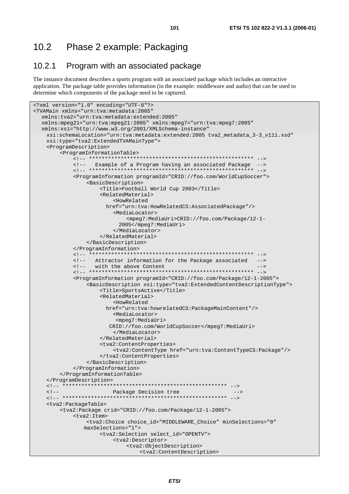## 10.2 Phase 2 example: Packaging

### 10.2.1 Program with an associated package

The instance document describes a sports program with an associated package which includes an interactive application. The package table provides information (in the example: middleware and audio) that can be used to determine which components of the package need to be captured.

```
<?xml version="1.0" encoding="UTF-8"?> 
<TVAMain xmlns="urn:tva:metadata:2005" 
   xmlns:tva2="urn:tva:metadata:extended:2005" 
   xmlns:mpeg21="urn:tva:mpeg21:2005" xmlns:mpeg7="urn:tva:mpeg7:2005" 
   xmlns:xsi="http://www.w3.org/2001/XMLSchema-instance" 
     xsi:schemaLocation="urn:tva:metadata:extended:2005 tva2_metadata_3-3_v111.xsd" 
     xsi:type="tva2:ExtendedTVAMainType"> 
     <ProgramDescription> 
         <ProgramInformationTable> 
              <!-- **************************************************** --> 
              <!-- Example of a Program having an associated Package --> 
                                 **************************************
              <ProgramInformation programId="CRID://foo.com/WorldCupSoccer"> 
                   <BasicDescription> 
                       <Title>Football World Cup 2003</Title> 
                       <RelatedMaterial> 
                            <HowRelated 
                         href="urn:tva:HowRelatedCS:AssociatedPackage"/> 
                            <MediaLocator> 
                                <mpeg7:MediaUri>CRID://foo.com/Package/12-1- 
                              2005</mpeg7:MediaUri> 
                            </MediaLocator> 
                       </RelatedMaterial> 
                   </BasicDescription> 
              </ProgramInformation> 
              <!-- **************************************************** --> 
              <!-- Attractor information for the Package associated --> 
             <!-- with the above Content<br>
<!-- ***********************
                                       <!-- **************************************************** --> 
              <ProgramInformation programId="CRID://foo.com/Package/12-1-2005"> 
                   <BasicDescription xsi:type="tva2:ExtendedContentDescriptionType"> 
                       <Title>SportsActive</Title> 
                       <RelatedMaterial> 
                            <HowRelated 
                         href="urn:tva:howrelatedCS:PackageMainContent"/> 
                            <MediaLocator> 
                             <mpeg7:MediaUri> 
                          CRID://foo.com/WorldCupSoccer</mpeg7:MediaUri> 
                            </MediaLocator> 
                       </RelatedMaterial> 
                       <tva2:ContentProperties> 
                            <tva2:ContentType href="urn:tva:ContentTypeCS:Package"/> 
                       </tva2:ContentProperties> 
                   </BasicDescription> 
              </ProgramInformation> 
         </ProgramInformationTable> 
     </ProgramDescription> 
     <!-- **************************************************** --> 
     <!-- Package Decision tree --> 
     <!-- **************************************************** --> 
     <tva2:PackageTable> 
         <tva2:Package crid="CRID://foo.com/Package/12-1-2005"> 
              <tva2:Item> 
                  <tva2:Choice choice_id="MIDDLEWARE_Choice" minSelections="0" 
                  maxSelections="1"> 
                       <tva2:Selection select_id="OPENTV"> 
                            <tva2:Descriptor> 
                                <tva2:ObjectDescription> 
                                     <tva2:ContentDescription>
```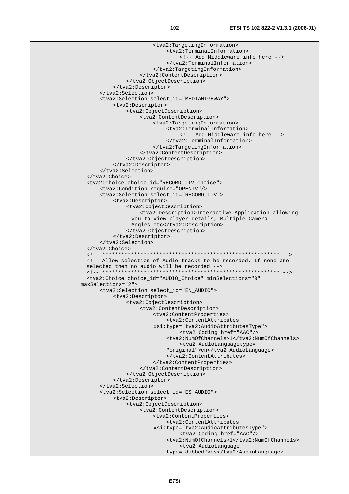```
 <tva2:TargetingInformation> 
                              <tva2:TerminalInformation> 
                                   <!-- Add Middleware info here --> 
                              </tva2:TerminalInformation> 
                          </tva2:TargetingInformation> 
                     </tva2:ContentDescription> 
                </tva2:ObjectDescription> 
            </tva2:Descriptor> 
       </tva2:Selection> 
       <tva2:Selection select_id="MEDIAHIGHWAY"> 
            <tva2:Descriptor> 
                <tva2:ObjectDescription> 
                     <tva2:ContentDescription> 
                          <tva2:TargetingInformation> 
                              <tva2:TerminalInformation> 
                                   <!-- Add Middleware info here --> 
                              </tva2:TerminalInformation> 
                          </tva2:TargetingInformation> 
                     </tva2:ContentDescription> 
                </tva2:ObjectDescription> 
            </tva2:Descriptor> 
       </tva2:Selection> 
   </tva2:Choice> 
   <tva2:Choice choice_id="RECORD_ITV_Choice"> 
       <tva2:Condition require="OPENTV"/> 
       <tva2:Selection select_id="RECORD_ITV"> 
            <tva2:Descriptor> 
                 <tva2:ObjectDescription> 
                     <tva2:Description>Interactive Application allowing 
                  you to view player details, Multiple Camera 
                 Angles etc</tva2:Description>
                 </tva2:ObjectDescription> 
            </tva2:Descriptor> 
       </tva2:Selection> 
   </tva2:Choice> 
   <!-- ******************************************************** --> 
   <!-- Allow selection of Audio tracks to be recorded. If none are 
   selected then no audio will be recorded --> 
   <!-- ******************************************************** --> 
   <tva2:Choice choice_id="AUDIO_Choice" minSelections="0" 
 maxSelections="2"> 
       <tva2:Selection select_id="EN_AUDIO"> 
            <tva2:Descriptor> 
                 <tva2:ObjectDescription> 
                     <tva2:ContentDescription> 
                          <tva2:ContentProperties> 
                              <tva2:ContentAttributes 
                          xsi:type="tva2:AudioAttributesType"> 
                                   <tva2:Coding href="AAC"/> 
                              <tva2:NumOfChannels>1</tva2:NumOfChannels> 
                                   <tva2:AudioLanguagetype= 
                              "original">en</tva2:AudioLanguage> 
                              </tva2:ContentAttributes> 
                          </tva2:ContentProperties> 
                     </tva2:ContentDescription> 
                </tva2:ObjectDescription> 
            </tva2:Descriptor> 
       </tva2:Selection> 
       <tva2:Selection select_id="ES_AUDIO"> 
            <tva2:Descriptor> 
                 <tva2:ObjectDescription> 
                     <tva2:ContentDescription> 
                          <tva2:ContentProperties> 
                              <tva2:ContentAttributes 
                          xsi:type="tva2:AudioAttributesType"> 
                                   <tva2:Coding href="AAC"/> 
                              <tva2:NumOfChannels>1</tva2:NumOfChannels> 
                                   <tva2:AudioLanguage 
                              type="dubbed">es</tva2:AudioLanguage>
```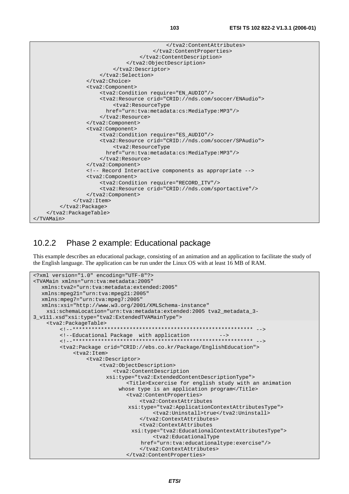

### 10.2.2 Phase 2 example: Educational package

This example describes an educational package, consisting of an animation and an application to facilitate the study of the English language. The application can be run under the Linux OS with at least 16 MB of RAM.

```
<?xml version="1.0" encoding="UTF-8"?> 
<TVAMain xmlns="urn:tva:metadata:2005" 
   xmlns:tva2="urn:tva:metadata:extended:2005" 
   xmlns:mpeg21="urn:tva:mpeg21:2005" 
   xmlns:mpeg7="urn:tva:mpeg7:2005" 
   xmlns:xsi="http://www.w3.org/2001/XMLSchema-instance" 
     xsi:schemaLocation="urn:tva:metadata:extended:2005 tva2_metadata_3-
3_v111.xsd"xsi:type="tva2:ExtendedTVAMainType"> 
     <tva2:PackageTable> 
         <!--********************************************************* --> 
        <!--Educational Package with application
         <!--********************************************************* --> 
         <tva2:Package crid="CRID://ebs.co.kr/Package/EnglishEducation"> 
              <tva2:Item> 
                  <tva2:Descriptor> 
                       <tva2:ObjectDescription> 
                           <tva2:ContentDescription 
                         xsi:type="tva2:ExtendedContentDescriptionType"> 
                                <Title>Excercise for english study with an animation 
                            whose type is an application program</Title>
                                <tva2:ContentProperties> 
                                    <tva2:ContextAttributes 
                                xsi:type="tva2:ApplicationContextAttributesType"> 
                                         <tva2:Uninstall>true</tva2:Uninstall> 
                                    </tva2:ContextAttributes> 
                                    <tva2:ContextAttributes 
                                 xsi:type="tva2:EducationalContextAttributesType"> 
                                         <tva2:EducationalType 
                                    href="urn:tva:educationaltype:exercise"/> 
                                    </tva2:ContextAttributes> 
                                </tva2:ContentProperties>
```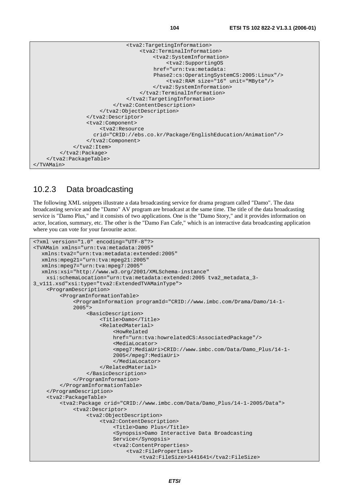

### 10.2.3 Data broadcasting

The following XML snippets illustrate a data broadcasting service for drama program called "Damo". The data broadcasting service and the "Damo" AV program are broadcast at the same time. The title of the data broadcasting service is "Damo Plus," and it consists of two applications. One is the "Damo Story," and it provides information on actor, location, summary, etc. The other is the "Damo Fan Cafe," which is an interactive data broadcasting application where you can vote for your favourite actor.

```
<?xml version="1.0" encoding="UTF-8"?> 
<TVAMain xmlns="urn:tva:metadata:2005" 
   xmlns:tva2="urn:tva:metadata:extended:2005" 
   xmlns:mpeg21="urn:tva:mpeg21:2005" 
   xmlns:mpeg7="urn:tva:mpeg7:2005" 
   xmlns:xsi="http://www.w3.org/2001/XMLSchema-instance" 
     xsi:schemaLocation="urn:tva:metadata:extended:2005 tva2_metadata_3-
3_v111.xsd"xsi:type="tva2:ExtendedTVAMainType"> 
     <ProgramDescription> 
          <ProgramInformationTable> 
              <ProgramInformation programId="CRID://www.imbc.com/Drama/Damo/14-1- 
              2005"> 
                   <BasicDescription> 
                       <Title>Damo</Title> 
                       <RelatedMaterial> 
                            <HowRelated 
                            href="urn:tva:howrelatedCS:AssociatedPackage"/> 
                            <MediaLocator> 
                            <mpeg7:MediaUri>CRID://www.imbc.com/Data/Damo_Plus/14-1- 
                            2005</mpeg7:MediaUri> 
                            </MediaLocator> 
                       </RelatedMaterial> 
                   </BasicDescription> 
              </ProgramInformation> 
          </ProgramInformationTable> 
     </ProgramDescription> 
     <tva2:PackageTable> 
          <tva2:Package crid="CRID://www.imbc.com/Data/Damo_Plus/14-1-2005/Data"> 
              <tva2:Descriptor> 
                   <tva2:ObjectDescription> 
                       <tva2:ContentDescription> 
                            <Title>Damo Plus</Title> 
                            <Synopsis>Damo Interactive Data Broadcasting 
                            Service</Synopsis> 
                            <tva2:ContentProperties> 
                                 <tva2:FileProperties> 
                                     <tva2:FileSize>1441641</tva2:FileSize>
```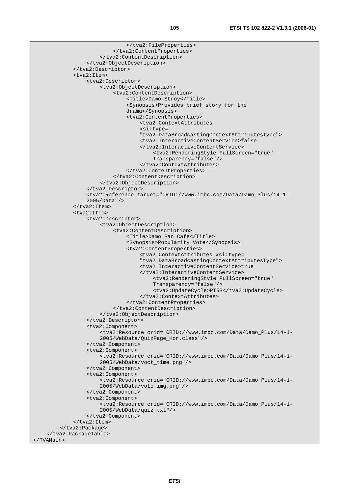```
 </tva2:FileProperties> 
                            </tva2:ContentProperties> 
                        </tva2:ContentDescription> 
                   </tva2:ObjectDescription> 
              </tva2:Descriptor> 
              <tva2:Item> 
                   <tva2:Descriptor> 
                        <tva2:ObjectDescription> 
                            <tva2:ContentDescription> 
                                 <Title>Damo Stroy</Title> 
                                 <Synopsis>Provides brief story for the 
                                 drama</Synopsis> 
                                 <tva2:ContentProperties> 
                                     <tva2:ContextAttributes 
                                     xsi:type= 
                                      "tva2:DataBroadcastingContextAttributesType"> 
                                     <tva2:InteractiveContentService>false 
                                     </tva2:InteractiveContentService> 
                                          <tva2:RenderingStyle FullScreen="true" 
                                          Transparency="false"/> 
                                     </tva2:ContextAttributes> 
                                 </tva2:ContentProperties> 
                            </tva2:ContentDescription> 
                        </tva2:ObjectDescription> 
                   </tva2:Descriptor> 
                   <tva2:Reference target="CRID://www.imbc.com/Data/Damo_Plus/14-1- 
                   2005/Data"/> 
             \langle/tva2:Item>
              <tva2:Item> 
                   <tva2:Descriptor> 
                        <tva2:ObjectDescription> 
                            <tva2:ContentDescription> 
                                 <Title>Damo Fan Cafe</Title> 
                                 <Synopsis>Popularity Vote</Synopsis> 
                                 <tva2:ContentProperties> 
                                     <tva2:ContextAttributes xsi:type= 
                                     "tva2:DataBroadcastingContextAttributesType"> 
                                     <tva2:InteractiveContentService>true 
                                     </tva2:InteractiveContentService> 
                                          <tva2:RenderingStyle FullScreen="true" 
                                          Transparency="false"/> 
                                          <tva2:UpdateCycle>PT5S</tva2:UpdateCycle> 
                                     </tva2:ContextAttributes> 
                                 </tva2:ContentProperties> 
                            </tva2:ContentDescription> 
                        </tva2:ObjectDescription> 
                   </tva2:Descriptor> 
                   <tva2:Component> 
                        <tva2:Resource crid="CRID://www.imbc.com/Data/Damo_Plus/14-1- 
                        2005/WebData/QuizPage_Kor.class"/> 
                   </tva2:Component> 
                   <tva2:Component> 
                        <tva2:Resource crid="CRID://www.imbc.com/Data/Damo_Plus/14-1- 
                        2005/WebData/voct_time.png"/> 
                   </tva2:Component> 
                   <tva2:Component> 
                        <tva2:Resource crid="CRID://www.imbc.com/Data/Damo_Plus/14-1- 
                        2005/WebData/vote_img.png"/> 
                   </tva2:Component> 
                   <tva2:Component> 
                        <tva2:Resource crid="CRID://www.imbc.com/Data/Damo_Plus/14-1- 
                        2005/WebData/quiz.txt"/> 
                   </tva2:Component> 
             </tva2:Item>
          </tva2:Package> 
     </tva2:PackageTable> 
</TVAMain>
```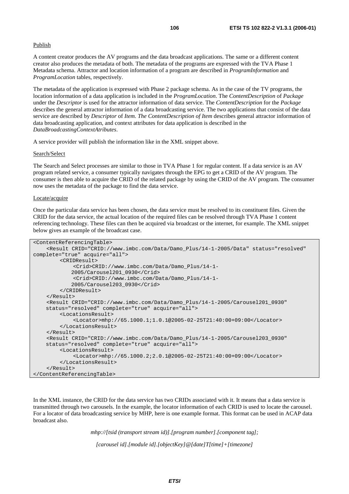#### Publish

A content creator produces the AV programs and the data broadcast applications. The same or a different content creator also produces the metadata of both. The metadata of the programs are expressed with the TVA Phase 1 Metadata schema. Attractor and location information of a program are described in *ProgramInformation* and *ProgramLocation* tables, respectively.

The metadata of the application is expressed with Phase 2 package schema. As in the case of the TV programs, the location information of a data application is included in the *ProgramLocation*. The *ContentDescription* of *Package* under the *Descriptor* is used for the attractor information of data service. The *ContentDescription* for the *Package* describes the general attractor information of a data broadcasting service. The two applications that consist of the data service are described by *Descriptor* of *Item. The ContentDescription of Item* describes general attractor information of data broadcasting application, and context attributes for data application is described in the *DataBroadcastingContextAtributes*.

A service provider will publish the information like in the XML snippet above.

#### Search/Select

The Search and Select processes are similar to those in TVA Phase 1 for regular content. If a data service is an AV program related service, a consumer typically navigates through the EPG to get a CRID of the AV program. The consumer is then able to acquire the CRID of the related package by using the CRID of the AV program. The consumer now uses the metadata of the package to find the data service.

#### Locate/acquire

Once the particular data service has been chosen, the data service must be resolved to its constituent files. Given the CRID for the data service, the actual location of the required files can be resolved through TVA Phase 1 content referencing technology. These files can then be acquired via broadcast or the internet, for example. The XML snippet below gives an example of the broadcast case.

```
<ContentReferencingTable> 
     <Result CRID="CRID://www.imbc.com/Data/Damo_Plus/14-1-2005/Data" status="resolved" 
complete="true" acquire="all"> 
         <CRIDResult> 
              <Crid>CRID://www.imbc.com/Data/Damo_Plus/14-1- 
             2005/Carousel201_0930</Crid> 
              <Crid>CRID://www.imbc.com/Data/Damo_Plus/14-1- 
             2005/Carousel203_0930</Crid> 
         </CRIDResult> 
     </Result> 
     <Result CRID="CRID://www.imbc.com/Data/Damo_Plus/14-1-2005/Carousel201_0930" 
     status="resolved" complete="true" acquire="all"> 
         <LocationsResult> 
              <Locator>mhp://65.1000.1;1.0.1@2005-02-25T21:40:00+09:00</Locator> 
         </LocationsResult> 
     </Result> 
     <Result CRID="CRID://www.imbc.com/Data/Damo_Plus/14-1-2005/Carousel203_0930" 
     status="resolved" complete="true" acquire="all"> 
          <LocationsResult> 
              <Locator>mhp://65.1000.2;2.0.1@2005-02-25T21:40:00+09:00</Locator> 
         </LocationsResult> 
     </Result> 
</ContentReferencingTable>
```
In the XML instance, the CRID for the data service has two CRIDs associated with it. It means that a data service is transmitted through two carousels. In the example, the locator information of each CRID is used to locate the carousel. For a locator of data broadcasting service by MHP, here is one example format. This format can be used in ACAP data broadcast also.

*mhp://[tsid (transport stream id)].[program number].[component tag];* 

*[carousel id].[module id].[objectKey]@[date]T[time]+[timezone]*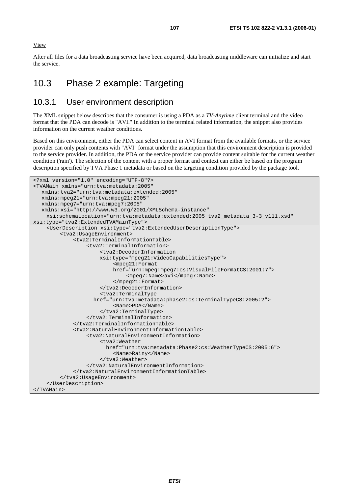View

After all files for a data broadcasting service have been acquired, data broadcasting middleware can initialize and start the service.

# 10.3 Phase 2 example: Targeting

### 10.3.1 User environment description

The XML snippet below describes that the consumer is using a PDA as a *TV-Anytime* client terminal and the video format that the PDA can decode is "AVI." In addition to the terminal related information, the snippet also provides information on the current weather conditions.

Based on this environment, either the PDA can select content in AVI format from the available formats, or the service provider can only push contents with "AVI" format under the assumption that this environment description is provided to the service provider. In addition, the PDA or the service provider can provide content suitable for the current weather condition ('rain'). The selection of the content with a proper format and context can either be based on the program description specified by TVA Phase 1 metadata or based on the targeting condition provided by the package tool.

```
<?xml version="1.0" encoding="UTF-8"?> 
<TVAMain xmlns="urn:tva:metadata:2005" 
   xmlns:tva2="urn:tva:metadata:extended:2005" 
   xmlns:mpeg21="urn:tva:mpeg21:2005" 
   xmlns:mpeg7="urn:tva:mpeg7:2005" 
   xmlns:xsi="http://www.w3.org/2001/XMLSchema-instance" 
     xsi:schemaLocation="urn:tva:metadata:extended:2005 tva2_metadata_3-3_v111.xsd" 
xsi:type="tva2:ExtendedTVAMainType"> 
     <UserDescription xsi:type="tva2:ExtendedUserDescriptionType"> 
          <tva2:UsageEnvironment> 
              <tva2:TerminalInformationTable> 
                   <tva2:TerminalInformation> 
                       <tva2:DecoderInformation 
                       xsi:type="mpeg21:VideoCapabilitiesType"> 
                            <mpeg21:Format 
                            href="urn:mpeg:mpeg7:cs:VisualFileFormatCS:2001:7"> 
                                <mpeg7:Name>avi</mpeg7:Name> 
                            </mpeg21:Format> 
                       </tva2:DecoderInformation> 
                       <tva2:TerminalType 
                     href="urn:tva:metadata:phase2:cs:TerminalTypeCS:2005:2"> 
                            <Name>PDA</Name> 
                       </tva2:TerminalType> 
                   </tva2:TerminalInformation> 
              </tva2:TerminalInformationTable> 
              <tva2:NaturalEnvironmentInformationTable> 
                   <tva2:NaturalEnvironmentInformation> 
                       <tva2:Weather 
                         href="urn:tva:metadata:Phase2:cs:WeatherTypeCS:2005:6"> 
                            <Name>Rainy</Name> 
                       </tva2:Weather> 
                   </tva2:NaturalEnvironmentInformation> 
              </tva2:NaturalEnvironmentInformationTable> 
          </tva2:UsageEnvironment> 
     </UserDescription> 
</TVAMain>
```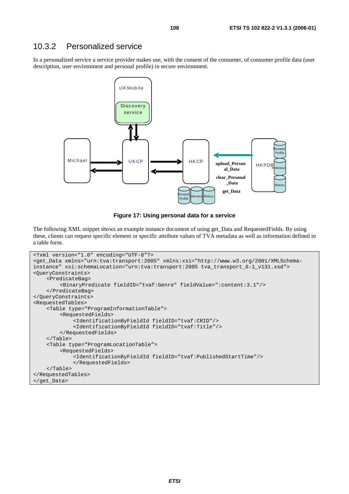### 10.3.2 Personalized service

In a personalized service a service provider makes use, with the consent of the consumer, of consumer profile data (user description, user environment and personal profile) in secure environment.



**Figure 17: Using personal data for a service** 

The following XML snippet shows an example instance document of using get\_Data and RequestedFields. By using these, clients can request specific element or specific attribute values of TVA metadata as well as information defined in a table form.

```
<?xml version="1.0" encoding="UTF-8"?> 
<get_Data xmlns="urn:tva:transport:2005" xmlns:xsi="http://www.w3.org/2001/XMLSchema-
instance" xsi:schemaLocation="urn:tva:transport:2005 tva_transport_6-1_v131.xsd"> 
<QueryConstraints> 
     <PredicateBag> 
         <BinaryPredicate fieldID="tvaf:Genre" fieldValue=":content:3.1"/>
     </PredicateBag> 
</QueryConstraints> 
<RequestedTables> 
     <Table type="ProgramInformationTable"> 
          <RequestedFields> 
              <IdentificationByFieldId fieldID="tvaf:CRID"/> 
              <IdentificationByFieldId fieldID="tvaf:Title"/> 
          </RequestedFields> 
     </Table> 
     <Table type="ProgramLocationTable"> 
         <RequestedFields> 
              <IdentificationByFieldId fieldID="tvaf:PublishedStartTime"/> 
              </RequestedFields> 
     </Table> 
</RequestedTables> 
</get_Data>
```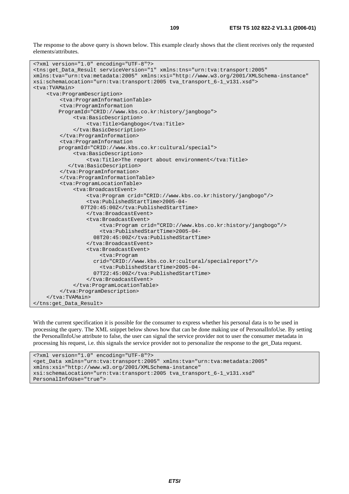The response to the above query is shown below. This example clearly shows that the client receives only the requested elements/attributes.

```
<?xml version="1.0" encoding="UTF-8"?> 
<tns:get_Data_Result serviceVersion="1" xmlns:tns="urn:tva:transport:2005" 
xmlns:tva="urn:tva:metadata:2005" xmlns:xsi="http://www.w3.org/2001/XMLSchema-instance" 
xsi:schemaLocation="urn:tva:transport:2005 tva_transport_6-1_v131.xsd"> 
<tva:TVAMain> 
     <tva:ProgramDescription> 
         <tva:ProgramInformationTable> 
         <tva:ProgramInformation 
         ProgramId="CRID://www.kbs.co.kr:history/jangbogo"> 
              <tva:BasicDescription> 
                   <tva:Title>Gangbogo</tva:Title> 
              </tva:BasicDescription> 
         </tva:ProgramInformation> 
         <tva:ProgramInformation 
         programId="CRID://www.kbs.co.kr:cultural/special"> 
              <tva:BasicDescription> 
                  <tva:Title>The report about environment</tva:Title> 
            </tva:BasicDescription> 
         </tva:ProgramInformation> 
         </tva:ProgramInformationTable> 
         <tva:ProgramLocationTable> 
              <tva:BroadcastEvent> 
                   <tva:Program crid="CRID://www.kbs.co.kr:history/jangbogo"/> 
                   <tva:PublishedStartTime>2005-04- 
                 07T20:45:00Z</tva:PublishedStartTime> 
                   </tva:BroadcastEvent> 
                   <tva:BroadcastEvent> 
                       <tva:Program crid="CRID://www.kbs.co.kr:history/jangbogo"/> 
                       <tva:PublishedStartTime>2005-04- 
                     08T20:45:00Z</tva:PublishedStartTime> 
                   </tva:BroadcastEvent> 
                   <tva:BroadcastEvent> 
                       <tva:Program 
                     crid="CRID://www.kbs.co.kr:cultural/specialreport"/> 
                       <tva:PublishedStartTime>2005-04- 
                     07T22:45:00Z</tva:PublishedStartTime> 
                   </tva:BroadcastEvent> 
              </tva:ProgramLocationTable> 
         </tva:ProgramDescription> 
     </tva:TVAMain> 
</tns:get_Data_Result>
```
With the current specification it is possible for the consumer to express whether his personal data is to be used in processing the query. The XML snippet below shows how that can be done making use of PersonalInfoUse. By setting the PersonalInfoUse attribute to false, the user can signal the service provider not to user the consumer metadata in processing his request, i.e. this signals the service provider not to personalize the response to the get\_Data request.

```
<?xml version="1.0" encoding="UTF-8"?> 
<get_Data xmlns="urn:tva:transport:2005" xmlns:tva="urn:tva:metadata:2005" 
xmlns:xsi="http://www.w3.org/2001/XMLSchema-instance" 
xsi:schemaLocation="urn:tva:transport:2005 tva_transport_6-1_v131.xsd" 
PersonalInfoUse="true">
```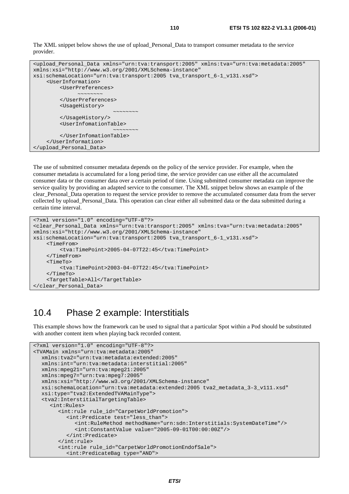```
<upload_Personal_Data xmlns="urn:tva:transport:2005" xmlns:tva="urn:tva:metadata:2005" 
xmlns:xsi="http://www.w3.org/2001/XMLSchema-instance" 
xsi:schemaLocation="urn:tva:transport:2005 tva_transport_6-1_v131.xsd"> 
     <UserInformation> 
        <UserPreferences> 
 ~~~~~~~~ 
        </UserPreferences> 
        <UsageHistory> 
 ~~~~~~~~ 
        </UsageHistory/> 
        <UserInfomationTable> 
 ~~~~~~~~ 
        </UserInfomationTable> 
     </UserInformation> 
</upload_Personal_Data>
```
The use of submitted consumer metadata depends on the policy of the service provider. For example, when the consumer metadata is accumulated for a long period time, the service provider can use either all the accumulated consumer data or the consumer data over a certain period of time. Using submitted consumer metadata can improve the service quality by providing an adapted service to the consumer. The XML snippet below shows an example of the clear\_Personal\_Data operation to request the service provider to remove the accumulated consumer data from the server collected by upload\_Personal\_Data. This operation can clear either all submitted data or the data submitted during a certain time interval.

```
<?xml version="1.0" encoding="UTF-8"?> 
<clear_Personal_Data xmlns="urn:tva:transport:2005" xmlns:tva="urn:tva:metadata:2005" 
xmlns:xsi="http://www.w3.org/2001/XMLSchema-instance" 
xsi:schemaLocation="urn:tva:transport:2005 tva_transport_6-1_v131.xsd"> 
     <TimeFrom> 
          <tva:TimePoint>2005-04-07T22:45</tva:TimePoint> 
     </TimeFrom> 
     <TimeTo> 
          <tva:TimePoint>2003-04-07T22:45</tva:TimePoint> 
     </TimeTo> 
     <TargetTable>All</TargetTable> 
</clear_Personal_Data>
```
#### 10.4 Phase 2 example: Interstitials

This example shows how the framework can be used to signal that a particular Spot within a Pod should be substituted with another content item when playing back recorded content.

```
<?xml version="1.0" encoding="UTF-8"?> 
<TVAMain xmlns="urn:tva:metadata:2005" 
   xmlns:tva2="urn:tva:metadata:extended:2005" 
   xmlns:int="urn:tva:metadata:interstitial:2005" 
   xmlns:mpeg21="urn:tva:mpeg21:2005" 
   xmlns:mpeg7="urn:tva:mpeg7:2005" 
   xmlns:xsi="http://www.w3.org/2001/XMLSchema-instance" 
   xsi:schemaLocation="urn:tva:metadata:extended:2005 tva2_metadata_3-3_v111.xsd" 
   xsi:type="tva2:ExtendedTVAMainType"> 
   <tva2:InterstitialTargetingTable> 
      <int:Rules> 
         <int:rule rule_id="CarpetWorldPromotion"> 
            <int:Predicate test="less_than"> 
              <int:RuleMethod methodName="urn:sdn:Interstitials:SystemDateTime"/> 
              <int:ConstantValue value="2005-09-01T00:00:00Z"/> 
            </int:Predicate> 
         </int:rule> 
         <int:rule rule_id="CarpetWorldPromotionEndofSale"> 
            <int:PredicateBag type="AND">
```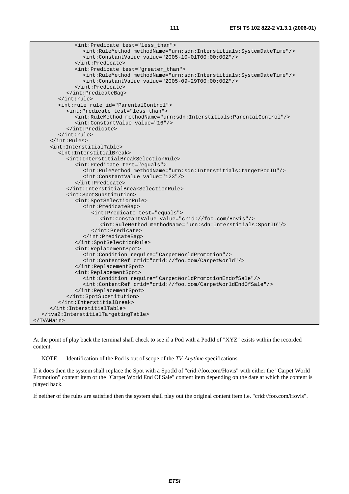| <int:predicate test="less_than"></int:predicate>                                         |
|------------------------------------------------------------------------------------------|
| <int:rulemethod methodname="urn:sdn:Interstitials:SystemDateTime"></int:rulemethod>      |
| <int:constantvalue value="2005-10-01T00:00:00Z"></int:constantvalue>                     |
|                                                                                          |
| <int:predicate test="greater_than"></int:predicate>                                      |
| <int:rulemethod methodname="urn:sdn:Interstitials:SystemDateTime"></int:rulemethod>      |
| $\texttt{cint:} \texttt{ConstantValue} \text{ value} = "2005-09-29 \texttt{TO0}:00:00Z"$ |
|                                                                                          |
|                                                                                          |
| $\langle$ /int:rule>                                                                     |
| <int:rule id="ParentalControl" rule=""></int:rule>                                       |
| <int:predicate test="less_than"></int:predicate>                                         |
| <int:rulemethod methodname="urn:sdn:Interstitials:ParentalControl"></int:rulemethod>     |
| <int:constantvalue value="16"></int:constantvalue>                                       |
|                                                                                          |
| $\langle$ /int:rule>                                                                     |
| $\langle$ int:Rules>                                                                     |
| <int:interstitialtable></int:interstitialtable>                                          |
| <int:interstitialbreak></int:interstitialbreak>                                          |
| <int:interstitialbreakselectionrule></int:interstitialbreakselectionrule>                |
| <int:predicate test="equals"></int:predicate>                                            |
| <int:rulemethod methodname="urn:sdn:Interstitials:targetPodID"></int:rulemethod>         |
| <int:constantvalue value="123"></int:constantvalue>                                      |
|                                                                                          |
|                                                                                          |
| <int:spotsubstitution></int:spotsubstitution>                                            |
| <int:spotselectionrule></int:spotselectionrule>                                          |
| <int:predicatebag></int:predicatebag>                                                    |
| <int: predicate="" test="equals"></int:>                                                 |
| <int:constantvalue value="crid://foo.com/Hovis"></int:constantvalue>                     |
| <int:rulemethod methodname="urn:sdn:Interstitials:SpotID"></int:rulemethod>              |
|                                                                                          |
|                                                                                          |
|                                                                                          |
| <int:replacementspot></int:replacementspot>                                              |
| <int:condition require="CarpetWorldPromotion"></int:condition>                           |
| <int:contentref crid="crid://foo.com/CarpetWorld"></int:contentref>                      |
|                                                                                          |
| <int:replacementspot></int:replacementspot>                                              |
| <int:condition require="CarpetWorldPromotionEndofSale"></int:condition>                  |
| <int:contentref crid="crid://foo.com/CarpetWorldEndOfSale"></int:contentref>             |
|                                                                                          |
|                                                                                          |
|                                                                                          |
|                                                                                          |
|                                                                                          |
|                                                                                          |

At the point of play back the terminal shall check to see if a Pod with a PodId of "XYZ" exists within the recorded content.

NOTE: Identification of the Pod is out of scope of the *TV-Anytime* specifications.

If it does then the system shall replace the Spot with a SpotId of "crid://foo.com/Hovis" with either the "Carpet World Promotion" content item or the "Carpet World End Of Sale" content item depending on the date at which the content is played back.

If neither of the rules are satisfied then the system shall play out the original content item i.e. "crid://foo.com/Hovis".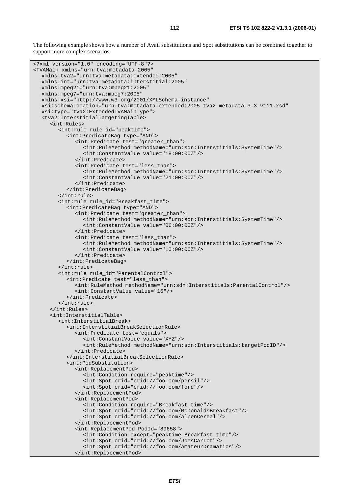The following example shows how a number of Avail substitutions and Spot substitutions can be combined together to support more complex scenarios.

```
<?xml version="1.0" encoding="UTF-8"?> 
<TVAMain xmlns="urn:tva:metadata:2005" 
   xmlns:tva2="urn:tva:metadata:extended:2005" 
   xmlns:int="urn:tva:metadata:interstitial:2005" 
   xmlns:mpeg21="urn:tva:mpeg21:2005" 
   xmlns:mpeg7="urn:tva:mpeg7:2005" 
   xmlns:xsi="http://www.w3.org/2001/XMLSchema-instance" 
   xsi:schemaLocation="urn:tva:metadata:extended:2005 tva2_metadata_3-3_v111.xsd" 
   xsi:type="tva2:ExtendedTVAMainType"> 
    <tva2:InterstitialTargetingTable> 
      <int:Rules> 
         <int:rule rule_id="peaktime"> 
            <int:PredicateBag type="AND"> 
               <int:Predicate test="greater_than"> 
                  <int:RuleMethod methodName="urn:sdn:Interstitials:SystemTime"/> 
                  <int:ConstantValue value="18:00:00Z"/> 
               </int:Predicate> 
               <int:Predicate test="less_than"> 
                 <int:RuleMethod methodName="urn:sdn:Interstitials:SystemTime"/> 
                  <int:ConstantValue value="21:00:00Z"/> 
               </int:Predicate> 
            </int:PredicateBag> 
         </int:rule> 
         <int:rule rule_id="Breakfast_time"> 
            <int:PredicateBag type="AND"> 
               <int:Predicate test="greater_than"> 
                 <int:RuleMethod methodName="urn:sdn:Interstitials:SystemTime"/> 
                  <int:ConstantValue value="06:00:00Z"/> 
               </int:Predicate> 
               <int:Predicate test="less_than"> 
                 <int:RuleMethod methodName="urn:sdn:Interstitials:SystemTime"/> 
                  <int:ConstantValue value="10:00:00Z"/> 
               </int:Predicate> 
            </int:PredicateBag> 
         </int:rule> 
         <int:rule rule_id="ParentalControl"> 
            <int:Predicate test="less_than"> 
               <int:RuleMethod methodName="urn:sdn:Interstitials:ParentalControl"/> 
               <int:ConstantValue value="16"/> 
            </int:Predicate> 
         </int:rule> 
      </int:Rules> 
      <int:InterstitialTable> 
         <int:InterstitialBreak> 
            <int:InterstitialBreakSelectionRule> 
               <int:Predicate test="equals"> 
                  <int:ConstantValue value="XYZ"/> 
                  <int:RuleMethod methodName="urn:sdn:Interstitials:targetPodID"/> 
               </int:Predicate> 
            </int:InterstitialBreakSelectionRule> 
            <int:PodSubstitution> 
               <int:ReplacementPod> 
                  <int:Condition require="peaktime"/> 
                 <int:Spot crid="crid://foo.com/persil"/> 
                 <int:Spot crid="crid://foo.com/ford"/> 
               </int:ReplacementPod> 
               <int:ReplacementPod> 
                 <int:Condition require="Breakfast_time"/> 
                 <int:Spot crid="crid://foo.com/McDonaldsBreakfast"/> 
                 <int:Spot crid="crid://foo.com/AlpenCereal"/> 
               </int:ReplacementPod> 
               <int:ReplacementPod PodId="89658"> 
                 <int:Condition except="peaktime Breakfast_time"/> 
                 <int:Spot crid="crid://foo.com/JoesCarLot"/> 
                  <int:Spot crid="crid://foo.com/AmateurDramatics"/> 
               </int:ReplacementPod>
```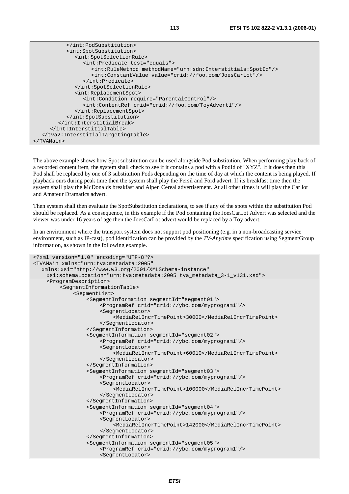| <int:spotsubstitution></int:spotsubstitution>                               |
|-----------------------------------------------------------------------------|
| <int:spotselectionrule></int:spotselectionrule>                             |
| <int:predicate test="equals"></int:predicate>                               |
| <int:rulemethod methodname="urn:sdn:Interstitials:SpotId"></int:rulemethod> |
| <int:constantvalue value="crid://foo.com/JoesCarLot"></int:constantvalue>   |
|                                                                             |
|                                                                             |
| <int:replacementspot></int:replacementspot>                                 |
| <int:condition require="ParentalControl"></int:condition>                   |
| <int:contentref crid="crid://foo.com/ToyAdvert1"></int:contentref>          |
|                                                                             |
|                                                                             |
|                                                                             |
|                                                                             |
|                                                                             |
|                                                                             |

The above example shows how Spot substitution can be used alongside Pod substitution. When performing play back of a recorded content item, the system shall check to see if it contains a pod with a PodId of "XYZ". If it does then this Pod shall be replaced by one of 3 substitution Pods depending on the time of day at which the content is being played. If playback ours during peak time then the system shall play the Persil and Ford advert. If its breakfast time then the system shall play the McDonalds breakfast and Alpen Cereal advertisement. At all other times it will play the Car lot and Amateur Dramatics advert.

Then system shall then evaluate the SpotSubstitution declarations, to see if any of the spots within the substitution Pod should be replaced. As a consequence, in this example if the Pod containing the JoesCarLot Advert was selected and the viewer was under 16 years of age then the JoesCarLot advert would be replaced by a Toy advert.

In an environment where the transport system does not support pod positioning (e.g. in a non-broadcasting service environment, such as IP-cast), pod identification can be provided by the *TV-Anytime* specification using SegmentGroup information, as shown in the following example.

```
<?xml version="1.0" encoding="UTF-8"?> 
<TVAMain xmlns="urn:tva:metadata:2005" 
   xmlns:xsi="http://www.w3.org/2001/XMLSchema-instance" 
     xsi:schemaLocation="urn:tva:metadata:2005 tva_metadata_3-1_v131.xsd"> 
     <ProgramDescription> 
         <SegmentInformationTable> 
              <SegmentList> 
                   <SegmentInformation segmentId="segment01"> 
                       <ProgramRef crid="crid://ybc.com/myprogram1"/> 
                       <SegmentLocator> 
                            <MediaRelIncrTimePoint>30000</MediaRelIncrTimePoint> 
                       </SegmentLocator> 
                   </SegmentInformation> 
                   <SegmentInformation segmentId="segment02"> 
                       <ProgramRef crid="crid://ybc.com/myprogram1"/> 
                       <SegmentLocator> 
                            <MediaRelIncrTimePoint>60010</MediaRelIncrTimePoint> 
                       </SegmentLocator> 
                   </SegmentInformation> 
                   <SegmentInformation segmentId="segment03"> 
                       <ProgramRef crid="crid://ybc.com/myprogram1"/> 
                       <SegmentLocator> 
                            <MediaRelIncrTimePoint>100000</MediaRelIncrTimePoint> 
                       </SegmentLocator> 
                   </SegmentInformation> 
                   <SegmentInformation segmentId="segment04"> 
                       <ProgramRef crid="crid://ybc.com/myprogram1"/> 
                       <SegmentLocator> 
                            <MediaRelIncrTimePoint>142000</MediaRelIncrTimePoint> 
                       </SegmentLocator> 
                   </SegmentInformation> 
                   <SegmentInformation segmentId="segment05"> 
                       <ProgramRef crid="crid://ybc.com/myprogram1"/> 
                       <SegmentLocator>
```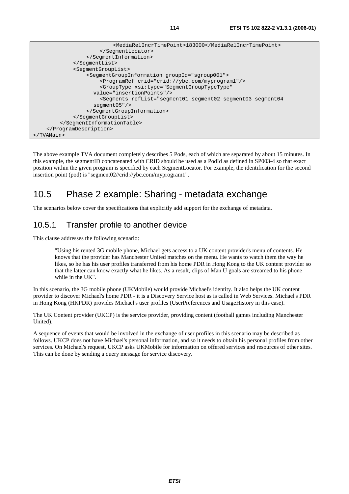```
 <MediaRelIncrTimePoint>183000</MediaRelIncrTimePoint> 
                       </SegmentLocator> 
                   </SegmentInformation> 
              </SegmentList> 
              <SegmentGroupList> 
                   <SegmentGroupInformation groupId="sgroup001"> 
                       <ProgramRef crid="crid://ybc.com/myprogram1"/> 
                       <GroupType xsi:type="SegmentGroupTypeType" 
                     value="insertionPoints"/> 
                       <Segments refList="segment01 segment02 segment03 segment04 
                     segment05"/> 
                   </SegmentGroupInformation> 
              </SegmentGroupList> 
         </SegmentInformationTable> 
     </ProgramDescription> 
</TVAMain>
```
The above example TVA document completely describes 5 Pods, each of which are separated by about 15 minutes. In this example, the segmentID concatenated with CRID should be used as a PodId as defined in SP003-4 so that exact position within the given program is specified by each SegmentLocator. For example, the identification for the second insertion point (pod) is "segment02//crid://ybc.com/myprogram1".

## 10.5 Phase 2 example: Sharing - metadata exchange

The scenarios below cover the specifications that explicitly add support for the exchange of metadata.

#### 10.5.1 Transfer profile to another device

This clause addresses the following scenario:

 "Using his rented 3G mobile phone, Michael gets access to a UK content provider's menu of contents. He knows that the provider has Manchester United matches on the menu. He wants to watch them the way he likes, so he has his user profiles transferred from his home PDR in Hong Kong to the UK content provider so that the latter can know exactly what he likes. As a result, clips of Man U goals are streamed to his phone while in the UK".

In this scenario, the 3G mobile phone (UKMobile) would provide Michael's identity. It also helps the UK content provider to discover Michael's home PDR - it is a Discovery Service host as is called in Web Services. Michael's PDR in Hong Kong (HKPDR) provides Michael's user profiles (UserPreferences and UsageHistory in this case).

The UK Content provider (UKCP) is the service provider, providing content (football games including Manchester United).

A sequence of events that would be involved in the exchange of user profiles in this scenario may be described as follows. UKCP does not have Michael's personal information, and so it needs to obtain his personal profiles from other services. On Michael's request, UKCP asks UKMobile for information on offered services and resources of other sites. This can be done by sending a query message for service discovery.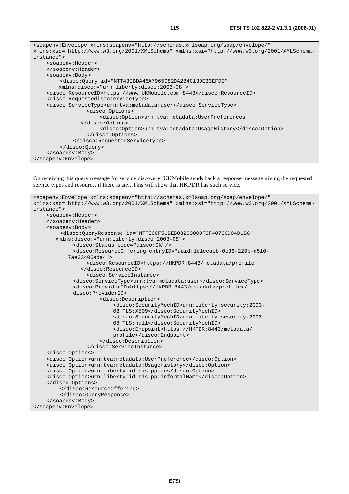<soapenv:Envelope xmlns:soapenv="http://schemas.xmlsoap.org/soap/envelope/" xmlns:xsd="http://www.w3.org/2001/XMLSchema" xmlns:xsi="http://www.w3.org/2001/XMLSchemainstance"> <soapenv:Header> </soapenv:Header> <soapenv:Body> <disco:Query id="NTT43EBDA48A7965082DA284C13DE33EFDE" xmlns:disco:="urn:liberty:disco:2003-08"> <disco:ResourceID>https://www.UKMobile.com:8443</disco:ResourceID> <disco:Requestedisco:erviceType> <disco:ServiceType>urn:tva:metadata:user</disco:ServiceType> <disco:Options> <disco:Option>urn:tva:metadata:UserPreferences </disco:Option> <disco:Option>urn:tva:metadata:UsageHistory</disco:Option> </disco:Options> </disco:RequestedServiceType> </disco:Query> </soapenv:Body> </soapenv:Envelope>

On receiving this query message for service discovery, UKMobile sends back a response message giving the requested service types and resource, if there is any. This will show that HKPDR has such service.

```
<soapenv:Envelope xmlns:soapenv="http://schemas.xmlsoap.org/soap/envelope/" 
xmlns:xsd="http://www.w3.org/2001/XMLSchema" xmlns:xsi="http://www.w3.org/2001/XMLSchema-
instance"> 
     <soapenv:Header> 
     </soapenv:Header> 
     <soapenv:Body> 
          <disco:QueryResponse id="NTTE6CF51BEB0320300DF0F4070CD04D1B6" 
        xmlns:disco:="urn:liberty:disco:2003-08"> 
              <disco:Status code="disco:OK"/> 
              <disco:ResourceOffering entryID="uuid:1c1ccaeb-0c36-229b-d510- 
            7ae33406ada4"> 
                   <disco:ResourceID>https://HKPDR:8443/metadata/profile 
                 </disco:ResourceID> 
                   <disco:ServiceInstance> 
              <disco:ServiceType>urn:tva:metadata:user</disco:ServiceType> 
              <disco:ProviderID>https://HKPDR:8443/metadata/profile</ 
              disco:ProviderID> 
                       <disco:Description> 
                            <disco:SecurityMechID>urn:liberty:security:2003- 
                            08:TLS:X509</disco:SecurityMechID> 
                            <disco:SecurityMechID>urn:liberty:security:2003- 
                            08:TLS:null</disco:SecurityMechID> 
                            <disco:Endpoint>https://HKPDR:8443/metadata/ 
                            profile</disco:Endpoint> 
                       </disco:Description> 
                   </disco:ServiceInstance> 
     <disco:Options> 
     <disco:Option>urn:tva:metadata:UserPreference</disco:Option> 
     <disco:Option>urn:tva:metadata:UsageHistory</disco:Option> 
     <disco:Option>urn:liberty:id-sis-pp:cn</disco:Option> 
     <disco:Option>urn:liberty:id-sis-pp:informalName</disco:Option> 
     </disco:Options> 
          </disco:ResourceOffering> 
          </disco:QueryResponse> 
     </soapenv:Body> 
</soapenv:Envelope>
```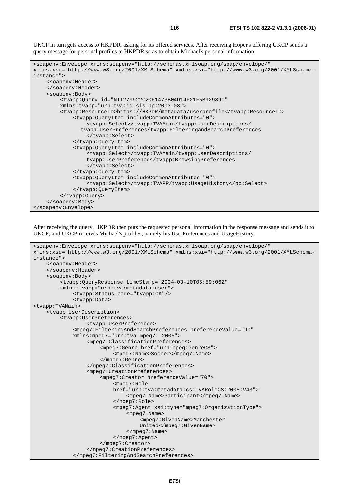UKCP in turn gets access to HKPDR, asking for its offered services. After receiving Hoper's offering UKCP sends a query message for personal profiles to HKPDR so as to obtain Michael's personal information.

```
<soapenv:Envelope xmlns:soapenv="http://schemas.xmlsoap.org/soap/envelope/" 
xmlns:xsd="http://www.w3.org/2001/XMLSchema" xmlns:xsi="http://www.w3.org/2001/XMLSchema-
instance"> 
     <soapenv:Header> 
     </soapenv:Header> 
     <soapenv:Body> 
         <tvapp:Query id="NTT279922C20F1473B04D14F21F5B929890" 
         xmlns:tvapp="urn:tva:id-sis-pp:2003-08"> 
         <tvapp:ResourceID>https://HKPDR/metadata/userprofile</tvapp:ResourceID> 
              <tvapp:QueryItem includeCommonAttributes="0"> 
                  <tvapp:Select>/tvapp:TVAMain/tvapp:UserDescriptions/ 
                 tvapp:UserPreferences/tvapp:FilteringAndSearchPreferences 
                  </tvapp:Select> 
              </tvapp:QueryItem> 
              <tvapp:QueryItem includeCommonAttributes="0"> 
                  <tvapp:Select>/tvapp:TVAMain/tvapp:UserDescriptions/ 
                  tvapp:UserPreferences/tvapp:BrowsingPreferences 
                  </tvapp:Select> 
              </tvapp:QueryItem> 
              <tvapp:QueryItem includeCommonAttributes="0"> 
                  <tvapp:Select>/tvapp:TVAPP/tvapp:UsageHistory</pp:Select> 
              </tvapp:QueryItem> 
         </tvapp:Query> 
     </soapenv:Body> 
</soapenv:Envelope>
```
After receiving the query, HKPDR then puts the requested personal information in the response message and sends it to UKCP, and UKCP receives Michael's profiles, namely his UserPreferences and UsageHistory.

```
<soapenv:Envelope xmlns:soapenv="http://schemas.xmlsoap.org/soap/envelope/" 
xmlns:xsd="http://www.w3.org/2001/XMLSchema" xmlns:xsi="http://www.w3.org/2001/XMLSchema-
instance"> 
     <soapenv:Header> 
     </soapenv:Header> 
     <soapenv:Body> 
          <tvapp:QueryResponse timeStamp="2004-03-10T05:59:06Z" 
          xmlns:tvapp="urn:tva:metadata:user"> 
              <tvapp:Status code="tvapp:OK"/> 
              <tvapp:Data> 
<tvapp:TVAMain> 
     <tvapp:UserDescription> 
          <tvapp:UserPreferences> 
                   <tvapp:UserPreference> 
              <mpeg7:FilteringAndSearchPreferences preferenceValue="90" 
              xmlns:mpeg7="urn:tva:mpeg7: 2005"> 
                   <mpeg7:ClassificationPreferences> 
                        <mpeg7:Genre href="urn:mpeg:GenreCS"> 
                            <mpeg7:Name>Soccer</mpeg7:Name> 
                        </mpeg7:Genre> 
                   </mpeg7:ClassificationPreferences> 
                   <mpeg7:CreationPreferences> 
                        <mpeg7:Creator preferenceValue="70"> 
                            <mpeg7:Role 
                            href="urn:tva:metadata:cs:TVARoleCS:2005:V43"> 
                                 <mpeg7:Name>Participant</mpeg7:Name> 
                            </mpeg7:Role> 
                            <mpeg7:Agent xsi:type="mpeg7:OrganizationType"> 
                                 <mpeg7:Name> 
                                     <mpeg7:GivenName>Manchester 
                                     United</mpeg7:GivenName> 
                                 </mpeg7:Name> 
                            </mpeg7:Agent> 
                        </mpeg7:Creator> 
                   </mpeg7:CreationPreferences> 
               </mpeg7:FilteringAndSearchPreferences>
```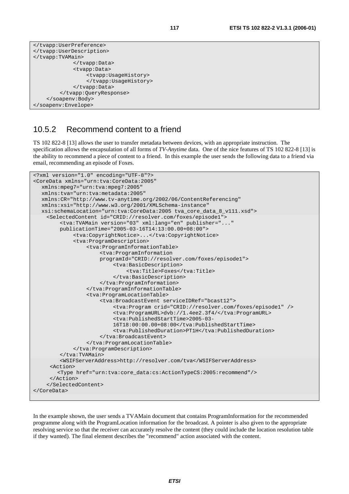```
</tvapp:UserPreference> 
</tvapp:UserDescription> 
</tvapp:TVAMain> 
               </tvapp:Data> 
               <tvapp:Data> 
                    <tvapp:UsageHistory> 
                    </tvapp:UsageHistory> 
               </tvapp:Data> 
          </tvapp:QueryResponse> 
     </soapenv:Body> 
</soapenv:Envelope>
```
#### 10.5.2 Recommend content to a friend

TS 102 822-8 [13] allows the user to transfer metadata between devices, with an appropriate instruction. The specification allows the encapsulation of all forms of *TV-Anytime* data. One of the nice features of TS 102 822-8 [13] is the ability to recommend a piece of content to a friend. In this example the user sends the following data to a friend via email, recommending an episode of Foxes.

```
<?xml version="1.0" encoding="UTF-8"?> 
<CoreData xmlns="urn:tva:CoreData:2005" 
   xmlns:mpeg7="urn:tva:mpeg7:2005" 
   xmlns:tva="urn:tva:metadata:2005" 
   xmlns:CR="http://www.tv-anytime.org/2002/06/ContentReferencing" 
   xmlns:xsi="http://www.w3.org/2001/XMLSchema-instance" 
   xsi:schemaLocation="urn:tva:CoreData:2005 tva_core_data_8_v111.xsd"> 
     <SelectedContent id="CRID://resolver.com/foxes/episode1"> 
         <tva:TVAMain version="03" xml:lang="en" publisher="..." 
         publicationTime="2005-03-16T14:13:00.00+08:00"> 
              <tva:CopyrightNotice>...</tva:CopyrightNotice> 
              <tva:ProgramDescription> 
                   <tva:ProgramInformationTable> 
                       <tva:ProgramInformation 
                       programId="CRID://resolver.com/foxes/episode1"> 
                            <tva:BasicDescription> 
                                <tva:Title>Foxes</tva:Title> 
                            </tva:BasicDescription> 
                       </tva:ProgramInformation> 
                   </tva:ProgramInformationTable> 
                   <tva:ProgramLocationTable> 
                       <tva:BroadcastEvent serviceIDRef="bcast12"> 
                            <tva:Program crid="CRID://resolver.com/foxes/episode1" /> 
                            <tva:ProgramURL>dvb://1.4ee2.3f4/</tva:ProgramURL> 
                            <tva:PublishedStartTime>2005-03- 
                            16T18:00:00.00+08:00</tva:PublishedStartTime> 
                            <tva:PublishedDuration>PT1H</tva:PublishedDuration> 
                       </tva:BroadcastEvent> 
                   </tva:ProgramLocationTable> 
              </tva:ProgramDescription> 
         </tva:TVAMain> 
         <WSIFServerAddress>http://resolver.com/tva</WSIFServerAddress> 
      <Action> 
         <Type href="urn:tva:core_data:cs:ActionTypeCS:2005:recommend"/> 
      </Action> 
     </SelectedContent> 
</CoreData>
```
In the example shown, the user sends a TVAMain document that contains ProgramInformation for the recommended programme along with the ProgramLocation information for the broadcast. A pointer is also given to the appropriate resolving service so that the receiver can accurately resolve the content (they could include the location resolution table if they wanted). The final element describes the "recommend" action associated with the content.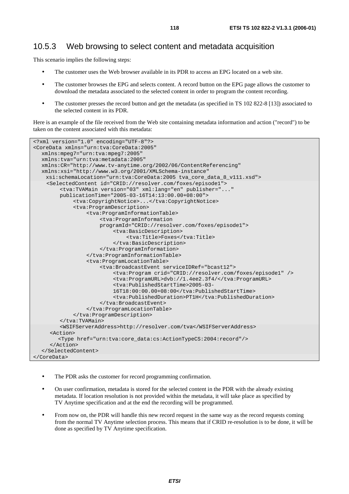#### 10.5.3 Web browsing to select content and metadata acquisition

This scenario implies the following steps:

- The customer uses the Web browser available in its PDR to access an EPG located on a web site.
- The customer browses the EPG and selects content. A record button on the EPG page allows the customer to download the metadata associated to the selected content in order to program the content recording.
- The customer presses the record button and get the metadata (as specified in TS 102 822-8 [13]) associated to the selected content in its PDR.

Here is an example of the file received from the Web site containing metadata information and action ("record") to be taken on the content associated with this metadata:

```
<?xml version="1.0" encoding="UTF-8"?> 
<CoreData xmlns="urn:tva:CoreData:2005" 
   xmlns:mpeg7="urn:tva:mpeg7:2005" 
   xmlns:tva="urn:tva:metadata:2005" 
   xmlns:CR="http://www.tv-anytime.org/2002/06/ContentReferencing" 
   xmlns:xsi="http://www.w3.org/2001/XMLSchema-instance" 
     xsi:schemaLocation="urn:tva:CoreData:2005 tva_core_data_8_v111.xsd"> 
     <SelectedContent id="CRID://resolver.com/foxes/episode1"> 
         <tva:TVAMain version="03" xml:lang="en" publisher="..." 
         publicationTime="2005-03-16T14:13:00.00+08:00"> 
              <tva:CopyrightNotice>...</tva:CopyrightNotice> 
              <tva:ProgramDescription> 
                  <tva:ProgramInformationTable> 
                       <tva:ProgramInformation 
                       programId="CRID://resolver.com/foxes/episode1"> 
                           <tva:BasicDescription> 
                                <tva:Title>Foxes</tva:Title> 
                            </tva:BasicDescription> 
                       </tva:ProgramInformation> 
                  </tva:ProgramInformationTable> 
                  <tva:ProgramLocationTable> 
                       <tva:BroadcastEvent serviceIDRef="bcast12"> 
                            <tva:Program crid="CRID://resolver.com/foxes/episode1" /> 
                            <tva:ProgramURL>dvb://1.4ee2.3f4/</tva:ProgramURL> 
                            <tva:PublishedStartTime>2005-03- 
                           16T18:00:00.00+08:00</tva:PublishedStartTime> 
                            <tva:PublishedDuration>PT1H</tva:PublishedDuration> 
                       </tva:BroadcastEvent> 
                  </tva:ProgramLocationTable> 
              </tva:ProgramDescription> 
         </tva:TVAMain> 
         <WSIFServerAddress>http://resolver.com/tva</WSIFServerAddress> 
      <Action> 
         <Type href="urn:tva:core_data:cs:ActionTypeCS:2004:record"/> 
      </Action> 
   </SelectedContent> 
</CoreData>
```
- The PDR asks the customer for record programming confirmation.
- On user confirmation, metadata is stored for the selected content in the PDR with the already existing metadata. If location resolution is not provided within the metadata, it will take place as specified by TV Anytime specification and at the end the recording will be programmed.
- From now on, the PDR will handle this new record request in the same way as the record requests coming from the normal TV Anytime selection process. This means that if CRID re-resolution is to be done, it will be done as specified by TV Anytime specification.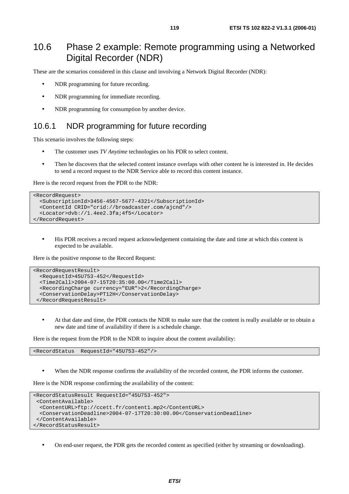## 10.6 Phase 2 example: Remote programming using a Networked Digital Recorder (NDR)

These are the scenarios considered in this clause and involving a Network Digital Recorder (NDR):

- NDR programming for future recording.
- NDR programming for immediate recording.
- NDR programming for consumption by another device.

#### 10.6.1 NDR programming for future recording

This scenario involves the following steps:

- The customer uses *TV Anytime* technologies on his PDR to select content.
- Then he discovers that the selected content instance overlaps with other content he is interested in. He decides to send a record request to the NDR Service able to record this content instance.

Here is the record request from the PDR to the NDR:

```
<RecordRequest> 
  <SubscriptionId>3456-4567-5677-4321</SubscriptionId> 
  <ContentId CRID="crid://broadcaster.com/ajcnd"/> 
  <Locator>dvb://1.4ee2.3fa;4f5</Locator> 
</RecordRequest>
```
• His PDR receives a record request acknowledgement containing the date and time at which this content is expected to be available.

Here is the positive response to the Record Request:

```
<RecordRequestResult> 
   <RequestId>45U753-452</RequestId> 
   <Time2Call>2004-07-15T20:35:00.00</Time2Call> 
   <RecordingCharge currency="EUR">2</RecordingCharge> 
   <ConservationDelay>PT12H</ConservationDelay> 
  </RecordRequestResult>
```
• At that date and time, the PDR contacts the NDR to make sure that the content is really available or to obtain a new date and time of availability if there is a schedule change.

Here is the request from the PDR to the NDR to inquire about the content availability:

<RecordStatus RequestId="45U753-452"/>

When the NDR response confirms the availability of the recorded content, the PDR informs the customer.

Here is the NDR response confirming the availability of the content:

```
<RecordStatusResult RequestId="45U753-452"> 
 <ContentAvailable> 
  <ContentURL>ftp://ccett.fr/content1.mp2</ContentURL> 
  <ConservationDeadline>2004-07-17T20:30:00.00</ConservationDeadline> 
 </ContentAvailable> 
</RecordStatusResult>
```
• On end-user request, the PDR gets the recorded content as specified (either by streaming or downloading).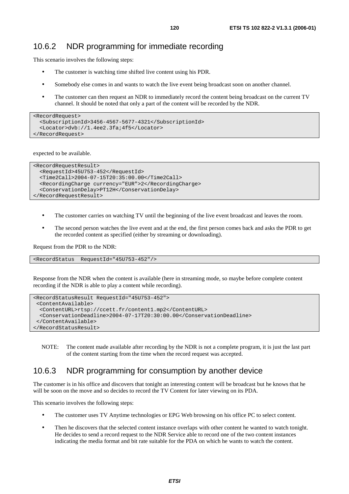This scenario involves the following steps:

- The customer is watching time shifted live content using his PDR.
- Somebody else comes in and wants to watch the live event being broadcast soon on another channel.
- The customer can then request an NDR to immediately record the content being broadcast on the current TV channel. It should be noted that only a part of the content will be recorded by the NDR.

```
<RecordRequest> 
   <SubscriptionId>3456-4567-5677-4321</SubscriptionId> 
   <Locator>dvb://1.4ee2.3fa;4f5</Locator> 
</RecordRequest>
```
expected to be available.

```
<RecordRequestResult> 
   <RequestId>45U753-452</RequestId> 
   <Time2Call>2004-07-15T20:35:00.00</Time2Call> 
   <RecordingCharge currency="EUR">2</RecordingCharge> 
   <ConservationDelay>PT12H</ConservationDelay> 
</RecordRequestResult>
```
- The customer carries on watching TV until the beginning of the live event broadcast and leaves the room.
- The second person watches the live event and at the end, the first person comes back and asks the PDR to get the recorded content as specified (either by streaming or downloading).

Request from the PDR to the NDR:

<RecordStatus RequestId="45U753-452"/>

Response from the NDR when the content is available (here in streaming mode, so maybe before complete content recording if the NDR is able to play a content while recording).

```
<RecordStatusResult RequestId="45U753-452"> 
  <ContentAvailable> 
   <ContentURL>rtsp://ccett.fr/content1.mp2</ContentURL> 
   <ConservationDeadline>2004-07-17T20:30:00.00</ConservationDeadline> 
  </ContentAvailable> 
</RecordStatusResult>
```
NOTE: The content made available after recording by the NDR is not a complete program, it is just the last part of the content starting from the time when the record request was accepted.

#### 10.6.3 NDR programming for consumption by another device

The customer is in his office and discovers that tonight an interesting content will be broadcast but he knows that he will be soon on the move and so decides to record the TV Content for later viewing on its PDA.

This scenario involves the following steps:

- The customer uses TV Anytime technologies or EPG Web browsing on his office PC to select content.
- Then he discovers that the selected content instance overlaps with other content he wanted to watch tonight. He decides to send a record request to the NDR Service able to record one of the two content instances indicating the media format and bit rate suitable for the PDA on which he wants to watch the content.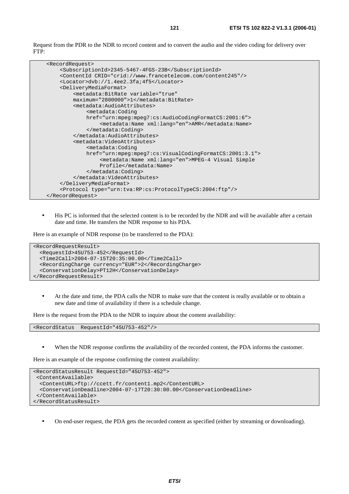Request from the PDR to the NDR to record content and to convert the audio and the video coding for delivery over FTP:

```
 <RecordRequest> 
     <SubscriptionId>2345-5467-4FGS-23B</SubscriptionId> 
     <ContentId CRID="crid://www.francetelecom.com/content245"/> 
     <Locator>dvb://1.4ee2.3fa;4f5</Locator> 
     <DeliveryMediaFormat> 
          <metadata:BitRate variable="true" 
         maximum="2800000">1</metadata:BitRate> 
          <metadata:AudioAttributes> 
              <metadata:Coding 
              href="urn:mpeg:mpeg7:cs:AudioCodingFormatCS:2001:6"> 
                  <metadata:Name xml:lang="en">AMR</metadata:Name> 
              </metadata:Coding> 
          </metadata:AudioAttributes> 
          <metadata:VideoAttributes> 
              <metadata:Coding 
              href="urn:mpeg:mpeg7:cs:VisualCodingFormatCS:2001:3.1"> 
                   <metadata:Name xml:lang="en">MPEG-4 Visual Simple 
                  Profile</metadata:Name> 
              </metadata:Coding> 
          </metadata:VideoAttributes> 
     </DeliveryMediaFormat> 
     <Protocol type="urn:tva:RP:cs:ProtocolTypeCS:2004:ftp"/> 
 </RecordRequest>
```
• His PC is informed that the selected content is to be recorded by the NDR and will be available after a certain date and time. He transfers the NDR response to his PDA.

Here is an example of NDR response (to be transferred to the PDA):

```
<RecordRequestResult> 
   <RequestId>45U753-452</RequestId> 
   <Time2Call>2004-07-15T20:35:00.00</Time2Call> 
   <RecordingCharge currency="EUR">2</RecordingCharge> 
   <ConservationDelay>PT12H</ConservationDelay> 
</RecordRequestResult>
```
• At the date and time, the PDA calls the NDR to make sure that the content is really available or to obtain a new date and time of availability if there is a schedule change.

Here is the request from the PDA to the NDR to inquire about the content availability:

<RecordStatus RequestId="45U753-452"/>

When the NDR response confirms the availability of the recorded content, the PDA informs the customer.

Here is an example of the response confirming the content availability:

```
<RecordStatusResult RequestId="45U753-452"> 
  <ContentAvailable> 
  <ContentURL>ftp://ccett.fr/content1.mp2</ContentURL> 
  <ConservationDeadline>2004-07-17T20:30:00.00</ConservationDeadline> 
  </ContentAvailable> 
</RecordStatusResult>
```
• On end-user request, the PDA gets the recorded content as specified (either by streaming or downloading).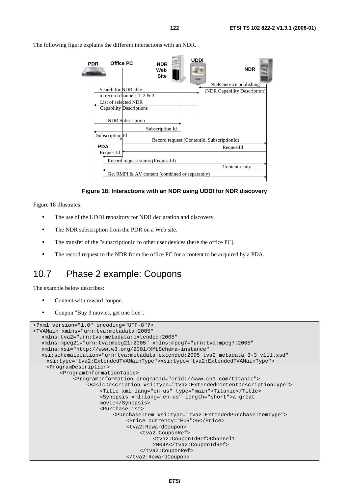NDR Service publishing Search for NDR able (NDR Capability Description) to record channels 1, 2 & 3 List of selected NDR Capability Descriptions **PDR NDR UDDI NDR Web Site** NDR Subscription Subscription Id Record request (ContentId, SubscriptionId) Record request status (RequestId) Get RMPI & AV content (combined or separately) RequestId Content ready Subscription Id RequestId **PDA Office PC**

The following figure explains the different interactions with an NDR.

#### **Figure 18: Interactions with an NDR using UDDI for NDR discovery**

Figure 18 illustrates:

- The use of the UDDI repository for NDR declaration and discovery.
- The NDR subscription from the PDR on a Web site.
- The transfer of the "subscriptionId to other user devices (here the office PC).
- The record request to the NDR from the office PC for a content to be acquired by a PDA.

#### 10.7 Phase 2 example: Coupons

The example below describes:

- Content with reward coupon.
- Coupon "Buy 3 movies, get one free".

```
<?xml version="1.0" encoding="UTF-8"?> 
<TVAMain xmlns="urn:tva:metadata:2005" 
   xmlns:tva2="urn:tva:metadata:extended:2005" 
   xmlns:mpeg21="urn:tva:mpeg21:2005" xmlns:mpeg7="urn:tva:mpeg7:2005" 
   xmlns:xsi="http://www.w3.org/2001/XMLSchema-instance" 
   xsi:schemaLocation="urn:tva:metadata:extended:2005 tva2_metadata_3-3_v111.xsd" 
     xsi:type="tva2:ExtendedTVAMainType">xsi:type="tva2:ExtendedTVAMainType"> 
     <ProgramDescription> 
          <ProgramInformationTable> 
              <ProgramInformation programId="crid://www.ch1.com/titanic"> 
                   <BasicDescription xsi:type="tva2:ExtendedContentDescriptionType"> 
                       <Title xml:lang="en-us" type="main">Titanic</Title> 
                       <Synopsis xml:lang="en-us" length="short">a great 
                       movie</Synopsis> 
                       <PurchaseList> 
                            <PurchaseItem xsi:type="tva2:ExtendedPurchaseItemType"> 
                                <Price currency="EUR">5</Price> 
                                <tva2:RewardCoupon> 
                                    <tva2:CouponRef> 
                                         <tva2:CouponIdRef>Channel1- 
                                         2004A</tva2:CouponIdRef> 
                                    </tva2:CouponRef> 
                                </tva2:RewardCoupon>
```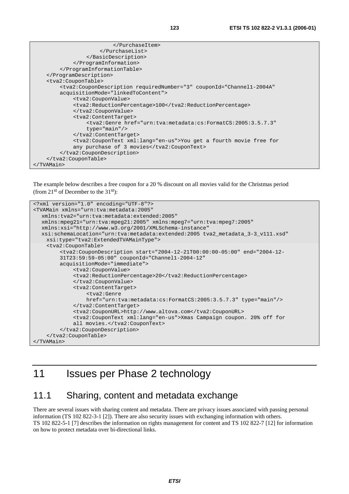| <tva2:coupontable></tva2:coupontable>                                                                     |
|-----------------------------------------------------------------------------------------------------------|
| <tva2:coupondescription <="" couponid="Channel1-2004A" requirednumber="3" td=""></tva2:coupondescription> |
| acquisitionMode="linkedToContent">                                                                        |
| <tva2:couponvalue></tva2:couponvalue>                                                                     |
| <tva2:reductionpercentage>100</tva2:reductionpercentage>                                                  |
|                                                                                                           |
| <tva2:contenttarget></tva2:contenttarget>                                                                 |
| <tva2:genre <="" href="urn:tva:metadata:cs:FormatCS:2005:3.5.7.3" td=""></tva2:genre>                     |
| $type="main'/$                                                                                            |
|                                                                                                           |
| <tva2:coupontext xml:lang="en-us">You get a fourth movie free for</tva2:coupontext>                       |
| any purchase of 3 movies                                                                                  |
|                                                                                                           |
|                                                                                                           |
|                                                                                                           |

The example below describes a free coupon for a 20 % discount on all movies valid for the Christmas period (from  $21^{st}$  of December to the  $31^{st}$ ):

```
<?xml version="1.0" encoding="UTF-8"?> 
<TVAMain xmlns="urn:tva:metadata:2005" 
   xmlns:tva2="urn:tva:metadata:extended:2005" 
   xmlns:mpeg21="urn:tva:mpeg21:2005" xmlns:mpeg7="urn:tva:mpeg7:2005" 
   xmlns:xsi="http://www.w3.org/2001/XMLSchema-instance" 
   xsi:schemaLocation="urn:tva:metadata:extended:2005 tva2_metadata_3-3_v111.xsd" 
     xsi:type="tva2:ExtendedTVAMainType"> 
     <tva2:CouponTable> 
         <tva2:CouponDescription start="2004-12-21T00:00:00-05:00" end="2004-12- 
         31T23:59:59-05:00" couponId="Channel1-2004-12" 
         acquisitionMode="immediate"> 
              <tva2:CouponValue> 
              <tva2:ReductionPercentage>20</tva2:ReductionPercentage> 
              </tva2:CouponValue> 
              <tva2:ContentTarget> 
                  <tva2:Genre 
                  href="urn:tva:metadata:cs:FormatCS:2005:3.5.7.3" type="main"/> 
              </tva2:ContentTarget> 
              <tva2:CouponURL>http://www.altova.com</tva2:CouponURL> 
              <tva2:CouponText xml:lang="en-us">Xmas Campaign coupon. 20% off for 
             all movies.</tva2:CouponText>
         </tva2:CouponDescription> 
     </tva2:CouponTable> 
</TVAMain>
```
## 11 Issues per Phase 2 technology

#### 11.1 Sharing, content and metadata exchange

There are several issues with sharing content and metadata. There are privacy issues associated with passing personal information (TS 102 822-3-1 [2]). There are also security issues with exchanging information with others. TS 102 822-5-1 [7] describes the information on rights management for content and TS 102 822-7 [12] for information on how to protect metadata over bi-directional links.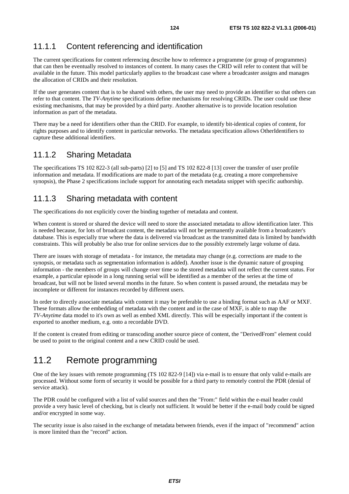#### 11.1.1 Content referencing and identification

The current specifications for content referencing describe how to reference a programme (or group of programmes) that can then be eventually resolved to instances of content. In many cases the CRID will refer to content that will be available in the future. This model particularly applies to the broadcast case where a broadcaster assigns and manages the allocation of CRIDs and their resolution.

If the user generates content that is to be shared with others, the user may need to provide an identifier so that others can refer to that content. The *TV-Anytime* specifications define mechanisms for resolving CRIDs. The user could use these existing mechanisms, that may be provided by a third party. Another alternative is to provide location resolution information as part of the metadata.

There may be a need for identifiers other than the CRID. For example, to identify bit-identical copies of content, for rights purposes and to identify content in particular networks. The metadata specification allows OtherIdentifiers to capture these additional identifiers.

#### 11.1.2 Sharing Metadata

The specifications TS 102 822-3 (all sub-parts) [2] to [5] and TS 102 822-8 [13] cover the transfer of user profile information and metadata. If modifications are made to part of the metadata (e.g. creating a more comprehensive synopsis), the Phase 2 specifications include support for annotating each metadata snippet with specific authorship.

#### 11.1.3 Sharing metadata with content

The specifications do not explicitly cover the binding together of metadata and content.

When content is stored or shared the device will need to store the associated metadata to allow identification later. This is needed because, for lots of broadcast content, the metadata will not be permanently available from a broadcaster's database. This is especially true where the data is delivered via broadcast as the transmitted data is limited by bandwidth constraints. This will probably be also true for online services due to the possibly extremely large volume of data.

There are issues with storage of metadata - for instance, the metadata may change (e.g. corrections are made to the synopsis, or metadata such as segmentation information is added). Another issue is the dynamic nature of grouping information - the members of groups will change over time so the stored metadata will not reflect the current status. For example, a particular episode in a long running serial will be identified as a member of the series at the time of broadcast, but will not be listed several months in the future. So when content is passed around, the metadata may be incomplete or different for instances recorded by different users.

In order to directly associate metadata with content it may be preferable to use a binding format such as AAF or MXF. These formats allow the embedding of metadata with the content and in the case of MXF, is able to map the *TV-Anytime* data model to it's own as well as embed XML directly. This will be especially important if the content is exported to another medium, e.g. onto a recordable DVD.

If the content is created from editing or transcoding another source piece of content, the "DerivedFrom" element could be used to point to the original content and a new CRID could be used.

## 11.2 Remote programming

One of the key issues with remote programming (TS 102 822-9 [14]) via e-mail is to ensure that only valid e-mails are processed. Without some form of security it would be possible for a third party to remotely control the PDR (denial of service attack).

The PDR could be configured with a list of valid sources and then the "From:" field within the e-mail header could provide a very basic level of checking, but is clearly not sufficient. It would be better if the e-mail body could be signed and/or encrypted in some way.

The security issue is also raised in the exchange of metadata between friends, even if the impact of "recommend" action is more limited than the "record" action.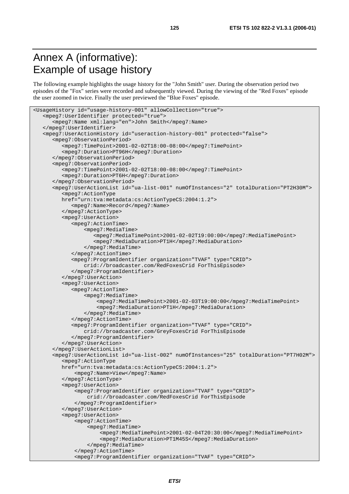## Annex A (informative): Example of usage history

The following example highlights the usage history for the "John Smith" user. During the observation period two episodes of the "Fox" series were recorded and subsequently viewed. During the viewing of the "Red Foxes" episode the user zoomed in twice. Finally the user previewed the "Blue Foxes" episode.

```
<UsageHistory id="usage-history-001" allowCollection="true"> 
    <mpeg7:UserIdentifier protected="true"> 
       <mpeg7:Name xml:lang="en">John Smith</mpeg7:Name> 
    </mpeg7:UserIdentifier> 
    <mpeg7:UserActionHistory id="useraction-history-001" protected="false"> 
       <mpeg7:ObservationPeriod> 
          <mpeg7:TimePoint>2001-02-02T18:00-08:00</mpeg7:TimePoint> 
          <mpeg7:Duration>PT96H</mpeg7:Duration> 
       </mpeg7:ObservationPeriod> 
       <mpeg7:ObservationPeriod> 
          <mpeg7:TimePoint>2001-02-02T18:00-08:00</mpeg7:TimePoint> 
          <mpeg7:Duration>PT6H</mpeg7:Duration> 
       </mpeg7:ObservationPeriod> 
       <mpeg7:UserActionList id="ua-list-001" numOfInstances="2" totalDuration="PT2H30M"> 
          <mpeg7:ActionType 
          href="urn:tva:metadata:cs:ActionTypeCS:2004:1.2"> 
             <mpeg7:Name>Record</mpeg7:Name> 
          </mpeg7:ActionType> 
          <mpeg7:UserAction> 
             <mpeg7:ActionTime> 
                  <mpeg7:MediaTime> 
                     <mpeg7:MediaTimePoint>2001-02-02T19:00:00</mpeg7:MediaTimePoint> 
                     <mpeg7:MediaDuration>PT1H</mpeg7:MediaDuration> 
                  </mpeg7:MediaTime> 
             </mpeg7:ActionTime> 
              <mpeg7:ProgramIdentifier organization="TVAF" type="CRID"> 
                  crid://broadcaster.com/RedFoxesCrid ForThisEpisode> 
             </mpeg7:ProgramIdentifier> 
          </mpeg7:UserAction> 
          <mpeg7:UserAction> 
             <mpeg7:ActionTime> 
                  <mpeg7:MediaTime> 
                      <mpeg7:MediaTimePoint>2001-02-03T19:00:00</mpeg7:MediaTimePoint> 
                      <mpeg7:MediaDuration>PT1H</mpeg7:MediaDuration> 
                  </mpeg7:MediaTime> 
             </mpeg7:ActionTime> 
             <mpeg7:ProgramIdentifier organization="TVAF" type="CRID"> 
                  crid://broadcaster.com/GreyFoxesCrid ForThisEpisode 
             </mpeg7:ProgramIdentifier> 
          </mpeg7:UserAction> 
       </mpeg7:UserActionList> 
       <mpeg7:UserActionList id="ua-list-002" numOfInstances="25" totalDuration="PT7H02M"> 
          <mpeg7:ActionType 
          href="urn:tva:metadata:cs:ActionTypeCS:2004:1.2"> 
              <mpeg7:Name>View</mpeg7:Name> 
          </mpeg7:ActionType> 
          <mpeg7:UserAction> 
              <mpeg7:ProgramIdentifier organization="TVAF" type="CRID"> 
                   crid://broadcaster.com/RedFoxesCrid ForThisEpisode 
              </mpeg7:ProgramIdentifier> 
          </mpeg7:UserAction> 
          <mpeg7:UserAction> 
              <mpeg7:ActionTime> 
                   <mpeg7:MediaTime> 
                       <mpeg7:MediaTimePoint>2001-02-04T20:30:00</mpeg7:MediaTimePoint> 
                       <mpeg7:MediaDuration>PT1M45S</mpeg7:MediaDuration> 
                   </mpeg7:MediaTime> 
              </mpeg7:ActionTime> 
               <mpeg7:ProgramIdentifier organization="TVAF" type="CRID">
```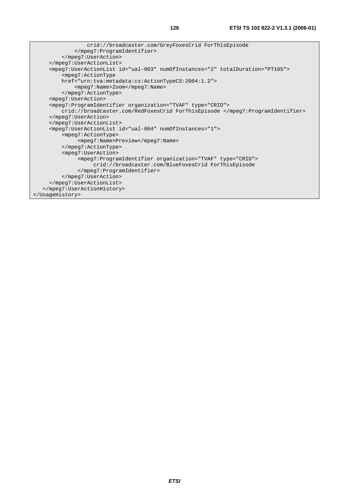```
 crid://broadcaster.com/GreyFoxesCrid ForThisEpisode 
              </mpeg7:ProgramIdentifier> 
          </mpeg7:UserAction> 
      </mpeg7:UserActionList> 
      <mpeg7:UserActionList id="ual-003" numOfInstances="2" totalDuration="PT10S"> 
          <mpeg7:ActionType 
          href="urn:tva:metadata:cs:ActionTypeCS:2004:1.2"> 
              <mpeg7:Name>Zoom</mpeg7:Name> 
          </mpeg7:ActionType> 
      <mpeg7:UserAction> 
      <mpeg7:ProgramIdentifier organization="TVAF" type="CRID"> 
          crid://broadcaster.com/RedFoxesCrid ForThisEpisode </mpeg7:ProgramIdentifier> 
      </mpeg7:UserAction> 
      </mpeg7:UserActionList> 
      <mpeg7:UserActionList id="ual-004" numOfInstances="1"> 
          <mpeg7:ActionType> 
                <mpeg7:Name>Preview</mpeg7:Name> 
          </mpeg7:ActionType> 
          <mpeg7:UserAction> 
               <mpeg7:ProgramIdentifier organization="TVAF" type="CRID"> 
                    crid://broadcaster.com/BlueFoxesCrid ForThisEpisode 
               </mpeg7:ProgramIdentifier> 
          </mpeg7:UserAction> 
      </mpeg7:UserActionList> 
    </mpeg7:UserActionHistory> 
</UsageHistory>
```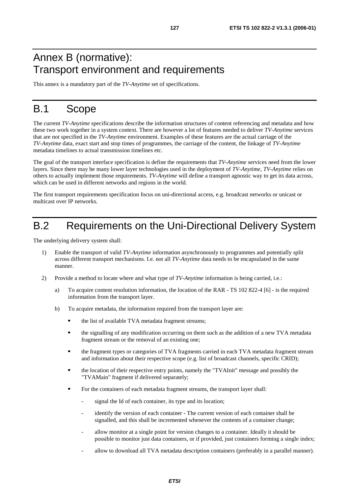## Annex B (normative): Transport environment and requirements

This annex is a mandatory part of the *TV-Anytime* set of specifications.

## B.1 Scope

The current *TV-Anytime* specifications describe the information structures of content referencing and metadata and how these two work together in a system context. There are however a lot of features needed to deliver *TV-Anytime* services that are not specified in the *TV-Anytime* environment. Examples of these features are the actual carriage of the *TV-Anytime* data, exact start and stop times of programmes, the carriage of the content, the linkage of *TV-Anytime* metadata timelines to actual transmission timelines etc.

The goal of the transport interface specification is define the requirements that *TV-Anytime* services need from the lower layers. Since there may be many lower layer technologies used in the deployment of *TV-Anytime*, *TV-Anytime* relies on others to actually implement those requirements. *TV-Anytime* will define a transport agnostic way to get its data across, which can be used in different networks and regions in the world.

The first transport requirements specification focus on uni-directional access, e.g. broadcast networks or unicast or multicast over IP networks.

## B.2 Requirements on the Uni-Directional Delivery System

The underlying delivery system shall:

- 1) Enable the transport of valid *TV-Anytime* information asynchronously to programmes and potentially split across different transport mechanisms. I.e. not all *TV-Anytime* data needs to be encapsulated in the same manner.
- 2) Provide a method to locate where and what type of *TV-Anytime* information is being carried, i.e.:
	- a) To acquire content resolution information, the location of the RAR TS 102 822-4 [6] is the required information from the transport layer.
	- b) To acquire metadata, the information required from the transport layer are:
		- the list of available TVA metadata fragment streams;
		- the signalling of any modification occurring on them such as the addition of a new TVA metadata fragment stream or the removal of an existing one;
		- the fragment types or categories of TVA fragments carried in each TVA metadata fragment stream and information about their respective scope (e.g. list of broadcast channels, specific CRID);
		- the location of their respective entry points, namely the "TVAInit" message and possibly the "TVAMain" fragment if delivered separately;
		- For the containers of each metadata fragment streams, the transport layer shall:
			- signal the Id of each container, its type and its location;
			- identify the version of each container The current version of each container shall be signalled, and this shall be incremented whenever the contents of a container change;
			- allow monitor at a single point for version changes to a container. Ideally it should be possible to monitor just data containers, or if provided, just containers forming a single index;
			- allow to download all TVA metadata description containers (preferably in a parallel manner).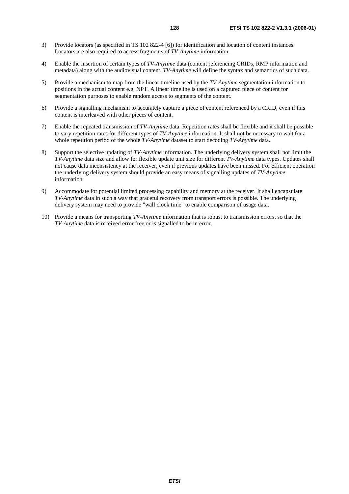- 3) Provide locators (as specified in TS 102 822-4 [6]) for identification and location of content instances. Locators are also required to access fragments of *TV-Anytime* information.
- 4) Enable the insertion of certain types of *TV-Anytime* data (content referencing CRIDs, RMP information and metadata) along with the audiovisual content. *TV-Anytime* will define the syntax and semantics of such data.
- 5) Provide a mechanism to map from the linear timeline used by the *TV-Anytime* segmentation information to positions in the actual content e.g. NPT. A linear timeline is used on a captured piece of content for segmentation purposes to enable random access to segments of the content.
- 6) Provide a signalling mechanism to accurately capture a piece of content referenced by a CRID, even if this content is interleaved with other pieces of content.
- 7) Enable the repeated transmission of *TV-Anytime* data. Repetition rates shall be flexible and it shall be possible to vary repetition rates for different types of *TV-Anytime* information. It shall not be necessary to wait for a whole repetition period of the whole *TV-Anytime* dataset to start decoding *TV-Anytime* data.
- 8) Support the selective updating of *TV-Anytime* information. The underlying delivery system shall not limit the *TV-Anytime* data size and allow for flexible update unit size for different *TV-Anytime* data types. Updates shall not cause data inconsistency at the receiver, even if previous updates have been missed. For efficient operation the underlying delivery system should provide an easy means of signalling updates of *TV-Anytime* information.
- 9) Accommodate for potential limited processing capability and memory at the receiver. It shall encapsulate *TV-Anytime* data in such a way that graceful recovery from transport errors is possible. The underlying delivery system may need to provide "wall clock time" to enable comparison of usage data.
- 10) Provide a means for transporting *TV-Anytime* information that is robust to transmission errors, so that the *TV-Anytime* data is received error free or is signalled to be in error.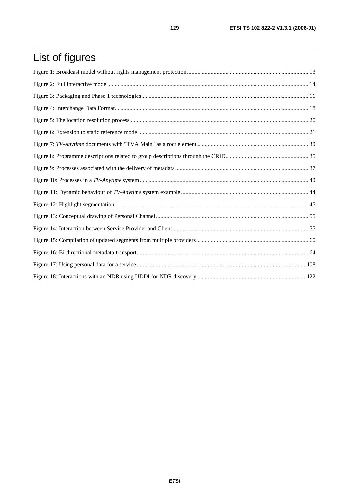# List of figures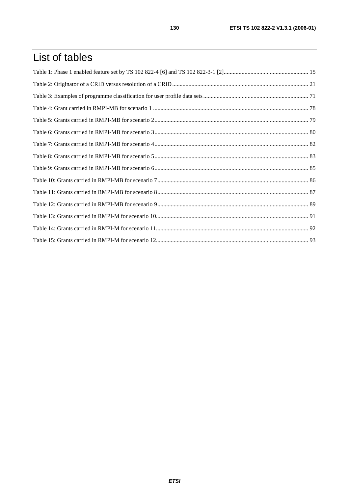## List of tables